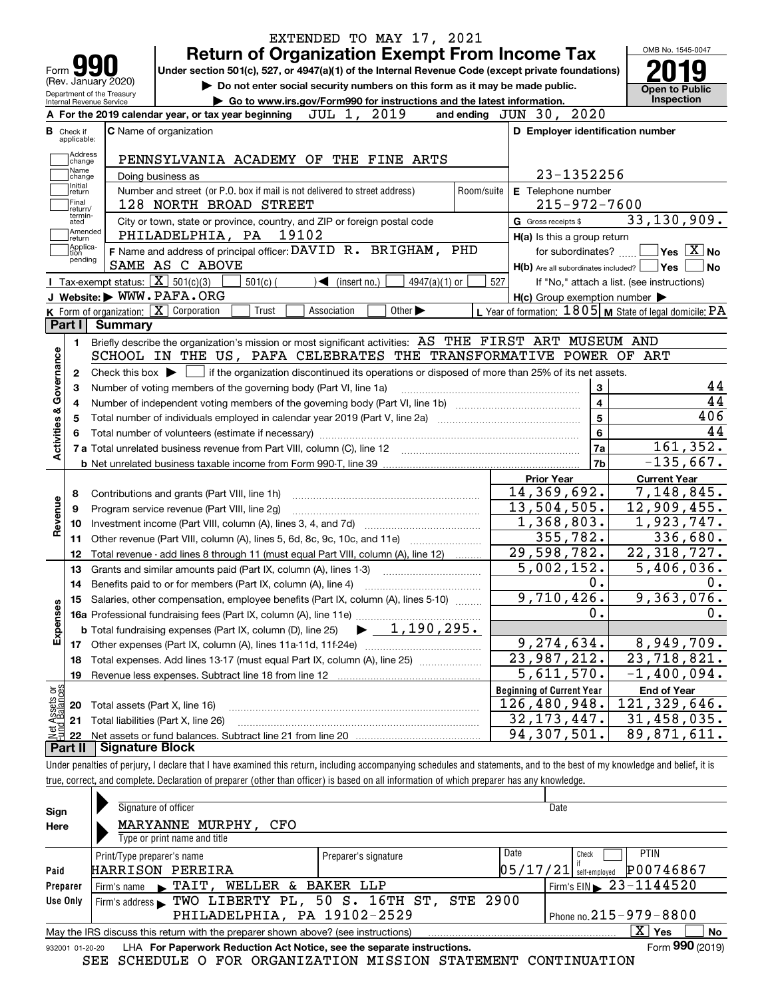|                                                        |         | EXTENDED TO MAY 17, 2021<br><b>Return of Organization Exempt From Income Tax</b>                                                            |                                                                       | OMB No. 1545-0047                                                               |
|--------------------------------------------------------|---------|---------------------------------------------------------------------------------------------------------------------------------------------|-----------------------------------------------------------------------|---------------------------------------------------------------------------------|
| Form JY                                                |         | Under section 501(c), 527, or 4947(a)(1) of the Internal Revenue Code (except private foundations)                                          |                                                                       |                                                                                 |
| (Rev. January 2020)                                    |         | Do not enter social security numbers on this form as it may be made public.                                                                 |                                                                       | <b>Open to Public</b>                                                           |
| Department of the Treasury<br>Internal Revenue Service |         | Go to www.irs.gov/Form990 for instructions and the latest information.                                                                      |                                                                       | Inspection                                                                      |
|                                                        |         | 2019<br>JUL 1,<br>A For the 2019 calendar year, or tax year beginning                                                                       | and ending JUN 30, 2020                                               |                                                                                 |
| <b>B</b> Check if<br>applicable:                       |         | <b>C</b> Name of organization                                                                                                               | D Employer identification number                                      |                                                                                 |
| Address                                                |         |                                                                                                                                             |                                                                       |                                                                                 |
| change<br>Name                                         |         | PENNSYLVANIA ACADEMY OF THE FINE ARTS                                                                                                       |                                                                       |                                                                                 |
| change<br>Initial                                      |         | Doing business as                                                                                                                           | 23-1352256                                                            |                                                                                 |
| return<br> Final                                       |         | Number and street (or P.O. box if mail is not delivered to street address)<br>Room/suite<br>128 NORTH BROAD STREET                          | E Telephone number<br>$215 - 972 - 7600$                              |                                                                                 |
| return/<br>termin-                                     |         |                                                                                                                                             |                                                                       | 33, 130, 909.                                                                   |
| ated<br> Amended                                       |         | City or town, state or province, country, and ZIP or foreign postal code<br>PHILADELPHIA, PA 19102                                          | G Gross receipts \$                                                   |                                                                                 |
| ∫return<br> Applica-                                   |         | F Name and address of principal officer: DAVID R. BRIGHAM,<br>PHD                                                                           | H(a) Is this a group return                                           | $ {\mathsf Y}{\mathsf e}{\mathsf s} \: \mid \! \underline{{\mathsf X}} \:  $ No |
| tion<br>pending                                        |         | SAME AS C ABOVE                                                                                                                             | for subordinates?<br>$H(b)$ Are all subordinates included? $\Box$ Yes | No                                                                              |
|                                                        |         | Tax-exempt status: $\boxed{\mathbf{X}}$ 501(c)(3)<br>$501(c)$ (<br>$\blacktriangleleft$ (insert no.)<br>$4947(a)(1)$ or                     | 527                                                                   | If "No," attach a list. (see instructions)                                      |
|                                                        |         | J Website: WWW.PAFA.ORG                                                                                                                     | $H(c)$ Group exemption number $\blacktriangleright$                   |                                                                                 |
|                                                        |         | <b>K</b> Form of organization: $\boxed{\mathbf{X}}$ Corporation<br>Other $\blacktriangleright$<br>Association<br>Trust                      | L Year of formation: $1805$ M State of legal domicile: PA             |                                                                                 |
| Part I                                                 | Summary |                                                                                                                                             |                                                                       |                                                                                 |
| 1.                                                     |         | Briefly describe the organization's mission or most significant activities: AS THE FIRST ART MUSEUM AND                                     |                                                                       |                                                                                 |
|                                                        |         | SCHOOL IN THE US, PAFA CELEBRATES THE TRANSFORMATIVE POWER OF ART                                                                           |                                                                       |                                                                                 |
| 2                                                      |         | Check this box $\blacktriangleright$ $\Box$ if the organization discontinued its operations or disposed of more than 25% of its net assets. |                                                                       |                                                                                 |
| З                                                      |         | Number of voting members of the governing body (Part VI, line 1a)                                                                           | 3                                                                     | 44                                                                              |
| 4                                                      |         |                                                                                                                                             | $\overline{\mathbf{4}}$                                               | 44                                                                              |
| Activities & Governance<br>5                           |         |                                                                                                                                             | 5                                                                     | 406                                                                             |
|                                                        |         |                                                                                                                                             | 6                                                                     | 44                                                                              |
|                                                        |         |                                                                                                                                             | <b>7a</b>                                                             | 161, 352.                                                                       |
|                                                        |         |                                                                                                                                             | 7 <sub>b</sub>                                                        | $-135,667.$                                                                     |
|                                                        |         |                                                                                                                                             | <b>Prior Year</b>                                                     | <b>Current Year</b>                                                             |
| 8                                                      |         | Contributions and grants (Part VIII, line 1h)                                                                                               | 14,369,692.                                                           | $\overline{7,148,845}$ .                                                        |
| 9                                                      |         | Program service revenue (Part VIII, line 2g)                                                                                                | 13,504,505.                                                           | 12,909,455.                                                                     |
| Revenue<br>10                                          |         |                                                                                                                                             | 1,368,803.                                                            | 1,923,747.                                                                      |
| 11                                                     |         | Other revenue (Part VIII, column (A), lines 5, 6d, 8c, 9c, 10c, and 11e)                                                                    | 355,782.                                                              | 336,680.                                                                        |
| 12                                                     |         | Total revenue - add lines 8 through 11 (must equal Part VIII, column (A), line 12)                                                          | 29,598,782.                                                           | 22, 318, 727.                                                                   |
| 13                                                     |         | Grants and similar amounts paid (Part IX, column (A), lines 1-3)                                                                            | 5,002,152.                                                            | 5,406,036.                                                                      |
| 14                                                     |         |                                                                                                                                             | 0.                                                                    | 0.                                                                              |
|                                                        |         | 15 Salaries, other compensation, employee benefits (Part IX, column (A), lines 5-10)                                                        | a<br>9,710,426.                                                       | 9,363,076.                                                                      |
| Expenses                                               |         |                                                                                                                                             | 0.                                                                    | 0.                                                                              |
|                                                        |         | $\blacktriangleright$ 1,190,295.<br><b>b</b> Total fundraising expenses (Part IX, column (D), line 25)                                      |                                                                       |                                                                                 |
| 17                                                     |         |                                                                                                                                             | 9,274,634.                                                            | 8,949,709.                                                                      |
| 18                                                     |         | Total expenses. Add lines 13-17 (must equal Part IX, column (A), line 25)                                                                   | $\overline{23,987,212}$ .                                             | 23,718,821.                                                                     |
| 19                                                     |         |                                                                                                                                             | 5,611,570.                                                            | $-1,400,094.$                                                                   |
|                                                        |         |                                                                                                                                             | <b>Beginning of Current Year</b>                                      | <b>End of Year</b>                                                              |
|                                                        |         | Total assets (Part X, line 16)                                                                                                              | 126,480,948.                                                          | 121,329,646.                                                                    |
|                                                        |         |                                                                                                                                             |                                                                       |                                                                                 |
| 20                                                     |         |                                                                                                                                             |                                                                       |                                                                                 |
| t Assets or<br>d Balances<br>21<br>혏<br>22             |         | Total liabilities (Part X, line 26)                                                                                                         | 32, 173, 447.<br>94,307,501.                                          | 31,458,035.<br>89,871,611.                                                      |

true, correct, and complete. Declaration of preparer (other than officer) is based on all information of which preparer has any knowledge.

| Sign            | Signature of officer                                                              |                      | Date                      |                                        |
|-----------------|-----------------------------------------------------------------------------------|----------------------|---------------------------|----------------------------------------|
| Here            | MARYANNE MURPHY,<br>CFO                                                           |                      |                           |                                        |
|                 | Type or print name and title                                                      |                      |                           |                                        |
|                 | Print/Type preparer's name                                                        | Preparer's signature | Date<br>Check             | PTIN                                   |
| Paid            | HARRISON PEREIRA                                                                  |                      | 05/17/21<br>self-emploved | P00746867                              |
| Preparer        | WELLER &<br>TAIT,<br>Firm's name                                                  | BAKER LLP            |                           | Firm's EIN $\triangleright$ 23-1144520 |
| Use Only        | Firm's address FWO LIBERTY PL, 50 S. 16TH ST, STE 2900                            |                      |                           |                                        |
|                 | PHILADELPHIA, PA 19102-2529                                                       |                      |                           | Phone no. 215 - 979 - 8800             |
|                 | May the IRS discuss this return with the preparer shown above? (see instructions) |                      |                           | $\mathbf{X}$<br>Yes<br><b>No</b>       |
| 932001 01-20-20 | LHA For Paperwork Reduction Act Notice, see the separate instructions.            |                      |                           | Form 990 (2019)                        |

SEE SCHEDULE O FOR ORGANIZATION MISSION STATEMENT CONTINUATION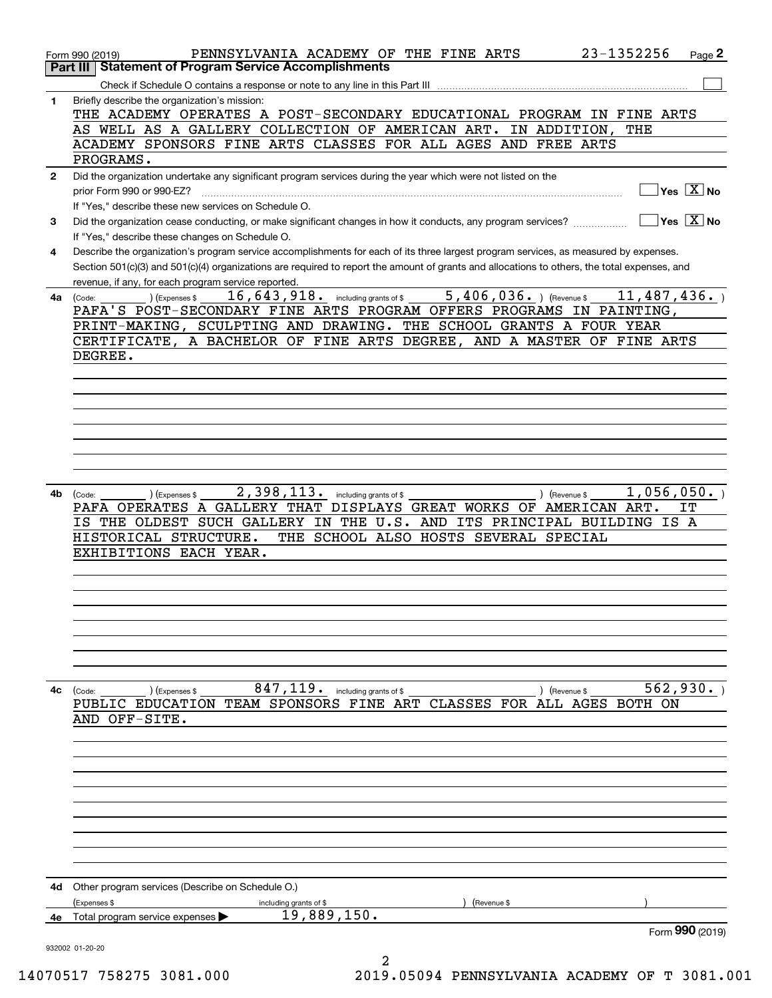|              | 23-1352256<br>PENNSYLVANIA ACADEMY OF THE FINE ARTS<br>Page 2<br>Form 990 (2019)<br><b>Statement of Program Service Accomplishments</b><br>Part III                                                                                                                                                                                                                  |
|--------------|----------------------------------------------------------------------------------------------------------------------------------------------------------------------------------------------------------------------------------------------------------------------------------------------------------------------------------------------------------------------|
| 1            | Briefly describe the organization's mission:<br>THE ACADEMY OPERATES A POST-SECONDARY EDUCATIONAL PROGRAM IN FINE ARTS<br>AS WELL AS A GALLERY COLLECTION OF AMERICAN ART.<br>IN ADDITION,<br>THE<br>ACADEMY SPONSORS FINE ARTS CLASSES FOR ALL AGES AND FREE ARTS<br>PROGRAMS.                                                                                      |
| $\mathbf{2}$ | Did the organization undertake any significant program services during the year which were not listed on the<br>$\overline{\ }$ Yes $\overline{\ \ X}$ No<br>prior Form 990 or 990-EZ?<br>If "Yes," describe these new services on Schedule O.                                                                                                                       |
| 3            | $\overline{Y}$ es $\overline{X}$ No<br>Did the organization cease conducting, or make significant changes in how it conducts, any program services?<br>If "Yes," describe these changes on Schedule O.                                                                                                                                                               |
| 4            | Describe the organization's program service accomplishments for each of its three largest program services, as measured by expenses.<br>Section 501(c)(3) and 501(c)(4) organizations are required to report the amount of grants and allocations to others, the total expenses, and<br>revenue, if any, for each program service reported.                          |
|              | $\overline{5,406,036}$ ) (Revenue \$<br>$16$ , $643$ , $918$ . including grants of \$<br>11,487,436.<br>(Expenses \$<br>4a (Code:<br>PAFA'S POST-SECONDARY FINE ARTS PROGRAM OFFERS PROGRAMS IN PAINTING,<br>PRINT-MAKING, SCULPTING AND DRAWING. THE SCHOOL GRANTS A FOUR YEAR<br>CERTIFICATE, A BACHELOR OF FINE ARTS DEGREE, AND A MASTER OF FINE ARTS<br>DEGREE. |
| 4b.          | 1,056,050.<br>2,398,113.<br>) (Expenses \$<br>including grants of \$<br>) (Revenue \$<br>(Code:<br>PAFA OPERATES A GALLERY THAT DISPLAYS GREAT WORKS OF AMERICAN ART.<br>IT<br>IS THE OLDEST SUCH GALLERY IN THE U.S. AND ITS PRINCIPAL BUILDING IS A<br>HISTORICAL STRUCTURE.<br>THE SCHOOL ALSO HOSTS SEVERAL SPECIAL<br>EXHIBITIONS EACH YEAR.                    |
| 4c           | 847, 119. including grants of \$<br>562,930.<br>(Code:<br>(Expenses \$<br>) (Revenue \$<br>PUBLIC EDUCATION TEAM SPONSORS FINE ART CLASSES FOR ALL AGES BOTH ON<br>AND OFF-SITE.                                                                                                                                                                                     |
| 4d           | Other program services (Describe on Schedule O.)<br>(Expenses \$<br>(Revenue \$<br>including grants of \$                                                                                                                                                                                                                                                            |
| 4е           | 19,889,150.<br>Total program service expenses                                                                                                                                                                                                                                                                                                                        |
|              | Form 990 (2019)<br>932002 01-20-20                                                                                                                                                                                                                                                                                                                                   |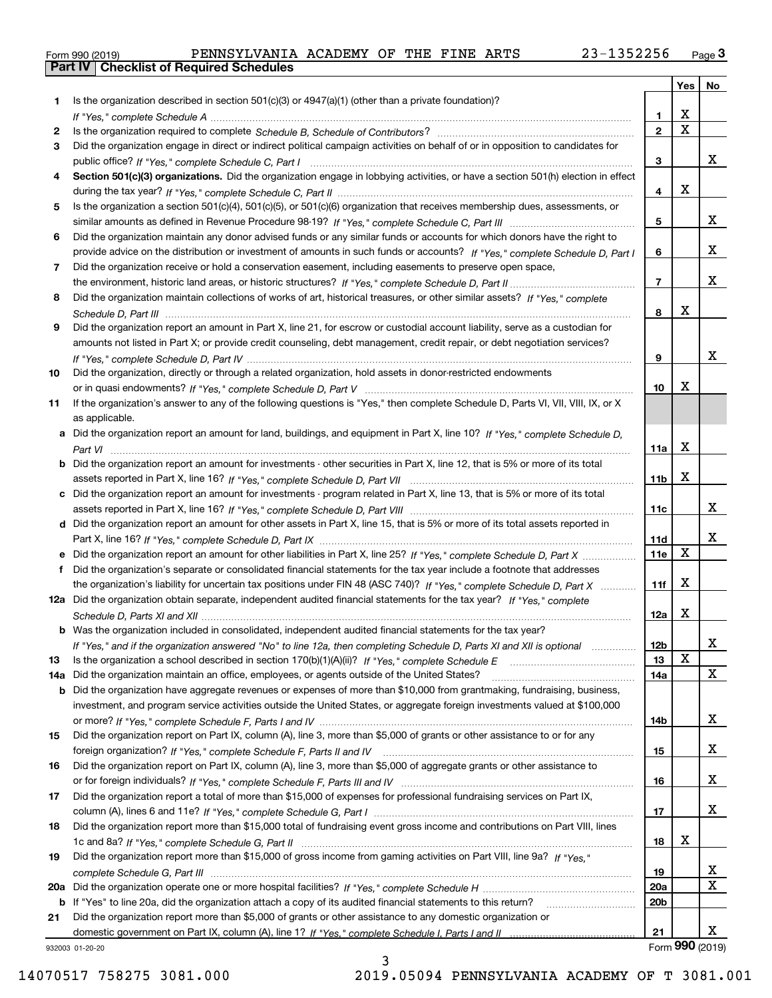|  | Form 990 (2019) |
|--|-----------------|
|  |                 |

|     |                                                                                                                                                    |                 | Yes                     | No                |
|-----|----------------------------------------------------------------------------------------------------------------------------------------------------|-----------------|-------------------------|-------------------|
| 1   | Is the organization described in section $501(c)(3)$ or $4947(a)(1)$ (other than a private foundation)?                                            |                 |                         |                   |
|     |                                                                                                                                                    | 1.              | х                       |                   |
| 2   |                                                                                                                                                    | $\mathbf{2}$    | $\overline{\mathbf{x}}$ |                   |
| 3   | Did the organization engage in direct or indirect political campaign activities on behalf of or in opposition to candidates for                    |                 |                         |                   |
|     |                                                                                                                                                    | 3               |                         | x                 |
| 4   | Section 501(c)(3) organizations. Did the organization engage in lobbying activities, or have a section 501(h) election in effect                   |                 |                         |                   |
|     |                                                                                                                                                    | 4               | х                       |                   |
| 5   | Is the organization a section 501(c)(4), 501(c)(5), or 501(c)(6) organization that receives membership dues, assessments, or                       |                 |                         |                   |
|     |                                                                                                                                                    | 5               |                         | x                 |
| 6   | Did the organization maintain any donor advised funds or any similar funds or accounts for which donors have the right to                          |                 |                         |                   |
|     | provide advice on the distribution or investment of amounts in such funds or accounts? If "Yes," complete Schedule D, Part I                       | 6               |                         | x                 |
| 7   | Did the organization receive or hold a conservation easement, including easements to preserve open space,                                          |                 |                         |                   |
|     |                                                                                                                                                    | $\overline{7}$  |                         | x                 |
| 8   | Did the organization maintain collections of works of art, historical treasures, or other similar assets? If "Yes," complete                       |                 |                         |                   |
|     |                                                                                                                                                    | 8               | х                       |                   |
| 9   | Did the organization report an amount in Part X, line 21, for escrow or custodial account liability, serve as a custodian for                      |                 |                         |                   |
|     | amounts not listed in Part X; or provide credit counseling, debt management, credit repair, or debt negotiation services?                          |                 |                         | x                 |
|     |                                                                                                                                                    | 9               |                         |                   |
| 10  | Did the organization, directly or through a related organization, hold assets in donor-restricted endowments                                       |                 | х                       |                   |
|     |                                                                                                                                                    | 10              |                         |                   |
| 11  | If the organization's answer to any of the following questions is "Yes," then complete Schedule D, Parts VI, VII, VIII, IX, or X<br>as applicable. |                 |                         |                   |
|     |                                                                                                                                                    |                 |                         |                   |
|     | Did the organization report an amount for land, buildings, and equipment in Part X, line 10? If "Yes," complete Schedule D.                        | 11a             | х                       |                   |
| b   | Did the organization report an amount for investments - other securities in Part X, line 12, that is 5% or more of its total                       |                 |                         |                   |
|     |                                                                                                                                                    | 11 <sub>b</sub> | X                       |                   |
| с   | Did the organization report an amount for investments - program related in Part X, line 13, that is 5% or more of its total                        |                 |                         |                   |
|     |                                                                                                                                                    | 11c             |                         | x                 |
|     | d Did the organization report an amount for other assets in Part X, line 15, that is 5% or more of its total assets reported in                    |                 |                         |                   |
|     |                                                                                                                                                    | 11d             |                         | x                 |
|     |                                                                                                                                                    | 11e             | X                       |                   |
| f   | Did the organization's separate or consolidated financial statements for the tax year include a footnote that addresses                            |                 |                         |                   |
|     | the organization's liability for uncertain tax positions under FIN 48 (ASC 740)? If "Yes," complete Schedule D, Part X                             | 11f             | X                       |                   |
|     | 12a Did the organization obtain separate, independent audited financial statements for the tax year? If "Yes," complete                            |                 |                         |                   |
|     |                                                                                                                                                    | 12a             | X                       |                   |
|     | <b>b</b> Was the organization included in consolidated, independent audited financial statements for the tax year?                                 |                 |                         |                   |
|     | If "Yes," and if the organization answered "No" to line 12a, then completing Schedule D, Parts XI and XII is optional                              | 12 <sub>b</sub> |                         | 41                |
| 13  | Is the organization a school described in section 170(b)(1)(A)(ii)? If "Yes," complete Schedule E                                                  | 13              | X                       |                   |
| 14a | Did the organization maintain an office, employees, or agents outside of the United States?                                                        | 14a             |                         | x                 |
| b   | Did the organization have aggregate revenues or expenses of more than \$10,000 from grantmaking, fundraising, business,                            |                 |                         |                   |
|     | investment, and program service activities outside the United States, or aggregate foreign investments valued at \$100,000                         |                 |                         |                   |
|     |                                                                                                                                                    | 14b             |                         | X                 |
| 15  | Did the organization report on Part IX, column (A), line 3, more than \$5,000 of grants or other assistance to or for any                          |                 |                         |                   |
|     |                                                                                                                                                    | 15              |                         | X                 |
| 16  | Did the organization report on Part IX, column (A), line 3, more than \$5,000 of aggregate grants or other assistance to                           |                 |                         |                   |
|     |                                                                                                                                                    | 16              |                         | X                 |
| 17  | Did the organization report a total of more than \$15,000 of expenses for professional fundraising services on Part IX,                            |                 |                         |                   |
|     |                                                                                                                                                    | 17              |                         | X                 |
| 18  | Did the organization report more than \$15,000 total of fundraising event gross income and contributions on Part VIII, lines                       |                 |                         |                   |
|     |                                                                                                                                                    | 18              | x                       |                   |
| 19  | Did the organization report more than \$15,000 of gross income from gaming activities on Part VIII, line 9a? If "Yes."                             |                 |                         |                   |
|     |                                                                                                                                                    | 19              |                         | x                 |
| 20a |                                                                                                                                                    | 20a             |                         | $\mathbf{X}$      |
|     | b If "Yes" to line 20a, did the organization attach a copy of its audited financial statements to this return?                                     | 20 <sub>b</sub> |                         |                   |
| 21  | Did the organization report more than \$5,000 of grants or other assistance to any domestic organization or                                        |                 |                         |                   |
|     |                                                                                                                                                    | 21              |                         | x                 |
|     | 932003 01-20-20                                                                                                                                    |                 |                         | Form $990$ (2019) |

3

932003 01-20-20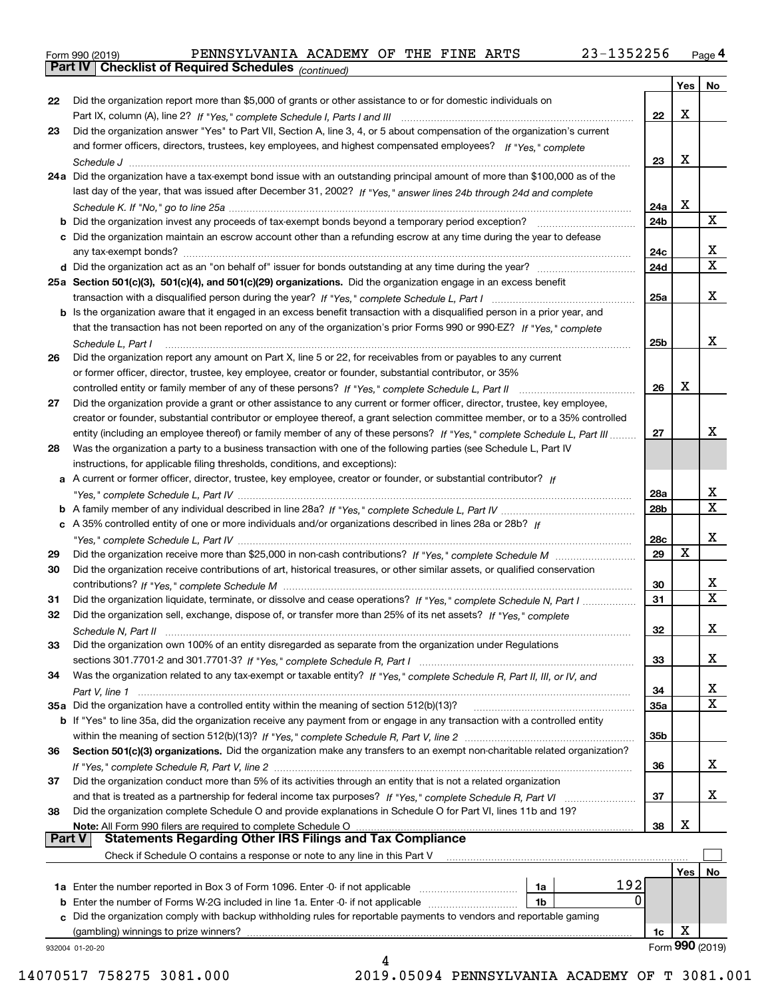|  | Form 990 (2019) |
|--|-----------------|
|  |                 |

*(continued)*

| Did the organization report more than \$5,000 of grants or other assistance to or for domestic individuals on<br>22<br>X<br>22<br>Did the organization answer "Yes" to Part VII, Section A, line 3, 4, or 5 about compensation of the organization's current<br>23<br>and former officers, directors, trustees, key employees, and highest compensated employees? If "Yes," complete<br>X<br>23<br>24a Did the organization have a tax-exempt bond issue with an outstanding principal amount of more than \$100,000 as of the<br>last day of the year, that was issued after December 31, 2002? If "Yes," answer lines 24b through 24d and complete<br>x<br>24a<br>X<br><b>b</b> Did the organization invest any proceeds of tax-exempt bonds beyond a temporary period exception?<br>24b<br>c Did the organization maintain an escrow account other than a refunding escrow at any time during the year to defease<br>х<br>24c<br>$\overline{\mathbf{x}}$<br>24d<br>25a Section 501(c)(3), 501(c)(4), and 501(c)(29) organizations. Did the organization engage in an excess benefit<br>x<br>25a<br>b Is the organization aware that it engaged in an excess benefit transaction with a disqualified person in a prior year, and<br>that the transaction has not been reported on any of the organization's prior Forms 990 or 990-EZ? If "Yes." complete<br>x<br>25 <sub>b</sub><br>Schedule L, Part I<br>Did the organization report any amount on Part X, line 5 or 22, for receivables from or payables to any current<br>26<br>or former officer, director, trustee, key employee, creator or founder, substantial contributor, or 35%<br>X<br>26<br>Did the organization provide a grant or other assistance to any current or former officer, director, trustee, key employee,<br>27<br>creator or founder, substantial contributor or employee thereof, a grant selection committee member, or to a 35% controlled<br>x<br>entity (including an employee thereof) or family member of any of these persons? If "Yes," complete Schedule L, Part III<br>27<br>Was the organization a party to a business transaction with one of the following parties (see Schedule L, Part IV<br>28<br>instructions, for applicable filing thresholds, conditions, and exceptions):<br>a A current or former officer, director, trustee, key employee, creator or founder, or substantial contributor? If<br>x<br>28a<br>$\overline{\mathbf{X}}$<br>28 <sub>b</sub><br>c A 35% controlled entity of one or more individuals and/or organizations described in lines 28a or 28b? If<br>x<br>28c<br>X<br>29<br>29<br>Did the organization receive contributions of art, historical treasures, or other similar assets, or qualified conservation<br>30<br>х<br>30<br>$\overline{\mathbf{x}}$<br>31<br>Did the organization liquidate, terminate, or dissolve and cease operations? If "Yes," complete Schedule N, Part I<br>31<br>Did the organization sell, exchange, dispose of, or transfer more than 25% of its net assets? If "Yes," complete<br>32<br>х<br>32<br>Schedule N, Part II<br>Did the organization own 100% of an entity disregarded as separate from the organization under Regulations<br>33<br>х<br>33<br>Was the organization related to any tax-exempt or taxable entity? If "Yes," complete Schedule R, Part II, III, or IV, and<br>34<br>x<br>34<br>X<br>35a Did the organization have a controlled entity within the meaning of section 512(b)(13)?<br><b>35a</b><br><b>b</b> If "Yes" to line 35a, did the organization receive any payment from or engage in any transaction with a controlled entity<br>35b<br>Section 501(c)(3) organizations. Did the organization make any transfers to an exempt non-charitable related organization?<br>36<br>x<br>36<br>Did the organization conduct more than 5% of its activities through an entity that is not a related organization<br>37<br>X<br>37<br>and that is treated as a partnership for federal income tax purposes? If "Yes," complete Schedule R, Part VI<br>Did the organization complete Schedule O and provide explanations in Schedule O for Part VI, lines 11b and 19?<br>38<br>х<br>Note: All Form 990 filers are required to complete Schedule O<br>38<br><b>Statements Regarding Other IRS Filings and Tax Compliance</b><br><b>Part V</b><br>Check if Schedule O contains a response or note to any line in this Part V<br>Yes<br>No<br>192<br>1a<br>0<br><b>b</b> Enter the number of Forms W-2G included in line 1a. Enter -0- if not applicable <i>manumeraness</i><br>1b<br>c Did the organization comply with backup withholding rules for reportable payments to vendors and reportable gaming<br>х<br>(gambling) winnings to prize winners?<br>1c<br>Form 990 (2019)<br>932004 01-20-20<br>4 |  | Yes | No |
|----------------------------------------------------------------------------------------------------------------------------------------------------------------------------------------------------------------------------------------------------------------------------------------------------------------------------------------------------------------------------------------------------------------------------------------------------------------------------------------------------------------------------------------------------------------------------------------------------------------------------------------------------------------------------------------------------------------------------------------------------------------------------------------------------------------------------------------------------------------------------------------------------------------------------------------------------------------------------------------------------------------------------------------------------------------------------------------------------------------------------------------------------------------------------------------------------------------------------------------------------------------------------------------------------------------------------------------------------------------------------------------------------------------------------------------------------------------------------------------------------------------------------------------------------------------------------------------------------------------------------------------------------------------------------------------------------------------------------------------------------------------------------------------------------------------------------------------------------------------------------------------------------------------------------------------------------------------------------------------------------------------------------------------------------------------------------------------------------------------------------------------------------------------------------------------------------------------------------------------------------------------------------------------------------------------------------------------------------------------------------------------------------------------------------------------------------------------------------------------------------------------------------------------------------------------------------------------------------------------------------------------------------------------------------------------------------------------------------------------------------------------------------------------------------------------------------------------------------------------------------------------------------------------------------------------------------------------------------------------------------------------------------------------------------------------------------------------------------------------------------------------------------------------------------------------------------------------------------------------------------------------------------------------------------------------------------------------------------------------------------------------------------------------------------------------------------------------------------------------------------------------------------------------------------------------------------------------------------------------------------------------------------------------------------------------------------------------------------------------------------------------------------------------------------------------------------------------------------------------------------------------------------------------------------------------------------------------------------------------------------------------------------------------------------------------------------------------------------------------------------------------------------------------------------------------------------------------------------------------------------------------------------------------------------------------------------------------------------------------------------------------------------------------------------------------------------------------------------------------------------------------------------------------------------------------------------------------------------------------------------------------------------------------------------------------------------------------------------------------------------------------------------------------|--|-----|----|
|                                                                                                                                                                                                                                                                                                                                                                                                                                                                                                                                                                                                                                                                                                                                                                                                                                                                                                                                                                                                                                                                                                                                                                                                                                                                                                                                                                                                                                                                                                                                                                                                                                                                                                                                                                                                                                                                                                                                                                                                                                                                                                                                                                                                                                                                                                                                                                                                                                                                                                                                                                                                                                                                                                                                                                                                                                                                                                                                                                                                                                                                                                                                                                                                                                                                                                                                                                                                                                                                                                                                                                                                                                                                                                                                                                                                                                                                                                                                                                                                                                                                                                                                                                                                                                                                                                                                                                                                                                                                                                                                                                                                                                                                                                                                                                                        |  |     |    |
|                                                                                                                                                                                                                                                                                                                                                                                                                                                                                                                                                                                                                                                                                                                                                                                                                                                                                                                                                                                                                                                                                                                                                                                                                                                                                                                                                                                                                                                                                                                                                                                                                                                                                                                                                                                                                                                                                                                                                                                                                                                                                                                                                                                                                                                                                                                                                                                                                                                                                                                                                                                                                                                                                                                                                                                                                                                                                                                                                                                                                                                                                                                                                                                                                                                                                                                                                                                                                                                                                                                                                                                                                                                                                                                                                                                                                                                                                                                                                                                                                                                                                                                                                                                                                                                                                                                                                                                                                                                                                                                                                                                                                                                                                                                                                                                        |  |     |    |
|                                                                                                                                                                                                                                                                                                                                                                                                                                                                                                                                                                                                                                                                                                                                                                                                                                                                                                                                                                                                                                                                                                                                                                                                                                                                                                                                                                                                                                                                                                                                                                                                                                                                                                                                                                                                                                                                                                                                                                                                                                                                                                                                                                                                                                                                                                                                                                                                                                                                                                                                                                                                                                                                                                                                                                                                                                                                                                                                                                                                                                                                                                                                                                                                                                                                                                                                                                                                                                                                                                                                                                                                                                                                                                                                                                                                                                                                                                                                                                                                                                                                                                                                                                                                                                                                                                                                                                                                                                                                                                                                                                                                                                                                                                                                                                                        |  |     |    |
|                                                                                                                                                                                                                                                                                                                                                                                                                                                                                                                                                                                                                                                                                                                                                                                                                                                                                                                                                                                                                                                                                                                                                                                                                                                                                                                                                                                                                                                                                                                                                                                                                                                                                                                                                                                                                                                                                                                                                                                                                                                                                                                                                                                                                                                                                                                                                                                                                                                                                                                                                                                                                                                                                                                                                                                                                                                                                                                                                                                                                                                                                                                                                                                                                                                                                                                                                                                                                                                                                                                                                                                                                                                                                                                                                                                                                                                                                                                                                                                                                                                                                                                                                                                                                                                                                                                                                                                                                                                                                                                                                                                                                                                                                                                                                                                        |  |     |    |
|                                                                                                                                                                                                                                                                                                                                                                                                                                                                                                                                                                                                                                                                                                                                                                                                                                                                                                                                                                                                                                                                                                                                                                                                                                                                                                                                                                                                                                                                                                                                                                                                                                                                                                                                                                                                                                                                                                                                                                                                                                                                                                                                                                                                                                                                                                                                                                                                                                                                                                                                                                                                                                                                                                                                                                                                                                                                                                                                                                                                                                                                                                                                                                                                                                                                                                                                                                                                                                                                                                                                                                                                                                                                                                                                                                                                                                                                                                                                                                                                                                                                                                                                                                                                                                                                                                                                                                                                                                                                                                                                                                                                                                                                                                                                                                                        |  |     |    |
|                                                                                                                                                                                                                                                                                                                                                                                                                                                                                                                                                                                                                                                                                                                                                                                                                                                                                                                                                                                                                                                                                                                                                                                                                                                                                                                                                                                                                                                                                                                                                                                                                                                                                                                                                                                                                                                                                                                                                                                                                                                                                                                                                                                                                                                                                                                                                                                                                                                                                                                                                                                                                                                                                                                                                                                                                                                                                                                                                                                                                                                                                                                                                                                                                                                                                                                                                                                                                                                                                                                                                                                                                                                                                                                                                                                                                                                                                                                                                                                                                                                                                                                                                                                                                                                                                                                                                                                                                                                                                                                                                                                                                                                                                                                                                                                        |  |     |    |
|                                                                                                                                                                                                                                                                                                                                                                                                                                                                                                                                                                                                                                                                                                                                                                                                                                                                                                                                                                                                                                                                                                                                                                                                                                                                                                                                                                                                                                                                                                                                                                                                                                                                                                                                                                                                                                                                                                                                                                                                                                                                                                                                                                                                                                                                                                                                                                                                                                                                                                                                                                                                                                                                                                                                                                                                                                                                                                                                                                                                                                                                                                                                                                                                                                                                                                                                                                                                                                                                                                                                                                                                                                                                                                                                                                                                                                                                                                                                                                                                                                                                                                                                                                                                                                                                                                                                                                                                                                                                                                                                                                                                                                                                                                                                                                                        |  |     |    |
|                                                                                                                                                                                                                                                                                                                                                                                                                                                                                                                                                                                                                                                                                                                                                                                                                                                                                                                                                                                                                                                                                                                                                                                                                                                                                                                                                                                                                                                                                                                                                                                                                                                                                                                                                                                                                                                                                                                                                                                                                                                                                                                                                                                                                                                                                                                                                                                                                                                                                                                                                                                                                                                                                                                                                                                                                                                                                                                                                                                                                                                                                                                                                                                                                                                                                                                                                                                                                                                                                                                                                                                                                                                                                                                                                                                                                                                                                                                                                                                                                                                                                                                                                                                                                                                                                                                                                                                                                                                                                                                                                                                                                                                                                                                                                                                        |  |     |    |
|                                                                                                                                                                                                                                                                                                                                                                                                                                                                                                                                                                                                                                                                                                                                                                                                                                                                                                                                                                                                                                                                                                                                                                                                                                                                                                                                                                                                                                                                                                                                                                                                                                                                                                                                                                                                                                                                                                                                                                                                                                                                                                                                                                                                                                                                                                                                                                                                                                                                                                                                                                                                                                                                                                                                                                                                                                                                                                                                                                                                                                                                                                                                                                                                                                                                                                                                                                                                                                                                                                                                                                                                                                                                                                                                                                                                                                                                                                                                                                                                                                                                                                                                                                                                                                                                                                                                                                                                                                                                                                                                                                                                                                                                                                                                                                                        |  |     |    |
|                                                                                                                                                                                                                                                                                                                                                                                                                                                                                                                                                                                                                                                                                                                                                                                                                                                                                                                                                                                                                                                                                                                                                                                                                                                                                                                                                                                                                                                                                                                                                                                                                                                                                                                                                                                                                                                                                                                                                                                                                                                                                                                                                                                                                                                                                                                                                                                                                                                                                                                                                                                                                                                                                                                                                                                                                                                                                                                                                                                                                                                                                                                                                                                                                                                                                                                                                                                                                                                                                                                                                                                                                                                                                                                                                                                                                                                                                                                                                                                                                                                                                                                                                                                                                                                                                                                                                                                                                                                                                                                                                                                                                                                                                                                                                                                        |  |     |    |
|                                                                                                                                                                                                                                                                                                                                                                                                                                                                                                                                                                                                                                                                                                                                                                                                                                                                                                                                                                                                                                                                                                                                                                                                                                                                                                                                                                                                                                                                                                                                                                                                                                                                                                                                                                                                                                                                                                                                                                                                                                                                                                                                                                                                                                                                                                                                                                                                                                                                                                                                                                                                                                                                                                                                                                                                                                                                                                                                                                                                                                                                                                                                                                                                                                                                                                                                                                                                                                                                                                                                                                                                                                                                                                                                                                                                                                                                                                                                                                                                                                                                                                                                                                                                                                                                                                                                                                                                                                                                                                                                                                                                                                                                                                                                                                                        |  |     |    |
|                                                                                                                                                                                                                                                                                                                                                                                                                                                                                                                                                                                                                                                                                                                                                                                                                                                                                                                                                                                                                                                                                                                                                                                                                                                                                                                                                                                                                                                                                                                                                                                                                                                                                                                                                                                                                                                                                                                                                                                                                                                                                                                                                                                                                                                                                                                                                                                                                                                                                                                                                                                                                                                                                                                                                                                                                                                                                                                                                                                                                                                                                                                                                                                                                                                                                                                                                                                                                                                                                                                                                                                                                                                                                                                                                                                                                                                                                                                                                                                                                                                                                                                                                                                                                                                                                                                                                                                                                                                                                                                                                                                                                                                                                                                                                                                        |  |     |    |
|                                                                                                                                                                                                                                                                                                                                                                                                                                                                                                                                                                                                                                                                                                                                                                                                                                                                                                                                                                                                                                                                                                                                                                                                                                                                                                                                                                                                                                                                                                                                                                                                                                                                                                                                                                                                                                                                                                                                                                                                                                                                                                                                                                                                                                                                                                                                                                                                                                                                                                                                                                                                                                                                                                                                                                                                                                                                                                                                                                                                                                                                                                                                                                                                                                                                                                                                                                                                                                                                                                                                                                                                                                                                                                                                                                                                                                                                                                                                                                                                                                                                                                                                                                                                                                                                                                                                                                                                                                                                                                                                                                                                                                                                                                                                                                                        |  |     |    |
|                                                                                                                                                                                                                                                                                                                                                                                                                                                                                                                                                                                                                                                                                                                                                                                                                                                                                                                                                                                                                                                                                                                                                                                                                                                                                                                                                                                                                                                                                                                                                                                                                                                                                                                                                                                                                                                                                                                                                                                                                                                                                                                                                                                                                                                                                                                                                                                                                                                                                                                                                                                                                                                                                                                                                                                                                                                                                                                                                                                                                                                                                                                                                                                                                                                                                                                                                                                                                                                                                                                                                                                                                                                                                                                                                                                                                                                                                                                                                                                                                                                                                                                                                                                                                                                                                                                                                                                                                                                                                                                                                                                                                                                                                                                                                                                        |  |     |    |
|                                                                                                                                                                                                                                                                                                                                                                                                                                                                                                                                                                                                                                                                                                                                                                                                                                                                                                                                                                                                                                                                                                                                                                                                                                                                                                                                                                                                                                                                                                                                                                                                                                                                                                                                                                                                                                                                                                                                                                                                                                                                                                                                                                                                                                                                                                                                                                                                                                                                                                                                                                                                                                                                                                                                                                                                                                                                                                                                                                                                                                                                                                                                                                                                                                                                                                                                                                                                                                                                                                                                                                                                                                                                                                                                                                                                                                                                                                                                                                                                                                                                                                                                                                                                                                                                                                                                                                                                                                                                                                                                                                                                                                                                                                                                                                                        |  |     |    |
|                                                                                                                                                                                                                                                                                                                                                                                                                                                                                                                                                                                                                                                                                                                                                                                                                                                                                                                                                                                                                                                                                                                                                                                                                                                                                                                                                                                                                                                                                                                                                                                                                                                                                                                                                                                                                                                                                                                                                                                                                                                                                                                                                                                                                                                                                                                                                                                                                                                                                                                                                                                                                                                                                                                                                                                                                                                                                                                                                                                                                                                                                                                                                                                                                                                                                                                                                                                                                                                                                                                                                                                                                                                                                                                                                                                                                                                                                                                                                                                                                                                                                                                                                                                                                                                                                                                                                                                                                                                                                                                                                                                                                                                                                                                                                                                        |  |     |    |
|                                                                                                                                                                                                                                                                                                                                                                                                                                                                                                                                                                                                                                                                                                                                                                                                                                                                                                                                                                                                                                                                                                                                                                                                                                                                                                                                                                                                                                                                                                                                                                                                                                                                                                                                                                                                                                                                                                                                                                                                                                                                                                                                                                                                                                                                                                                                                                                                                                                                                                                                                                                                                                                                                                                                                                                                                                                                                                                                                                                                                                                                                                                                                                                                                                                                                                                                                                                                                                                                                                                                                                                                                                                                                                                                                                                                                                                                                                                                                                                                                                                                                                                                                                                                                                                                                                                                                                                                                                                                                                                                                                                                                                                                                                                                                                                        |  |     |    |
|                                                                                                                                                                                                                                                                                                                                                                                                                                                                                                                                                                                                                                                                                                                                                                                                                                                                                                                                                                                                                                                                                                                                                                                                                                                                                                                                                                                                                                                                                                                                                                                                                                                                                                                                                                                                                                                                                                                                                                                                                                                                                                                                                                                                                                                                                                                                                                                                                                                                                                                                                                                                                                                                                                                                                                                                                                                                                                                                                                                                                                                                                                                                                                                                                                                                                                                                                                                                                                                                                                                                                                                                                                                                                                                                                                                                                                                                                                                                                                                                                                                                                                                                                                                                                                                                                                                                                                                                                                                                                                                                                                                                                                                                                                                                                                                        |  |     |    |
|                                                                                                                                                                                                                                                                                                                                                                                                                                                                                                                                                                                                                                                                                                                                                                                                                                                                                                                                                                                                                                                                                                                                                                                                                                                                                                                                                                                                                                                                                                                                                                                                                                                                                                                                                                                                                                                                                                                                                                                                                                                                                                                                                                                                                                                                                                                                                                                                                                                                                                                                                                                                                                                                                                                                                                                                                                                                                                                                                                                                                                                                                                                                                                                                                                                                                                                                                                                                                                                                                                                                                                                                                                                                                                                                                                                                                                                                                                                                                                                                                                                                                                                                                                                                                                                                                                                                                                                                                                                                                                                                                                                                                                                                                                                                                                                        |  |     |    |
|                                                                                                                                                                                                                                                                                                                                                                                                                                                                                                                                                                                                                                                                                                                                                                                                                                                                                                                                                                                                                                                                                                                                                                                                                                                                                                                                                                                                                                                                                                                                                                                                                                                                                                                                                                                                                                                                                                                                                                                                                                                                                                                                                                                                                                                                                                                                                                                                                                                                                                                                                                                                                                                                                                                                                                                                                                                                                                                                                                                                                                                                                                                                                                                                                                                                                                                                                                                                                                                                                                                                                                                                                                                                                                                                                                                                                                                                                                                                                                                                                                                                                                                                                                                                                                                                                                                                                                                                                                                                                                                                                                                                                                                                                                                                                                                        |  |     |    |
|                                                                                                                                                                                                                                                                                                                                                                                                                                                                                                                                                                                                                                                                                                                                                                                                                                                                                                                                                                                                                                                                                                                                                                                                                                                                                                                                                                                                                                                                                                                                                                                                                                                                                                                                                                                                                                                                                                                                                                                                                                                                                                                                                                                                                                                                                                                                                                                                                                                                                                                                                                                                                                                                                                                                                                                                                                                                                                                                                                                                                                                                                                                                                                                                                                                                                                                                                                                                                                                                                                                                                                                                                                                                                                                                                                                                                                                                                                                                                                                                                                                                                                                                                                                                                                                                                                                                                                                                                                                                                                                                                                                                                                                                                                                                                                                        |  |     |    |
|                                                                                                                                                                                                                                                                                                                                                                                                                                                                                                                                                                                                                                                                                                                                                                                                                                                                                                                                                                                                                                                                                                                                                                                                                                                                                                                                                                                                                                                                                                                                                                                                                                                                                                                                                                                                                                                                                                                                                                                                                                                                                                                                                                                                                                                                                                                                                                                                                                                                                                                                                                                                                                                                                                                                                                                                                                                                                                                                                                                                                                                                                                                                                                                                                                                                                                                                                                                                                                                                                                                                                                                                                                                                                                                                                                                                                                                                                                                                                                                                                                                                                                                                                                                                                                                                                                                                                                                                                                                                                                                                                                                                                                                                                                                                                                                        |  |     |    |
|                                                                                                                                                                                                                                                                                                                                                                                                                                                                                                                                                                                                                                                                                                                                                                                                                                                                                                                                                                                                                                                                                                                                                                                                                                                                                                                                                                                                                                                                                                                                                                                                                                                                                                                                                                                                                                                                                                                                                                                                                                                                                                                                                                                                                                                                                                                                                                                                                                                                                                                                                                                                                                                                                                                                                                                                                                                                                                                                                                                                                                                                                                                                                                                                                                                                                                                                                                                                                                                                                                                                                                                                                                                                                                                                                                                                                                                                                                                                                                                                                                                                                                                                                                                                                                                                                                                                                                                                                                                                                                                                                                                                                                                                                                                                                                                        |  |     |    |
|                                                                                                                                                                                                                                                                                                                                                                                                                                                                                                                                                                                                                                                                                                                                                                                                                                                                                                                                                                                                                                                                                                                                                                                                                                                                                                                                                                                                                                                                                                                                                                                                                                                                                                                                                                                                                                                                                                                                                                                                                                                                                                                                                                                                                                                                                                                                                                                                                                                                                                                                                                                                                                                                                                                                                                                                                                                                                                                                                                                                                                                                                                                                                                                                                                                                                                                                                                                                                                                                                                                                                                                                                                                                                                                                                                                                                                                                                                                                                                                                                                                                                                                                                                                                                                                                                                                                                                                                                                                                                                                                                                                                                                                                                                                                                                                        |  |     |    |
|                                                                                                                                                                                                                                                                                                                                                                                                                                                                                                                                                                                                                                                                                                                                                                                                                                                                                                                                                                                                                                                                                                                                                                                                                                                                                                                                                                                                                                                                                                                                                                                                                                                                                                                                                                                                                                                                                                                                                                                                                                                                                                                                                                                                                                                                                                                                                                                                                                                                                                                                                                                                                                                                                                                                                                                                                                                                                                                                                                                                                                                                                                                                                                                                                                                                                                                                                                                                                                                                                                                                                                                                                                                                                                                                                                                                                                                                                                                                                                                                                                                                                                                                                                                                                                                                                                                                                                                                                                                                                                                                                                                                                                                                                                                                                                                        |  |     |    |
|                                                                                                                                                                                                                                                                                                                                                                                                                                                                                                                                                                                                                                                                                                                                                                                                                                                                                                                                                                                                                                                                                                                                                                                                                                                                                                                                                                                                                                                                                                                                                                                                                                                                                                                                                                                                                                                                                                                                                                                                                                                                                                                                                                                                                                                                                                                                                                                                                                                                                                                                                                                                                                                                                                                                                                                                                                                                                                                                                                                                                                                                                                                                                                                                                                                                                                                                                                                                                                                                                                                                                                                                                                                                                                                                                                                                                                                                                                                                                                                                                                                                                                                                                                                                                                                                                                                                                                                                                                                                                                                                                                                                                                                                                                                                                                                        |  |     |    |
|                                                                                                                                                                                                                                                                                                                                                                                                                                                                                                                                                                                                                                                                                                                                                                                                                                                                                                                                                                                                                                                                                                                                                                                                                                                                                                                                                                                                                                                                                                                                                                                                                                                                                                                                                                                                                                                                                                                                                                                                                                                                                                                                                                                                                                                                                                                                                                                                                                                                                                                                                                                                                                                                                                                                                                                                                                                                                                                                                                                                                                                                                                                                                                                                                                                                                                                                                                                                                                                                                                                                                                                                                                                                                                                                                                                                                                                                                                                                                                                                                                                                                                                                                                                                                                                                                                                                                                                                                                                                                                                                                                                                                                                                                                                                                                                        |  |     |    |
|                                                                                                                                                                                                                                                                                                                                                                                                                                                                                                                                                                                                                                                                                                                                                                                                                                                                                                                                                                                                                                                                                                                                                                                                                                                                                                                                                                                                                                                                                                                                                                                                                                                                                                                                                                                                                                                                                                                                                                                                                                                                                                                                                                                                                                                                                                                                                                                                                                                                                                                                                                                                                                                                                                                                                                                                                                                                                                                                                                                                                                                                                                                                                                                                                                                                                                                                                                                                                                                                                                                                                                                                                                                                                                                                                                                                                                                                                                                                                                                                                                                                                                                                                                                                                                                                                                                                                                                                                                                                                                                                                                                                                                                                                                                                                                                        |  |     |    |
|                                                                                                                                                                                                                                                                                                                                                                                                                                                                                                                                                                                                                                                                                                                                                                                                                                                                                                                                                                                                                                                                                                                                                                                                                                                                                                                                                                                                                                                                                                                                                                                                                                                                                                                                                                                                                                                                                                                                                                                                                                                                                                                                                                                                                                                                                                                                                                                                                                                                                                                                                                                                                                                                                                                                                                                                                                                                                                                                                                                                                                                                                                                                                                                                                                                                                                                                                                                                                                                                                                                                                                                                                                                                                                                                                                                                                                                                                                                                                                                                                                                                                                                                                                                                                                                                                                                                                                                                                                                                                                                                                                                                                                                                                                                                                                                        |  |     |    |
|                                                                                                                                                                                                                                                                                                                                                                                                                                                                                                                                                                                                                                                                                                                                                                                                                                                                                                                                                                                                                                                                                                                                                                                                                                                                                                                                                                                                                                                                                                                                                                                                                                                                                                                                                                                                                                                                                                                                                                                                                                                                                                                                                                                                                                                                                                                                                                                                                                                                                                                                                                                                                                                                                                                                                                                                                                                                                                                                                                                                                                                                                                                                                                                                                                                                                                                                                                                                                                                                                                                                                                                                                                                                                                                                                                                                                                                                                                                                                                                                                                                                                                                                                                                                                                                                                                                                                                                                                                                                                                                                                                                                                                                                                                                                                                                        |  |     |    |
|                                                                                                                                                                                                                                                                                                                                                                                                                                                                                                                                                                                                                                                                                                                                                                                                                                                                                                                                                                                                                                                                                                                                                                                                                                                                                                                                                                                                                                                                                                                                                                                                                                                                                                                                                                                                                                                                                                                                                                                                                                                                                                                                                                                                                                                                                                                                                                                                                                                                                                                                                                                                                                                                                                                                                                                                                                                                                                                                                                                                                                                                                                                                                                                                                                                                                                                                                                                                                                                                                                                                                                                                                                                                                                                                                                                                                                                                                                                                                                                                                                                                                                                                                                                                                                                                                                                                                                                                                                                                                                                                                                                                                                                                                                                                                                                        |  |     |    |
|                                                                                                                                                                                                                                                                                                                                                                                                                                                                                                                                                                                                                                                                                                                                                                                                                                                                                                                                                                                                                                                                                                                                                                                                                                                                                                                                                                                                                                                                                                                                                                                                                                                                                                                                                                                                                                                                                                                                                                                                                                                                                                                                                                                                                                                                                                                                                                                                                                                                                                                                                                                                                                                                                                                                                                                                                                                                                                                                                                                                                                                                                                                                                                                                                                                                                                                                                                                                                                                                                                                                                                                                                                                                                                                                                                                                                                                                                                                                                                                                                                                                                                                                                                                                                                                                                                                                                                                                                                                                                                                                                                                                                                                                                                                                                                                        |  |     |    |
|                                                                                                                                                                                                                                                                                                                                                                                                                                                                                                                                                                                                                                                                                                                                                                                                                                                                                                                                                                                                                                                                                                                                                                                                                                                                                                                                                                                                                                                                                                                                                                                                                                                                                                                                                                                                                                                                                                                                                                                                                                                                                                                                                                                                                                                                                                                                                                                                                                                                                                                                                                                                                                                                                                                                                                                                                                                                                                                                                                                                                                                                                                                                                                                                                                                                                                                                                                                                                                                                                                                                                                                                                                                                                                                                                                                                                                                                                                                                                                                                                                                                                                                                                                                                                                                                                                                                                                                                                                                                                                                                                                                                                                                                                                                                                                                        |  |     |    |
|                                                                                                                                                                                                                                                                                                                                                                                                                                                                                                                                                                                                                                                                                                                                                                                                                                                                                                                                                                                                                                                                                                                                                                                                                                                                                                                                                                                                                                                                                                                                                                                                                                                                                                                                                                                                                                                                                                                                                                                                                                                                                                                                                                                                                                                                                                                                                                                                                                                                                                                                                                                                                                                                                                                                                                                                                                                                                                                                                                                                                                                                                                                                                                                                                                                                                                                                                                                                                                                                                                                                                                                                                                                                                                                                                                                                                                                                                                                                                                                                                                                                                                                                                                                                                                                                                                                                                                                                                                                                                                                                                                                                                                                                                                                                                                                        |  |     |    |
|                                                                                                                                                                                                                                                                                                                                                                                                                                                                                                                                                                                                                                                                                                                                                                                                                                                                                                                                                                                                                                                                                                                                                                                                                                                                                                                                                                                                                                                                                                                                                                                                                                                                                                                                                                                                                                                                                                                                                                                                                                                                                                                                                                                                                                                                                                                                                                                                                                                                                                                                                                                                                                                                                                                                                                                                                                                                                                                                                                                                                                                                                                                                                                                                                                                                                                                                                                                                                                                                                                                                                                                                                                                                                                                                                                                                                                                                                                                                                                                                                                                                                                                                                                                                                                                                                                                                                                                                                                                                                                                                                                                                                                                                                                                                                                                        |  |     |    |
|                                                                                                                                                                                                                                                                                                                                                                                                                                                                                                                                                                                                                                                                                                                                                                                                                                                                                                                                                                                                                                                                                                                                                                                                                                                                                                                                                                                                                                                                                                                                                                                                                                                                                                                                                                                                                                                                                                                                                                                                                                                                                                                                                                                                                                                                                                                                                                                                                                                                                                                                                                                                                                                                                                                                                                                                                                                                                                                                                                                                                                                                                                                                                                                                                                                                                                                                                                                                                                                                                                                                                                                                                                                                                                                                                                                                                                                                                                                                                                                                                                                                                                                                                                                                                                                                                                                                                                                                                                                                                                                                                                                                                                                                                                                                                                                        |  |     |    |
|                                                                                                                                                                                                                                                                                                                                                                                                                                                                                                                                                                                                                                                                                                                                                                                                                                                                                                                                                                                                                                                                                                                                                                                                                                                                                                                                                                                                                                                                                                                                                                                                                                                                                                                                                                                                                                                                                                                                                                                                                                                                                                                                                                                                                                                                                                                                                                                                                                                                                                                                                                                                                                                                                                                                                                                                                                                                                                                                                                                                                                                                                                                                                                                                                                                                                                                                                                                                                                                                                                                                                                                                                                                                                                                                                                                                                                                                                                                                                                                                                                                                                                                                                                                                                                                                                                                                                                                                                                                                                                                                                                                                                                                                                                                                                                                        |  |     |    |
|                                                                                                                                                                                                                                                                                                                                                                                                                                                                                                                                                                                                                                                                                                                                                                                                                                                                                                                                                                                                                                                                                                                                                                                                                                                                                                                                                                                                                                                                                                                                                                                                                                                                                                                                                                                                                                                                                                                                                                                                                                                                                                                                                                                                                                                                                                                                                                                                                                                                                                                                                                                                                                                                                                                                                                                                                                                                                                                                                                                                                                                                                                                                                                                                                                                                                                                                                                                                                                                                                                                                                                                                                                                                                                                                                                                                                                                                                                                                                                                                                                                                                                                                                                                                                                                                                                                                                                                                                                                                                                                                                                                                                                                                                                                                                                                        |  |     |    |
|                                                                                                                                                                                                                                                                                                                                                                                                                                                                                                                                                                                                                                                                                                                                                                                                                                                                                                                                                                                                                                                                                                                                                                                                                                                                                                                                                                                                                                                                                                                                                                                                                                                                                                                                                                                                                                                                                                                                                                                                                                                                                                                                                                                                                                                                                                                                                                                                                                                                                                                                                                                                                                                                                                                                                                                                                                                                                                                                                                                                                                                                                                                                                                                                                                                                                                                                                                                                                                                                                                                                                                                                                                                                                                                                                                                                                                                                                                                                                                                                                                                                                                                                                                                                                                                                                                                                                                                                                                                                                                                                                                                                                                                                                                                                                                                        |  |     |    |
|                                                                                                                                                                                                                                                                                                                                                                                                                                                                                                                                                                                                                                                                                                                                                                                                                                                                                                                                                                                                                                                                                                                                                                                                                                                                                                                                                                                                                                                                                                                                                                                                                                                                                                                                                                                                                                                                                                                                                                                                                                                                                                                                                                                                                                                                                                                                                                                                                                                                                                                                                                                                                                                                                                                                                                                                                                                                                                                                                                                                                                                                                                                                                                                                                                                                                                                                                                                                                                                                                                                                                                                                                                                                                                                                                                                                                                                                                                                                                                                                                                                                                                                                                                                                                                                                                                                                                                                                                                                                                                                                                                                                                                                                                                                                                                                        |  |     |    |
|                                                                                                                                                                                                                                                                                                                                                                                                                                                                                                                                                                                                                                                                                                                                                                                                                                                                                                                                                                                                                                                                                                                                                                                                                                                                                                                                                                                                                                                                                                                                                                                                                                                                                                                                                                                                                                                                                                                                                                                                                                                                                                                                                                                                                                                                                                                                                                                                                                                                                                                                                                                                                                                                                                                                                                                                                                                                                                                                                                                                                                                                                                                                                                                                                                                                                                                                                                                                                                                                                                                                                                                                                                                                                                                                                                                                                                                                                                                                                                                                                                                                                                                                                                                                                                                                                                                                                                                                                                                                                                                                                                                                                                                                                                                                                                                        |  |     |    |
|                                                                                                                                                                                                                                                                                                                                                                                                                                                                                                                                                                                                                                                                                                                                                                                                                                                                                                                                                                                                                                                                                                                                                                                                                                                                                                                                                                                                                                                                                                                                                                                                                                                                                                                                                                                                                                                                                                                                                                                                                                                                                                                                                                                                                                                                                                                                                                                                                                                                                                                                                                                                                                                                                                                                                                                                                                                                                                                                                                                                                                                                                                                                                                                                                                                                                                                                                                                                                                                                                                                                                                                                                                                                                                                                                                                                                                                                                                                                                                                                                                                                                                                                                                                                                                                                                                                                                                                                                                                                                                                                                                                                                                                                                                                                                                                        |  |     |    |
|                                                                                                                                                                                                                                                                                                                                                                                                                                                                                                                                                                                                                                                                                                                                                                                                                                                                                                                                                                                                                                                                                                                                                                                                                                                                                                                                                                                                                                                                                                                                                                                                                                                                                                                                                                                                                                                                                                                                                                                                                                                                                                                                                                                                                                                                                                                                                                                                                                                                                                                                                                                                                                                                                                                                                                                                                                                                                                                                                                                                                                                                                                                                                                                                                                                                                                                                                                                                                                                                                                                                                                                                                                                                                                                                                                                                                                                                                                                                                                                                                                                                                                                                                                                                                                                                                                                                                                                                                                                                                                                                                                                                                                                                                                                                                                                        |  |     |    |
|                                                                                                                                                                                                                                                                                                                                                                                                                                                                                                                                                                                                                                                                                                                                                                                                                                                                                                                                                                                                                                                                                                                                                                                                                                                                                                                                                                                                                                                                                                                                                                                                                                                                                                                                                                                                                                                                                                                                                                                                                                                                                                                                                                                                                                                                                                                                                                                                                                                                                                                                                                                                                                                                                                                                                                                                                                                                                                                                                                                                                                                                                                                                                                                                                                                                                                                                                                                                                                                                                                                                                                                                                                                                                                                                                                                                                                                                                                                                                                                                                                                                                                                                                                                                                                                                                                                                                                                                                                                                                                                                                                                                                                                                                                                                                                                        |  |     |    |
|                                                                                                                                                                                                                                                                                                                                                                                                                                                                                                                                                                                                                                                                                                                                                                                                                                                                                                                                                                                                                                                                                                                                                                                                                                                                                                                                                                                                                                                                                                                                                                                                                                                                                                                                                                                                                                                                                                                                                                                                                                                                                                                                                                                                                                                                                                                                                                                                                                                                                                                                                                                                                                                                                                                                                                                                                                                                                                                                                                                                                                                                                                                                                                                                                                                                                                                                                                                                                                                                                                                                                                                                                                                                                                                                                                                                                                                                                                                                                                                                                                                                                                                                                                                                                                                                                                                                                                                                                                                                                                                                                                                                                                                                                                                                                                                        |  |     |    |
|                                                                                                                                                                                                                                                                                                                                                                                                                                                                                                                                                                                                                                                                                                                                                                                                                                                                                                                                                                                                                                                                                                                                                                                                                                                                                                                                                                                                                                                                                                                                                                                                                                                                                                                                                                                                                                                                                                                                                                                                                                                                                                                                                                                                                                                                                                                                                                                                                                                                                                                                                                                                                                                                                                                                                                                                                                                                                                                                                                                                                                                                                                                                                                                                                                                                                                                                                                                                                                                                                                                                                                                                                                                                                                                                                                                                                                                                                                                                                                                                                                                                                                                                                                                                                                                                                                                                                                                                                                                                                                                                                                                                                                                                                                                                                                                        |  |     |    |
|                                                                                                                                                                                                                                                                                                                                                                                                                                                                                                                                                                                                                                                                                                                                                                                                                                                                                                                                                                                                                                                                                                                                                                                                                                                                                                                                                                                                                                                                                                                                                                                                                                                                                                                                                                                                                                                                                                                                                                                                                                                                                                                                                                                                                                                                                                                                                                                                                                                                                                                                                                                                                                                                                                                                                                                                                                                                                                                                                                                                                                                                                                                                                                                                                                                                                                                                                                                                                                                                                                                                                                                                                                                                                                                                                                                                                                                                                                                                                                                                                                                                                                                                                                                                                                                                                                                                                                                                                                                                                                                                                                                                                                                                                                                                                                                        |  |     |    |
|                                                                                                                                                                                                                                                                                                                                                                                                                                                                                                                                                                                                                                                                                                                                                                                                                                                                                                                                                                                                                                                                                                                                                                                                                                                                                                                                                                                                                                                                                                                                                                                                                                                                                                                                                                                                                                                                                                                                                                                                                                                                                                                                                                                                                                                                                                                                                                                                                                                                                                                                                                                                                                                                                                                                                                                                                                                                                                                                                                                                                                                                                                                                                                                                                                                                                                                                                                                                                                                                                                                                                                                                                                                                                                                                                                                                                                                                                                                                                                                                                                                                                                                                                                                                                                                                                                                                                                                                                                                                                                                                                                                                                                                                                                                                                                                        |  |     |    |
|                                                                                                                                                                                                                                                                                                                                                                                                                                                                                                                                                                                                                                                                                                                                                                                                                                                                                                                                                                                                                                                                                                                                                                                                                                                                                                                                                                                                                                                                                                                                                                                                                                                                                                                                                                                                                                                                                                                                                                                                                                                                                                                                                                                                                                                                                                                                                                                                                                                                                                                                                                                                                                                                                                                                                                                                                                                                                                                                                                                                                                                                                                                                                                                                                                                                                                                                                                                                                                                                                                                                                                                                                                                                                                                                                                                                                                                                                                                                                                                                                                                                                                                                                                                                                                                                                                                                                                                                                                                                                                                                                                                                                                                                                                                                                                                        |  |     |    |
|                                                                                                                                                                                                                                                                                                                                                                                                                                                                                                                                                                                                                                                                                                                                                                                                                                                                                                                                                                                                                                                                                                                                                                                                                                                                                                                                                                                                                                                                                                                                                                                                                                                                                                                                                                                                                                                                                                                                                                                                                                                                                                                                                                                                                                                                                                                                                                                                                                                                                                                                                                                                                                                                                                                                                                                                                                                                                                                                                                                                                                                                                                                                                                                                                                                                                                                                                                                                                                                                                                                                                                                                                                                                                                                                                                                                                                                                                                                                                                                                                                                                                                                                                                                                                                                                                                                                                                                                                                                                                                                                                                                                                                                                                                                                                                                        |  |     |    |
|                                                                                                                                                                                                                                                                                                                                                                                                                                                                                                                                                                                                                                                                                                                                                                                                                                                                                                                                                                                                                                                                                                                                                                                                                                                                                                                                                                                                                                                                                                                                                                                                                                                                                                                                                                                                                                                                                                                                                                                                                                                                                                                                                                                                                                                                                                                                                                                                                                                                                                                                                                                                                                                                                                                                                                                                                                                                                                                                                                                                                                                                                                                                                                                                                                                                                                                                                                                                                                                                                                                                                                                                                                                                                                                                                                                                                                                                                                                                                                                                                                                                                                                                                                                                                                                                                                                                                                                                                                                                                                                                                                                                                                                                                                                                                                                        |  |     |    |
|                                                                                                                                                                                                                                                                                                                                                                                                                                                                                                                                                                                                                                                                                                                                                                                                                                                                                                                                                                                                                                                                                                                                                                                                                                                                                                                                                                                                                                                                                                                                                                                                                                                                                                                                                                                                                                                                                                                                                                                                                                                                                                                                                                                                                                                                                                                                                                                                                                                                                                                                                                                                                                                                                                                                                                                                                                                                                                                                                                                                                                                                                                                                                                                                                                                                                                                                                                                                                                                                                                                                                                                                                                                                                                                                                                                                                                                                                                                                                                                                                                                                                                                                                                                                                                                                                                                                                                                                                                                                                                                                                                                                                                                                                                                                                                                        |  |     |    |
|                                                                                                                                                                                                                                                                                                                                                                                                                                                                                                                                                                                                                                                                                                                                                                                                                                                                                                                                                                                                                                                                                                                                                                                                                                                                                                                                                                                                                                                                                                                                                                                                                                                                                                                                                                                                                                                                                                                                                                                                                                                                                                                                                                                                                                                                                                                                                                                                                                                                                                                                                                                                                                                                                                                                                                                                                                                                                                                                                                                                                                                                                                                                                                                                                                                                                                                                                                                                                                                                                                                                                                                                                                                                                                                                                                                                                                                                                                                                                                                                                                                                                                                                                                                                                                                                                                                                                                                                                                                                                                                                                                                                                                                                                                                                                                                        |  |     |    |
|                                                                                                                                                                                                                                                                                                                                                                                                                                                                                                                                                                                                                                                                                                                                                                                                                                                                                                                                                                                                                                                                                                                                                                                                                                                                                                                                                                                                                                                                                                                                                                                                                                                                                                                                                                                                                                                                                                                                                                                                                                                                                                                                                                                                                                                                                                                                                                                                                                                                                                                                                                                                                                                                                                                                                                                                                                                                                                                                                                                                                                                                                                                                                                                                                                                                                                                                                                                                                                                                                                                                                                                                                                                                                                                                                                                                                                                                                                                                                                                                                                                                                                                                                                                                                                                                                                                                                                                                                                                                                                                                                                                                                                                                                                                                                                                        |  |     |    |
|                                                                                                                                                                                                                                                                                                                                                                                                                                                                                                                                                                                                                                                                                                                                                                                                                                                                                                                                                                                                                                                                                                                                                                                                                                                                                                                                                                                                                                                                                                                                                                                                                                                                                                                                                                                                                                                                                                                                                                                                                                                                                                                                                                                                                                                                                                                                                                                                                                                                                                                                                                                                                                                                                                                                                                                                                                                                                                                                                                                                                                                                                                                                                                                                                                                                                                                                                                                                                                                                                                                                                                                                                                                                                                                                                                                                                                                                                                                                                                                                                                                                                                                                                                                                                                                                                                                                                                                                                                                                                                                                                                                                                                                                                                                                                                                        |  |     |    |
|                                                                                                                                                                                                                                                                                                                                                                                                                                                                                                                                                                                                                                                                                                                                                                                                                                                                                                                                                                                                                                                                                                                                                                                                                                                                                                                                                                                                                                                                                                                                                                                                                                                                                                                                                                                                                                                                                                                                                                                                                                                                                                                                                                                                                                                                                                                                                                                                                                                                                                                                                                                                                                                                                                                                                                                                                                                                                                                                                                                                                                                                                                                                                                                                                                                                                                                                                                                                                                                                                                                                                                                                                                                                                                                                                                                                                                                                                                                                                                                                                                                                                                                                                                                                                                                                                                                                                                                                                                                                                                                                                                                                                                                                                                                                                                                        |  |     |    |
|                                                                                                                                                                                                                                                                                                                                                                                                                                                                                                                                                                                                                                                                                                                                                                                                                                                                                                                                                                                                                                                                                                                                                                                                                                                                                                                                                                                                                                                                                                                                                                                                                                                                                                                                                                                                                                                                                                                                                                                                                                                                                                                                                                                                                                                                                                                                                                                                                                                                                                                                                                                                                                                                                                                                                                                                                                                                                                                                                                                                                                                                                                                                                                                                                                                                                                                                                                                                                                                                                                                                                                                                                                                                                                                                                                                                                                                                                                                                                                                                                                                                                                                                                                                                                                                                                                                                                                                                                                                                                                                                                                                                                                                                                                                                                                                        |  |     |    |
|                                                                                                                                                                                                                                                                                                                                                                                                                                                                                                                                                                                                                                                                                                                                                                                                                                                                                                                                                                                                                                                                                                                                                                                                                                                                                                                                                                                                                                                                                                                                                                                                                                                                                                                                                                                                                                                                                                                                                                                                                                                                                                                                                                                                                                                                                                                                                                                                                                                                                                                                                                                                                                                                                                                                                                                                                                                                                                                                                                                                                                                                                                                                                                                                                                                                                                                                                                                                                                                                                                                                                                                                                                                                                                                                                                                                                                                                                                                                                                                                                                                                                                                                                                                                                                                                                                                                                                                                                                                                                                                                                                                                                                                                                                                                                                                        |  |     |    |

14070517 758275 3081.000 2019.05094 PENNSYLVANIA ACADEMY OF T 3081.001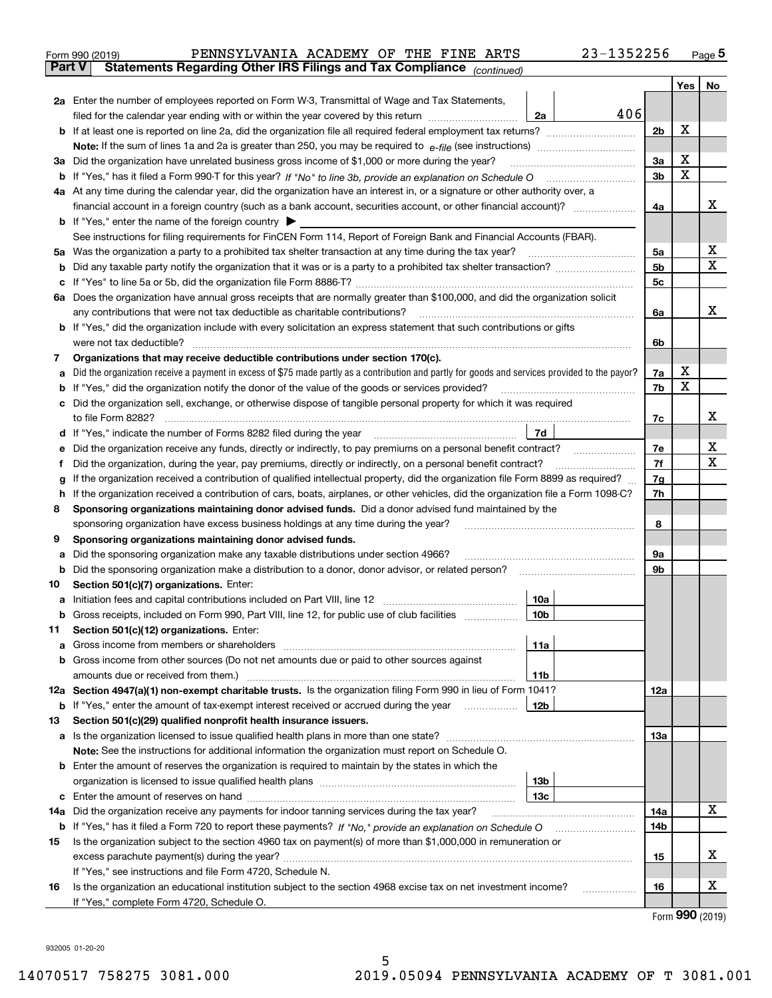| Form 990 (2019) | PENNSYLVANIA ACADEMY OF THE FINE ARTS                                                          |  |  | $23 - 1352256$ | Page 5 |
|-----------------|------------------------------------------------------------------------------------------------|--|--|----------------|--------|
|                 | <b>Part V</b> Statements Regarding Other IRS Filings and Tax Compliance <sub>(continued)</sub> |  |  |                |        |

|     |                                                                                                                                                                                                                                                                                                                                                                                                                                                                                                                                                                                                                                                                                                                                                                                                                                                                                                                                                                                                                                                                                                                                                                                                                                                                                                                                                                                                                                                                                                                                                                                                                                                                                                                                                                                                                                                                                                                                                                                                                                                                                                                                                                                                                                                                                                                                                                                                                                                                                                                                                                                                                                                                                                                                                                                                                                                                                                                                                                                                                                                                                                                                                                                                                                                                                                                                                                                                                                                                                                                                                                                                                             |  |     |                | Yes | No |
|-----|-----------------------------------------------------------------------------------------------------------------------------------------------------------------------------------------------------------------------------------------------------------------------------------------------------------------------------------------------------------------------------------------------------------------------------------------------------------------------------------------------------------------------------------------------------------------------------------------------------------------------------------------------------------------------------------------------------------------------------------------------------------------------------------------------------------------------------------------------------------------------------------------------------------------------------------------------------------------------------------------------------------------------------------------------------------------------------------------------------------------------------------------------------------------------------------------------------------------------------------------------------------------------------------------------------------------------------------------------------------------------------------------------------------------------------------------------------------------------------------------------------------------------------------------------------------------------------------------------------------------------------------------------------------------------------------------------------------------------------------------------------------------------------------------------------------------------------------------------------------------------------------------------------------------------------------------------------------------------------------------------------------------------------------------------------------------------------------------------------------------------------------------------------------------------------------------------------------------------------------------------------------------------------------------------------------------------------------------------------------------------------------------------------------------------------------------------------------------------------------------------------------------------------------------------------------------------------------------------------------------------------------------------------------------------------------------------------------------------------------------------------------------------------------------------------------------------------------------------------------------------------------------------------------------------------------------------------------------------------------------------------------------------------------------------------------------------------------------------------------------------------------------------------------------------------------------------------------------------------------------------------------------------------------------------------------------------------------------------------------------------------------------------------------------------------------------------------------------------------------------------------------------------------------------------------------------------------------------------------------------------------|--|-----|----------------|-----|----|
|     | 2a Enter the number of employees reported on Form W-3, Transmittal of Wage and Tax Statements,                                                                                                                                                                                                                                                                                                                                                                                                                                                                                                                                                                                                                                                                                                                                                                                                                                                                                                                                                                                                                                                                                                                                                                                                                                                                                                                                                                                                                                                                                                                                                                                                                                                                                                                                                                                                                                                                                                                                                                                                                                                                                                                                                                                                                                                                                                                                                                                                                                                                                                                                                                                                                                                                                                                                                                                                                                                                                                                                                                                                                                                                                                                                                                                                                                                                                                                                                                                                                                                                                                                              |  |     |                |     |    |
|     | filed for the calendar year ending with or within the year covered by this return                                                                                                                                                                                                                                                                                                                                                                                                                                                                                                                                                                                                                                                                                                                                                                                                                                                                                                                                                                                                                                                                                                                                                                                                                                                                                                                                                                                                                                                                                                                                                                                                                                                                                                                                                                                                                                                                                                                                                                                                                                                                                                                                                                                                                                                                                                                                                                                                                                                                                                                                                                                                                                                                                                                                                                                                                                                                                                                                                                                                                                                                                                                                                                                                                                                                                                                                                                                                                                                                                                                                           |  | 406 |                |     |    |
| b   |                                                                                                                                                                                                                                                                                                                                                                                                                                                                                                                                                                                                                                                                                                                                                                                                                                                                                                                                                                                                                                                                                                                                                                                                                                                                                                                                                                                                                                                                                                                                                                                                                                                                                                                                                                                                                                                                                                                                                                                                                                                                                                                                                                                                                                                                                                                                                                                                                                                                                                                                                                                                                                                                                                                                                                                                                                                                                                                                                                                                                                                                                                                                                                                                                                                                                                                                                                                                                                                                                                                                                                                                                             |  |     | 2 <sub>b</sub> | X   |    |
|     |                                                                                                                                                                                                                                                                                                                                                                                                                                                                                                                                                                                                                                                                                                                                                                                                                                                                                                                                                                                                                                                                                                                                                                                                                                                                                                                                                                                                                                                                                                                                                                                                                                                                                                                                                                                                                                                                                                                                                                                                                                                                                                                                                                                                                                                                                                                                                                                                                                                                                                                                                                                                                                                                                                                                                                                                                                                                                                                                                                                                                                                                                                                                                                                                                                                                                                                                                                                                                                                                                                                                                                                                                             |  |     |                |     |    |
| За  |                                                                                                                                                                                                                                                                                                                                                                                                                                                                                                                                                                                                                                                                                                                                                                                                                                                                                                                                                                                                                                                                                                                                                                                                                                                                                                                                                                                                                                                                                                                                                                                                                                                                                                                                                                                                                                                                                                                                                                                                                                                                                                                                                                                                                                                                                                                                                                                                                                                                                                                                                                                                                                                                                                                                                                                                                                                                                                                                                                                                                                                                                                                                                                                                                                                                                                                                                                                                                                                                                                                                                                                                                             |  |     | За             | х   |    |
| b   |                                                                                                                                                                                                                                                                                                                                                                                                                                                                                                                                                                                                                                                                                                                                                                                                                                                                                                                                                                                                                                                                                                                                                                                                                                                                                                                                                                                                                                                                                                                                                                                                                                                                                                                                                                                                                                                                                                                                                                                                                                                                                                                                                                                                                                                                                                                                                                                                                                                                                                                                                                                                                                                                                                                                                                                                                                                                                                                                                                                                                                                                                                                                                                                                                                                                                                                                                                                                                                                                                                                                                                                                                             |  |     | 3b             | X   |    |
|     |                                                                                                                                                                                                                                                                                                                                                                                                                                                                                                                                                                                                                                                                                                                                                                                                                                                                                                                                                                                                                                                                                                                                                                                                                                                                                                                                                                                                                                                                                                                                                                                                                                                                                                                                                                                                                                                                                                                                                                                                                                                                                                                                                                                                                                                                                                                                                                                                                                                                                                                                                                                                                                                                                                                                                                                                                                                                                                                                                                                                                                                                                                                                                                                                                                                                                                                                                                                                                                                                                                                                                                                                                             |  |     |                |     |    |
|     |                                                                                                                                                                                                                                                                                                                                                                                                                                                                                                                                                                                                                                                                                                                                                                                                                                                                                                                                                                                                                                                                                                                                                                                                                                                                                                                                                                                                                                                                                                                                                                                                                                                                                                                                                                                                                                                                                                                                                                                                                                                                                                                                                                                                                                                                                                                                                                                                                                                                                                                                                                                                                                                                                                                                                                                                                                                                                                                                                                                                                                                                                                                                                                                                                                                                                                                                                                                                                                                                                                                                                                                                                             |  |     | 4a             |     | x  |
|     |                                                                                                                                                                                                                                                                                                                                                                                                                                                                                                                                                                                                                                                                                                                                                                                                                                                                                                                                                                                                                                                                                                                                                                                                                                                                                                                                                                                                                                                                                                                                                                                                                                                                                                                                                                                                                                                                                                                                                                                                                                                                                                                                                                                                                                                                                                                                                                                                                                                                                                                                                                                                                                                                                                                                                                                                                                                                                                                                                                                                                                                                                                                                                                                                                                                                                                                                                                                                                                                                                                                                                                                                                             |  |     |                |     |    |
|     |                                                                                                                                                                                                                                                                                                                                                                                                                                                                                                                                                                                                                                                                                                                                                                                                                                                                                                                                                                                                                                                                                                                                                                                                                                                                                                                                                                                                                                                                                                                                                                                                                                                                                                                                                                                                                                                                                                                                                                                                                                                                                                                                                                                                                                                                                                                                                                                                                                                                                                                                                                                                                                                                                                                                                                                                                                                                                                                                                                                                                                                                                                                                                                                                                                                                                                                                                                                                                                                                                                                                                                                                                             |  |     |                |     |    |
| 5а  |                                                                                                                                                                                                                                                                                                                                                                                                                                                                                                                                                                                                                                                                                                                                                                                                                                                                                                                                                                                                                                                                                                                                                                                                                                                                                                                                                                                                                                                                                                                                                                                                                                                                                                                                                                                                                                                                                                                                                                                                                                                                                                                                                                                                                                                                                                                                                                                                                                                                                                                                                                                                                                                                                                                                                                                                                                                                                                                                                                                                                                                                                                                                                                                                                                                                                                                                                                                                                                                                                                                                                                                                                             |  |     | 5a             |     | x  |
| b   |                                                                                                                                                                                                                                                                                                                                                                                                                                                                                                                                                                                                                                                                                                                                                                                                                                                                                                                                                                                                                                                                                                                                                                                                                                                                                                                                                                                                                                                                                                                                                                                                                                                                                                                                                                                                                                                                                                                                                                                                                                                                                                                                                                                                                                                                                                                                                                                                                                                                                                                                                                                                                                                                                                                                                                                                                                                                                                                                                                                                                                                                                                                                                                                                                                                                                                                                                                                                                                                                                                                                                                                                                             |  |     | 5b             |     | X  |
| с   |                                                                                                                                                                                                                                                                                                                                                                                                                                                                                                                                                                                                                                                                                                                                                                                                                                                                                                                                                                                                                                                                                                                                                                                                                                                                                                                                                                                                                                                                                                                                                                                                                                                                                                                                                                                                                                                                                                                                                                                                                                                                                                                                                                                                                                                                                                                                                                                                                                                                                                                                                                                                                                                                                                                                                                                                                                                                                                                                                                                                                                                                                                                                                                                                                                                                                                                                                                                                                                                                                                                                                                                                                             |  |     | 5c             |     |    |
| 6a  |                                                                                                                                                                                                                                                                                                                                                                                                                                                                                                                                                                                                                                                                                                                                                                                                                                                                                                                                                                                                                                                                                                                                                                                                                                                                                                                                                                                                                                                                                                                                                                                                                                                                                                                                                                                                                                                                                                                                                                                                                                                                                                                                                                                                                                                                                                                                                                                                                                                                                                                                                                                                                                                                                                                                                                                                                                                                                                                                                                                                                                                                                                                                                                                                                                                                                                                                                                                                                                                                                                                                                                                                                             |  |     |                |     |    |
|     |                                                                                                                                                                                                                                                                                                                                                                                                                                                                                                                                                                                                                                                                                                                                                                                                                                                                                                                                                                                                                                                                                                                                                                                                                                                                                                                                                                                                                                                                                                                                                                                                                                                                                                                                                                                                                                                                                                                                                                                                                                                                                                                                                                                                                                                                                                                                                                                                                                                                                                                                                                                                                                                                                                                                                                                                                                                                                                                                                                                                                                                                                                                                                                                                                                                                                                                                                                                                                                                                                                                                                                                                                             |  |     | 6a             |     | х  |
|     |                                                                                                                                                                                                                                                                                                                                                                                                                                                                                                                                                                                                                                                                                                                                                                                                                                                                                                                                                                                                                                                                                                                                                                                                                                                                                                                                                                                                                                                                                                                                                                                                                                                                                                                                                                                                                                                                                                                                                                                                                                                                                                                                                                                                                                                                                                                                                                                                                                                                                                                                                                                                                                                                                                                                                                                                                                                                                                                                                                                                                                                                                                                                                                                                                                                                                                                                                                                                                                                                                                                                                                                                                             |  |     |                |     |    |
|     |                                                                                                                                                                                                                                                                                                                                                                                                                                                                                                                                                                                                                                                                                                                                                                                                                                                                                                                                                                                                                                                                                                                                                                                                                                                                                                                                                                                                                                                                                                                                                                                                                                                                                                                                                                                                                                                                                                                                                                                                                                                                                                                                                                                                                                                                                                                                                                                                                                                                                                                                                                                                                                                                                                                                                                                                                                                                                                                                                                                                                                                                                                                                                                                                                                                                                                                                                                                                                                                                                                                                                                                                                             |  |     | 6b             |     |    |
| 7   |                                                                                                                                                                                                                                                                                                                                                                                                                                                                                                                                                                                                                                                                                                                                                                                                                                                                                                                                                                                                                                                                                                                                                                                                                                                                                                                                                                                                                                                                                                                                                                                                                                                                                                                                                                                                                                                                                                                                                                                                                                                                                                                                                                                                                                                                                                                                                                                                                                                                                                                                                                                                                                                                                                                                                                                                                                                                                                                                                                                                                                                                                                                                                                                                                                                                                                                                                                                                                                                                                                                                                                                                                             |  |     |                | х   |    |
|     |                                                                                                                                                                                                                                                                                                                                                                                                                                                                                                                                                                                                                                                                                                                                                                                                                                                                                                                                                                                                                                                                                                                                                                                                                                                                                                                                                                                                                                                                                                                                                                                                                                                                                                                                                                                                                                                                                                                                                                                                                                                                                                                                                                                                                                                                                                                                                                                                                                                                                                                                                                                                                                                                                                                                                                                                                                                                                                                                                                                                                                                                                                                                                                                                                                                                                                                                                                                                                                                                                                                                                                                                                             |  |     | 7a<br>7b       | X   |    |
|     |                                                                                                                                                                                                                                                                                                                                                                                                                                                                                                                                                                                                                                                                                                                                                                                                                                                                                                                                                                                                                                                                                                                                                                                                                                                                                                                                                                                                                                                                                                                                                                                                                                                                                                                                                                                                                                                                                                                                                                                                                                                                                                                                                                                                                                                                                                                                                                                                                                                                                                                                                                                                                                                                                                                                                                                                                                                                                                                                                                                                                                                                                                                                                                                                                                                                                                                                                                                                                                                                                                                                                                                                                             |  |     |                |     |    |
|     |                                                                                                                                                                                                                                                                                                                                                                                                                                                                                                                                                                                                                                                                                                                                                                                                                                                                                                                                                                                                                                                                                                                                                                                                                                                                                                                                                                                                                                                                                                                                                                                                                                                                                                                                                                                                                                                                                                                                                                                                                                                                                                                                                                                                                                                                                                                                                                                                                                                                                                                                                                                                                                                                                                                                                                                                                                                                                                                                                                                                                                                                                                                                                                                                                                                                                                                                                                                                                                                                                                                                                                                                                             |  |     | 7c             |     | x  |
|     |                                                                                                                                                                                                                                                                                                                                                                                                                                                                                                                                                                                                                                                                                                                                                                                                                                                                                                                                                                                                                                                                                                                                                                                                                                                                                                                                                                                                                                                                                                                                                                                                                                                                                                                                                                                                                                                                                                                                                                                                                                                                                                                                                                                                                                                                                                                                                                                                                                                                                                                                                                                                                                                                                                                                                                                                                                                                                                                                                                                                                                                                                                                                                                                                                                                                                                                                                                                                                                                                                                                                                                                                                             |  |     |                |     |    |
|     |                                                                                                                                                                                                                                                                                                                                                                                                                                                                                                                                                                                                                                                                                                                                                                                                                                                                                                                                                                                                                                                                                                                                                                                                                                                                                                                                                                                                                                                                                                                                                                                                                                                                                                                                                                                                                                                                                                                                                                                                                                                                                                                                                                                                                                                                                                                                                                                                                                                                                                                                                                                                                                                                                                                                                                                                                                                                                                                                                                                                                                                                                                                                                                                                                                                                                                                                                                                                                                                                                                                                                                                                                             |  |     | 7e             |     | х  |
|     |                                                                                                                                                                                                                                                                                                                                                                                                                                                                                                                                                                                                                                                                                                                                                                                                                                                                                                                                                                                                                                                                                                                                                                                                                                                                                                                                                                                                                                                                                                                                                                                                                                                                                                                                                                                                                                                                                                                                                                                                                                                                                                                                                                                                                                                                                                                                                                                                                                                                                                                                                                                                                                                                                                                                                                                                                                                                                                                                                                                                                                                                                                                                                                                                                                                                                                                                                                                                                                                                                                                                                                                                                             |  |     | 7f             |     | X  |
|     |                                                                                                                                                                                                                                                                                                                                                                                                                                                                                                                                                                                                                                                                                                                                                                                                                                                                                                                                                                                                                                                                                                                                                                                                                                                                                                                                                                                                                                                                                                                                                                                                                                                                                                                                                                                                                                                                                                                                                                                                                                                                                                                                                                                                                                                                                                                                                                                                                                                                                                                                                                                                                                                                                                                                                                                                                                                                                                                                                                                                                                                                                                                                                                                                                                                                                                                                                                                                                                                                                                                                                                                                                             |  |     | 7g             |     |    |
| h   |                                                                                                                                                                                                                                                                                                                                                                                                                                                                                                                                                                                                                                                                                                                                                                                                                                                                                                                                                                                                                                                                                                                                                                                                                                                                                                                                                                                                                                                                                                                                                                                                                                                                                                                                                                                                                                                                                                                                                                                                                                                                                                                                                                                                                                                                                                                                                                                                                                                                                                                                                                                                                                                                                                                                                                                                                                                                                                                                                                                                                                                                                                                                                                                                                                                                                                                                                                                                                                                                                                                                                                                                                             |  |     | 7h             |     |    |
| 8   |                                                                                                                                                                                                                                                                                                                                                                                                                                                                                                                                                                                                                                                                                                                                                                                                                                                                                                                                                                                                                                                                                                                                                                                                                                                                                                                                                                                                                                                                                                                                                                                                                                                                                                                                                                                                                                                                                                                                                                                                                                                                                                                                                                                                                                                                                                                                                                                                                                                                                                                                                                                                                                                                                                                                                                                                                                                                                                                                                                                                                                                                                                                                                                                                                                                                                                                                                                                                                                                                                                                                                                                                                             |  |     |                |     |    |
|     |                                                                                                                                                                                                                                                                                                                                                                                                                                                                                                                                                                                                                                                                                                                                                                                                                                                                                                                                                                                                                                                                                                                                                                                                                                                                                                                                                                                                                                                                                                                                                                                                                                                                                                                                                                                                                                                                                                                                                                                                                                                                                                                                                                                                                                                                                                                                                                                                                                                                                                                                                                                                                                                                                                                                                                                                                                                                                                                                                                                                                                                                                                                                                                                                                                                                                                                                                                                                                                                                                                                                                                                                                             |  |     | 8              |     |    |
| 9   | Sponsoring organizations maintaining donor advised funds.                                                                                                                                                                                                                                                                                                                                                                                                                                                                                                                                                                                                                                                                                                                                                                                                                                                                                                                                                                                                                                                                                                                                                                                                                                                                                                                                                                                                                                                                                                                                                                                                                                                                                                                                                                                                                                                                                                                                                                                                                                                                                                                                                                                                                                                                                                                                                                                                                                                                                                                                                                                                                                                                                                                                                                                                                                                                                                                                                                                                                                                                                                                                                                                                                                                                                                                                                                                                                                                                                                                                                                   |  |     |                |     |    |
| а   | Did the sponsoring organization make any taxable distributions under section 4966?                                                                                                                                                                                                                                                                                                                                                                                                                                                                                                                                                                                                                                                                                                                                                                                                                                                                                                                                                                                                                                                                                                                                                                                                                                                                                                                                                                                                                                                                                                                                                                                                                                                                                                                                                                                                                                                                                                                                                                                                                                                                                                                                                                                                                                                                                                                                                                                                                                                                                                                                                                                                                                                                                                                                                                                                                                                                                                                                                                                                                                                                                                                                                                                                                                                                                                                                                                                                                                                                                                                                          |  |     | 9а             |     |    |
| b   | Did the sponsoring organization make a distribution to a donor, donor advisor, or related person?                                                                                                                                                                                                                                                                                                                                                                                                                                                                                                                                                                                                                                                                                                                                                                                                                                                                                                                                                                                                                                                                                                                                                                                                                                                                                                                                                                                                                                                                                                                                                                                                                                                                                                                                                                                                                                                                                                                                                                                                                                                                                                                                                                                                                                                                                                                                                                                                                                                                                                                                                                                                                                                                                                                                                                                                                                                                                                                                                                                                                                                                                                                                                                                                                                                                                                                                                                                                                                                                                                                           |  |     | 9b             |     |    |
| 10  | Section 501(c)(7) organizations. Enter:                                                                                                                                                                                                                                                                                                                                                                                                                                                                                                                                                                                                                                                                                                                                                                                                                                                                                                                                                                                                                                                                                                                                                                                                                                                                                                                                                                                                                                                                                                                                                                                                                                                                                                                                                                                                                                                                                                                                                                                                                                                                                                                                                                                                                                                                                                                                                                                                                                                                                                                                                                                                                                                                                                                                                                                                                                                                                                                                                                                                                                                                                                                                                                                                                                                                                                                                                                                                                                                                                                                                                                                     |  |     |                |     |    |
| а   |                                                                                                                                                                                                                                                                                                                                                                                                                                                                                                                                                                                                                                                                                                                                                                                                                                                                                                                                                                                                                                                                                                                                                                                                                                                                                                                                                                                                                                                                                                                                                                                                                                                                                                                                                                                                                                                                                                                                                                                                                                                                                                                                                                                                                                                                                                                                                                                                                                                                                                                                                                                                                                                                                                                                                                                                                                                                                                                                                                                                                                                                                                                                                                                                                                                                                                                                                                                                                                                                                                                                                                                                                             |  |     |                |     |    |
| b   | Gross receipts, included on Form 990, Part VIII, line 12, for public use of club facilities                                                                                                                                                                                                                                                                                                                                                                                                                                                                                                                                                                                                                                                                                                                                                                                                                                                                                                                                                                                                                                                                                                                                                                                                                                                                                                                                                                                                                                                                                                                                                                                                                                                                                                                                                                                                                                                                                                                                                                                                                                                                                                                                                                                                                                                                                                                                                                                                                                                                                                                                                                                                                                                                                                                                                                                                                                                                                                                                                                                                                                                                                                                                                                                                                                                                                                                                                                                                                                                                                                                                 |  |     |                |     |    |
| 11  | Section 501(c)(12) organizations. Enter:                                                                                                                                                                                                                                                                                                                                                                                                                                                                                                                                                                                                                                                                                                                                                                                                                                                                                                                                                                                                                                                                                                                                                                                                                                                                                                                                                                                                                                                                                                                                                                                                                                                                                                                                                                                                                                                                                                                                                                                                                                                                                                                                                                                                                                                                                                                                                                                                                                                                                                                                                                                                                                                                                                                                                                                                                                                                                                                                                                                                                                                                                                                                                                                                                                                                                                                                                                                                                                                                                                                                                                                    |  |     |                |     |    |
|     |                                                                                                                                                                                                                                                                                                                                                                                                                                                                                                                                                                                                                                                                                                                                                                                                                                                                                                                                                                                                                                                                                                                                                                                                                                                                                                                                                                                                                                                                                                                                                                                                                                                                                                                                                                                                                                                                                                                                                                                                                                                                                                                                                                                                                                                                                                                                                                                                                                                                                                                                                                                                                                                                                                                                                                                                                                                                                                                                                                                                                                                                                                                                                                                                                                                                                                                                                                                                                                                                                                                                                                                                                             |  |     |                |     |    |
| b   |                                                                                                                                                                                                                                                                                                                                                                                                                                                                                                                                                                                                                                                                                                                                                                                                                                                                                                                                                                                                                                                                                                                                                                                                                                                                                                                                                                                                                                                                                                                                                                                                                                                                                                                                                                                                                                                                                                                                                                                                                                                                                                                                                                                                                                                                                                                                                                                                                                                                                                                                                                                                                                                                                                                                                                                                                                                                                                                                                                                                                                                                                                                                                                                                                                                                                                                                                                                                                                                                                                                                                                                                                             |  |     |                |     |    |
|     | amounts due or received from them.)                                                                                                                                                                                                                                                                                                                                                                                                                                                                                                                                                                                                                                                                                                                                                                                                                                                                                                                                                                                                                                                                                                                                                                                                                                                                                                                                                                                                                                                                                                                                                                                                                                                                                                                                                                                                                                                                                                                                                                                                                                                                                                                                                                                                                                                                                                                                                                                                                                                                                                                                                                                                                                                                                                                                                                                                                                                                                                                                                                                                                                                                                                                                                                                                                                                                                                                                                                                                                                                                                                                                                                                         |  |     |                |     |    |
|     |                                                                                                                                                                                                                                                                                                                                                                                                                                                                                                                                                                                                                                                                                                                                                                                                                                                                                                                                                                                                                                                                                                                                                                                                                                                                                                                                                                                                                                                                                                                                                                                                                                                                                                                                                                                                                                                                                                                                                                                                                                                                                                                                                                                                                                                                                                                                                                                                                                                                                                                                                                                                                                                                                                                                                                                                                                                                                                                                                                                                                                                                                                                                                                                                                                                                                                                                                                                                                                                                                                                                                                                                                             |  |     | 12a            |     |    |
| b   |                                                                                                                                                                                                                                                                                                                                                                                                                                                                                                                                                                                                                                                                                                                                                                                                                                                                                                                                                                                                                                                                                                                                                                                                                                                                                                                                                                                                                                                                                                                                                                                                                                                                                                                                                                                                                                                                                                                                                                                                                                                                                                                                                                                                                                                                                                                                                                                                                                                                                                                                                                                                                                                                                                                                                                                                                                                                                                                                                                                                                                                                                                                                                                                                                                                                                                                                                                                                                                                                                                                                                                                                                             |  |     |                |     |    |
| 13  |                                                                                                                                                                                                                                                                                                                                                                                                                                                                                                                                                                                                                                                                                                                                                                                                                                                                                                                                                                                                                                                                                                                                                                                                                                                                                                                                                                                                                                                                                                                                                                                                                                                                                                                                                                                                                                                                                                                                                                                                                                                                                                                                                                                                                                                                                                                                                                                                                                                                                                                                                                                                                                                                                                                                                                                                                                                                                                                                                                                                                                                                                                                                                                                                                                                                                                                                                                                                                                                                                                                                                                                                                             |  |     |                |     |    |
| а   |                                                                                                                                                                                                                                                                                                                                                                                                                                                                                                                                                                                                                                                                                                                                                                                                                                                                                                                                                                                                                                                                                                                                                                                                                                                                                                                                                                                                                                                                                                                                                                                                                                                                                                                                                                                                                                                                                                                                                                                                                                                                                                                                                                                                                                                                                                                                                                                                                                                                                                                                                                                                                                                                                                                                                                                                                                                                                                                                                                                                                                                                                                                                                                                                                                                                                                                                                                                                                                                                                                                                                                                                                             |  |     | 13a            |     |    |
|     |                                                                                                                                                                                                                                                                                                                                                                                                                                                                                                                                                                                                                                                                                                                                                                                                                                                                                                                                                                                                                                                                                                                                                                                                                                                                                                                                                                                                                                                                                                                                                                                                                                                                                                                                                                                                                                                                                                                                                                                                                                                                                                                                                                                                                                                                                                                                                                                                                                                                                                                                                                                                                                                                                                                                                                                                                                                                                                                                                                                                                                                                                                                                                                                                                                                                                                                                                                                                                                                                                                                                                                                                                             |  |     |                |     |    |
| b   |                                                                                                                                                                                                                                                                                                                                                                                                                                                                                                                                                                                                                                                                                                                                                                                                                                                                                                                                                                                                                                                                                                                                                                                                                                                                                                                                                                                                                                                                                                                                                                                                                                                                                                                                                                                                                                                                                                                                                                                                                                                                                                                                                                                                                                                                                                                                                                                                                                                                                                                                                                                                                                                                                                                                                                                                                                                                                                                                                                                                                                                                                                                                                                                                                                                                                                                                                                                                                                                                                                                                                                                                                             |  |     |                |     |    |
|     |                                                                                                                                                                                                                                                                                                                                                                                                                                                                                                                                                                                                                                                                                                                                                                                                                                                                                                                                                                                                                                                                                                                                                                                                                                                                                                                                                                                                                                                                                                                                                                                                                                                                                                                                                                                                                                                                                                                                                                                                                                                                                                                                                                                                                                                                                                                                                                                                                                                                                                                                                                                                                                                                                                                                                                                                                                                                                                                                                                                                                                                                                                                                                                                                                                                                                                                                                                                                                                                                                                                                                                                                                             |  |     |                |     |    |
| с   |                                                                                                                                                                                                                                                                                                                                                                                                                                                                                                                                                                                                                                                                                                                                                                                                                                                                                                                                                                                                                                                                                                                                                                                                                                                                                                                                                                                                                                                                                                                                                                                                                                                                                                                                                                                                                                                                                                                                                                                                                                                                                                                                                                                                                                                                                                                                                                                                                                                                                                                                                                                                                                                                                                                                                                                                                                                                                                                                                                                                                                                                                                                                                                                                                                                                                                                                                                                                                                                                                                                                                                                                                             |  |     |                |     | x  |
| 14a |                                                                                                                                                                                                                                                                                                                                                                                                                                                                                                                                                                                                                                                                                                                                                                                                                                                                                                                                                                                                                                                                                                                                                                                                                                                                                                                                                                                                                                                                                                                                                                                                                                                                                                                                                                                                                                                                                                                                                                                                                                                                                                                                                                                                                                                                                                                                                                                                                                                                                                                                                                                                                                                                                                                                                                                                                                                                                                                                                                                                                                                                                                                                                                                                                                                                                                                                                                                                                                                                                                                                                                                                                             |  |     | 14a            |     |    |
|     |                                                                                                                                                                                                                                                                                                                                                                                                                                                                                                                                                                                                                                                                                                                                                                                                                                                                                                                                                                                                                                                                                                                                                                                                                                                                                                                                                                                                                                                                                                                                                                                                                                                                                                                                                                                                                                                                                                                                                                                                                                                                                                                                                                                                                                                                                                                                                                                                                                                                                                                                                                                                                                                                                                                                                                                                                                                                                                                                                                                                                                                                                                                                                                                                                                                                                                                                                                                                                                                                                                                                                                                                                             |  |     | 14b            |     |    |
| 15  | 2a<br><b>Note:</b> If the sum of lines 1a and 2a is greater than 250, you may be required to $e$ -file (see instructions)<br>Did the organization have unrelated business gross income of \$1,000 or more during the year?<br>4a At any time during the calendar year, did the organization have an interest in, or a signature or other authority over, a<br>financial account in a foreign country (such as a bank account, securities account, or other financial account)?<br><b>b</b> If "Yes," enter the name of the foreign country $\blacktriangleright$<br>See instructions for filing requirements for FinCEN Form 114, Report of Foreign Bank and Financial Accounts (FBAR).<br>Does the organization have annual gross receipts that are normally greater than \$100,000, and did the organization solicit<br>any contributions that were not tax deductible as charitable contributions?<br>If "Yes," did the organization include with every solicitation an express statement that such contributions or gifts<br>b<br>were not tax deductible?<br>Organizations that may receive deductible contributions under section 170(c).<br>Did the organization receive a payment in excess of \$75 made partly as a contribution and partly for goods and services provided to the payor?<br>а<br>If "Yes," did the organization notify the donor of the value of the goods or services provided?<br>b<br>Did the organization sell, exchange, or otherwise dispose of tangible personal property for which it was required<br>с<br>7d<br>d<br>Did the organization receive any funds, directly or indirectly, to pay premiums on a personal benefit contract?<br>е<br>Did the organization, during the year, pay premiums, directly or indirectly, on a personal benefit contract?<br>If the organization received a contribution of qualified intellectual property, did the organization file Form 8899 as required?<br>g<br>If the organization received a contribution of cars, boats, airplanes, or other vehicles, did the organization file a Form 1098-C?<br>Sponsoring organizations maintaining donor advised funds. Did a donor advised fund maintained by the<br>sponsoring organization have excess business holdings at any time during the year?<br>10a<br>10 <sub>b</sub><br> 11a <br>Gross income from other sources (Do not net amounts due or paid to other sources against<br>11b<br>12a Section 4947(a)(1) non-exempt charitable trusts. Is the organization filing Form 990 in lieu of Form 1041?<br>12 <sub>b</sub><br>If "Yes," enter the amount of tax-exempt interest received or accrued during the year<br>Section 501(c)(29) qualified nonprofit health insurance issuers.<br>Is the organization licensed to issue qualified health plans in more than one state?<br>Note: See the instructions for additional information the organization must report on Schedule O.<br>Enter the amount of reserves the organization is required to maintain by the states in which the<br>13 <sub>b</sub><br>13 <sub>c</sub><br>Did the organization receive any payments for indoor tanning services during the tax year?<br><b>b</b> If "Yes," has it filed a Form 720 to report these payments? If "No," provide an explanation on Schedule O<br>Is the organization subject to the section 4960 tax on payment(s) of more than \$1,000,000 in remuneration or<br>If "Yes," see instructions and file Form 4720, Schedule N.<br>Is the organization an educational institution subject to the section 4968 excise tax on net investment income?<br>If "Yes," complete Form 4720, Schedule O. |  |     |                |     | х  |
|     |                                                                                                                                                                                                                                                                                                                                                                                                                                                                                                                                                                                                                                                                                                                                                                                                                                                                                                                                                                                                                                                                                                                                                                                                                                                                                                                                                                                                                                                                                                                                                                                                                                                                                                                                                                                                                                                                                                                                                                                                                                                                                                                                                                                                                                                                                                                                                                                                                                                                                                                                                                                                                                                                                                                                                                                                                                                                                                                                                                                                                                                                                                                                                                                                                                                                                                                                                                                                                                                                                                                                                                                                                             |  |     | 15             |     |    |
| 16  |                                                                                                                                                                                                                                                                                                                                                                                                                                                                                                                                                                                                                                                                                                                                                                                                                                                                                                                                                                                                                                                                                                                                                                                                                                                                                                                                                                                                                                                                                                                                                                                                                                                                                                                                                                                                                                                                                                                                                                                                                                                                                                                                                                                                                                                                                                                                                                                                                                                                                                                                                                                                                                                                                                                                                                                                                                                                                                                                                                                                                                                                                                                                                                                                                                                                                                                                                                                                                                                                                                                                                                                                                             |  |     | 16             |     | x  |
|     |                                                                                                                                                                                                                                                                                                                                                                                                                                                                                                                                                                                                                                                                                                                                                                                                                                                                                                                                                                                                                                                                                                                                                                                                                                                                                                                                                                                                                                                                                                                                                                                                                                                                                                                                                                                                                                                                                                                                                                                                                                                                                                                                                                                                                                                                                                                                                                                                                                                                                                                                                                                                                                                                                                                                                                                                                                                                                                                                                                                                                                                                                                                                                                                                                                                                                                                                                                                                                                                                                                                                                                                                                             |  |     |                |     |    |
|     |                                                                                                                                                                                                                                                                                                                                                                                                                                                                                                                                                                                                                                                                                                                                                                                                                                                                                                                                                                                                                                                                                                                                                                                                                                                                                                                                                                                                                                                                                                                                                                                                                                                                                                                                                                                                                                                                                                                                                                                                                                                                                                                                                                                                                                                                                                                                                                                                                                                                                                                                                                                                                                                                                                                                                                                                                                                                                                                                                                                                                                                                                                                                                                                                                                                                                                                                                                                                                                                                                                                                                                                                                             |  |     |                |     |    |

Form (2019) **990**

932005 01-20-20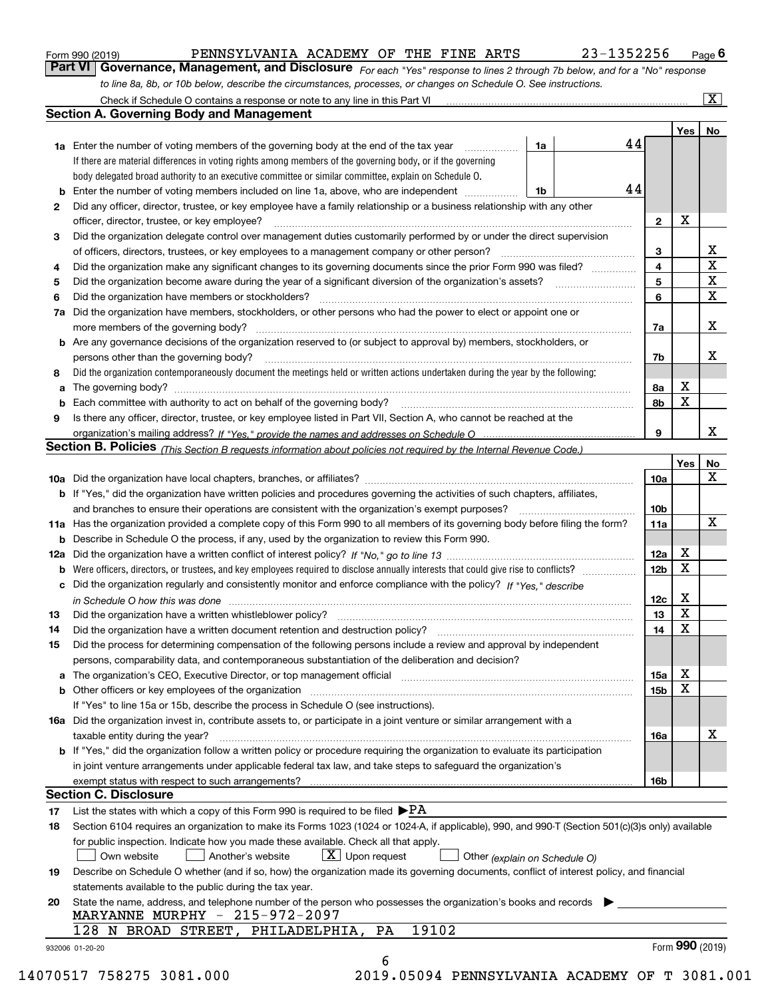| Form 990 (2019) |
|-----------------|
|-----------------|

| Form 990 (2019) |                                                                                                                  | PENNSYLVANIA ACADEMY OF THE FINE ARTS |  |  | 23-1352256                                                                                                                  | $P_{\text{aqe}}$ 6 |
|-----------------|------------------------------------------------------------------------------------------------------------------|---------------------------------------|--|--|-----------------------------------------------------------------------------------------------------------------------------|--------------------|
|                 |                                                                                                                  |                                       |  |  | Part VI Governance, Management, and Disclosure For each "Yes" response to lines 2 through 7b below, and for a "No" response |                    |
|                 | to line 8a, 8b, or 10b below, describe the circumstances, processes, or changes on Schedule O. See instructions. |                                       |  |  |                                                                                                                             |                    |

|              |                                                                                                                                                                            |    |  |    |                 | Yes   No    |                             |  |
|--------------|----------------------------------------------------------------------------------------------------------------------------------------------------------------------------|----|--|----|-----------------|-------------|-----------------------------|--|
|              | <b>1a</b> Enter the number of voting members of the governing body at the end of the tax year <i>manumum</i>                                                               | 1a |  | 44 |                 |             |                             |  |
|              | If there are material differences in voting rights among members of the governing body, or if the governing                                                                |    |  |    |                 |             |                             |  |
|              | body delegated broad authority to an executive committee or similar committee, explain on Schedule O.                                                                      |    |  |    |                 |             |                             |  |
|              |                                                                                                                                                                            | 1b |  | 44 |                 |             |                             |  |
| $\mathbf{2}$ | Did any officer, director, trustee, or key employee have a family relationship or a business relationship with any other                                                   |    |  |    |                 |             |                             |  |
|              | officer, director, trustee, or key employee?                                                                                                                               |    |  |    | $\mathbf{2}$    | X           |                             |  |
| 3            | Did the organization delegate control over management duties customarily performed by or under the direct supervision                                                      |    |  |    |                 |             |                             |  |
|              |                                                                                                                                                                            |    |  |    | 3               |             | X                           |  |
| 4            | Did the organization make any significant changes to its governing documents since the prior Form 990 was filed?                                                           |    |  |    | 4               |             | $\overline{\textbf{x}}$     |  |
| 5            |                                                                                                                                                                            |    |  |    | 5               |             | $\mathbf X$<br>$\mathbf{x}$ |  |
| 6            | Did the organization have members or stockholders?                                                                                                                         |    |  |    |                 |             |                             |  |
|              | 7a Did the organization have members, stockholders, or other persons who had the power to elect or appoint one or                                                          |    |  |    |                 |             |                             |  |
|              |                                                                                                                                                                            |    |  |    | 7a              |             | X                           |  |
|              | <b>b</b> Are any governance decisions of the organization reserved to (or subject to approval by) members, stockholders, or                                                |    |  |    |                 |             |                             |  |
|              | persons other than the governing body?                                                                                                                                     |    |  |    | 7b              |             | Х                           |  |
| 8            | Did the organization contemporaneously document the meetings held or written actions undertaken during the year by the following:                                          |    |  |    |                 |             |                             |  |
| a            |                                                                                                                                                                            |    |  |    | 8a              | X           |                             |  |
|              |                                                                                                                                                                            |    |  |    | 8b              | $\mathbf X$ |                             |  |
| 9            | Is there any officer, director, trustee, or key employee listed in Part VII, Section A, who cannot be reached at the                                                       |    |  |    |                 |             |                             |  |
|              |                                                                                                                                                                            |    |  |    | 9               |             | X                           |  |
|              | Section B. Policies <sub>(This</sub> Section B requests information about policies not required by the Internal Revenue Code.)                                             |    |  |    |                 |             |                             |  |
|              |                                                                                                                                                                            |    |  |    |                 | Yes         | <b>No</b>                   |  |
|              |                                                                                                                                                                            |    |  |    | 10a             |             | X                           |  |
|              | <b>b</b> If "Yes," did the organization have written policies and procedures governing the activities of such chapters, affiliates,                                        |    |  |    |                 |             |                             |  |
|              |                                                                                                                                                                            |    |  |    | 10 <sub>b</sub> |             |                             |  |
|              | 11a Has the organization provided a complete copy of this Form 990 to all members of its governing body before filing the form?                                            |    |  |    | 11a             |             | X                           |  |
|              | <b>b</b> Describe in Schedule O the process, if any, used by the organization to review this Form 990.                                                                     |    |  |    |                 |             |                             |  |
|              |                                                                                                                                                                            |    |  |    | 12a             | X           |                             |  |
| b            |                                                                                                                                                                            |    |  |    | 12 <sub>b</sub> | X           |                             |  |
|              | c Did the organization regularly and consistently monitor and enforce compliance with the policy? If "Yes," describe                                                       |    |  |    |                 |             |                             |  |
|              | in Schedule O how this was done www.communication.com/www.communications.com/www.communications.com/                                                                       |    |  |    | 12c             | X           |                             |  |
| 13           |                                                                                                                                                                            |    |  |    | 13              | $\mathbf X$ |                             |  |
| 14           | Did the organization have a written document retention and destruction policy? manufactured and the organization have a written document retention and destruction policy? |    |  |    | 14              | $\mathbf X$ |                             |  |
| 15           | Did the process for determining compensation of the following persons include a review and approval by independent                                                         |    |  |    |                 |             |                             |  |
|              | persons, comparability data, and contemporaneous substantiation of the deliberation and decision?                                                                          |    |  |    |                 |             |                             |  |
|              |                                                                                                                                                                            |    |  |    | 15a             | X           |                             |  |
|              | <b>b</b> Other officers or key employees of the organization                                                                                                               |    |  |    | 15b             | X           |                             |  |
|              | If "Yes" to line 15a or 15b, describe the process in Schedule O (see instructions).                                                                                        |    |  |    |                 |             |                             |  |
|              | 16a Did the organization invest in, contribute assets to, or participate in a joint venture or similar arrangement with a                                                  |    |  |    |                 |             |                             |  |
|              | taxable entity during the year?                                                                                                                                            |    |  |    | 16a             |             | х                           |  |
|              | <b>b</b> If "Yes," did the organization follow a written policy or procedure requiring the organization to evaluate its participation                                      |    |  |    |                 |             |                             |  |
|              | in joint venture arrangements under applicable federal tax law, and take steps to safeguard the organization's                                                             |    |  |    |                 |             |                             |  |
|              | exempt status with respect to such arrangements?                                                                                                                           |    |  |    | <b>16b</b>      |             |                             |  |
|              | <b>Section C. Disclosure</b>                                                                                                                                               |    |  |    |                 |             |                             |  |
| 17           | List the states with which a copy of this Form 990 is required to be filed $\blacktriangleright$ PA                                                                        |    |  |    |                 |             |                             |  |
| 18           | Section 6104 requires an organization to make its Forms 1023 (1024 or 1024-A, if applicable), 990, and 990-T (Section 501(c)(3)s only) available                           |    |  |    |                 |             |                             |  |
|              | for public inspection. Indicate how you made these available. Check all that apply.                                                                                        |    |  |    |                 |             |                             |  |
|              | $X$ Upon request<br>Another's website<br>Own website<br>Other (explain on Schedule O)                                                                                      |    |  |    |                 |             |                             |  |
| 19           | Describe on Schedule O whether (and if so, how) the organization made its governing documents, conflict of interest policy, and financial                                  |    |  |    |                 |             |                             |  |
|              | statements available to the public during the tax year.                                                                                                                    |    |  |    |                 |             |                             |  |
| 20           | State the name, address, and telephone number of the person who possesses the organization's books and records                                                             |    |  |    |                 |             |                             |  |
|              | MARYANNE MURPHY - 215-972-2097                                                                                                                                             |    |  |    |                 |             |                             |  |
|              | 19102<br>128 N BROAD STREET, PHILADELPHIA, PA                                                                                                                              |    |  |    |                 |             |                             |  |
|              |                                                                                                                                                                            |    |  |    |                 |             |                             |  |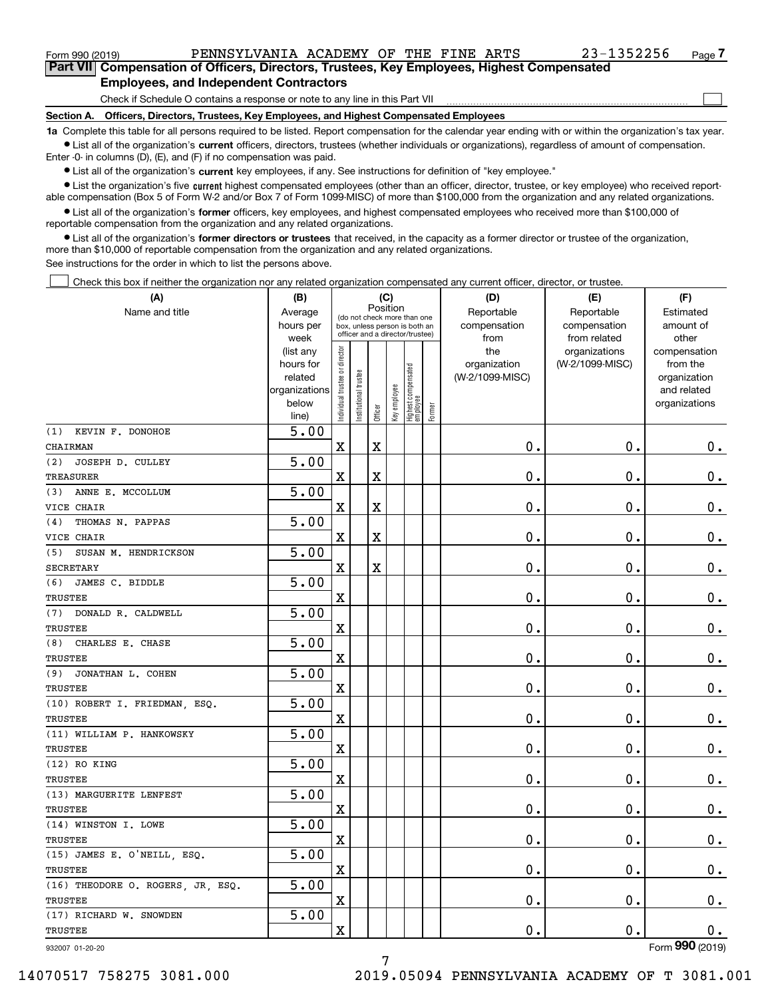$\mathcal{L}^{\text{max}}$ 

| Form 990 (2019) |                                               |  | PENNSYLVANIA ACADEMY OF THE FINE ARTS |  |  | 23-1352256                                                                                 | Page 7 |
|-----------------|-----------------------------------------------|--|---------------------------------------|--|--|--------------------------------------------------------------------------------------------|--------|
|                 |                                               |  |                                       |  |  | Part VII Compensation of Officers, Directors, Trustees, Key Employees, Highest Compensated |        |
|                 | <b>Employees, and Independent Contractors</b> |  |                                       |  |  |                                                                                            |        |

Check if Schedule O contains a response or note to any line in this Part VII

**Section A. Officers, Directors, Trustees, Key Employees, and Highest Compensated Employees**

**1a**  Complete this table for all persons required to be listed. Report compensation for the calendar year ending with or within the organization's tax year. **•** List all of the organization's current officers, directors, trustees (whether individuals or organizations), regardless of amount of compensation.

Enter -0- in columns (D), (E), and (F) if no compensation was paid.

 $\bullet$  List all of the organization's  $\,$ current key employees, if any. See instructions for definition of "key employee."

**•** List the organization's five current highest compensated employees (other than an officer, director, trustee, or key employee) who received reportable compensation (Box 5 of Form W-2 and/or Box 7 of Form 1099-MISC) of more than \$100,000 from the organization and any related organizations.

**•** List all of the organization's former officers, key employees, and highest compensated employees who received more than \$100,000 of reportable compensation from the organization and any related organizations.

**former directors or trustees**  ¥ List all of the organization's that received, in the capacity as a former director or trustee of the organization, more than \$10,000 of reportable compensation from the organization and any related organizations.

See instructions for the order in which to list the persons above.

Check this box if neither the organization nor any related organization compensated any current officer, director, or trustee.  $\mathcal{L}^{\text{max}}$ 

| (A)                               | (B)                    | (C)                           |                                                                  |             |              |                                  |        | (D)                 | (E)                              | (F)                      |  |  |
|-----------------------------------|------------------------|-------------------------------|------------------------------------------------------------------|-------------|--------------|----------------------------------|--------|---------------------|----------------------------------|--------------------------|--|--|
| Name and title                    | Average                |                               | (do not check more than one                                      |             | Position     |                                  |        | Reportable          | Reportable                       | Estimated                |  |  |
|                                   | hours per              |                               | box, unless person is both an<br>officer and a director/trustee) |             |              |                                  |        | compensation        | compensation                     | amount of                |  |  |
|                                   | week                   |                               |                                                                  |             |              |                                  |        | from                | from related                     | other                    |  |  |
|                                   | (list any<br>hours for |                               |                                                                  |             |              |                                  |        | the<br>organization | organizations<br>(W-2/1099-MISC) | compensation<br>from the |  |  |
|                                   | related                |                               |                                                                  |             |              |                                  |        | (W-2/1099-MISC)     |                                  | organization             |  |  |
|                                   | organizations          |                               |                                                                  |             |              |                                  |        |                     |                                  | and related              |  |  |
|                                   | below                  | ndividual trustee or director | nstitutional trustee                                             |             | Key employee |                                  |        |                     |                                  | organizations            |  |  |
|                                   | line)                  |                               |                                                                  | Officer     |              | Highest compensated<br> employee | Former |                     |                                  |                          |  |  |
| KEVIN F. DONOHOE<br>(1)           | 5.00                   |                               |                                                                  |             |              |                                  |        |                     |                                  |                          |  |  |
| CHAIRMAN                          |                        | $\rm X$                       |                                                                  | $\mathbf X$ |              |                                  |        | 0.                  | 0.                               | $0_{.}$                  |  |  |
| (2)<br>JOSEPH D. CULLEY           | 5.00                   |                               |                                                                  |             |              |                                  |        |                     |                                  |                          |  |  |
| TREASURER                         |                        | $\overline{\mathbf{X}}$       |                                                                  | $\mathbf X$ |              |                                  |        | 0.                  | $\mathbf 0$ .                    | $\mathbf 0$ .            |  |  |
| ANNE E. MCCOLLUM<br>(3)           | 5.00                   |                               |                                                                  |             |              |                                  |        |                     |                                  |                          |  |  |
| VICE CHAIR                        |                        | $\rm X$                       |                                                                  | $\rm X$     |              |                                  |        | 0.                  | 0.                               | $\mathbf 0$ .            |  |  |
| THOMAS N. PAPPAS<br>(4)           | 5.00                   |                               |                                                                  |             |              |                                  |        |                     |                                  |                          |  |  |
| VICE CHAIR                        |                        | $\overline{\mathbf{X}}$       |                                                                  | $\rm X$     |              |                                  |        | 0.                  | $\mathbf 0$ .                    | $\mathbf 0$ .            |  |  |
| (5)<br>SUSAN M. HENDRICKSON       | 5.00                   |                               |                                                                  |             |              |                                  |        |                     |                                  |                          |  |  |
| <b>SECRETARY</b>                  |                        | $\rm X$                       |                                                                  | $\mathbf X$ |              |                                  |        | $\mathbf 0$ .       | $\mathbf 0$ .                    | $0_{.}$                  |  |  |
| (6)<br>JAMES C. BIDDLE            | 5.00                   |                               |                                                                  |             |              |                                  |        |                     |                                  |                          |  |  |
| <b>TRUSTEE</b>                    |                        | $\mathbf X$                   |                                                                  |             |              |                                  |        | 0.                  | 0.                               | $0_{.}$                  |  |  |
| (7)<br>DONALD R. CALDWELL         | 5.00                   |                               |                                                                  |             |              |                                  |        |                     |                                  |                          |  |  |
| <b>TRUSTEE</b>                    |                        | $\rm X$                       |                                                                  |             |              |                                  |        | 0.                  | $\mathbf 0$ .                    | $\mathbf 0$ .            |  |  |
| (8)<br>CHARLES E. CHASE           | 5.00                   |                               |                                                                  |             |              |                                  |        |                     |                                  |                          |  |  |
| TRUSTEE                           |                        | $\overline{\mathbf{X}}$       |                                                                  |             |              |                                  |        | 0.                  | $\mathbf 0$ .                    | $\mathbf 0$ .            |  |  |
| JONATHAN L. COHEN<br>(9)          | 5.00                   |                               |                                                                  |             |              |                                  |        |                     |                                  |                          |  |  |
| TRUSTEE                           |                        | $\overline{\textbf{X}}$       |                                                                  |             |              |                                  |        | 0.                  | 0.                               | $\mathbf 0$ .            |  |  |
| (10) ROBERT I. FRIEDMAN, ESQ.     | 5.00                   |                               |                                                                  |             |              |                                  |        |                     |                                  |                          |  |  |
| TRUSTEE                           |                        | $\overline{\text{X}}$         |                                                                  |             |              |                                  |        | 0.                  | $\mathbf 0$ .                    | $\mathbf 0$ .            |  |  |
| (11) WILLIAM P. HANKOWSKY         | 5.00                   |                               |                                                                  |             |              |                                  |        |                     |                                  |                          |  |  |
| <b>TRUSTEE</b>                    |                        | $\overline{\mathbf{X}}$       |                                                                  |             |              |                                  |        | 0.                  | 0.                               | $\mathbf 0$ .            |  |  |
| $(12)$ RO KING                    | 5.00                   |                               |                                                                  |             |              |                                  |        |                     |                                  |                          |  |  |
| <b>TRUSTEE</b>                    |                        | $\overline{\textbf{X}}$       |                                                                  |             |              |                                  |        | 0.                  | $\mathbf 0$ .                    | $\mathbf 0$ .            |  |  |
| (13) MARGUERITE LENFEST           | 5.00                   |                               |                                                                  |             |              |                                  |        |                     |                                  |                          |  |  |
| TRUSTEE                           |                        | $\mathbf X$                   |                                                                  |             |              |                                  |        | 0.                  | $\mathbf 0$ .                    | 0.                       |  |  |
| (14) WINSTON I. LOWE              | 5.00                   |                               |                                                                  |             |              |                                  |        |                     |                                  |                          |  |  |
| <b>TRUSTEE</b>                    |                        | $\rm X$                       |                                                                  |             |              |                                  |        | 0.                  | 0.                               | $\mathbf 0$ .            |  |  |
| (15) JAMES E. O'NEILL, ESQ.       | 5.00                   |                               |                                                                  |             |              |                                  |        |                     |                                  |                          |  |  |
| TRUSTEE                           |                        | X                             |                                                                  |             |              |                                  |        | 0.                  | $\mathbf 0$ .                    | $\mathbf 0$ .            |  |  |
| (16) THEODORE O. ROGERS, JR, ESQ. | 5.00                   |                               |                                                                  |             |              |                                  |        |                     |                                  |                          |  |  |
| TRUSTEE                           |                        | $\rm X$                       |                                                                  |             |              |                                  |        | 0.                  | $\mathbf 0$ .                    | 0.                       |  |  |
| (17) RICHARD W. SNOWDEN           | 5.00                   |                               |                                                                  |             |              |                                  |        |                     |                                  |                          |  |  |
| TRUSTEE                           |                        | $\overline{\mathbf{X}}$       |                                                                  |             |              |                                  |        | 0.                  | $\mathbf 0$ .                    | 0.                       |  |  |
|                                   |                        |                               |                                                                  |             |              |                                  |        |                     |                                  | <b>non</b>               |  |  |

7

932007 01-20-20

Form (2019) **990**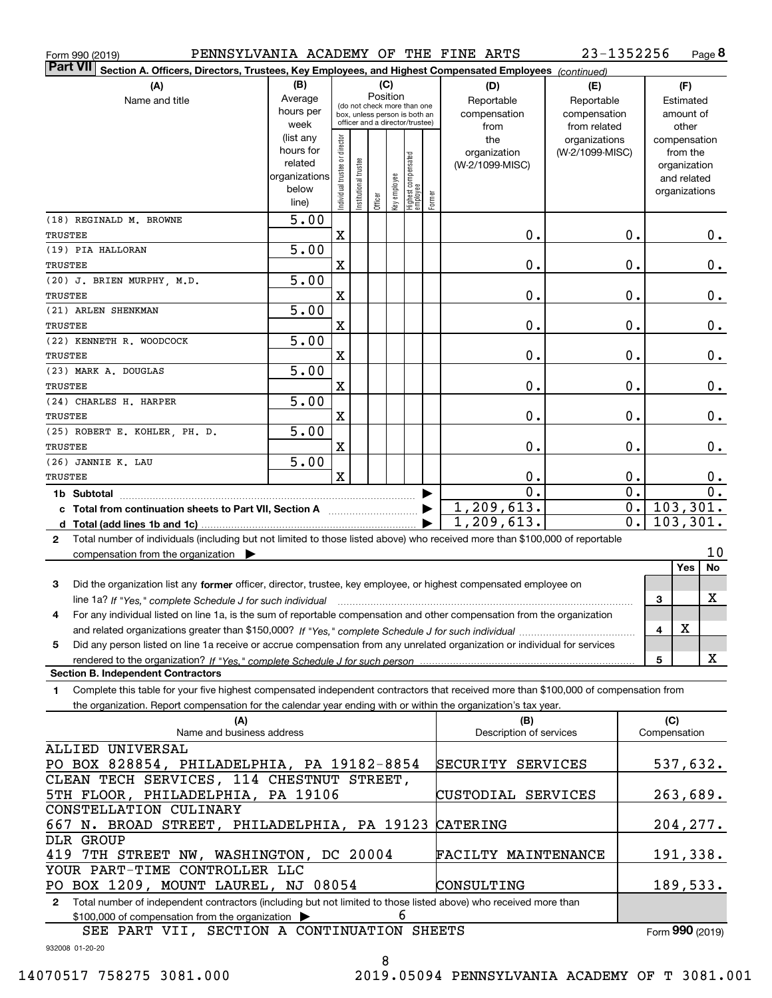| Form 990 (2019)                                                                                                                              |                        |                                |                       |                                                              |   |                                                 |        | PENNSYLVANIA ACADEMY OF THE FINE ARTS | 23-1352256      |                  |                     |               | Page 8    |
|----------------------------------------------------------------------------------------------------------------------------------------------|------------------------|--------------------------------|-----------------------|--------------------------------------------------------------|---|-------------------------------------------------|--------|---------------------------------------|-----------------|------------------|---------------------|---------------|-----------|
| <b>Part VII</b><br>Section A. Officers, Directors, Trustees, Key Employees, and Highest Compensated Employees (continued)                    |                        |                                |                       |                                                              |   |                                                 |        |                                       |                 |                  |                     |               |           |
| (A)                                                                                                                                          | (B)                    |                                |                       | (C)                                                          |   |                                                 |        | (D)                                   | (E)             |                  |                     | (F)           |           |
| Name and title                                                                                                                               | Average                |                                |                       | Position                                                     |   |                                                 |        | Reportable                            | Reportable      |                  |                     | Estimated     |           |
|                                                                                                                                              | hours per              |                                |                       | (do not check more than one<br>box, unless person is both an |   |                                                 |        | compensation                          | compensation    |                  |                     | amount of     |           |
|                                                                                                                                              | week                   |                                |                       | officer and a director/trustee)                              |   |                                                 |        | from                                  | from related    |                  |                     | other         |           |
|                                                                                                                                              | (list any              |                                |                       |                                                              |   |                                                 |        | the                                   | organizations   |                  |                     | compensation  |           |
|                                                                                                                                              | hours for              |                                |                       |                                                              |   |                                                 |        | organization                          | (W-2/1099-MISC) |                  |                     | from the      |           |
|                                                                                                                                              | related                |                                |                       |                                                              |   |                                                 |        | (W-2/1099-MISC)                       |                 |                  |                     | organization  |           |
|                                                                                                                                              | organizations<br>below |                                |                       |                                                              |   |                                                 |        |                                       |                 |                  |                     | and related   |           |
|                                                                                                                                              | line)                  | Individual trustee or director | Institutional trustee | Officer                                                      |   | Key employee<br>Highest compensated<br>employee | Former |                                       |                 |                  |                     | organizations |           |
| (18) REGINALD M. BROWNE                                                                                                                      | $\overline{5.00}$      |                                |                       |                                                              |   |                                                 |        |                                       |                 |                  |                     |               |           |
| TRUSTEE                                                                                                                                      |                        | $\mathbf X$                    |                       |                                                              |   |                                                 |        | $\mathbf 0$ .                         |                 | 0.               |                     |               | $0$ .     |
| (19) PIA HALLORAN                                                                                                                            | $\overline{5.00}$      |                                |                       |                                                              |   |                                                 |        |                                       |                 |                  |                     |               |           |
| TRUSTEE                                                                                                                                      |                        | X                              |                       |                                                              |   |                                                 |        | $\mathbf 0$ .                         |                 | 0.               |                     |               | 0.        |
| (20) J. BRIEN MURPHY, M.D.                                                                                                                   | $\overline{5.00}$      |                                |                       |                                                              |   |                                                 |        |                                       |                 |                  |                     |               |           |
| <b>TRUSTEE</b>                                                                                                                               |                        | X                              |                       |                                                              |   |                                                 |        | $\mathbf 0$ .                         |                 | 0.               |                     |               | 0.        |
| (21) ARLEN SHENKMAN                                                                                                                          | $\overline{5.00}$      |                                |                       |                                                              |   |                                                 |        |                                       |                 |                  |                     |               |           |
| TRUSTEE                                                                                                                                      |                        | X                              |                       |                                                              |   |                                                 |        | $\mathbf 0$ .                         |                 | 0.               |                     |               | 0.        |
| (22) KENNETH R. WOODCOCK                                                                                                                     | $\overline{5.00}$      |                                |                       |                                                              |   |                                                 |        |                                       |                 |                  |                     |               |           |
| TRUSTEE                                                                                                                                      |                        | X                              |                       |                                                              |   |                                                 |        | $\mathbf 0$ .                         |                 | 0.               |                     |               | 0.        |
| (23) MARK A. DOUGLAS                                                                                                                         | $\overline{5.00}$      |                                |                       |                                                              |   |                                                 |        |                                       |                 |                  |                     |               |           |
| TRUSTEE                                                                                                                                      |                        | X                              |                       |                                                              |   |                                                 |        | $\mathbf 0$ .                         |                 | 0.               |                     |               | 0.        |
| (24) CHARLES H. HARPER                                                                                                                       | $\overline{5.00}$      |                                |                       |                                                              |   |                                                 |        |                                       |                 |                  |                     |               |           |
| <b>TRUSTEE</b>                                                                                                                               |                        | X                              |                       |                                                              |   |                                                 |        | $\mathbf 0$ .                         |                 | 0.               |                     |               | 0.        |
| (25) ROBERT E. KOHLER, PH. D.                                                                                                                | $\overline{5.00}$      |                                |                       |                                                              |   |                                                 |        |                                       |                 |                  |                     |               |           |
| <b>TRUSTEE</b>                                                                                                                               |                        | X                              |                       |                                                              |   |                                                 |        | $\mathbf 0$ .                         |                 | 0.               |                     |               | 0.        |
| (26) JANNIE K. LAU                                                                                                                           | 5.00                   |                                |                       |                                                              |   |                                                 |        |                                       |                 |                  |                     |               |           |
| <b>TRUSTEE</b>                                                                                                                               |                        | $\mathbf x$                    |                       |                                                              |   |                                                 |        | $\mathbf 0$ .                         |                 | 0.               |                     |               | 0.        |
|                                                                                                                                              |                        |                                |                       |                                                              |   |                                                 |        | $\overline{0}$ .                      |                 | $\overline{0}$ . |                     |               | 0.        |
|                                                                                                                                              |                        |                                |                       |                                                              |   |                                                 |        | 1, 209, 613.                          |                 | $\overline{0}$ . | 103, 301.           |               |           |
| c Total from continuation sheets to Part VII, Section A                                                                                      |                        |                                |                       |                                                              |   |                                                 |        | 1,209,613.                            |                 | $\overline{0}$ . |                     | 103, 301.     |           |
|                                                                                                                                              |                        |                                |                       |                                                              |   |                                                 |        |                                       |                 |                  |                     |               |           |
| Total number of individuals (including but not limited to those listed above) who received more than \$100,000 of reportable<br>$\mathbf{2}$ |                        |                                |                       |                                                              |   |                                                 |        |                                       |                 |                  |                     |               | 10        |
| compensation from the organization $\blacktriangleright$                                                                                     |                        |                                |                       |                                                              |   |                                                 |        |                                       |                 |                  |                     | Yes           | <b>No</b> |
|                                                                                                                                              |                        |                                |                       |                                                              |   |                                                 |        |                                       |                 |                  |                     |               |           |
| 3<br>Did the organization list any former officer, director, trustee, key employee, or highest compensated employee on                       |                        |                                |                       |                                                              |   |                                                 |        |                                       |                 |                  |                     |               | х         |
| line 1a? If "Yes," complete Schedule J for such individual manufactured contained and the Ves," complete Schedule J for such individual      |                        |                                |                       |                                                              |   |                                                 |        |                                       |                 |                  | 3                   |               |           |
| For any individual listed on line 1a, is the sum of reportable compensation and other compensation from the organization                     |                        |                                |                       |                                                              |   |                                                 |        |                                       |                 |                  |                     |               |           |
|                                                                                                                                              |                        |                                |                       |                                                              |   |                                                 |        |                                       |                 |                  | 4                   | X             |           |
| Did any person listed on line 1a receive or accrue compensation from any unrelated organization or individual for services<br>5              |                        |                                |                       |                                                              |   |                                                 |        |                                       |                 |                  |                     |               |           |
|                                                                                                                                              |                        |                                |                       |                                                              |   |                                                 |        |                                       |                 |                  | 5                   |               | X         |
| <b>Section B. Independent Contractors</b>                                                                                                    |                        |                                |                       |                                                              |   |                                                 |        |                                       |                 |                  |                     |               |           |
| Complete this table for your five highest compensated independent contractors that received more than \$100,000 of compensation from<br>1    |                        |                                |                       |                                                              |   |                                                 |        |                                       |                 |                  |                     |               |           |
| the organization. Report compensation for the calendar year ending with or within the organization's tax year.                               |                        |                                |                       |                                                              |   |                                                 |        |                                       |                 |                  |                     |               |           |
| (A)<br>Name and business address                                                                                                             |                        |                                |                       |                                                              |   |                                                 |        | (B)<br>Description of services        |                 |                  | (C)<br>Compensation |               |           |
| ALLIED UNIVERSAL                                                                                                                             |                        |                                |                       |                                                              |   |                                                 |        |                                       |                 |                  |                     |               |           |
| PO BOX 828854, PHILADELPHIA, PA 19182-8854                                                                                                   |                        |                                |                       |                                                              |   |                                                 |        | SECURITY SERVICES                     |                 |                  |                     | 537,632.      |           |
| CLEAN TECH SERVICES, 114 CHESTNUT STREET,                                                                                                    |                        |                                |                       |                                                              |   |                                                 |        |                                       |                 |                  |                     |               |           |
|                                                                                                                                              |                        |                                |                       |                                                              |   |                                                 |        |                                       |                 |                  |                     |               |           |
| 5TH FLOOR, PHILADELPHIA, PA 19106                                                                                                            |                        |                                |                       |                                                              |   |                                                 |        | CUSTODIAL SERVICES                    |                 |                  |                     | 263,689.      |           |
| CONSTELLATION CULINARY                                                                                                                       |                        |                                |                       |                                                              |   |                                                 |        |                                       |                 |                  |                     |               |           |
| 667 N. BROAD STREET, PHILADELPHIA, PA 19123                                                                                                  |                        |                                |                       |                                                              |   |                                                 |        | <b>CATERING</b>                       |                 |                  |                     | 204, 277.     |           |
| DLR GROUP                                                                                                                                    |                        |                                |                       |                                                              |   |                                                 |        |                                       |                 |                  |                     |               |           |
| 419 7TH STREET NW, WASHINGTON, DC 20004<br>YOUR PART-TIME CONTROLLER LLC                                                                     |                        |                                |                       |                                                              |   |                                                 |        | FACILTY MAINTENANCE                   |                 |                  |                     | 191,338.      |           |
|                                                                                                                                              |                        |                                |                       |                                                              |   |                                                 |        |                                       |                 |                  |                     |               |           |
| PO BOX 1209, MOUNT LAUREL, NJ 08054                                                                                                          |                        |                                |                       |                                                              |   |                                                 |        | CONSULTING                            |                 |                  |                     | 189,533.      |           |
| Total number of independent contractors (including but not limited to those listed above) who received more than<br>$\mathbf{2}$             |                        |                                |                       |                                                              | 6 |                                                 |        |                                       |                 |                  |                     |               |           |
| \$100,000 of compensation from the organization<br>SEE PART VII, SECTION A CONTINUATION SHEETS                                               |                        |                                |                       |                                                              |   |                                                 |        |                                       |                 |                  | Form 990 (2019)     |               |           |
|                                                                                                                                              |                        |                                |                       |                                                              |   |                                                 |        |                                       |                 |                  |                     |               |           |

932008 01-20-20

8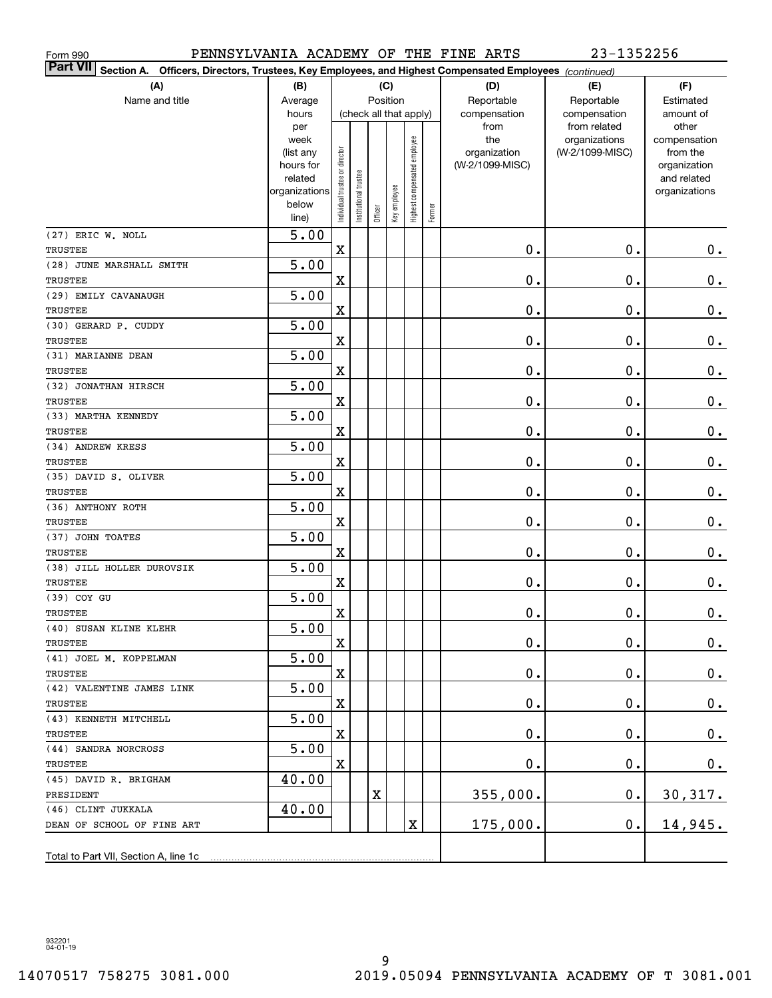| 23-1352256<br>PENNSYLVANIA ACADEMY OF THE FINE ARTS<br>Form 990                                                              |                   |                                |                       |         |                        |                              |        |                 |                               |                       |  |
|------------------------------------------------------------------------------------------------------------------------------|-------------------|--------------------------------|-----------------------|---------|------------------------|------------------------------|--------|-----------------|-------------------------------|-----------------------|--|
| <b>Part VII</b><br>Section A.<br>Officers, Directors, Trustees, Key Employees, and Highest Compensated Employees (continued) |                   |                                |                       |         |                        |                              |        |                 |                               |                       |  |
| (A)                                                                                                                          | (B)               |                                |                       |         | (C)                    |                              |        | (D)             | (E)                           | (F)                   |  |
| Name and title                                                                                                               | Average           |                                |                       |         | Position               |                              |        | Reportable      | Reportable                    | Estimated             |  |
|                                                                                                                              | hours             |                                |                       |         | (check all that apply) |                              |        | compensation    | compensation                  | amount of             |  |
|                                                                                                                              | per<br>week       |                                |                       |         |                        |                              |        | from<br>the     | from related<br>organizations | other<br>compensation |  |
|                                                                                                                              | (list any         |                                |                       |         |                        |                              |        | organization    | (W-2/1099-MISC)               | from the              |  |
|                                                                                                                              | hours for         |                                |                       |         |                        |                              |        | (W-2/1099-MISC) |                               | organization          |  |
|                                                                                                                              | related           |                                |                       |         |                        |                              |        |                 |                               | and related           |  |
|                                                                                                                              | organizations     |                                |                       |         |                        |                              |        |                 |                               | organizations         |  |
|                                                                                                                              | below<br>line)    | Individual trustee or director | Institutional trustee | Officer | Key employee           | Highest compensated employee | Former |                 |                               |                       |  |
| (27) ERIC W. NOLL                                                                                                            | $\overline{5.00}$ |                                |                       |         |                        |                              |        |                 |                               |                       |  |
| TRUSTEE                                                                                                                      |                   | $\mathbf X$                    |                       |         |                        |                              |        | $\mathbf 0$ .   | 0.                            | 0.                    |  |
| (28) JUNE MARSHALL SMITH                                                                                                     | 5.00              |                                |                       |         |                        |                              |        |                 |                               |                       |  |
| TRUSTEE                                                                                                                      |                   | $\mathbf X$                    |                       |         |                        |                              |        | $0$ .           | 0.                            | $\mathbf 0$ .         |  |
| (29) EMILY CAVANAUGH                                                                                                         | $\overline{5.00}$ |                                |                       |         |                        |                              |        |                 |                               |                       |  |
| TRUSTEE                                                                                                                      |                   | $\mathbf X$                    |                       |         |                        |                              |        | $0$ .           | 0.                            | $\mathbf 0$ .         |  |
| (30) GERARD P. CUDDY                                                                                                         | 5.00              |                                |                       |         |                        |                              |        |                 |                               |                       |  |
| TRUSTEE                                                                                                                      |                   | $\mathbf X$                    |                       |         |                        |                              |        | $0$ .           | 0.                            | $\mathbf 0$ .         |  |
| (31) MARIANNE DEAN                                                                                                           | 5.00              |                                |                       |         |                        |                              |        |                 |                               |                       |  |
| TRUSTEE                                                                                                                      |                   | $\mathbf X$                    |                       |         |                        |                              |        | $0$ .           | 0.                            | $\mathbf 0$ .         |  |
| (32) JONATHAN HIRSCH                                                                                                         | 5.00              |                                |                       |         |                        |                              |        |                 |                               |                       |  |
| TRUSTEE                                                                                                                      |                   | $\mathbf X$                    |                       |         |                        |                              |        | $0$ .           | 0.                            | $\mathbf 0$ .         |  |
| (33) MARTHA KENNEDY                                                                                                          | 5.00              |                                |                       |         |                        |                              |        |                 |                               |                       |  |
| TRUSTEE                                                                                                                      |                   | $\mathbf X$                    |                       |         |                        |                              |        | $0$ .           | 0.                            | $\mathbf 0$ .         |  |
| (34) ANDREW KRESS                                                                                                            | 5.00              |                                |                       |         |                        |                              |        |                 |                               |                       |  |
| TRUSTEE                                                                                                                      |                   | $\mathbf X$                    |                       |         |                        |                              |        | $0$ .           | 0.                            | $\mathbf 0$ .         |  |
| (35) DAVID S. OLIVER                                                                                                         | 5.00              |                                |                       |         |                        |                              |        |                 |                               |                       |  |
| TRUSTEE                                                                                                                      |                   | $\mathbf X$                    |                       |         |                        |                              |        | $0$ .           | 0.                            | $\mathbf 0$ .         |  |
| (36) ANTHONY ROTH                                                                                                            | 5.00              |                                |                       |         |                        |                              |        |                 |                               |                       |  |
| TRUSTEE                                                                                                                      |                   | $\mathbf X$                    |                       |         |                        |                              |        | $0$ .           | 0.                            | $0_{.}$               |  |
| (37) JOHN TOATES                                                                                                             | 5.00              |                                |                       |         |                        |                              |        |                 |                               |                       |  |
| TRUSTEE                                                                                                                      |                   | $\mathbf X$                    |                       |         |                        |                              |        | $0$ .           | 0.                            | 0.                    |  |
| (38) JILL HOLLER DUROVSIK<br>TRUSTEE                                                                                         | 5.00              | $\mathbf X$                    |                       |         |                        |                              |        | 0.              | 0.                            | 0.                    |  |
| (39) COY GU                                                                                                                  | 5.00              |                                |                       |         |                        |                              |        |                 |                               |                       |  |
| TRUSTEE                                                                                                                      |                   | X                              |                       |         |                        |                              |        | $\mathbf 0$ .   | $0$ .                         | $\mathbf 0$ .         |  |
| (40) SUSAN KLINE KLEHR                                                                                                       | 5.00              |                                |                       |         |                        |                              |        |                 |                               |                       |  |
| TRUSTEE                                                                                                                      |                   | X                              |                       |         |                        |                              |        | $\mathbf 0$ .   | 0.                            | $0\cdot$              |  |
| (41) JOEL M. KOPPELMAN                                                                                                       | 5.00              |                                |                       |         |                        |                              |        |                 |                               |                       |  |
| TRUSTEE                                                                                                                      |                   | X                              |                       |         |                        |                              |        | $\mathbf 0$ .   | $\mathbf 0$ .                 | 0.                    |  |
| (42) VALENTINE JAMES LINK                                                                                                    | 5.00              |                                |                       |         |                        |                              |        |                 |                               |                       |  |
| TRUSTEE                                                                                                                      |                   | X                              |                       |         |                        |                              |        | $\mathbf 0$ .   | $\mathbf 0$ .                 | 0.                    |  |
| (43) KENNETH MITCHELL                                                                                                        | 5.00              |                                |                       |         |                        |                              |        |                 |                               |                       |  |
| TRUSTEE                                                                                                                      |                   | X                              |                       |         |                        |                              |        | $\mathbf 0$ .   | $\mathbf 0$ .                 | $0_{.}$               |  |
| (44) SANDRA NORCROSS                                                                                                         | 5.00              |                                |                       |         |                        |                              |        |                 |                               |                       |  |
| TRUSTEE                                                                                                                      |                   | X                              |                       |         |                        |                              |        | $\mathbf 0$ .   | $\mathbf 0$ .                 | $0_{.}$               |  |
| (45) DAVID R. BRIGHAM                                                                                                        | 40.00             |                                |                       |         |                        |                              |        |                 |                               |                       |  |
| PRESIDENT                                                                                                                    |                   |                                |                       | X       |                        |                              |        | 355,000.        | 0.                            | <u>30,317.</u>        |  |
| (46) CLINT JUKKALA                                                                                                           | 40.00             |                                |                       |         |                        |                              |        |                 |                               |                       |  |
| DEAN OF SCHOOL OF FINE ART                                                                                                   |                   |                                |                       |         |                        | $\mathbf X$                  |        | 175,000.        | $\mathbf 0$ .                 | 14,945.               |  |
| Total to Part VII, Section A, line 1c                                                                                        |                   |                                |                       |         |                        |                              |        |                 |                               |                       |  |
|                                                                                                                              |                   |                                |                       |         |                        |                              |        |                 |                               |                       |  |

932201 04-01-19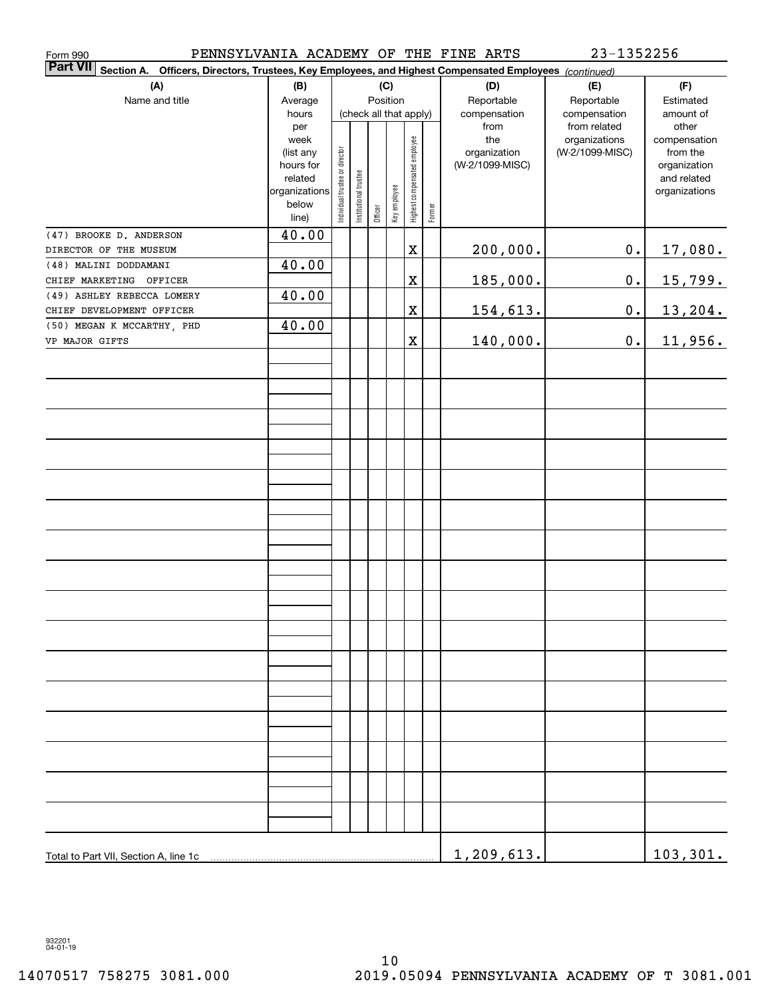| Form 990                                                                                                                     |                        |                                |                       |         |                        |                              |        | PENNSYLVANIA ACADEMY OF THE FINE ARTS | 23-1352256      |                          |
|------------------------------------------------------------------------------------------------------------------------------|------------------------|--------------------------------|-----------------------|---------|------------------------|------------------------------|--------|---------------------------------------|-----------------|--------------------------|
| <b>Part VII</b><br>Section A.<br>Officers, Directors, Trustees, Key Employees, and Highest Compensated Employees (continued) |                        |                                |                       |         |                        |                              |        |                                       |                 |                          |
| (A)                                                                                                                          | (B)                    | (C)                            |                       |         |                        |                              |        | (D)                                   | (E)             | (F)                      |
| Name and title                                                                                                               | Average                |                                |                       |         | Position               |                              |        | Reportable                            | Reportable      | Estimated                |
|                                                                                                                              | hours                  |                                |                       |         | (check all that apply) |                              |        | compensation                          | compensation    | amount of                |
|                                                                                                                              | per                    |                                |                       |         |                        |                              |        | from                                  | from related    | other                    |
|                                                                                                                              | week                   |                                |                       |         |                        |                              |        | the                                   | organizations   | compensation             |
|                                                                                                                              | (list any<br>hours for |                                |                       |         |                        |                              |        | organization<br>(W-2/1099-MISC)       | (W-2/1099-MISC) | from the<br>organization |
|                                                                                                                              | related                |                                |                       |         |                        |                              |        |                                       |                 | and related              |
|                                                                                                                              | organizations          | Individual trustee or director | Institutional trustee |         | Key employee           | Highest compensated employee |        |                                       |                 | organizations            |
|                                                                                                                              | below                  |                                |                       | Officer |                        |                              | Former |                                       |                 |                          |
|                                                                                                                              | line)                  |                                |                       |         |                        |                              |        |                                       |                 |                          |
| (47) BROOKE D. ANDERSON                                                                                                      | 40.00                  |                                |                       |         |                        |                              |        |                                       |                 |                          |
| DIRECTOR OF THE MUSEUM                                                                                                       |                        |                                |                       |         |                        | $\mathbf X$                  |        | 200,000.                              | $\mathbf 0$ .   | 17,080.                  |
| (48) MALINI DODDAMANI                                                                                                        | 40.00                  |                                |                       |         |                        |                              |        |                                       |                 |                          |
| CHIEF MARKETING OFFICER                                                                                                      |                        |                                |                       |         |                        | $\mathbf X$                  |        | 185,000.                              | $\mathbf 0$ .   | 15,799.                  |
| (49) ASHLEY REBECCA LOMERY                                                                                                   | 40.00                  |                                |                       |         |                        |                              |        |                                       |                 |                          |
| CHIEF DEVELOPMENT OFFICER                                                                                                    |                        |                                |                       |         |                        | $\mathbf X$                  |        | <u>154,613.</u>                       | $\mathbf 0$ .   | 13,204.                  |
| (50) MEGAN K MCCARTHY, PHD                                                                                                   | 40.00                  |                                |                       |         |                        |                              |        |                                       |                 |                          |
| VP MAJOR GIFTS                                                                                                               |                        |                                |                       |         |                        | $\mathbf X$                  |        | 140,000.                              | $\mathbf 0$ .   | 11,956.                  |
|                                                                                                                              |                        |                                |                       |         |                        |                              |        |                                       |                 |                          |
|                                                                                                                              |                        |                                |                       |         |                        |                              |        |                                       |                 |                          |
|                                                                                                                              |                        |                                |                       |         |                        |                              |        |                                       |                 |                          |
|                                                                                                                              |                        |                                |                       |         |                        |                              |        |                                       |                 |                          |
|                                                                                                                              |                        |                                |                       |         |                        |                              |        |                                       |                 |                          |
|                                                                                                                              |                        |                                |                       |         |                        |                              |        |                                       |                 |                          |
|                                                                                                                              |                        |                                |                       |         |                        |                              |        |                                       |                 |                          |
|                                                                                                                              |                        |                                |                       |         |                        |                              |        |                                       |                 |                          |
|                                                                                                                              |                        |                                |                       |         |                        |                              |        |                                       |                 |                          |
|                                                                                                                              |                        |                                |                       |         |                        |                              |        |                                       |                 |                          |
|                                                                                                                              |                        |                                |                       |         |                        |                              |        |                                       |                 |                          |
|                                                                                                                              |                        |                                |                       |         |                        |                              |        |                                       |                 |                          |
|                                                                                                                              |                        |                                |                       |         |                        |                              |        |                                       |                 |                          |
|                                                                                                                              |                        |                                |                       |         |                        |                              |        |                                       |                 |                          |
|                                                                                                                              |                        |                                |                       |         |                        |                              |        |                                       |                 |                          |
|                                                                                                                              |                        |                                |                       |         |                        |                              |        |                                       |                 |                          |
|                                                                                                                              |                        |                                |                       |         |                        |                              |        |                                       |                 |                          |
|                                                                                                                              |                        |                                |                       |         |                        |                              |        |                                       |                 |                          |
|                                                                                                                              |                        |                                |                       |         |                        |                              |        |                                       |                 |                          |
|                                                                                                                              |                        |                                |                       |         |                        |                              |        |                                       |                 |                          |
|                                                                                                                              |                        |                                |                       |         |                        |                              |        |                                       |                 |                          |
|                                                                                                                              |                        |                                |                       |         |                        |                              |        |                                       |                 |                          |
|                                                                                                                              |                        |                                |                       |         |                        |                              |        |                                       |                 |                          |
|                                                                                                                              |                        |                                |                       |         |                        |                              |        |                                       |                 |                          |
|                                                                                                                              |                        |                                |                       |         |                        |                              |        |                                       |                 |                          |
|                                                                                                                              |                        |                                |                       |         |                        |                              |        |                                       |                 |                          |
|                                                                                                                              |                        |                                |                       |         |                        |                              |        |                                       |                 |                          |
|                                                                                                                              |                        |                                |                       |         |                        |                              |        |                                       |                 |                          |
|                                                                                                                              |                        |                                |                       |         |                        |                              |        |                                       |                 |                          |
|                                                                                                                              |                        |                                |                       |         |                        |                              |        |                                       |                 |                          |
|                                                                                                                              |                        |                                |                       |         |                        |                              |        |                                       |                 |                          |
|                                                                                                                              |                        |                                |                       |         |                        |                              |        |                                       |                 |                          |
|                                                                                                                              |                        |                                |                       |         |                        |                              |        | 1,209,613.                            |                 | 103,301.                 |

932201 04-01-19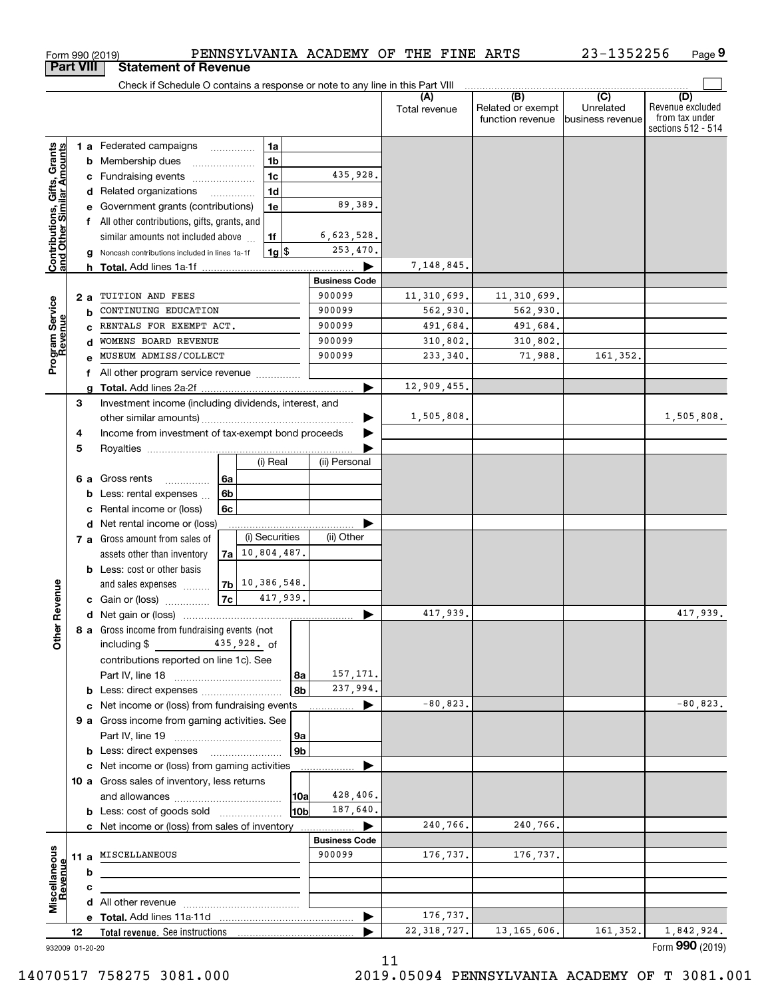|                                                           |                 | PENNSYLVANIA ACADEMY OF THE FINE ARTS<br>Form 990 (2019)                      |                      |                      |                                              | 23-1352256                                      | Page 9                                                          |
|-----------------------------------------------------------|-----------------|-------------------------------------------------------------------------------|----------------------|----------------------|----------------------------------------------|-------------------------------------------------|-----------------------------------------------------------------|
| <b>Part VIII</b>                                          |                 | <b>Statement of Revenue</b>                                                   |                      |                      |                                              |                                                 |                                                                 |
|                                                           |                 | Check if Schedule O contains a response or note to any line in this Part VIII |                      |                      |                                              |                                                 |                                                                 |
|                                                           |                 |                                                                               |                      | (A)<br>Total revenue | (B)<br>Related or exempt<br>function revenue | $\overline{C}$<br>Unrelated<br>business revenue | (D)<br>Revenue excluded<br>from tax under<br>sections 512 - 514 |
|                                                           |                 | 1 a Federated campaigns<br>1a                                                 |                      |                      |                                              |                                                 |                                                                 |
|                                                           |                 | 1 <sub>b</sub><br>Membership dues<br>b                                        |                      |                      |                                              |                                                 |                                                                 |
|                                                           |                 | 1 <sub>c</sub><br>Fundraising events<br>с                                     | 435,928.             |                      |                                              |                                                 |                                                                 |
|                                                           |                 | 1 <sub>d</sub><br>d Related organizations                                     |                      |                      |                                              |                                                 |                                                                 |
|                                                           |                 | Government grants (contributions)<br>1e<br>е                                  | 89,389.              |                      |                                              |                                                 |                                                                 |
|                                                           |                 | f All other contributions, gifts, grants, and                                 |                      |                      |                                              |                                                 |                                                                 |
| Contributions, Gifts, Grants<br>and Other Similar Amounts |                 | 1f<br>similar amounts not included above                                      | 6,623,528.           |                      |                                              |                                                 |                                                                 |
|                                                           |                 | $1g$ \$<br>Noncash contributions included in lines 1a-1f<br>g                 | 253,470.             |                      |                                              |                                                 |                                                                 |
|                                                           |                 |                                                                               |                      | 7,148,845.           |                                              |                                                 |                                                                 |
|                                                           |                 |                                                                               | <b>Business Code</b> |                      |                                              |                                                 |                                                                 |
|                                                           | 2a              | TUITION AND FEES                                                              | 900099               | 11, 310, 699.        | 11,310,699.                                  |                                                 |                                                                 |
| Program Service<br>Revenue                                | b               | CONTINUING EDUCATION                                                          | 900099               | 562,930.             | 562,930.                                     |                                                 |                                                                 |
|                                                           | C               | RENTALS FOR EXEMPT ACT.                                                       | 900099               | 491,684.             | 491,684.                                     |                                                 |                                                                 |
|                                                           |                 | WOMENS BOARD REVENUE<br>d                                                     | 900099               | 310,802.             | 310,802.                                     |                                                 |                                                                 |
|                                                           |                 | MUSEUM ADMISS/COLLECT                                                         | 900099               | 233,340.             | 71,988.                                      | 161.352.                                        |                                                                 |
|                                                           |                 | f All other program service revenue <i>mimimini</i>                           |                      |                      |                                              |                                                 |                                                                 |
|                                                           |                 | g                                                                             |                      | 12,909,455.          |                                              |                                                 |                                                                 |
|                                                           | 3               | Investment income (including dividends, interest, and                         |                      |                      |                                              |                                                 |                                                                 |
|                                                           |                 |                                                                               |                      | 1,505,808.           |                                              |                                                 | 1,505,808.                                                      |
|                                                           | 4               | Income from investment of tax-exempt bond proceeds                            |                      |                      |                                              |                                                 |                                                                 |
|                                                           | 5               |                                                                               |                      |                      |                                              |                                                 |                                                                 |
|                                                           |                 | (i) Real                                                                      | (ii) Personal        |                      |                                              |                                                 |                                                                 |
|                                                           |                 | 6a<br>6 a Gross rents                                                         |                      |                      |                                              |                                                 |                                                                 |
|                                                           |                 | 6b<br>Less: rental expenses<br>b                                              |                      |                      |                                              |                                                 |                                                                 |
|                                                           |                 | Rental income or (loss)<br>6с<br>с                                            |                      |                      |                                              |                                                 |                                                                 |
|                                                           |                 | Net rental income or (loss)<br>d                                              |                      |                      |                                              |                                                 |                                                                 |
|                                                           |                 | (i) Securities<br>7 a Gross amount from sales of                              | (ii) Other           |                      |                                              |                                                 |                                                                 |
|                                                           |                 | $7a$ 10, 804, 487.<br>assets other than inventory                             |                      |                      |                                              |                                                 |                                                                 |
|                                                           |                 | <b>b</b> Less: cost or other basis                                            |                      |                      |                                              |                                                 |                                                                 |
|                                                           |                 | $ 7b $ 10, 386, 548.<br>and sales expenses <i></i>                            |                      |                      |                                              |                                                 |                                                                 |
| evenue                                                    |                 | 417,939.<br>7c<br>c Gain or (loss)                                            |                      |                      |                                              |                                                 |                                                                 |
|                                                           |                 |                                                                               |                      | 417,939.             |                                              |                                                 | 417,939.                                                        |
| Other R                                                   |                 | 8 a Gross income from fundraising events (not                                 |                      |                      |                                              |                                                 |                                                                 |
|                                                           |                 | including $$$ 435, 928. of                                                    |                      |                      |                                              |                                                 |                                                                 |
|                                                           |                 | contributions reported on line 1c). See                                       |                      |                      |                                              |                                                 |                                                                 |
|                                                           |                 | 8a                                                                            | 157, 171.            |                      |                                              |                                                 |                                                                 |
|                                                           |                 | 8b                                                                            | 237,994.             |                      |                                              |                                                 |                                                                 |
|                                                           |                 | c Net income or (loss) from fundraising events                                | ▶<br>.               | $-80,823.$           |                                              |                                                 | $-80,823.$                                                      |
|                                                           |                 | 9 a Gross income from gaming activities. See                                  |                      |                      |                                              |                                                 |                                                                 |
|                                                           |                 | 9a                                                                            |                      |                      |                                              |                                                 |                                                                 |
|                                                           |                 | 9b                                                                            |                      |                      |                                              |                                                 |                                                                 |
|                                                           |                 | c Net income or (loss) from gaming activities                                 | .                    |                      |                                              |                                                 |                                                                 |
|                                                           |                 | 10 a Gross sales of inventory, less returns                                   |                      |                      |                                              |                                                 |                                                                 |
|                                                           |                 | 10a                                                                           | 428,406.             |                      |                                              |                                                 |                                                                 |
|                                                           |                 | 10b<br><b>b</b> Less: cost of goods sold                                      | 187,640.             |                      |                                              |                                                 |                                                                 |
|                                                           |                 | c Net income or (loss) from sales of inventory                                |                      | 240,766.             | 240,766.                                     |                                                 |                                                                 |
|                                                           |                 |                                                                               | <b>Business Code</b> |                      |                                              |                                                 |                                                                 |
|                                                           |                 | 11 a MISCELLANEOUS                                                            | 900099               | 176,737.             | 176,737.                                     |                                                 |                                                                 |
|                                                           |                 | b                                                                             |                      |                      |                                              |                                                 |                                                                 |
|                                                           |                 | с                                                                             |                      |                      |                                              |                                                 |                                                                 |
| Miscellaneous<br>Revenue                                  |                 |                                                                               |                      |                      |                                              |                                                 |                                                                 |
|                                                           |                 |                                                                               |                      | 176,737.             |                                              |                                                 |                                                                 |
|                                                           | 12 <sup>2</sup> |                                                                               |                      | 22, 318, 727.        | 13, 165, 606.                                | 161,352.                                        | 1,842,924.                                                      |
|                                                           |                 | 932009 01-20-20                                                               |                      |                      |                                              |                                                 | Form 990 (2019)                                                 |

11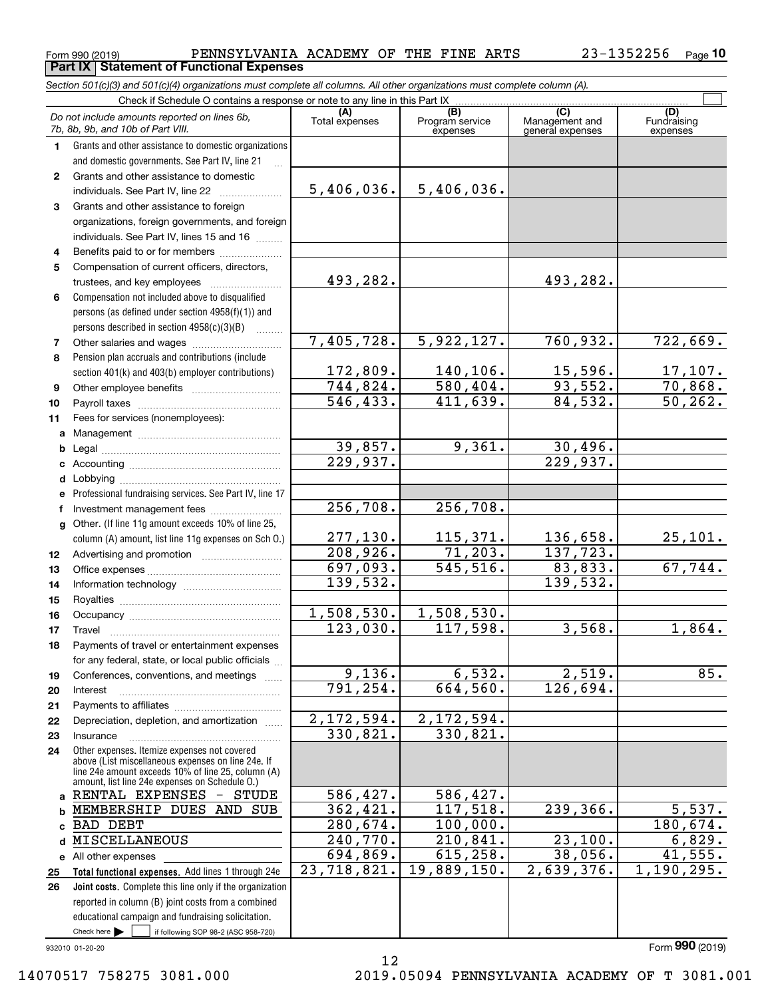**Part IX Statement of Functional Expenses**

*Section 501(c)(3) and 501(c)(4) organizations must complete all columns. All other organizations must complete column (A).*

|              | Do not include amounts reported on lines 6b,<br>7b, 8b, 9b, and 10b of Part VIII.                                                                          | (A)<br>Total expenses | (B)<br>Program service<br>expenses | (C)<br>Management and<br>general expenses | (D)<br>Fundraising<br>expenses |
|--------------|------------------------------------------------------------------------------------------------------------------------------------------------------------|-----------------------|------------------------------------|-------------------------------------------|--------------------------------|
| 1.           | Grants and other assistance to domestic organizations                                                                                                      |                       |                                    |                                           |                                |
|              | and domestic governments. See Part IV, line 21                                                                                                             |                       |                                    |                                           |                                |
| $\mathbf{2}$ | Grants and other assistance to domestic                                                                                                                    |                       |                                    |                                           |                                |
|              | individuals. See Part IV, line 22                                                                                                                          | 5,406,036.            | 5,406,036.                         |                                           |                                |
| 3            | Grants and other assistance to foreign                                                                                                                     |                       |                                    |                                           |                                |
|              | organizations, foreign governments, and foreign                                                                                                            |                       |                                    |                                           |                                |
|              | individuals. See Part IV, lines 15 and 16                                                                                                                  |                       |                                    |                                           |                                |
| 4            | Benefits paid to or for members                                                                                                                            |                       |                                    |                                           |                                |
| 5            | Compensation of current officers, directors,                                                                                                               |                       |                                    |                                           |                                |
|              | trustees, and key employees                                                                                                                                | 493,282.              |                                    | 493,282.                                  |                                |
| 6            | Compensation not included above to disqualified                                                                                                            |                       |                                    |                                           |                                |
|              | persons (as defined under section 4958(f)(1)) and                                                                                                          |                       |                                    |                                           |                                |
|              | persons described in section 4958(c)(3)(B)                                                                                                                 |                       |                                    |                                           |                                |
| 7            | Other salaries and wages                                                                                                                                   | 7,405,728.            | 5,922,127.                         | 760,932.                                  | 722,669.                       |
| 8            | Pension plan accruals and contributions (include                                                                                                           |                       |                                    |                                           |                                |
|              | section 401(k) and 403(b) employer contributions)                                                                                                          | 172,809.              | 140,106.                           | 15,596.                                   | 17,107.                        |
| 9            |                                                                                                                                                            | 744,824.              | 580, 404.                          | 93,552.                                   | 70,868.                        |
| 10           |                                                                                                                                                            | 546, 433.             | 411,639.                           | 84,532.                                   | 50, 262.                       |
| 11           | Fees for services (nonemployees):                                                                                                                          |                       |                                    |                                           |                                |
| a            |                                                                                                                                                            |                       |                                    |                                           |                                |
| b            |                                                                                                                                                            | 39,857.               | 9,361.                             | 30,496.                                   |                                |
| c            |                                                                                                                                                            | 229,937.              |                                    | 229,937.                                  |                                |
| d            |                                                                                                                                                            |                       |                                    |                                           |                                |
| e            | Professional fundraising services. See Part IV, line 17                                                                                                    |                       |                                    |                                           |                                |
| f            | Investment management fees                                                                                                                                 | 256, 708.             | 256,708.                           |                                           |                                |
| g            | Other. (If line 11g amount exceeds 10% of line 25,                                                                                                         |                       |                                    |                                           |                                |
|              | column (A) amount, list line 11g expenses on Sch O.)                                                                                                       | 277, 130.             | 115,371.                           | 136,658.                                  | 25,101.                        |
| 12           |                                                                                                                                                            | 208,926.              | 71,203.                            | 137,723.                                  |                                |
| 13           |                                                                                                                                                            | 697,093.              | 545, 516.                          | 83,833.                                   | 67,744.                        |
| 14           |                                                                                                                                                            | 139,532.              |                                    | 139,532.                                  |                                |
| 15           |                                                                                                                                                            |                       |                                    |                                           |                                |
| 16           |                                                                                                                                                            | 1,508,530.            | 1,508,530.                         |                                           |                                |
| 17           | Travel                                                                                                                                                     | 123,030.              | 117,598.                           | 3,568.                                    | 1,864.                         |
| 18           | Payments of travel or entertainment expenses                                                                                                               |                       |                                    |                                           |                                |
|              | for any federal, state, or local public officials                                                                                                          |                       |                                    |                                           |                                |
| 19           | Conferences, conventions, and meetings                                                                                                                     | 9,136.<br>791, 254.   | 6,532.                             | 2,519.                                    | 85.                            |
| 20           | Interest                                                                                                                                                   |                       | 664,560.                           | 126,694.                                  |                                |
| 21           |                                                                                                                                                            | 2,172,594.            | 2, 172, 594.                       |                                           |                                |
| 22           | Depreciation, depletion, and amortization                                                                                                                  | 330,821.              | 330,821.                           |                                           |                                |
| 23           | Insurance<br>Other expenses. Itemize expenses not covered                                                                                                  |                       |                                    |                                           |                                |
| 24           | above (List miscellaneous expenses on line 24e. If<br>line 24e amount exceeds 10% of line 25, column (A)<br>amount, list line 24e expenses on Schedule O.) |                       |                                    |                                           |                                |
|              | a RENTAL EXPENSES - STUDE                                                                                                                                  | 586,427.              | 586,427.                           |                                           |                                |
| b            | MEMBERSHIP DUES AND SUB                                                                                                                                    | 362,421.              | 117,518.                           | 239,366.                                  | 5,537.                         |
| c            | <b>BAD DEBT</b>                                                                                                                                            | 280,674.              | 100,000.                           |                                           | 180,674.                       |
| d            | MISCELLANEOUS                                                                                                                                              | 240,770.              | 210,841.                           | 23,100.                                   | 6,829.                         |
|              | e All other expenses                                                                                                                                       | 694,869.              | 615, 258.                          | 38,056.                                   | 41,555.                        |
| 25           | Total functional expenses. Add lines 1 through 24e                                                                                                         | 23,718,821.           | 19,889,150.                        | 2,639,376.                                | 1,190,295.                     |
| 26           | Joint costs. Complete this line only if the organization                                                                                                   |                       |                                    |                                           |                                |
|              | reported in column (B) joint costs from a combined                                                                                                         |                       |                                    |                                           |                                |
|              | educational campaign and fundraising solicitation.                                                                                                         |                       |                                    |                                           |                                |
|              | Check here $\blacktriangleright$<br>if following SOP 98-2 (ASC 958-720)                                                                                    |                       |                                    |                                           |                                |

12

932010 01-20-20

14070517 758275 3081.000 2019.05094 PENNSYLVANIA ACADEMY OF T 3081.001

Form (2019) **990**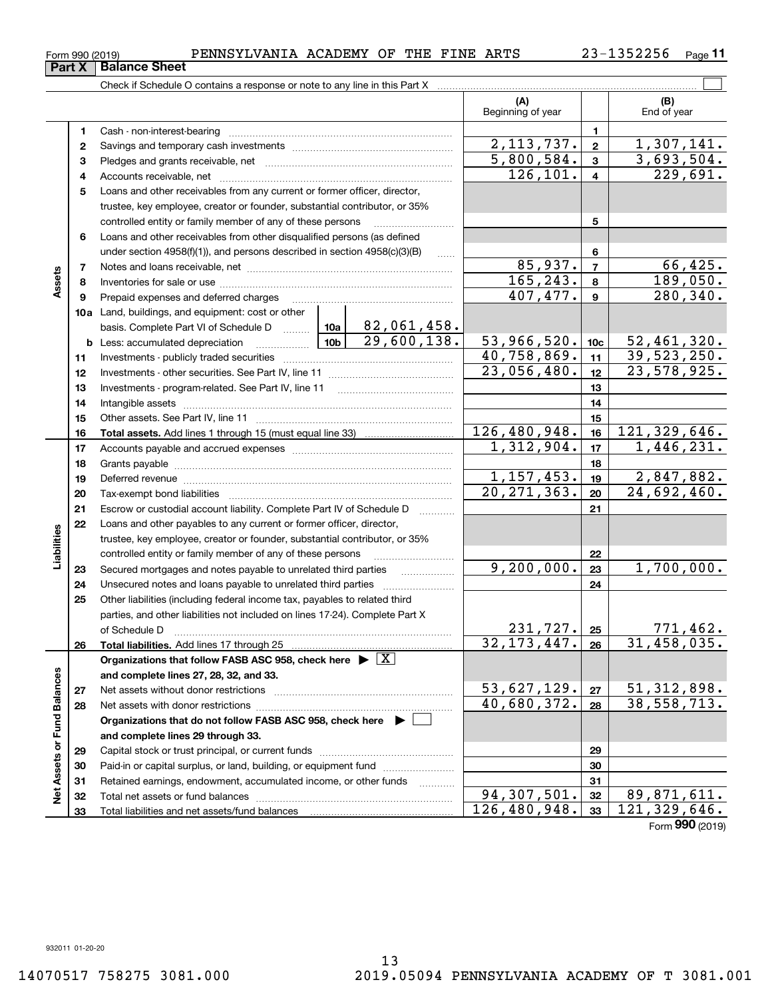ğ

**12**

**4**

94,307,501. 32 89,871,611. 126,480,948. 121,329,646.

Form (2019) **990**

**5**Loans and other receivables from any current or former officer, director, trustee, key employee, creator or founder, substantial contributor, or 35% controlled entity or family member of any of these persons ............................ **5**Loans and other receivables from other disqualified persons (as defined **6**under section  $4958(f)(1)$ , and persons described in section  $4958(c)(3)(B)$ **6** $85,937. | 7 | 66,425.$ **77**Notes and loans receivable, net ~~~~~~~~~~~~~~~~~~~~~~~**Assets**  $165, 243. | 8 | 189, 050.$ **88**Inventories for sale or use ~~~~~~~~~~~~~~~~~~~~~~~~~~ 407,477. 280,340. **99**Prepaid expenses and deferred charges ~~~~~~~~~~~~~~~~~~ **10a**Land, buildings, and equipment: cost or other 82,061,458. basis. Complete Part VI of Schedule D will aller  $29,600,138.$  53,966,520. 10c 52,461,320. **10cb** Less: accumulated depreciation  $\ldots$  **10b**  $40,758,869.$  11 39,523,250. **1111**Investments - publicly traded securities ~~~~~~~~~~~~~~~~~~~ 23,056,480. | 12 | 23,578,925. **1212**Investments - other securities. See Part IV, line 11 ~~~~~~~~~~~~~~ **1313**Investments - program-related. See Part IV, line 11 ~~~~~~~~~~~~~**1414**Intangible assets ~~~~~~~~~~~~~~~~~~~~~~~~~~~~~~ Other assets. See Part IV, line 11 ~~~~~~~~~~~~~~~~~~~~~~ **1515**126,480,948. 121,329,646. **1616Total assets.**  Add lines 1 through 15 (must equal line 33)  $1,312,904.$   $|17|$   $1,446,231.$ **1717**Accounts payable and accrued expenses ~~~~~~~~~~~~~~~~~~**1818**Grants payable ~~~~~~~~~~~~~~~~~~~~~~~~~~~~~~~  $1,157,453.$   $\boxed{19}$   $2,847,882.$ **1919**Deferred revenue ~~~~~~~~~~~~~~~~~~~~~~~~~~~~~~20,271,363. 24,692,460. **2020**Tax-exempt bond liabilities …………………………………………………………… Escrow or custodial account liability. Complete Part IV of Schedule D **212122**Loans and other payables to any current or former officer, director, iabilities **Liabilities** trustee, key employee, creator or founder, substantial contributor, or 35% controlled entity or family member of any of these persons ~~~~~~~~~**22** $9,200,000.$   $|23|$  1,700,000. **2323**Secured mortgages and notes payable to unrelated third parties Unsecured notes and loans payable to unrelated third parties **242425**Other liabilities (including federal income tax, payables to related third parties, and other liabilities not included on lines 17-24). Complete Part X of Schedule D ~~~~~~~~~~~~~~~~~~~~~~~~~~~~~~~ 231,727. 25 771,462. **25**32,173,447. 31,458,035. **2626Total liabilities.**  Add lines 17 through 25 **Organizations that follow FASB ASC 958, check here** | X Assets or Fund Balances **Net Assets or Fund Balances and complete lines 27, 28, 32, and 33.**  $53,627,129.$   $27$  |  $51,312,898.$ **2727**Net assets without donor restrictions <sub>…………………………………………………</sub>……  $40,680,372.$   $|$  28  $|$  38,558,713. **2828**Net assets with donor restrictions ~~~~~~~~~~~~~~~~~~~~~~

<code>Form</code> 990 (2019) PENNSYLVANIA ACADEMY OF THE FINE ARTS 23-1352256  $\,$  Page **Part X** Balance Sheet

23-1352256 <sub>Page</sub> 11

 $\mathcal{L}^{\text{max}}$ 

**(B)**

 $126, 101. | 4 | 229, 691.$  $5,800,584.$  3,693,504.

 $2, 113, 737. | 2 | 1, 307, 141.$ 

Beginning of year  $\begin{vmatrix} 1 & 1 \\ 1 & 1 \end{vmatrix}$  End of year

**(A)**

**3** Pledges and grants receivable, net  $\ldots$  **multimes contained and grants receivable**, net **multimes contained and grants receivable**, net **multimes contained and grants receivable** 

Cash - non-interest-bearing ~~~~~~~~~~~~~~~~~~~~~~~~~ Savings and temporary cash investments ~~~~~~~~~~~~~~~~~~

Accounts receivable, net ~~~~~~~~~~~~~~~~~~~~~~~~~~

Check if Schedule O contains a response or note to any line in this Part X

**Organizations that do not follow FASB ASC 958, check here** |

Capital stock or trust principal, or current funds ~~~~~~~~~~~~~~~ Paid-in or capital surplus, or land, building, or equipment fund www.commun.com Retained earnings, endowment, accumulated income, or other funds Total net assets or fund balances ~~~~~~~~~~~~~~~~~~~~~~

**and complete lines 29 through 33.**

Total liabilities and net assets/fund balances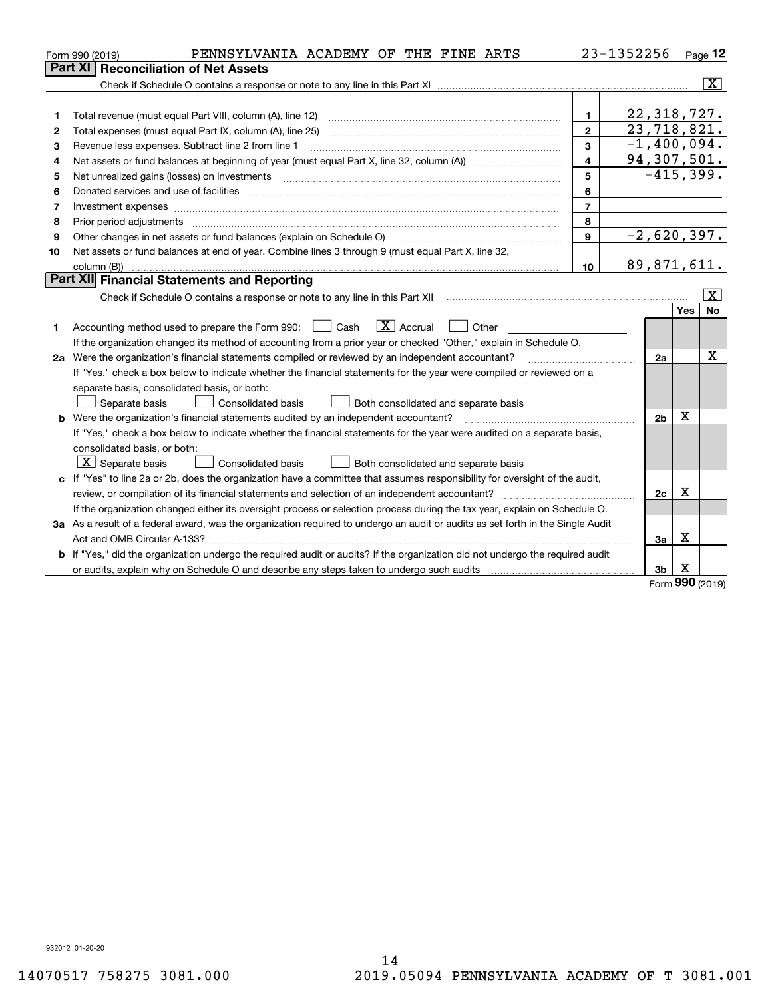|    | PENNSYLVANIA ACADEMY OF THE FINE ARTS<br>Form 990 (2019)                                                                                                                                                                       |                | 23-1352256     |             | Page 12                 |
|----|--------------------------------------------------------------------------------------------------------------------------------------------------------------------------------------------------------------------------------|----------------|----------------|-------------|-------------------------|
|    | <b>Reconciliation of Net Assets</b><br>Part XI                                                                                                                                                                                 |                |                |             |                         |
|    |                                                                                                                                                                                                                                |                |                |             | $ \mathbf{X} $          |
|    |                                                                                                                                                                                                                                |                |                |             |                         |
| 1  | Total revenue (must equal Part VIII, column (A), line 12)                                                                                                                                                                      | $\mathbf{1}$   | 22, 318, 727.  |             |                         |
| 2  | Total expenses (must equal Part IX, column (A), line 25)                                                                                                                                                                       | $\mathbf{2}$   | 23, 718, 821.  |             |                         |
| 3  | Revenue less expenses. Subtract line 2 from line 1                                                                                                                                                                             | 3              | $-1,400,094.$  |             |                         |
| 4  |                                                                                                                                                                                                                                | 4              | 94, 307, 501.  |             |                         |
| 5  |                                                                                                                                                                                                                                | 5              | $-415,399.$    |             |                         |
| 6  | Donated services and use of facilities [111] Donated and the service of facilities [11] Donated services and use of facilities [11] Donated and the service of the service of the service of the service of the service of the | 6              |                |             |                         |
| 7  | Investment expenses www.communication.com/www.communication.com/www.communication.com/www.communication.com                                                                                                                    | $\overline{7}$ |                |             |                         |
| 8  | Prior period adjustments                                                                                                                                                                                                       | 8              |                |             |                         |
| 9  | Other changes in net assets or fund balances (explain on Schedule O)                                                                                                                                                           | 9              | $-2,620,397.$  |             |                         |
| 10 | Net assets or fund balances at end of year. Combine lines 3 through 9 (must equal Part X, line 32,                                                                                                                             |                |                |             |                         |
|    |                                                                                                                                                                                                                                | 10             | 89,871,611.    |             |                         |
|    | Part XII Financial Statements and Reporting                                                                                                                                                                                    |                |                |             |                         |
|    |                                                                                                                                                                                                                                |                |                |             | $\overline{\mathbf{x}}$ |
|    |                                                                                                                                                                                                                                |                |                | Yes         | No                      |
| 1  | $\boxed{\mathbf{X}}$ Accrual<br>Accounting method used to prepare the Form 990: <u>June</u> Cash<br>Other                                                                                                                      |                |                |             |                         |
|    | If the organization changed its method of accounting from a prior year or checked "Other," explain in Schedule O.                                                                                                              |                |                |             |                         |
|    | 2a Were the organization's financial statements compiled or reviewed by an independent accountant?                                                                                                                             |                | 2a             |             | х                       |
|    | If "Yes," check a box below to indicate whether the financial statements for the year were compiled or reviewed on a                                                                                                           |                |                |             |                         |
|    | separate basis, consolidated basis, or both:                                                                                                                                                                                   |                |                |             |                         |
|    | Separate basis<br>Consolidated basis<br>Both consolidated and separate basis                                                                                                                                                   |                |                |             |                         |
|    | <b>b</b> Were the organization's financial statements audited by an independent accountant?                                                                                                                                    |                | 2 <sub>b</sub> | х           |                         |
|    | If "Yes," check a box below to indicate whether the financial statements for the year were audited on a separate basis,                                                                                                        |                |                |             |                         |
|    | consolidated basis, or both:                                                                                                                                                                                                   |                |                |             |                         |
|    | $\vert X \vert$ Separate basis<br>Consolidated basis<br>Both consolidated and separate basis                                                                                                                                   |                |                |             |                         |
|    | c If "Yes" to line 2a or 2b, does the organization have a committee that assumes responsibility for oversight of the audit,                                                                                                    |                |                |             |                         |
|    |                                                                                                                                                                                                                                |                | 2c             | х           |                         |
|    | If the organization changed either its oversight process or selection process during the tax year, explain on Schedule O.                                                                                                      |                |                |             |                         |
|    | 3a As a result of a federal award, was the organization required to undergo an audit or audits as set forth in the Single Audit                                                                                                |                |                |             |                         |
|    |                                                                                                                                                                                                                                |                | 3a             | х           |                         |
|    | b If "Yes," did the organization undergo the required audit or audits? If the organization did not undergo the required audit                                                                                                  |                |                |             |                         |
|    | or audits, explain why on Schedule O and describe any steps taken to undergo such audits                                                                                                                                       |                | 3b             | x<br>$\sim$ |                         |

Form (2019) **990**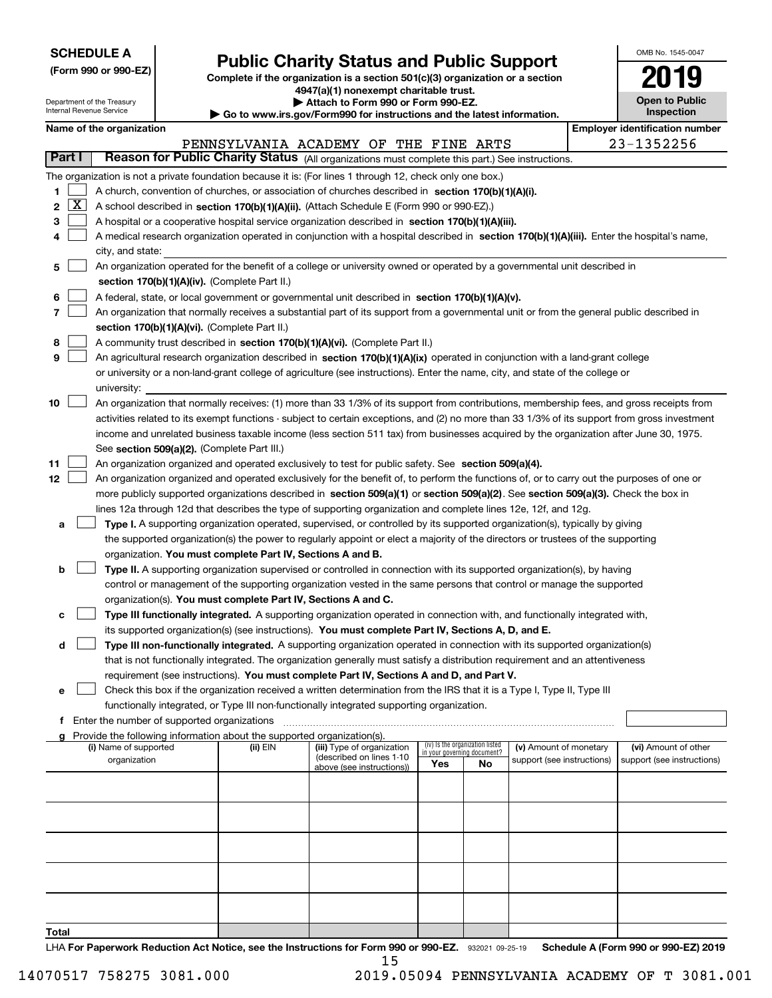| <b>SCHEDULE A</b> |
|-------------------|
|-------------------|

Department of the Treasury

**(Form 990 or 990-EZ)**

## **Public Charity Status and Public Support**

**Complete if the organization is a section 501(c)(3) organization or a section 4947(a)(1) nonexempt charitable trust. | Attach to Form 990 or Form 990-EZ.** 

| OMB No 1545-0047                    |
|-------------------------------------|
| 11 C<br>I)                          |
| <b>Open to Public</b><br>Inspection |

|        |              | Internal Revenue Service                                                                                                  |                                               |                                                                          | Go to www.irs.gov/Form990 for instructions and the latest information.                                                                        |     | Inspection                                                     |                            |  |                                       |  |
|--------|--------------|---------------------------------------------------------------------------------------------------------------------------|-----------------------------------------------|--------------------------------------------------------------------------|-----------------------------------------------------------------------------------------------------------------------------------------------|-----|----------------------------------------------------------------|----------------------------|--|---------------------------------------|--|
|        |              | Name of the organization                                                                                                  |                                               |                                                                          |                                                                                                                                               |     |                                                                |                            |  | <b>Employer identification number</b> |  |
|        |              |                                                                                                                           |                                               |                                                                          | PENNSYLVANIA ACADEMY OF THE FINE ARTS                                                                                                         |     |                                                                |                            |  | 23-1352256                            |  |
| Part I |              |                                                                                                                           |                                               |                                                                          | Reason for Public Charity Status (All organizations must complete this part.) See instructions.                                               |     |                                                                |                            |  |                                       |  |
|        |              |                                                                                                                           |                                               |                                                                          | The organization is not a private foundation because it is: (For lines 1 through 12, check only one box.)                                     |     |                                                                |                            |  |                                       |  |
| 1      |              |                                                                                                                           |                                               |                                                                          | A church, convention of churches, or association of churches described in section 170(b)(1)(A)(i).                                            |     |                                                                |                            |  |                                       |  |
| 2      | $\mathbf{X}$ |                                                                                                                           |                                               |                                                                          | A school described in section 170(b)(1)(A)(ii). (Attach Schedule E (Form 990 or 990-EZ).)                                                     |     |                                                                |                            |  |                                       |  |
| 3      |              |                                                                                                                           |                                               |                                                                          | A hospital or a cooperative hospital service organization described in section 170(b)(1)(A)(iii).                                             |     |                                                                |                            |  |                                       |  |
| 4      |              |                                                                                                                           |                                               |                                                                          | A medical research organization operated in conjunction with a hospital described in section 170(b)(1)(A)(iii). Enter the hospital's name,    |     |                                                                |                            |  |                                       |  |
|        |              | city, and state:                                                                                                          |                                               |                                                                          |                                                                                                                                               |     |                                                                |                            |  |                                       |  |
| 5      |              | An organization operated for the benefit of a college or university owned or operated by a governmental unit described in |                                               |                                                                          |                                                                                                                                               |     |                                                                |                            |  |                                       |  |
|        |              |                                                                                                                           |                                               | section 170(b)(1)(A)(iv). (Complete Part II.)                            |                                                                                                                                               |     |                                                                |                            |  |                                       |  |
| 6      |              |                                                                                                                           |                                               |                                                                          | A federal, state, or local government or governmental unit described in section 170(b)(1)(A)(v).                                              |     |                                                                |                            |  |                                       |  |
| 7      |              |                                                                                                                           |                                               |                                                                          | An organization that normally receives a substantial part of its support from a governmental unit or from the general public described in     |     |                                                                |                            |  |                                       |  |
|        |              |                                                                                                                           |                                               | section 170(b)(1)(A)(vi). (Complete Part II.)                            |                                                                                                                                               |     |                                                                |                            |  |                                       |  |
| 8      |              |                                                                                                                           |                                               |                                                                          | A community trust described in section 170(b)(1)(A)(vi). (Complete Part II.)                                                                  |     |                                                                |                            |  |                                       |  |
| 9      |              |                                                                                                                           |                                               |                                                                          | An agricultural research organization described in section 170(b)(1)(A)(ix) operated in conjunction with a land-grant college                 |     |                                                                |                            |  |                                       |  |
|        |              |                                                                                                                           |                                               |                                                                          | or university or a non-land-grant college of agriculture (see instructions). Enter the name, city, and state of the college or                |     |                                                                |                            |  |                                       |  |
|        |              | university:                                                                                                               |                                               |                                                                          |                                                                                                                                               |     |                                                                |                            |  |                                       |  |
| 10     |              |                                                                                                                           |                                               |                                                                          | An organization that normally receives: (1) more than 33 1/3% of its support from contributions, membership fees, and gross receipts from     |     |                                                                |                            |  |                                       |  |
|        |              |                                                                                                                           |                                               |                                                                          | activities related to its exempt functions - subject to certain exceptions, and (2) no more than 33 1/3% of its support from gross investment |     |                                                                |                            |  |                                       |  |
|        |              |                                                                                                                           |                                               |                                                                          | income and unrelated business taxable income (less section 511 tax) from businesses acquired by the organization after June 30, 1975.         |     |                                                                |                            |  |                                       |  |
|        |              |                                                                                                                           |                                               | See section 509(a)(2). (Complete Part III.)                              |                                                                                                                                               |     |                                                                |                            |  |                                       |  |
| 11     |              |                                                                                                                           |                                               |                                                                          | An organization organized and operated exclusively to test for public safety. See section 509(a)(4).                                          |     |                                                                |                            |  |                                       |  |
| 12     |              |                                                                                                                           |                                               |                                                                          | An organization organized and operated exclusively for the benefit of, to perform the functions of, or to carry out the purposes of one or    |     |                                                                |                            |  |                                       |  |
|        |              |                                                                                                                           |                                               |                                                                          | more publicly supported organizations described in section 509(a)(1) or section 509(a)(2). See section 509(a)(3). Check the box in            |     |                                                                |                            |  |                                       |  |
|        |              |                                                                                                                           |                                               |                                                                          | lines 12a through 12d that describes the type of supporting organization and complete lines 12e, 12f, and 12g.                                |     |                                                                |                            |  |                                       |  |
| а      |              |                                                                                                                           |                                               |                                                                          | Type I. A supporting organization operated, supervised, or controlled by its supported organization(s), typically by giving                   |     |                                                                |                            |  |                                       |  |
|        |              |                                                                                                                           |                                               |                                                                          | the supported organization(s) the power to regularly appoint or elect a majority of the directors or trustees of the supporting               |     |                                                                |                            |  |                                       |  |
|        |              |                                                                                                                           |                                               | organization. You must complete Part IV, Sections A and B.               |                                                                                                                                               |     |                                                                |                            |  |                                       |  |
| b      |              |                                                                                                                           |                                               |                                                                          | Type II. A supporting organization supervised or controlled in connection with its supported organization(s), by having                       |     |                                                                |                            |  |                                       |  |
|        |              |                                                                                                                           |                                               |                                                                          | control or management of the supporting organization vested in the same persons that control or manage the supported                          |     |                                                                |                            |  |                                       |  |
|        |              |                                                                                                                           |                                               | organization(s). You must complete Part IV, Sections A and C.            |                                                                                                                                               |     |                                                                |                            |  |                                       |  |
| c      |              |                                                                                                                           |                                               |                                                                          | Type III functionally integrated. A supporting organization operated in connection with, and functionally integrated with,                    |     |                                                                |                            |  |                                       |  |
|        |              |                                                                                                                           |                                               |                                                                          | its supported organization(s) (see instructions). You must complete Part IV, Sections A, D, and E.                                            |     |                                                                |                            |  |                                       |  |
| d      |              |                                                                                                                           |                                               |                                                                          | Type III non-functionally integrated. A supporting organization operated in connection with its supported organization(s)                     |     |                                                                |                            |  |                                       |  |
|        |              |                                                                                                                           |                                               |                                                                          | that is not functionally integrated. The organization generally must satisfy a distribution requirement and an attentiveness                  |     |                                                                |                            |  |                                       |  |
|        |              |                                                                                                                           |                                               |                                                                          | requirement (see instructions). You must complete Part IV, Sections A and D, and Part V.                                                      |     |                                                                |                            |  |                                       |  |
| е      |              |                                                                                                                           |                                               |                                                                          | Check this box if the organization received a written determination from the IRS that it is a Type I, Type II, Type III                       |     |                                                                |                            |  |                                       |  |
|        |              |                                                                                                                           |                                               |                                                                          | functionally integrated, or Type III non-functionally integrated supporting organization.                                                     |     |                                                                |                            |  |                                       |  |
|        |              |                                                                                                                           | f Enter the number of supported organizations |                                                                          |                                                                                                                                               |     |                                                                |                            |  |                                       |  |
|        |              |                                                                                                                           |                                               | g Provide the following information about the supported organization(s). |                                                                                                                                               |     |                                                                |                            |  |                                       |  |
|        |              | (i) Name of supported                                                                                                     |                                               | (ii) EIN                                                                 | (iii) Type of organization<br>(described on lines 1-10                                                                                        |     | (iv) Is the organization listed<br>in your governing document? | (v) Amount of monetary     |  | (vi) Amount of other                  |  |
|        |              | organization                                                                                                              |                                               |                                                                          | above (see instructions))                                                                                                                     | Yes | No                                                             | support (see instructions) |  | support (see instructions)            |  |
|        |              |                                                                                                                           |                                               |                                                                          |                                                                                                                                               |     |                                                                |                            |  |                                       |  |
|        |              |                                                                                                                           |                                               |                                                                          |                                                                                                                                               |     |                                                                |                            |  |                                       |  |
|        |              |                                                                                                                           |                                               |                                                                          |                                                                                                                                               |     |                                                                |                            |  |                                       |  |
|        |              |                                                                                                                           |                                               |                                                                          |                                                                                                                                               |     |                                                                |                            |  |                                       |  |
|        |              |                                                                                                                           |                                               |                                                                          |                                                                                                                                               |     |                                                                |                            |  |                                       |  |
|        |              |                                                                                                                           |                                               |                                                                          |                                                                                                                                               |     |                                                                |                            |  |                                       |  |
|        |              |                                                                                                                           |                                               |                                                                          |                                                                                                                                               |     |                                                                |                            |  |                                       |  |
|        |              |                                                                                                                           |                                               |                                                                          |                                                                                                                                               |     |                                                                |                            |  |                                       |  |
|        |              |                                                                                                                           |                                               |                                                                          |                                                                                                                                               |     |                                                                |                            |  |                                       |  |

**Total**

LHA For Paperwork Reduction Act Notice, see the Instructions for Form 990 or 990-EZ. 932021 09-25-19 Schedule A (Form 990 or 990-EZ) 2019 15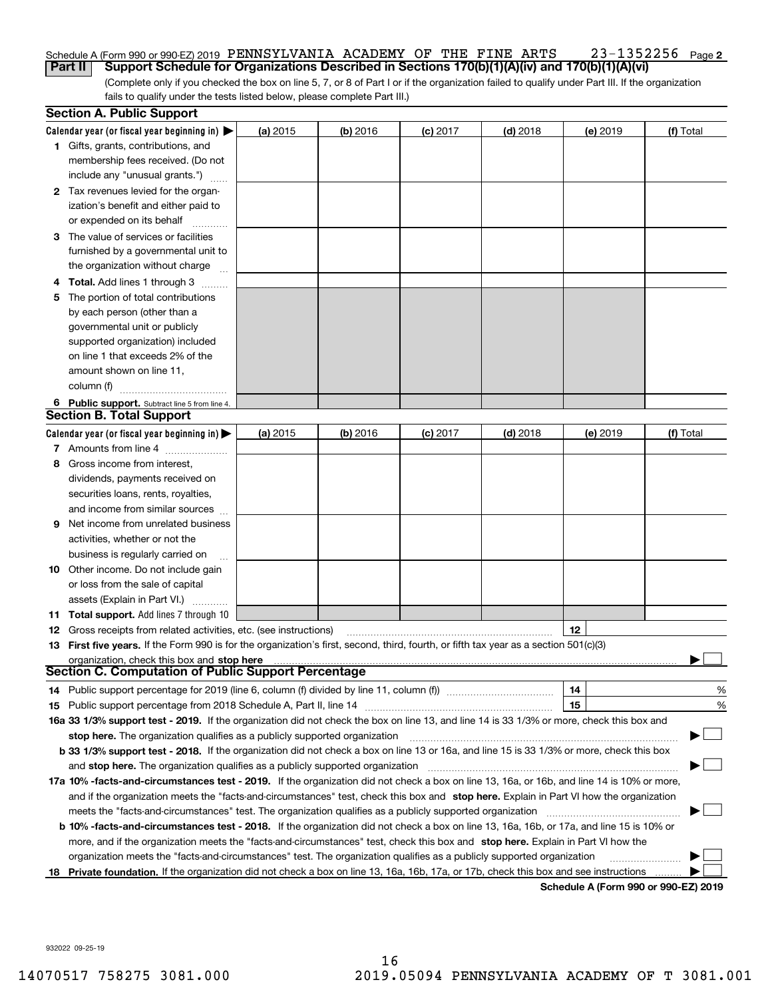### 23-1352256 Page 2 Schedule A (Form 990 or 990-EZ) 2019 PENNSYLVANIA ACADEMY OF THE FINE ARTS  $\qquad \ \ \, 23-1352256$  Page **Part II Support Schedule for Organizations Described in Sections 170(b)(1)(A)(iv) and 170(b)(1)(A)(vi)**

(Complete only if you checked the box on line 5, 7, or 8 of Part I or if the organization failed to qualify under Part III. If the organization fails to qualify under the tests listed below, please complete Part III.)

|    | <b>Section A. Public Support</b>                                                                                                               |          |            |            |            |                                      |           |
|----|------------------------------------------------------------------------------------------------------------------------------------------------|----------|------------|------------|------------|--------------------------------------|-----------|
|    | Calendar year (or fiscal year beginning in) $\blacktriangleright$                                                                              | (a) 2015 | $(b)$ 2016 | $(c)$ 2017 | $(d)$ 2018 | (e) 2019                             | (f) Total |
|    | <b>1</b> Gifts, grants, contributions, and                                                                                                     |          |            |            |            |                                      |           |
|    | membership fees received. (Do not                                                                                                              |          |            |            |            |                                      |           |
|    | include any "unusual grants.")                                                                                                                 |          |            |            |            |                                      |           |
|    | <b>2</b> Tax revenues levied for the organ-                                                                                                    |          |            |            |            |                                      |           |
|    | ization's benefit and either paid to                                                                                                           |          |            |            |            |                                      |           |
|    | or expended on its behalf                                                                                                                      |          |            |            |            |                                      |           |
|    | 3 The value of services or facilities                                                                                                          |          |            |            |            |                                      |           |
|    | furnished by a governmental unit to                                                                                                            |          |            |            |            |                                      |           |
|    | the organization without charge                                                                                                                |          |            |            |            |                                      |           |
|    | 4 Total. Add lines 1 through 3                                                                                                                 |          |            |            |            |                                      |           |
| 5. | The portion of total contributions                                                                                                             |          |            |            |            |                                      |           |
|    | by each person (other than a                                                                                                                   |          |            |            |            |                                      |           |
|    | governmental unit or publicly                                                                                                                  |          |            |            |            |                                      |           |
|    | supported organization) included                                                                                                               |          |            |            |            |                                      |           |
|    | on line 1 that exceeds 2% of the                                                                                                               |          |            |            |            |                                      |           |
|    | amount shown on line 11,                                                                                                                       |          |            |            |            |                                      |           |
|    | column (f)                                                                                                                                     |          |            |            |            |                                      |           |
|    | 6 Public support. Subtract line 5 from line 4.                                                                                                 |          |            |            |            |                                      |           |
|    | <b>Section B. Total Support</b>                                                                                                                |          |            |            |            |                                      |           |
|    | Calendar year (or fiscal year beginning in)                                                                                                    | (a) 2015 | $(b)$ 2016 | $(c)$ 2017 | $(d)$ 2018 | (e) 2019                             | (f) Total |
|    | 7 Amounts from line 4                                                                                                                          |          |            |            |            |                                      |           |
|    | 8 Gross income from interest,                                                                                                                  |          |            |            |            |                                      |           |
|    | dividends, payments received on                                                                                                                |          |            |            |            |                                      |           |
|    | securities loans, rents, royalties,                                                                                                            |          |            |            |            |                                      |           |
|    | and income from similar sources                                                                                                                |          |            |            |            |                                      |           |
| 9. | Net income from unrelated business                                                                                                             |          |            |            |            |                                      |           |
|    | activities, whether or not the                                                                                                                 |          |            |            |            |                                      |           |
|    | business is regularly carried on                                                                                                               |          |            |            |            |                                      |           |
|    | <b>10</b> Other income. Do not include gain                                                                                                    |          |            |            |            |                                      |           |
|    | or loss from the sale of capital                                                                                                               |          |            |            |            |                                      |           |
|    | assets (Explain in Part VI.)                                                                                                                   |          |            |            |            |                                      |           |
|    | <b>11 Total support.</b> Add lines 7 through 10                                                                                                |          |            |            |            |                                      |           |
|    | <b>12</b> Gross receipts from related activities, etc. (see instructions)                                                                      |          |            |            |            | 12                                   |           |
|    | 13 First five years. If the Form 990 is for the organization's first, second, third, fourth, or fifth tax year as a section 501(c)(3)          |          |            |            |            |                                      |           |
|    | organization, check this box and stop here                                                                                                     |          |            |            |            |                                      |           |
|    | <b>Section C. Computation of Public Support Percentage</b>                                                                                     |          |            |            |            |                                      |           |
|    | 14 Public support percentage for 2019 (line 6, column (f) divided by line 11, column (f) <i>manumanomeron</i>                                  |          |            |            |            | 14                                   | %         |
|    |                                                                                                                                                |          |            |            |            | 15                                   | %         |
|    | 16a 33 1/3% support test - 2019. If the organization did not check the box on line 13, and line 14 is 33 1/3% or more, check this box and      |          |            |            |            |                                      |           |
|    | stop here. The organization qualifies as a publicly supported organization                                                                     |          |            |            |            |                                      |           |
|    | b 33 1/3% support test - 2018. If the organization did not check a box on line 13 or 16a, and line 15 is 33 1/3% or more, check this box       |          |            |            |            |                                      |           |
|    | and stop here. The organization qualifies as a publicly supported organization                                                                 |          |            |            |            |                                      |           |
|    | 17a 10% -facts-and-circumstances test - 2019. If the organization did not check a box on line 13, 16a, or 16b, and line 14 is 10% or more,     |          |            |            |            |                                      |           |
|    | and if the organization meets the "facts-and-circumstances" test, check this box and stop here. Explain in Part VI how the organization        |          |            |            |            |                                      |           |
|    | meets the "facts-and-circumstances" test. The organization qualifies as a publicly supported organization                                      |          |            |            |            |                                      |           |
|    | <b>b 10% -facts-and-circumstances test - 2018.</b> If the organization did not check a box on line 13, 16a, 16b, or 17a, and line 15 is 10% or |          |            |            |            |                                      |           |
|    | more, and if the organization meets the "facts-and-circumstances" test, check this box and stop here. Explain in Part VI how the               |          |            |            |            |                                      |           |
|    | organization meets the "facts-and-circumstances" test. The organization qualifies as a publicly supported organization                         |          |            |            |            |                                      |           |
|    | 18 Private foundation. If the organization did not check a box on line 13, 16a, 16b, 17a, or 17b, check this box and see instructions          |          |            |            |            | Schodule A (Form 000 or 000 F7) 2010 |           |

**Schedule A (Form 990 or 990-EZ) 2019**

932022 09-25-19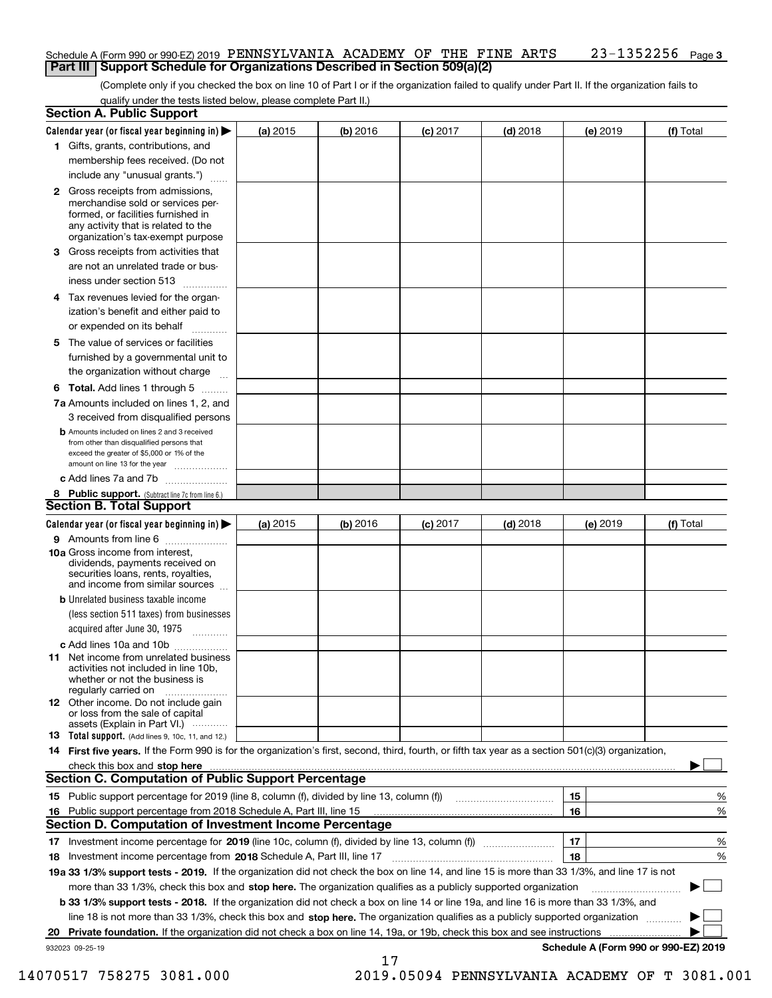#### **3** Schedule A (Form 990 or 990-EZ) 2019 PENNSYLVANIA ACADEMY OF THE FINE ARTS  $\qquad \ \ \, 23-1352256$  Page **Part III Support Schedule for Organizations Described in Section 509(a)(2)**

(Complete only if you checked the box on line 10 of Part I or if the organization failed to qualify under Part II. If the organization fails to qualify under the tests listed below, please complete Part II.)

|    | <b>Section A. Public Support</b>                                                                                                                                                                                               |          |            |            |            |          |                                      |
|----|--------------------------------------------------------------------------------------------------------------------------------------------------------------------------------------------------------------------------------|----------|------------|------------|------------|----------|--------------------------------------|
|    | Calendar year (or fiscal year beginning in) $\blacktriangleright$                                                                                                                                                              | (a) 2015 | $(b)$ 2016 | $(c)$ 2017 | $(d)$ 2018 | (e) 2019 | (f) Total                            |
|    | 1 Gifts, grants, contributions, and                                                                                                                                                                                            |          |            |            |            |          |                                      |
|    | membership fees received. (Do not                                                                                                                                                                                              |          |            |            |            |          |                                      |
|    | include any "unusual grants.")                                                                                                                                                                                                 |          |            |            |            |          |                                      |
|    | 2 Gross receipts from admissions,<br>merchandise sold or services per-<br>formed, or facilities furnished in<br>any activity that is related to the<br>organization's tax-exempt purpose                                       |          |            |            |            |          |                                      |
|    | 3 Gross receipts from activities that<br>are not an unrelated trade or bus-<br>iness under section 513                                                                                                                         |          |            |            |            |          |                                      |
|    | 4 Tax revenues levied for the organ-                                                                                                                                                                                           |          |            |            |            |          |                                      |
|    | ization's benefit and either paid to                                                                                                                                                                                           |          |            |            |            |          |                                      |
|    | or expended on its behalf<br>.                                                                                                                                                                                                 |          |            |            |            |          |                                      |
|    | 5 The value of services or facilities<br>furnished by a governmental unit to<br>the organization without charge                                                                                                                |          |            |            |            |          |                                      |
|    | <b>6 Total.</b> Add lines 1 through 5                                                                                                                                                                                          |          |            |            |            |          |                                      |
|    | 7a Amounts included on lines 1, 2, and<br>3 received from disqualified persons                                                                                                                                                 |          |            |            |            |          |                                      |
|    | <b>b</b> Amounts included on lines 2 and 3 received<br>from other than disqualified persons that<br>exceed the greater of \$5,000 or 1% of the                                                                                 |          |            |            |            |          |                                      |
|    | amount on line 13 for the year                                                                                                                                                                                                 |          |            |            |            |          |                                      |
|    | c Add lines 7a and 7b                                                                                                                                                                                                          |          |            |            |            |          |                                      |
|    | 8 Public support. (Subtract line 7c from line 6.)<br><b>Section B. Total Support</b>                                                                                                                                           |          |            |            |            |          |                                      |
|    | Calendar year (or fiscal year beginning in) $\blacktriangleright$                                                                                                                                                              | (a) 2015 | (b) 2016   | $(c)$ 2017 | $(d)$ 2018 | (e) 2019 | (f) Total                            |
|    | 9 Amounts from line 6                                                                                                                                                                                                          |          |            |            |            |          |                                      |
|    | 10a Gross income from interest,<br>dividends, payments received on<br>securities loans, rents, royalties,<br>and income from similar sources                                                                                   |          |            |            |            |          |                                      |
|    | <b>b</b> Unrelated business taxable income                                                                                                                                                                                     |          |            |            |            |          |                                      |
|    | (less section 511 taxes) from businesses                                                                                                                                                                                       |          |            |            |            |          |                                      |
|    | acquired after June 30, 1975                                                                                                                                                                                                   |          |            |            |            |          |                                      |
|    | c Add lines 10a and 10b<br>11 Net income from unrelated business<br>activities not included in line 10b,<br>whether or not the business is                                                                                     |          |            |            |            |          |                                      |
|    | regularly carried on<br><b>12</b> Other income. Do not include gain                                                                                                                                                            |          |            |            |            |          |                                      |
|    | or loss from the sale of capital<br>assets (Explain in Part VI.)                                                                                                                                                               |          |            |            |            |          |                                      |
|    | 13 Total support. (Add lines 9, 10c, 11, and 12.)                                                                                                                                                                              |          |            |            |            |          |                                      |
|    | 14 First five years. If the Form 990 is for the organization's first, second, third, fourth, or fifth tax year as a section 501(c)(3) organization,                                                                            |          |            |            |            |          |                                      |
|    | check this box and stop here with the continuum control to the change of the state of the state of the change of the state of the change of the change of the state of the change of the change of the change of the change of |          |            |            |            |          |                                      |
|    | <b>Section C. Computation of Public Support Percentage</b>                                                                                                                                                                     |          |            |            |            |          |                                      |
|    | 15 Public support percentage for 2019 (line 8, column (f), divided by line 13, column (f))                                                                                                                                     |          |            |            |            | 15       | %                                    |
|    | 16 Public support percentage from 2018 Schedule A, Part III, line 15<br><b>Section D. Computation of Investment Income Percentage</b>                                                                                          |          |            |            |            | 16       | %                                    |
|    |                                                                                                                                                                                                                                |          |            |            |            |          |                                      |
|    | 17 Investment income percentage for 2019 (line 10c, column (f), divided by line 13, column (f))                                                                                                                                |          |            |            |            | 17<br>18 | %                                    |
|    | <b>18</b> Investment income percentage from <b>2018</b> Schedule A, Part III, line 17                                                                                                                                          |          |            |            |            |          | %                                    |
|    | 19a 33 1/3% support tests - 2019. If the organization did not check the box on line 14, and line 15 is more than 33 1/3%, and line 17 is not                                                                                   |          |            |            |            |          |                                      |
|    | more than 33 1/3%, check this box and stop here. The organization qualifies as a publicly supported organization                                                                                                               |          |            |            |            |          | ▶                                    |
|    | b 33 1/3% support tests - 2018. If the organization did not check a box on line 14 or line 19a, and line 16 is more than 33 1/3%, and                                                                                          |          |            |            |            |          |                                      |
|    | line 18 is not more than 33 1/3%, check this box and stop here. The organization qualifies as a publicly supported organization                                                                                                |          |            |            |            |          |                                      |
| 20 | Private foundation. If the organization did not check a box on line 14, 19a, or 19b, check this box and see instructions                                                                                                       |          |            |            |            |          | Schedule A (Form 990 or 990-EZ) 2019 |
|    | 932023 09-25-19                                                                                                                                                                                                                |          |            |            |            |          |                                      |

17

14070517 758275 3081.000 2019.05094 PENNSYLVANIA ACADEMY OF T 3081.001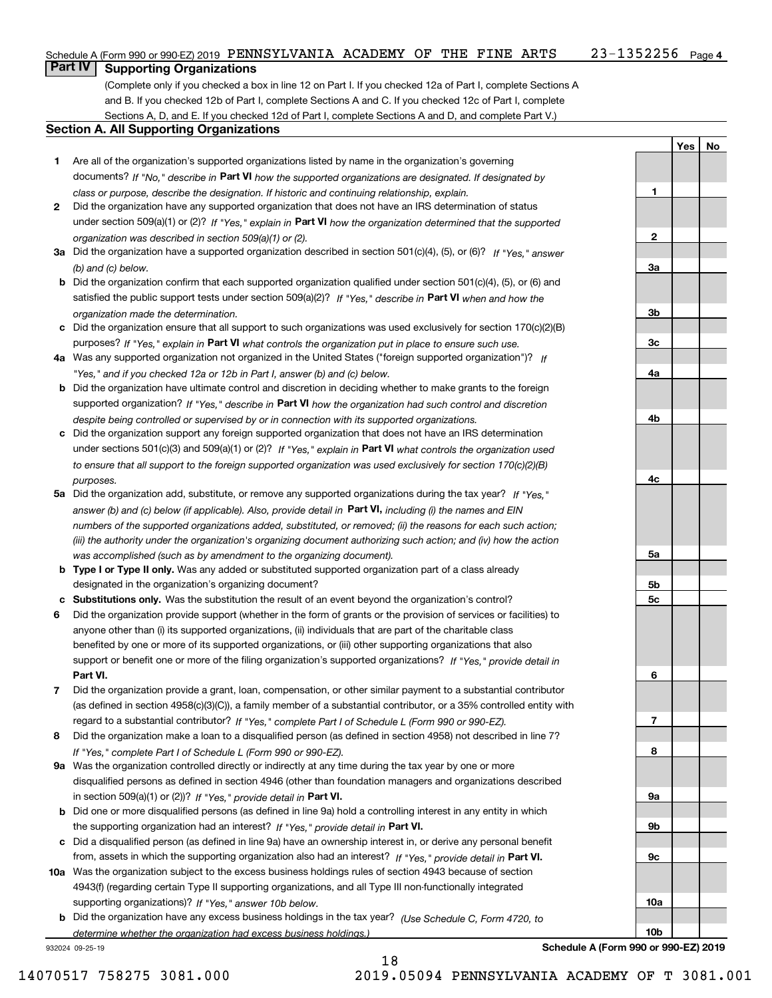#### 23-1352256 Page 4 Schedule A (Form 990 or 990-EZ) 2019 PENNSYLVANIA ACADEMY OF THE FINE ARTS  $\qquad \ \ \, 23-1352256$  Page

## **Part IV Supporting Organizations**

(Complete only if you checked a box in line 12 on Part I. If you checked 12a of Part I, complete Sections A and B. If you checked 12b of Part I, complete Sections A and C. If you checked 12c of Part I, complete Sections A, D, and E. If you checked 12d of Part I, complete Sections A and D, and complete Part V.)

## **Section A. All Supporting Organizations**

- **1** Are all of the organization's supported organizations listed by name in the organization's governing documents? If "No," describe in **Part VI** how the supported organizations are designated. If designated by *class or purpose, describe the designation. If historic and continuing relationship, explain.*
- **2** Did the organization have any supported organization that does not have an IRS determination of status under section 509(a)(1) or (2)? If "Yes," explain in Part VI how the organization determined that the supported *organization was described in section 509(a)(1) or (2).*
- **3a** Did the organization have a supported organization described in section 501(c)(4), (5), or (6)? If "Yes," answer *(b) and (c) below.*
- **b** Did the organization confirm that each supported organization qualified under section 501(c)(4), (5), or (6) and satisfied the public support tests under section 509(a)(2)? If "Yes," describe in **Part VI** when and how the *organization made the determination.*
- **c**Did the organization ensure that all support to such organizations was used exclusively for section 170(c)(2)(B) purposes? If "Yes," explain in **Part VI** what controls the organization put in place to ensure such use.
- **4a***If* Was any supported organization not organized in the United States ("foreign supported organization")? *"Yes," and if you checked 12a or 12b in Part I, answer (b) and (c) below.*
- **b** Did the organization have ultimate control and discretion in deciding whether to make grants to the foreign supported organization? If "Yes," describe in **Part VI** how the organization had such control and discretion *despite being controlled or supervised by or in connection with its supported organizations.*
- **c** Did the organization support any foreign supported organization that does not have an IRS determination under sections 501(c)(3) and 509(a)(1) or (2)? If "Yes," explain in **Part VI** what controls the organization used *to ensure that all support to the foreign supported organization was used exclusively for section 170(c)(2)(B) purposes.*
- **5a** Did the organization add, substitute, or remove any supported organizations during the tax year? If "Yes," answer (b) and (c) below (if applicable). Also, provide detail in **Part VI,** including (i) the names and EIN *numbers of the supported organizations added, substituted, or removed; (ii) the reasons for each such action; (iii) the authority under the organization's organizing document authorizing such action; and (iv) how the action was accomplished (such as by amendment to the organizing document).*
- **b** Type I or Type II only. Was any added or substituted supported organization part of a class already designated in the organization's organizing document?
- **cSubstitutions only.**  Was the substitution the result of an event beyond the organization's control?
- **6** Did the organization provide support (whether in the form of grants or the provision of services or facilities) to **Part VI.** *If "Yes," provide detail in* support or benefit one or more of the filing organization's supported organizations? anyone other than (i) its supported organizations, (ii) individuals that are part of the charitable class benefited by one or more of its supported organizations, or (iii) other supporting organizations that also
- **7**Did the organization provide a grant, loan, compensation, or other similar payment to a substantial contributor *If "Yes," complete Part I of Schedule L (Form 990 or 990-EZ).* regard to a substantial contributor? (as defined in section 4958(c)(3)(C)), a family member of a substantial contributor, or a 35% controlled entity with
- **8** Did the organization make a loan to a disqualified person (as defined in section 4958) not described in line 7? *If "Yes," complete Part I of Schedule L (Form 990 or 990-EZ).*
- **9a** Was the organization controlled directly or indirectly at any time during the tax year by one or more in section 509(a)(1) or (2))? If "Yes," *provide detail in* <code>Part VI.</code> disqualified persons as defined in section 4946 (other than foundation managers and organizations described
- **b** Did one or more disqualified persons (as defined in line 9a) hold a controlling interest in any entity in which the supporting organization had an interest? If "Yes," provide detail in P**art VI**.
- **c**Did a disqualified person (as defined in line 9a) have an ownership interest in, or derive any personal benefit from, assets in which the supporting organization also had an interest? If "Yes," provide detail in P**art VI.**
- **10a** Was the organization subject to the excess business holdings rules of section 4943 because of section supporting organizations)? If "Yes," answer 10b below. 4943(f) (regarding certain Type II supporting organizations, and all Type III non-functionally integrated
- **b** Did the organization have any excess business holdings in the tax year? (Use Schedule C, Form 4720, to *determine whether the organization had excess business holdings.)*

18

932024 09-25-19

**Schedule A (Form 990 or 990-EZ) 2019**

**YesNo**

**1**

**2**

**3a**

**3b**

**3c**

**4a**

**4b**

**4c**

**5a**

**5b5c**

**6**

**7**

**8**

**9a**

**9b**

**9c**

**10a**

**10b**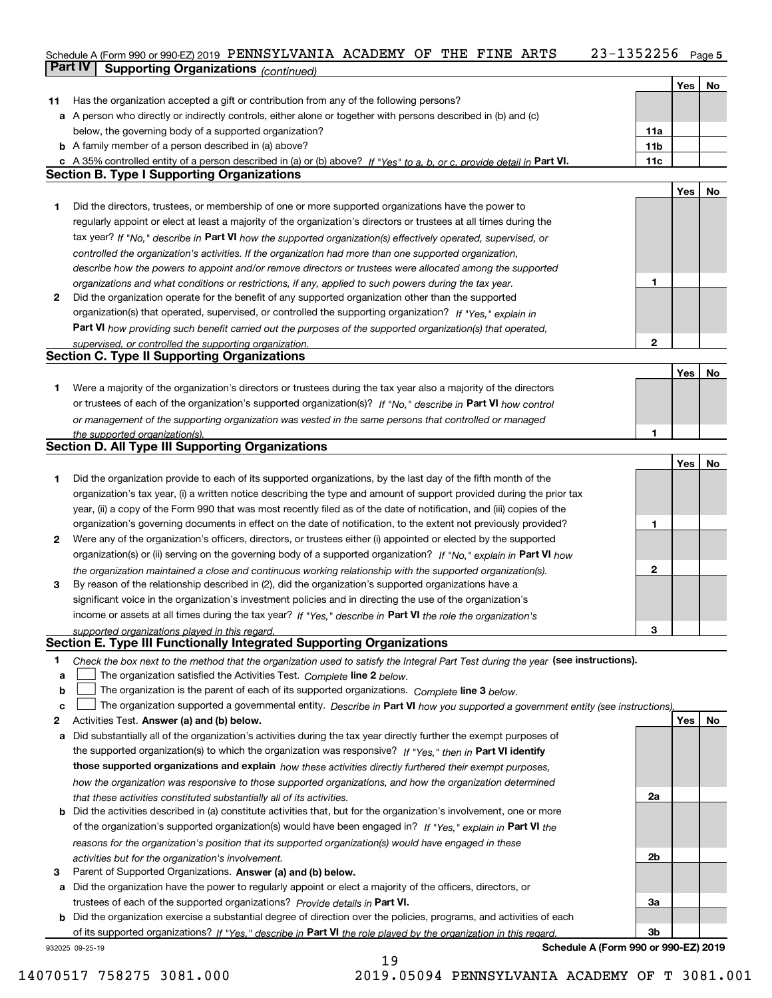## Schedule A (Form 990 or 990-EZ) 2019 PENNSYLVANIA ACADEMY OF THE FINE ARTS 23-1352256 <sub>Page 5</sub> **Part IV Supporting Organizations** *(continued)*

|    |                                                                                                                                   |                 | Yes | No  |
|----|-----------------------------------------------------------------------------------------------------------------------------------|-----------------|-----|-----|
| 11 | Has the organization accepted a gift or contribution from any of the following persons?                                           |                 |     |     |
|    | a A person who directly or indirectly controls, either alone or together with persons described in (b) and (c)                    |                 |     |     |
|    | below, the governing body of a supported organization?                                                                            | 11a             |     |     |
|    | <b>b</b> A family member of a person described in (a) above?                                                                      | 11 <sub>b</sub> |     |     |
|    | c A 35% controlled entity of a person described in (a) or (b) above? If "Yes" to a, b, or c, provide detail in Part VI.           | 11c             |     |     |
|    | <b>Section B. Type I Supporting Organizations</b>                                                                                 |                 |     |     |
|    |                                                                                                                                   |                 | Yes | No  |
|    | Did the directors, trustees, or membership of one or more supported organizations have the power to                               |                 |     |     |
| 1  |                                                                                                                                   |                 |     |     |
|    | regularly appoint or elect at least a majority of the organization's directors or trustees at all times during the                |                 |     |     |
|    | tax year? If "No," describe in Part VI how the supported organization(s) effectively operated, supervised, or                     |                 |     |     |
|    | controlled the organization's activities. If the organization had more than one supported organization,                           |                 |     |     |
|    | describe how the powers to appoint and/or remove directors or trustees were allocated among the supported                         |                 |     |     |
|    | organizations and what conditions or restrictions, if any, applied to such powers during the tax year.                            | 1               |     |     |
| 2  | Did the organization operate for the benefit of any supported organization other than the supported                               |                 |     |     |
|    | organization(s) that operated, supervised, or controlled the supporting organization? If "Yes," explain in                        |                 |     |     |
|    | Part VI how providing such benefit carried out the purposes of the supported organization(s) that operated,                       |                 |     |     |
|    | supervised, or controlled the supporting organization.                                                                            | 2               |     |     |
|    | <b>Section C. Type II Supporting Organizations</b>                                                                                |                 |     |     |
|    |                                                                                                                                   |                 | Yes | No  |
| 1  | Were a majority of the organization's directors or trustees during the tax year also a majority of the directors                  |                 |     |     |
|    | or trustees of each of the organization's supported organization(s)? If "No," describe in Part VI how control                     |                 |     |     |
|    | or management of the supporting organization was vested in the same persons that controlled or managed                            |                 |     |     |
|    | the supported organization(s).                                                                                                    | 1               |     |     |
|    | <b>Section D. All Type III Supporting Organizations</b>                                                                           |                 |     |     |
|    |                                                                                                                                   |                 | Yes | No  |
| 1  | Did the organization provide to each of its supported organizations, by the last day of the fifth month of the                    |                 |     |     |
|    | organization's tax year, (i) a written notice describing the type and amount of support provided during the prior tax             |                 |     |     |
|    | year, (ii) a copy of the Form 990 that was most recently filed as of the date of notification, and (iii) copies of the            |                 |     |     |
|    | organization's governing documents in effect on the date of notification, to the extent not previously provided?                  | 1               |     |     |
| 2  | Were any of the organization's officers, directors, or trustees either (i) appointed or elected by the supported                  |                 |     |     |
|    | organization(s) or (ii) serving on the governing body of a supported organization? If "No," explain in Part VI how                |                 |     |     |
|    | the organization maintained a close and continuous working relationship with the supported organization(s).                       | 2               |     |     |
| 3  | By reason of the relationship described in (2), did the organization's supported organizations have a                             |                 |     |     |
|    | significant voice in the organization's investment policies and in directing the use of the organization's                        |                 |     |     |
|    | income or assets at all times during the tax year? If "Yes," describe in Part VI the role the organization's                      |                 |     |     |
|    | supported organizations played in this regard.                                                                                    | 3               |     |     |
|    | Section E. Type III Functionally Integrated Supporting Organizations                                                              |                 |     |     |
| 1. | Check the box next to the method that the organization used to satisfy the Integral Part Test during the year (see instructions). |                 |     |     |
| a  | The organization satisfied the Activities Test. Complete line 2 below.                                                            |                 |     |     |
| b  | The organization is the parent of each of its supported organizations. Complete line 3 below.                                     |                 |     |     |
| c  | The organization supported a governmental entity. Describe in Part VI how you supported a government entity (see instructions),   |                 |     |     |
| 2  | Activities Test. Answer (a) and (b) below.                                                                                        |                 | Yes | No. |
| a  | Did substantially all of the organization's activities during the tax year directly further the exempt purposes of                |                 |     |     |
|    | the supported organization(s) to which the organization was responsive? If "Yes," then in Part VI identify                        |                 |     |     |
|    | those supported organizations and explain how these activities directly furthered their exempt purposes,                          |                 |     |     |
|    | how the organization was responsive to those supported organizations, and how the organization determined                         |                 |     |     |
|    | that these activities constituted substantially all of its activities.                                                            | 2a              |     |     |
|    | <b>b</b> Did the activities described in (a) constitute activities that, but for the organization's involvement, one or more      |                 |     |     |
|    | of the organization's supported organization(s) would have been engaged in? If "Yes," explain in Part VI the                      |                 |     |     |
|    | reasons for the organization's position that its supported organization(s) would have engaged in these                            |                 |     |     |
|    | activities but for the organization's involvement.                                                                                | 2b              |     |     |
| 3  | Parent of Supported Organizations. Answer (a) and (b) below.                                                                      |                 |     |     |
|    | a Did the organization have the power to regularly appoint or elect a majority of the officers, directors, or                     |                 |     |     |
|    | trustees of each of the supported organizations? Provide details in Part VI.                                                      | За              |     |     |
|    | <b>b</b> Did the organization exercise a substantial degree of direction over the policies, programs, and activities of each      |                 |     |     |
|    | of its supported organizations? If "Yes," describe in Part VI the role played by the organization in this regard.                 | 3b              |     |     |
|    | Schedule A (Form 990 or 990-EZ) 2019<br>932025 09-25-19                                                                           |                 |     |     |
|    |                                                                                                                                   |                 |     |     |

19

14070517 758275 3081.000 2019.05094 PENNSYLVANIA ACADEMY OF T 3081.001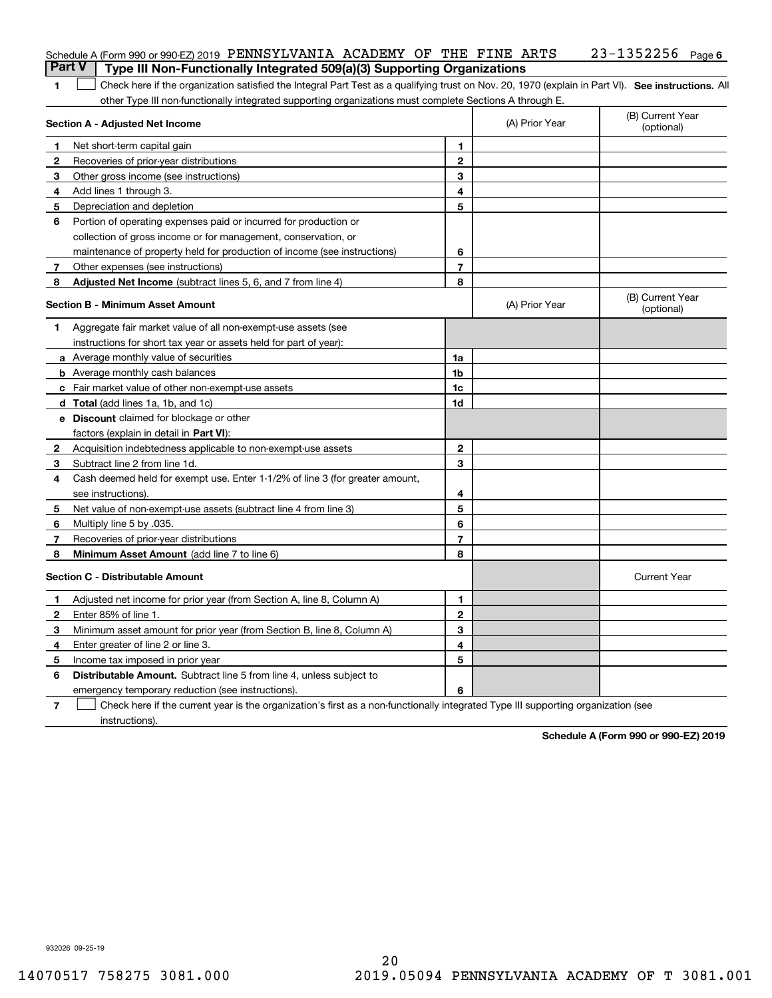| <b>Part V</b>  | Schedule A (Form 990 or 990-EZ) 2019 PENNSYLVANIA ACADEMY OF THE FINE ARTS<br>Type III Non-Functionally Integrated 509(a)(3) Supporting Organizations |              |                | $23 - 1352256$ Page 6          |
|----------------|-------------------------------------------------------------------------------------------------------------------------------------------------------|--------------|----------------|--------------------------------|
| 1              | Check here if the organization satisfied the Integral Part Test as a qualifying trust on Nov. 20, 1970 (explain in Part VI). See instructions. All    |              |                |                                |
|                | other Type III non-functionally integrated supporting organizations must complete Sections A through E.                                               |              |                |                                |
|                | Section A - Adjusted Net Income                                                                                                                       |              | (A) Prior Year | (B) Current Year<br>(optional) |
| 1              | Net short-term capital gain                                                                                                                           | 1            |                |                                |
| 2              | Recoveries of prior-year distributions                                                                                                                | $\mathbf 2$  |                |                                |
| 3              | Other gross income (see instructions)                                                                                                                 | 3            |                |                                |
| 4              | Add lines 1 through 3.                                                                                                                                | 4            |                |                                |
| 5              | Depreciation and depletion                                                                                                                            | 5            |                |                                |
| 6              | Portion of operating expenses paid or incurred for production or                                                                                      |              |                |                                |
|                | collection of gross income or for management, conservation, or                                                                                        |              |                |                                |
|                | maintenance of property held for production of income (see instructions)                                                                              | 6            |                |                                |
| 7              | Other expenses (see instructions)                                                                                                                     | 7            |                |                                |
| 8              | <b>Adjusted Net Income</b> (subtract lines 5, 6, and 7 from line 4)                                                                                   | 8            |                |                                |
|                | <b>Section B - Minimum Asset Amount</b>                                                                                                               |              | (A) Prior Year | (B) Current Year<br>(optional) |
| 1              | Aggregate fair market value of all non-exempt-use assets (see                                                                                         |              |                |                                |
|                | instructions for short tax year or assets held for part of year):                                                                                     |              |                |                                |
|                | <b>a</b> Average monthly value of securities                                                                                                          | 1a           |                |                                |
|                | <b>b</b> Average monthly cash balances                                                                                                                | 1b           |                |                                |
|                | c Fair market value of other non-exempt-use assets                                                                                                    | 1c           |                |                                |
|                | d Total (add lines 1a, 1b, and 1c)                                                                                                                    | 1d           |                |                                |
|                | <b>e</b> Discount claimed for blockage or other                                                                                                       |              |                |                                |
|                | factors (explain in detail in Part VI):                                                                                                               |              |                |                                |
| 2              | Acquisition indebtedness applicable to non-exempt-use assets                                                                                          | $\mathbf{2}$ |                |                                |
| 3              | Subtract line 2 from line 1d.                                                                                                                         | 3            |                |                                |
| 4              | Cash deemed held for exempt use. Enter 1-1/2% of line 3 (for greater amount,                                                                          |              |                |                                |
|                | see instructions).                                                                                                                                    | 4            |                |                                |
| 5              | Net value of non-exempt-use assets (subtract line 4 from line 3)                                                                                      | 5            |                |                                |
| 6              | Multiply line 5 by .035.                                                                                                                              | 6            |                |                                |
| 7              | Recoveries of prior-year distributions                                                                                                                | 7            |                |                                |
| 8              | Minimum Asset Amount (add line 7 to line 6)                                                                                                           | 8            |                |                                |
|                | <b>Section C - Distributable Amount</b>                                                                                                               |              |                | <b>Current Year</b>            |
| 1.             | Adjusted net income for prior year (from Section A, line 8, Column A)                                                                                 | 1            |                |                                |
| 2              | Enter 85% of line 1.                                                                                                                                  | 2            |                |                                |
| 3              | Minimum asset amount for prior year (from Section B, line 8, Column A)                                                                                | 3            |                |                                |
| 4              | Enter greater of line 2 or line 3.                                                                                                                    | 4            |                |                                |
| 5              | Income tax imposed in prior year                                                                                                                      | 5            |                |                                |
| 6              | Distributable Amount. Subtract line 5 from line 4, unless subject to                                                                                  |              |                |                                |
|                | emergency temporary reduction (see instructions).                                                                                                     | 6            |                |                                |
| $\overline{7}$ | Check here if the current year is the organization's first as a non-functionally integrated Type III supporting organization (see                     |              |                |                                |

instructions).

**Schedule A (Form 990 or 990-EZ) 2019**

932026 09-25-19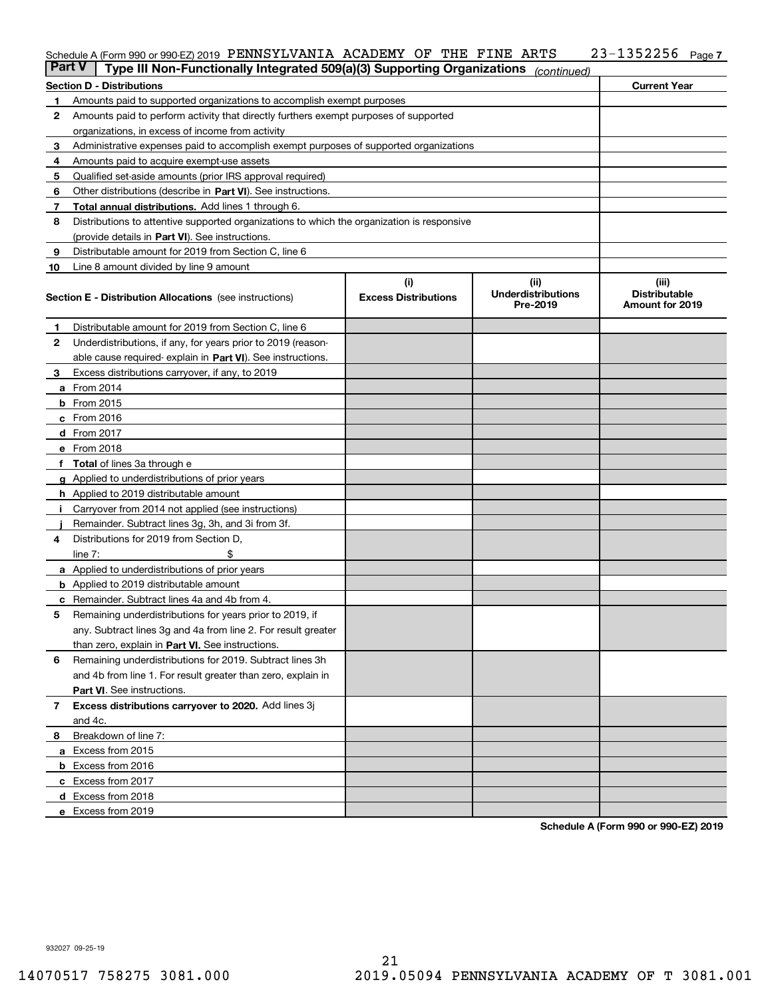#### **7** Schedule A (Form 990 or 990-EZ) 2019 PENNSYLVANIA ACADEMY OF THE FINE ARTS  $\qquad \ \ \, 23-1352256$  Page

| <b>Part V</b> | Type III Non-Functionally Integrated 509(a)(3) Supporting Organizations                    |                                    | (continued)                                   |                                                         |
|---------------|--------------------------------------------------------------------------------------------|------------------------------------|-----------------------------------------------|---------------------------------------------------------|
|               | <b>Section D - Distributions</b>                                                           |                                    |                                               | <b>Current Year</b>                                     |
| 1             | Amounts paid to supported organizations to accomplish exempt purposes                      |                                    |                                               |                                                         |
| 2             | Amounts paid to perform activity that directly furthers exempt purposes of supported       |                                    |                                               |                                                         |
|               | organizations, in excess of income from activity                                           |                                    |                                               |                                                         |
| 3             | Administrative expenses paid to accomplish exempt purposes of supported organizations      |                                    |                                               |                                                         |
| 4             | Amounts paid to acquire exempt-use assets                                                  |                                    |                                               |                                                         |
| 5             | Qualified set-aside amounts (prior IRS approval required)                                  |                                    |                                               |                                                         |
| 6             | Other distributions (describe in Part VI). See instructions.                               |                                    |                                               |                                                         |
| 7             | <b>Total annual distributions.</b> Add lines 1 through 6.                                  |                                    |                                               |                                                         |
| 8             | Distributions to attentive supported organizations to which the organization is responsive |                                    |                                               |                                                         |
|               | (provide details in Part VI). See instructions.                                            |                                    |                                               |                                                         |
| 9             | Distributable amount for 2019 from Section C, line 6                                       |                                    |                                               |                                                         |
| 10            | Line 8 amount divided by line 9 amount                                                     |                                    |                                               |                                                         |
|               | <b>Section E - Distribution Allocations</b> (see instructions)                             | (i)<br><b>Excess Distributions</b> | (ii)<br><b>Underdistributions</b><br>Pre-2019 | (iii)<br><b>Distributable</b><br><b>Amount for 2019</b> |
| 1             | Distributable amount for 2019 from Section C, line 6                                       |                                    |                                               |                                                         |
| 2             | Underdistributions, if any, for years prior to 2019 (reason-                               |                                    |                                               |                                                         |
|               | able cause required- explain in Part VI). See instructions.                                |                                    |                                               |                                                         |
| З             | Excess distributions carryover, if any, to 2019                                            |                                    |                                               |                                                         |
|               | <b>a</b> From 2014                                                                         |                                    |                                               |                                                         |
|               | <b>b</b> From $2015$                                                                       |                                    |                                               |                                                         |
|               | $c$ From 2016                                                                              |                                    |                                               |                                                         |
|               | d From 2017                                                                                |                                    |                                               |                                                         |
|               | e From 2018                                                                                |                                    |                                               |                                                         |
|               | Total of lines 3a through e                                                                |                                    |                                               |                                                         |
| g             | Applied to underdistributions of prior years                                               |                                    |                                               |                                                         |
|               | h Applied to 2019 distributable amount                                                     |                                    |                                               |                                                         |
|               | Carryover from 2014 not applied (see instructions)                                         |                                    |                                               |                                                         |
|               | Remainder. Subtract lines 3g, 3h, and 3i from 3f.                                          |                                    |                                               |                                                         |
| 4             | Distributions for 2019 from Section D,                                                     |                                    |                                               |                                                         |
|               | line $7:$                                                                                  |                                    |                                               |                                                         |
|               | <b>a</b> Applied to underdistributions of prior years                                      |                                    |                                               |                                                         |
|               | <b>b</b> Applied to 2019 distributable amount                                              |                                    |                                               |                                                         |
|               | c Remainder. Subtract lines 4a and 4b from 4.                                              |                                    |                                               |                                                         |
| 5             | Remaining underdistributions for years prior to 2019, if                                   |                                    |                                               |                                                         |
|               | any. Subtract lines 3g and 4a from line 2. For result greater                              |                                    |                                               |                                                         |
|               | than zero, explain in Part VI. See instructions.                                           |                                    |                                               |                                                         |
| 6             | Remaining underdistributions for 2019. Subtract lines 3h                                   |                                    |                                               |                                                         |
|               | and 4b from line 1. For result greater than zero, explain in                               |                                    |                                               |                                                         |
|               | Part VI. See instructions.                                                                 |                                    |                                               |                                                         |
| 7             | Excess distributions carryover to 2020. Add lines 3j                                       |                                    |                                               |                                                         |
|               | and 4c.                                                                                    |                                    |                                               |                                                         |
| 8             | Breakdown of line 7:                                                                       |                                    |                                               |                                                         |
|               | a Excess from 2015                                                                         |                                    |                                               |                                                         |
|               | <b>b</b> Excess from 2016                                                                  |                                    |                                               |                                                         |
|               | c Excess from 2017                                                                         |                                    |                                               |                                                         |
|               | d Excess from 2018                                                                         |                                    |                                               |                                                         |
|               | e Excess from 2019                                                                         |                                    |                                               |                                                         |

**Schedule A (Form 990 or 990-EZ) 2019**

932027 09-25-19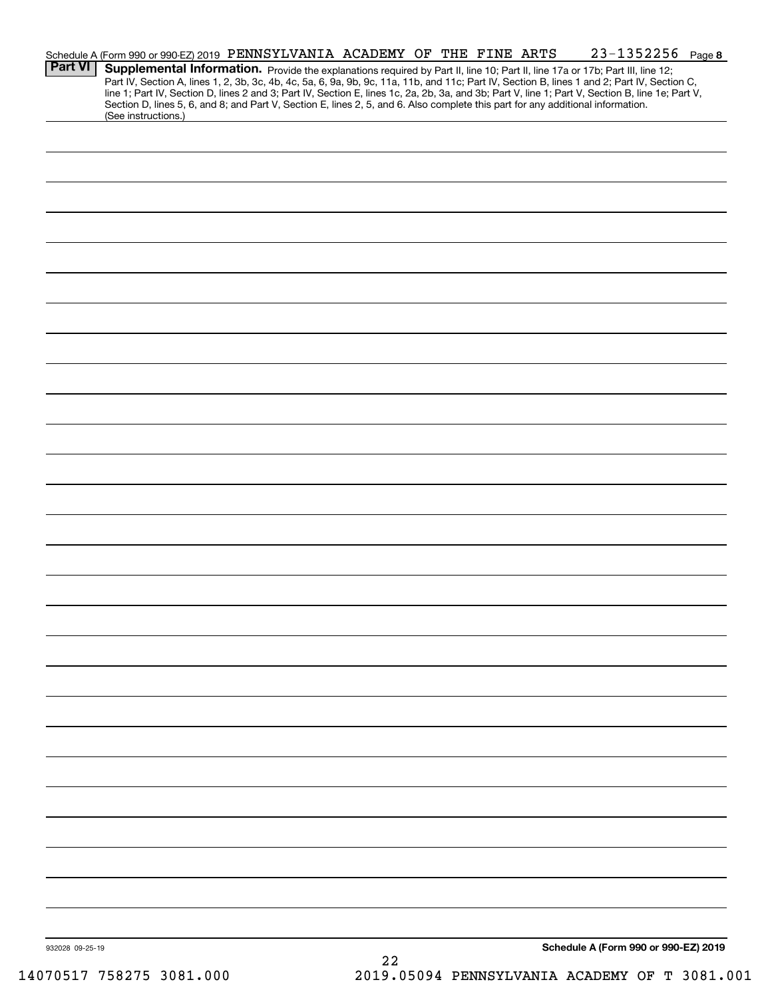|                 |                     | Schedule A (Form 990 or 990-EZ) 2019 PENNSYLVANIA ACADEMY OF THE FINE ARTS                                                                                                                                                                                                                       |   |  | $23 - 1352256$ Page 8                |  |
|-----------------|---------------------|--------------------------------------------------------------------------------------------------------------------------------------------------------------------------------------------------------------------------------------------------------------------------------------------------|---|--|--------------------------------------|--|
| <b>Part VI</b>  |                     | Supplemental Information. Provide the explanations required by Part II, line 10; Part II, line 17a or 17b; Part III, line 12;                                                                                                                                                                    |   |  |                                      |  |
|                 |                     | Part IV, Section A, lines 1, 2, 3b, 3c, 4b, 4c, 5a, 6, 9a, 9b, 9c, 11a, 11b, and 11c; Part IV, Section B, lines 1 and 2; Part IV, Section C,<br>line 1; Part IV, Section D, lines 2 and 3; Part IV, Section E, lines 1c, 2a, 2b, 3a, and 3b; Part V, line 1; Part V, Section B, line 1e; Part V, |   |  |                                      |  |
|                 | (See instructions.) | Section D, lines 5, 6, and 8; and Part V, Section E, lines 2, 5, and 6. Also complete this part for any additional information.                                                                                                                                                                  |   |  |                                      |  |
|                 |                     |                                                                                                                                                                                                                                                                                                  |   |  |                                      |  |
|                 |                     |                                                                                                                                                                                                                                                                                                  |   |  |                                      |  |
|                 |                     |                                                                                                                                                                                                                                                                                                  |   |  |                                      |  |
|                 |                     |                                                                                                                                                                                                                                                                                                  |   |  |                                      |  |
|                 |                     |                                                                                                                                                                                                                                                                                                  |   |  |                                      |  |
|                 |                     |                                                                                                                                                                                                                                                                                                  |   |  |                                      |  |
|                 |                     |                                                                                                                                                                                                                                                                                                  |   |  |                                      |  |
|                 |                     |                                                                                                                                                                                                                                                                                                  |   |  |                                      |  |
|                 |                     |                                                                                                                                                                                                                                                                                                  |   |  |                                      |  |
|                 |                     |                                                                                                                                                                                                                                                                                                  |   |  |                                      |  |
|                 |                     |                                                                                                                                                                                                                                                                                                  |   |  |                                      |  |
|                 |                     |                                                                                                                                                                                                                                                                                                  |   |  |                                      |  |
|                 |                     |                                                                                                                                                                                                                                                                                                  |   |  |                                      |  |
|                 |                     |                                                                                                                                                                                                                                                                                                  |   |  |                                      |  |
|                 |                     |                                                                                                                                                                                                                                                                                                  |   |  |                                      |  |
|                 |                     |                                                                                                                                                                                                                                                                                                  |   |  |                                      |  |
|                 |                     |                                                                                                                                                                                                                                                                                                  |   |  |                                      |  |
|                 |                     |                                                                                                                                                                                                                                                                                                  |   |  |                                      |  |
|                 |                     |                                                                                                                                                                                                                                                                                                  |   |  |                                      |  |
|                 |                     |                                                                                                                                                                                                                                                                                                  |   |  |                                      |  |
|                 |                     |                                                                                                                                                                                                                                                                                                  |   |  |                                      |  |
|                 |                     |                                                                                                                                                                                                                                                                                                  |   |  |                                      |  |
|                 |                     |                                                                                                                                                                                                                                                                                                  |   |  |                                      |  |
|                 |                     |                                                                                                                                                                                                                                                                                                  |   |  |                                      |  |
|                 |                     |                                                                                                                                                                                                                                                                                                  |   |  |                                      |  |
|                 |                     |                                                                                                                                                                                                                                                                                                  |   |  |                                      |  |
|                 |                     |                                                                                                                                                                                                                                                                                                  |   |  |                                      |  |
|                 |                     |                                                                                                                                                                                                                                                                                                  |   |  |                                      |  |
|                 |                     |                                                                                                                                                                                                                                                                                                  |   |  |                                      |  |
|                 |                     |                                                                                                                                                                                                                                                                                                  |   |  |                                      |  |
|                 |                     |                                                                                                                                                                                                                                                                                                  |   |  |                                      |  |
|                 |                     |                                                                                                                                                                                                                                                                                                  |   |  |                                      |  |
|                 |                     |                                                                                                                                                                                                                                                                                                  |   |  |                                      |  |
|                 |                     |                                                                                                                                                                                                                                                                                                  |   |  |                                      |  |
|                 |                     |                                                                                                                                                                                                                                                                                                  |   |  |                                      |  |
|                 |                     |                                                                                                                                                                                                                                                                                                  |   |  |                                      |  |
|                 |                     |                                                                                                                                                                                                                                                                                                  |   |  |                                      |  |
|                 |                     |                                                                                                                                                                                                                                                                                                  |   |  |                                      |  |
|                 |                     |                                                                                                                                                                                                                                                                                                  |   |  |                                      |  |
|                 |                     |                                                                                                                                                                                                                                                                                                  |   |  |                                      |  |
|                 |                     |                                                                                                                                                                                                                                                                                                  |   |  |                                      |  |
|                 |                     |                                                                                                                                                                                                                                                                                                  |   |  |                                      |  |
|                 |                     |                                                                                                                                                                                                                                                                                                  |   |  |                                      |  |
|                 |                     |                                                                                                                                                                                                                                                                                                  |   |  |                                      |  |
| 932028 09-25-19 |                     |                                                                                                                                                                                                                                                                                                  | ົ |  | Schedule A (Form 990 or 990-EZ) 2019 |  |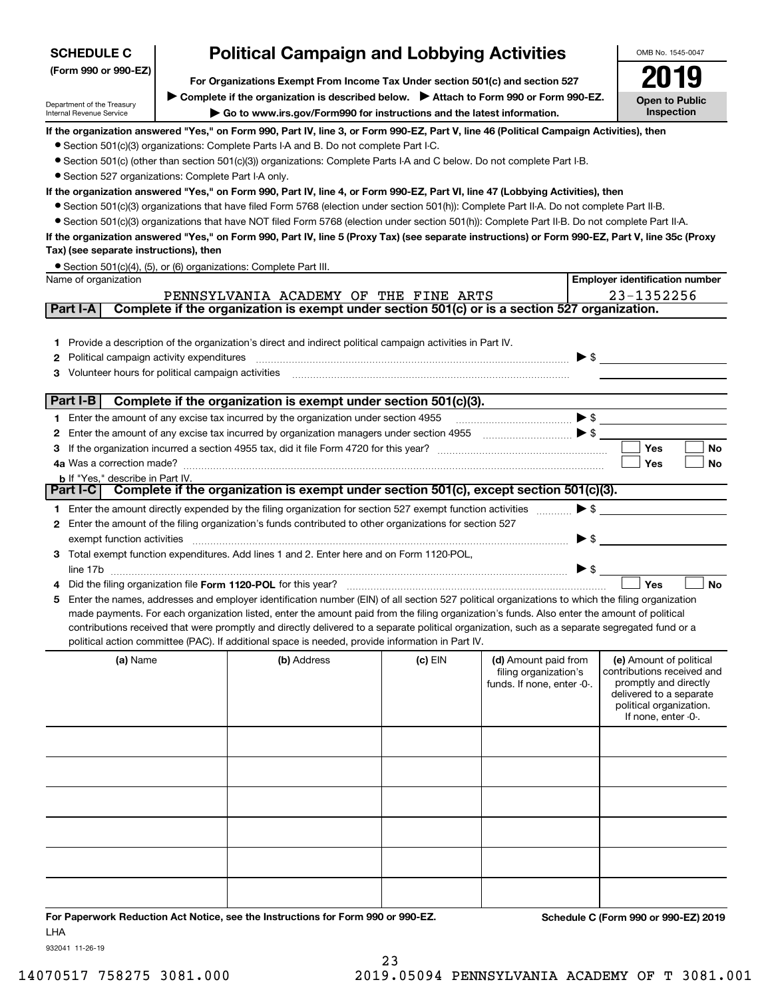| <b>SCHEDULE C</b>                                                                                     | <b>Political Campaign and Lobbying Activities</b> |                                                                                                                                                  |           |                                                                                                                                                                                                                                                                                                                                                                             | OMB No. 1545-0047        |                                                  |
|-------------------------------------------------------------------------------------------------------|---------------------------------------------------|--------------------------------------------------------------------------------------------------------------------------------------------------|-----------|-----------------------------------------------------------------------------------------------------------------------------------------------------------------------------------------------------------------------------------------------------------------------------------------------------------------------------------------------------------------------------|--------------------------|--------------------------------------------------|
| (Form 990 or 990-EZ)<br>For Organizations Exempt From Income Tax Under section 501(c) and section 527 |                                                   |                                                                                                                                                  |           |                                                                                                                                                                                                                                                                                                                                                                             |                          |                                                  |
|                                                                                                       |                                                   | ► Complete if the organization is described below. ► Attach to Form 990 or Form 990-EZ.                                                          |           |                                                                                                                                                                                                                                                                                                                                                                             |                          | <b>Open to Public</b>                            |
| Department of the Treasury<br>Internal Revenue Service                                                |                                                   | Go to www.irs.gov/Form990 for instructions and the latest information.                                                                           |           |                                                                                                                                                                                                                                                                                                                                                                             |                          | Inspection                                       |
|                                                                                                       |                                                   | If the organization answered "Yes," on Form 990, Part IV, line 3, or Form 990-EZ, Part V, line 46 (Political Campaign Activities), then          |           |                                                                                                                                                                                                                                                                                                                                                                             |                          |                                                  |
|                                                                                                       |                                                   | • Section 501(c)(3) organizations: Complete Parts I-A and B. Do not complete Part I-C.                                                           |           |                                                                                                                                                                                                                                                                                                                                                                             |                          |                                                  |
|                                                                                                       |                                                   | • Section 501(c) (other than section 501(c)(3)) organizations: Complete Parts I-A and C below. Do not complete Part I-B.                         |           |                                                                                                                                                                                                                                                                                                                                                                             |                          |                                                  |
| • Section 527 organizations: Complete Part I-A only.                                                  |                                                   |                                                                                                                                                  |           |                                                                                                                                                                                                                                                                                                                                                                             |                          |                                                  |
|                                                                                                       |                                                   | If the organization answered "Yes," on Form 990, Part IV, line 4, or Form 990-EZ, Part VI, line 47 (Lobbying Activities), then                   |           |                                                                                                                                                                                                                                                                                                                                                                             |                          |                                                  |
|                                                                                                       |                                                   | • Section 501(c)(3) organizations that have filed Form 5768 (election under section 501(h)): Complete Part II-A. Do not complete Part II-B.      |           |                                                                                                                                                                                                                                                                                                                                                                             |                          |                                                  |
|                                                                                                       |                                                   | • Section 501(c)(3) organizations that have NOT filed Form 5768 (election under section 501(h)): Complete Part II-B. Do not complete Part II-A.  |           |                                                                                                                                                                                                                                                                                                                                                                             |                          |                                                  |
|                                                                                                       |                                                   | If the organization answered "Yes," on Form 990, Part IV, line 5 (Proxy Tax) (see separate instructions) or Form 990-EZ, Part V, line 35c (Proxy |           |                                                                                                                                                                                                                                                                                                                                                                             |                          |                                                  |
| Tax) (see separate instructions), then                                                                |                                                   |                                                                                                                                                  |           |                                                                                                                                                                                                                                                                                                                                                                             |                          |                                                  |
| Name of organization                                                                                  |                                                   | • Section 501(c)(4), (5), or (6) organizations: Complete Part III.                                                                               |           |                                                                                                                                                                                                                                                                                                                                                                             |                          | <b>Employer identification number</b>            |
|                                                                                                       |                                                   | PENNSYLVANIA ACADEMY OF THE FINE ARTS                                                                                                            |           |                                                                                                                                                                                                                                                                                                                                                                             |                          | 23-1352256                                       |
| Part I-A                                                                                              |                                                   | Complete if the organization is exempt under section 501(c) or is a section 527 organization.                                                    |           |                                                                                                                                                                                                                                                                                                                                                                             |                          |                                                  |
|                                                                                                       |                                                   |                                                                                                                                                  |           |                                                                                                                                                                                                                                                                                                                                                                             |                          |                                                  |
|                                                                                                       |                                                   | 1 Provide a description of the organization's direct and indirect political campaign activities in Part IV.                                      |           |                                                                                                                                                                                                                                                                                                                                                                             |                          |                                                  |
| Political campaign activity expenditures<br>2                                                         |                                                   |                                                                                                                                                  |           |                                                                                                                                                                                                                                                                                                                                                                             | $\blacktriangleright$ \$ |                                                  |
| Volunteer hours for political campaign activities<br>З                                                |                                                   |                                                                                                                                                  |           |                                                                                                                                                                                                                                                                                                                                                                             |                          |                                                  |
|                                                                                                       |                                                   |                                                                                                                                                  |           |                                                                                                                                                                                                                                                                                                                                                                             |                          |                                                  |
| Part I-B                                                                                              |                                                   | Complete if the organization is exempt under section 501(c)(3).                                                                                  |           |                                                                                                                                                                                                                                                                                                                                                                             |                          |                                                  |
|                                                                                                       |                                                   | 1 Enter the amount of any excise tax incurred by the organization under section 4955                                                             |           | $\begin{picture}(20,10) \put(0,0){\vector(1,0){10}} \put(15,0){\vector(1,0){10}} \put(15,0){\vector(1,0){10}} \put(15,0){\vector(1,0){10}} \put(15,0){\vector(1,0){10}} \put(15,0){\vector(1,0){10}} \put(15,0){\vector(1,0){10}} \put(15,0){\vector(1,0){10}} \put(15,0){\vector(1,0){10}} \put(15,0){\vector(1,0){10}} \put(15,0){\vector(1,0){10}} \put(15,0){\vector(1$ |                          |                                                  |
| 2                                                                                                     |                                                   | Enter the amount of any excise tax incurred by organization managers under section 4955                                                          |           |                                                                                                                                                                                                                                                                                                                                                                             |                          |                                                  |
| з                                                                                                     |                                                   |                                                                                                                                                  |           |                                                                                                                                                                                                                                                                                                                                                                             |                          | Yes<br><b>No</b>                                 |
|                                                                                                       |                                                   |                                                                                                                                                  |           |                                                                                                                                                                                                                                                                                                                                                                             |                          | Yes<br>No                                        |
| <b>b</b> If "Yes," describe in Part IV.                                                               |                                                   |                                                                                                                                                  |           |                                                                                                                                                                                                                                                                                                                                                                             |                          |                                                  |
|                                                                                                       |                                                   | Part I-C   Complete if the organization is exempt under section 501(c), except section 501(c)(3).                                                |           |                                                                                                                                                                                                                                                                                                                                                                             |                          |                                                  |
|                                                                                                       |                                                   | 1 Enter the amount directly expended by the filing organization for section 527 exempt function activities                                       |           |                                                                                                                                                                                                                                                                                                                                                                             | $\blacktriangleright$ \$ |                                                  |
|                                                                                                       |                                                   | 2 Enter the amount of the filing organization's funds contributed to other organizations for section 527                                         |           |                                                                                                                                                                                                                                                                                                                                                                             |                          |                                                  |
| exempt function activities                                                                            |                                                   |                                                                                                                                                  |           |                                                                                                                                                                                                                                                                                                                                                                             | $\blacktriangleright$ \$ |                                                  |
|                                                                                                       |                                                   | 3 Total exempt function expenditures. Add lines 1 and 2. Enter here and on Form 1120-POL,                                                        |           |                                                                                                                                                                                                                                                                                                                                                                             |                          |                                                  |
|                                                                                                       |                                                   | Did the filing organization file Form 1120-POL for this year?                                                                                    |           |                                                                                                                                                                                                                                                                                                                                                                             | $\blacktriangleright$ \$ | Yes<br><b>No</b>                                 |
| 5.                                                                                                    |                                                   | Enter the names, addresses and employer identification number (EIN) of all section 527 political organizations to which the filing organization  |           |                                                                                                                                                                                                                                                                                                                                                                             |                          |                                                  |
|                                                                                                       |                                                   | made payments. For each organization listed, enter the amount paid from the filing organization's funds. Also enter the amount of political      |           |                                                                                                                                                                                                                                                                                                                                                                             |                          |                                                  |
|                                                                                                       |                                                   | contributions received that were promptly and directly delivered to a separate political organization, such as a separate segregated fund or a   |           |                                                                                                                                                                                                                                                                                                                                                                             |                          |                                                  |
|                                                                                                       |                                                   | political action committee (PAC). If additional space is needed, provide information in Part IV.                                                 |           |                                                                                                                                                                                                                                                                                                                                                                             |                          |                                                  |
| (a) Name                                                                                              |                                                   | (b) Address                                                                                                                                      | $(c)$ EIN | (d) Amount paid from                                                                                                                                                                                                                                                                                                                                                        |                          | (e) Amount of political                          |
|                                                                                                       |                                                   |                                                                                                                                                  |           | filing organization's                                                                                                                                                                                                                                                                                                                                                       |                          | contributions received and                       |
|                                                                                                       |                                                   |                                                                                                                                                  |           | funds. If none, enter -0-.                                                                                                                                                                                                                                                                                                                                                  |                          | promptly and directly<br>delivered to a separate |
|                                                                                                       |                                                   |                                                                                                                                                  |           |                                                                                                                                                                                                                                                                                                                                                                             |                          | political organization.                          |
|                                                                                                       |                                                   |                                                                                                                                                  |           |                                                                                                                                                                                                                                                                                                                                                                             |                          | If none, enter -0-.                              |
|                                                                                                       |                                                   |                                                                                                                                                  |           |                                                                                                                                                                                                                                                                                                                                                                             |                          |                                                  |
|                                                                                                       |                                                   |                                                                                                                                                  |           |                                                                                                                                                                                                                                                                                                                                                                             |                          |                                                  |
|                                                                                                       |                                                   |                                                                                                                                                  |           |                                                                                                                                                                                                                                                                                                                                                                             |                          |                                                  |
|                                                                                                       |                                                   |                                                                                                                                                  |           |                                                                                                                                                                                                                                                                                                                                                                             |                          |                                                  |
|                                                                                                       |                                                   |                                                                                                                                                  |           |                                                                                                                                                                                                                                                                                                                                                                             |                          |                                                  |
|                                                                                                       |                                                   |                                                                                                                                                  |           |                                                                                                                                                                                                                                                                                                                                                                             |                          |                                                  |
|                                                                                                       |                                                   |                                                                                                                                                  |           |                                                                                                                                                                                                                                                                                                                                                                             |                          |                                                  |
|                                                                                                       |                                                   |                                                                                                                                                  |           |                                                                                                                                                                                                                                                                                                                                                                             |                          |                                                  |
|                                                                                                       |                                                   |                                                                                                                                                  |           |                                                                                                                                                                                                                                                                                                                                                                             |                          |                                                  |
|                                                                                                       |                                                   |                                                                                                                                                  |           |                                                                                                                                                                                                                                                                                                                                                                             |                          |                                                  |
|                                                                                                       |                                                   |                                                                                                                                                  |           |                                                                                                                                                                                                                                                                                                                                                                             |                          |                                                  |

**For Paperwork Reduction Act Notice, see the Instructions for Form 990 or 990-EZ. Schedule C (Form 990 or 990-EZ) 2019** LHA

932041 11-26-19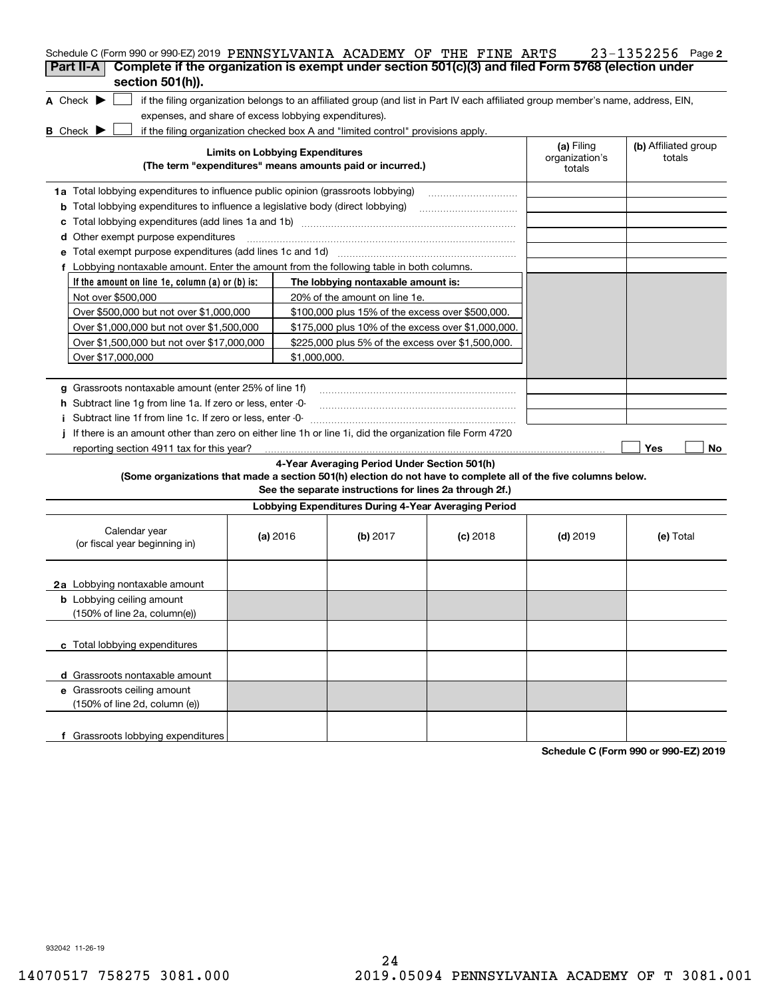| Schedule C (Form 990 or 990-EZ) 2019 PENNSYLVANIA ACADEMY OF THE FINE ARTS                                                          |                                        |                                                                                  |                                                                                                                                   |                                        | $23 - 1352256$ Page 2          |
|-------------------------------------------------------------------------------------------------------------------------------------|----------------------------------------|----------------------------------------------------------------------------------|-----------------------------------------------------------------------------------------------------------------------------------|----------------------------------------|--------------------------------|
| Complete if the organization is exempt under section 501(c)(3) and filed Form 5768 (election under<br>Part II-A<br>section 501(h)). |                                        |                                                                                  |                                                                                                                                   |                                        |                                |
| A Check $\blacktriangleright$                                                                                                       |                                        |                                                                                  | if the filing organization belongs to an affiliated group (and list in Part IV each affiliated group member's name, address, EIN, |                                        |                                |
| expenses, and share of excess lobbying expenditures).                                                                               |                                        |                                                                                  |                                                                                                                                   |                                        |                                |
| <b>B</b> Check $\blacktriangleright$                                                                                                |                                        | if the filing organization checked box A and "limited control" provisions apply. |                                                                                                                                   |                                        |                                |
|                                                                                                                                     | <b>Limits on Lobbying Expenditures</b> | (The term "expenditures" means amounts paid or incurred.)                        |                                                                                                                                   | (a) Filing<br>organization's<br>totals | (b) Affiliated group<br>totals |
| 1a Total lobbying expenditures to influence public opinion (grassroots lobbying)                                                    |                                        |                                                                                  |                                                                                                                                   |                                        |                                |
|                                                                                                                                     |                                        |                                                                                  |                                                                                                                                   |                                        |                                |
| <b>b</b> Total lobbying expenditures to influence a legislative body (direct lobbying)                                              |                                        |                                                                                  |                                                                                                                                   |                                        |                                |
| c                                                                                                                                   |                                        |                                                                                  |                                                                                                                                   |                                        |                                |
| <b>d</b> Other exempt purpose expenditures                                                                                          |                                        |                                                                                  |                                                                                                                                   |                                        |                                |
|                                                                                                                                     |                                        |                                                                                  |                                                                                                                                   |                                        |                                |
| f Lobbying nontaxable amount. Enter the amount from the following table in both columns.                                            |                                        |                                                                                  |                                                                                                                                   |                                        |                                |
| If the amount on line 1e, column $(a)$ or $(b)$ is:                                                                                 |                                        | The lobbying nontaxable amount is:                                               |                                                                                                                                   |                                        |                                |
| Not over \$500,000                                                                                                                  |                                        | 20% of the amount on line 1e.                                                    |                                                                                                                                   |                                        |                                |
| Over \$500,000 but not over \$1,000,000                                                                                             |                                        | \$100,000 plus 15% of the excess over \$500,000.                                 |                                                                                                                                   |                                        |                                |
| Over \$1,000,000 but not over \$1,500,000                                                                                           |                                        | \$175,000 plus 10% of the excess over \$1,000,000.                               |                                                                                                                                   |                                        |                                |
| Over \$1,500,000 but not over \$17,000,000                                                                                          |                                        | \$225,000 plus 5% of the excess over \$1,500,000.                                |                                                                                                                                   |                                        |                                |
| Over \$17,000,000                                                                                                                   | \$1,000,000.                           |                                                                                  |                                                                                                                                   |                                        |                                |
|                                                                                                                                     |                                        |                                                                                  |                                                                                                                                   |                                        |                                |
| g Grassroots nontaxable amount (enter 25% of line 1f)                                                                               |                                        |                                                                                  |                                                                                                                                   |                                        |                                |
| h Subtract line 1g from line 1a. If zero or less, enter -0-                                                                         |                                        |                                                                                  |                                                                                                                                   |                                        |                                |
| Subtract line 1f from line 1c. If zero or less, enter -0-                                                                           |                                        |                                                                                  |                                                                                                                                   |                                        |                                |
| If there is an amount other than zero on either line 1h or line 1i, did the organization file Form 4720                             |                                        |                                                                                  |                                                                                                                                   |                                        |                                |
| reporting section 4911 tax for this year?                                                                                           |                                        |                                                                                  |                                                                                                                                   |                                        | Yes<br>No                      |
|                                                                                                                                     |                                        | 4-Year Averaging Period Under Section 501(h)                                     |                                                                                                                                   |                                        |                                |
| (Some organizations that made a section 501(h) election do not have to complete all of the five columns below.                      |                                        | See the separate instructions for lines 2a through 2f.)                          |                                                                                                                                   |                                        |                                |
|                                                                                                                                     |                                        | Lobbying Expenditures During 4-Year Averaging Period                             |                                                                                                                                   |                                        |                                |
| Calendar year<br>(or fiscal year beginning in)                                                                                      | (a) 2016                               | (b) 2017                                                                         | $(c)$ 2018                                                                                                                        | $(d)$ 2019                             | (e) Total                      |
| <b>2a</b> Lobbying nontaxable amount                                                                                                |                                        |                                                                                  |                                                                                                                                   |                                        |                                |
| <b>b</b> Lobbying ceiling amount                                                                                                    |                                        |                                                                                  |                                                                                                                                   |                                        |                                |
| (150% of line 2a, column(e))                                                                                                        |                                        |                                                                                  |                                                                                                                                   |                                        |                                |
|                                                                                                                                     |                                        |                                                                                  |                                                                                                                                   |                                        |                                |
| c Total lobbying expenditures                                                                                                       |                                        |                                                                                  |                                                                                                                                   |                                        |                                |
|                                                                                                                                     |                                        |                                                                                  |                                                                                                                                   |                                        |                                |
| d Grassroots nontaxable amount                                                                                                      |                                        |                                                                                  |                                                                                                                                   |                                        |                                |
| e Grassroots ceiling amount                                                                                                         |                                        |                                                                                  |                                                                                                                                   |                                        |                                |
| (150% of line 2d, column (e))                                                                                                       |                                        |                                                                                  |                                                                                                                                   |                                        |                                |
|                                                                                                                                     |                                        |                                                                                  |                                                                                                                                   |                                        |                                |
| f Grassroots lobbying expenditures                                                                                                  |                                        |                                                                                  |                                                                                                                                   |                                        |                                |
|                                                                                                                                     |                                        |                                                                                  |                                                                                                                                   |                                        |                                |

**Schedule C (Form 990 or 990-EZ) 2019**

932042 11-26-19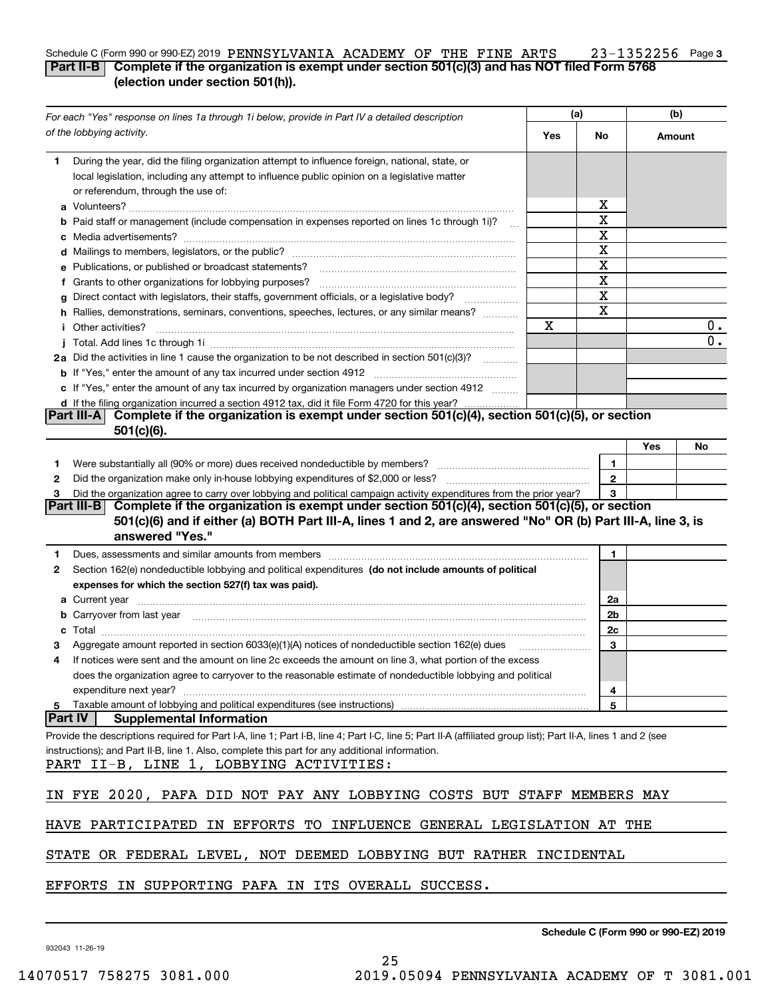#### **3** Schedule C (Form 990 or 990-EZ) 2019  $\, {\rm PENNSYLVANIA} \,$  ACADEMY  $\, {\rm OF} \,$  THE <code>FINE ARTS</code>  $\,$   $\,$  23–1352256  $\,$  Page **Part II-B Complete if the organization is exempt under section 501(c)(3) and has NOT filed Form 5768 (election under section 501(h)).** PENNSYLVANIA ACADEMY OF THE FINE ARTS 23-1352256

|    | For each "Yes" response on lines 1a through 1i below, provide in Part IV a detailed description                                                                                                                                     |             | (a)          |        | (b)                    |  |
|----|-------------------------------------------------------------------------------------------------------------------------------------------------------------------------------------------------------------------------------------|-------------|--------------|--------|------------------------|--|
|    | of the lobbying activity.                                                                                                                                                                                                           | Yes         | No           | Amount |                        |  |
| 1. | During the year, did the filing organization attempt to influence foreign, national, state, or<br>local legislation, including any attempt to influence public opinion on a legislative matter                                      |             |              |        |                        |  |
|    | or referendum, through the use of:                                                                                                                                                                                                  |             | х            |        |                        |  |
|    | <b>b</b> Paid staff or management (include compensation in expenses reported on lines 1c through 1i)?                                                                                                                               |             | X            |        |                        |  |
|    |                                                                                                                                                                                                                                     |             | X            |        |                        |  |
|    |                                                                                                                                                                                                                                     |             | X            |        |                        |  |
|    |                                                                                                                                                                                                                                     |             | X            |        |                        |  |
|    | e Publications, or published or broadcast statements?                                                                                                                                                                               |             | X            |        |                        |  |
|    | f Grants to other organizations for lobbying purposes?                                                                                                                                                                              |             | X            |        |                        |  |
|    | g Direct contact with legislators, their staffs, government officials, or a legislative body?                                                                                                                                       |             | X            |        |                        |  |
|    | h Rallies, demonstrations, seminars, conventions, speeches, lectures, or any similar means?                                                                                                                                         | $\mathbf X$ |              |        |                        |  |
|    | <i>i</i> Other activities?                                                                                                                                                                                                          |             |              |        | 0.<br>$\overline{0}$ . |  |
|    |                                                                                                                                                                                                                                     |             |              |        |                        |  |
|    | 2a Did the activities in line 1 cause the organization to be not described in section 501(c)(3)?                                                                                                                                    |             |              |        |                        |  |
|    |                                                                                                                                                                                                                                     |             |              |        |                        |  |
|    | c If "Yes," enter the amount of any tax incurred by organization managers under section 4912                                                                                                                                        |             |              |        |                        |  |
|    | d If the filing organization incurred a section 4912 tax, did it file Form 4720 for this year?                                                                                                                                      |             |              |        |                        |  |
|    | Complete if the organization is exempt under section $501(c)(4)$ , section $501(c)(5)$ , or section<br><b>Part III-AI</b><br>$501(c)(6)$ .                                                                                          |             |              |        |                        |  |
|    |                                                                                                                                                                                                                                     |             |              | Yes    | No                     |  |
| 1. |                                                                                                                                                                                                                                     |             | 1            |        |                        |  |
| 2  |                                                                                                                                                                                                                                     |             | $\mathbf{2}$ |        |                        |  |
| З  | Did the organization agree to carry over lobbying and political campaign activity expenditures from the prior year?                                                                                                                 |             | 3            |        |                        |  |
|    | Complete if the organization is exempt under section 501(c)(4), section 501(c)(5), or section<br>Part III-B I                                                                                                                       |             |              |        |                        |  |
|    | 501(c)(6) and if either (a) BOTH Part III-A, lines 1 and 2, are answered "No" OR (b) Part III-A, line 3, is<br>answered "Yes."                                                                                                      |             |              |        |                        |  |
| 1. |                                                                                                                                                                                                                                     |             | 1            |        |                        |  |
| 2  | Section 162(e) nondeductible lobbying and political expenditures (do not include amounts of political                                                                                                                               |             |              |        |                        |  |
|    | expenses for which the section 527(f) tax was paid).                                                                                                                                                                                |             |              |        |                        |  |
|    |                                                                                                                                                                                                                                     |             | 2a           |        |                        |  |
|    | <b>b</b> Carryover from last year manufactured and content to content the content of the content of the content of the content of the content of the content of the content of the content of the content of the content of the con |             | 2b           |        |                        |  |
| c  |                                                                                                                                                                                                                                     |             | 2c           |        |                        |  |
|    | Aggregate amount reported in section 6033(e)(1)(A) notices of nondeductible section 162(e) dues                                                                                                                                     |             | 3            |        |                        |  |
| 4  | If notices were sent and the amount on line 2c exceeds the amount on line 3, what portion of the excess                                                                                                                             |             |              |        |                        |  |
|    | does the organization agree to carryover to the reasonable estimate of nondeductible lobbying and political                                                                                                                         |             |              |        |                        |  |
|    | expenditure next year?                                                                                                                                                                                                              |             | 4            |        |                        |  |
|    | 5 Taxable amount of lobbying and political expenditures (see instructions)                                                                                                                                                          |             | 5            |        |                        |  |
|    | Part IV<br><b>Supplemental Information</b>                                                                                                                                                                                          |             |              |        |                        |  |
|    | Provide the descriptions required for Part I-A, line 1; Part I-B, line 4; Part I-C, line 5; Part II-A (affiliated group list); Part II-A, lines 1 and 2 (see                                                                        |             |              |        |                        |  |
|    | instructions); and Part II-B, line 1. Also, complete this part for any additional information.                                                                                                                                      |             |              |        |                        |  |
|    | PART II-B, LINE 1, LOBBYING ACTIVITIES:                                                                                                                                                                                             |             |              |        |                        |  |
|    |                                                                                                                                                                                                                                     |             |              |        |                        |  |
|    | IN FYE 2020, PAFA DID NOT PAY ANY LOBBYING COSTS BUT STAFF MEMBERS MAY                                                                                                                                                              |             |              |        |                        |  |
|    | HAVE PARTICIPATED IN EFFORTS TO INFLUENCE GENERAL LEGISLATION AT THE                                                                                                                                                                |             |              |        |                        |  |
|    | STATE OR FEDERAL LEVEL, NOT DEEMED LOBBYING BUT RATHER INCIDENTAL                                                                                                                                                                   |             |              |        |                        |  |
|    | EFFORTS IN SUPPORTING PAFA IN ITS OVERALL SUCCESS.                                                                                                                                                                                  |             |              |        |                        |  |

932043 11-26-19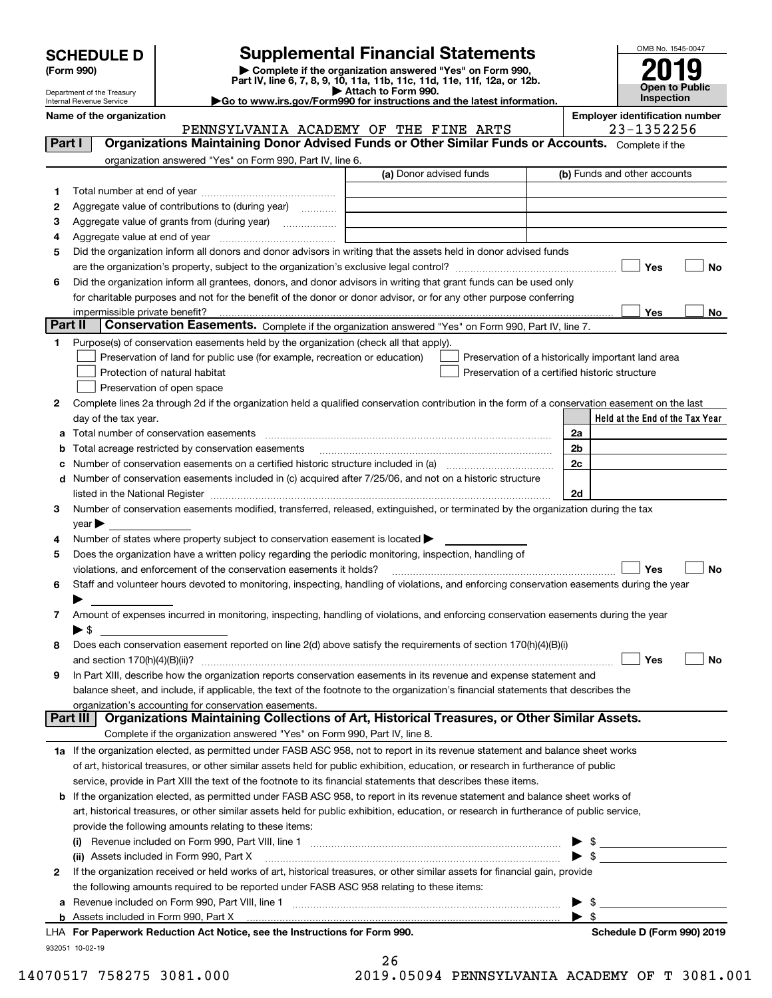| <b>SCHEDULE D</b> |  |  |
|-------------------|--|--|
|                   |  |  |

| (Form 990) |  |
|------------|--|
|------------|--|

## **Supplemental Financial Statements**

(Form 990)<br>
Pepartment of the Treasury<br>
Department of the Treasury<br>
Department of the Treasury<br>
Department of the Treasury<br> **Co to www.irs.gov/Form990 for instructions and the latest information.**<br> **Co to www.irs.gov/Form9** 



Department of the Treasury Internal Revenue Service

**Name of the organization Employer identification number** PENNSYLVANIA ACADEMY OF THE FINE ARTS 23-1352256

| Part I         | <b>Organizations Maintaining Donor Advised Funds or Other Similar Funds or Accounts.</b> Complete if the                                       |                         |                                                                                                                                                  |
|----------------|------------------------------------------------------------------------------------------------------------------------------------------------|-------------------------|--------------------------------------------------------------------------------------------------------------------------------------------------|
|                | organization answered "Yes" on Form 990, Part IV, line 6.                                                                                      |                         |                                                                                                                                                  |
|                |                                                                                                                                                | (a) Donor advised funds | (b) Funds and other accounts                                                                                                                     |
| 1.             |                                                                                                                                                |                         |                                                                                                                                                  |
| 2              | Aggregate value of contributions to (during year)                                                                                              |                         |                                                                                                                                                  |
| з              | Aggregate value of grants from (during year)                                                                                                   |                         |                                                                                                                                                  |
| 4              |                                                                                                                                                |                         |                                                                                                                                                  |
| 5              | Did the organization inform all donors and donor advisors in writing that the assets held in donor advised funds                               |                         |                                                                                                                                                  |
|                |                                                                                                                                                |                         | Yes<br>No                                                                                                                                        |
| 6              | Did the organization inform all grantees, donors, and donor advisors in writing that grant funds can be used only                              |                         |                                                                                                                                                  |
|                | for charitable purposes and not for the benefit of the donor or donor advisor, or for any other purpose conferring                             |                         |                                                                                                                                                  |
| <b>Part II</b> | impermissible private benefit?                                                                                                                 |                         | Yes<br>No                                                                                                                                        |
|                | Conservation Easements. Complete if the organization answered "Yes" on Form 990, Part IV, line 7.                                              |                         |                                                                                                                                                  |
| 1              | Purpose(s) of conservation easements held by the organization (check all that apply).                                                          |                         |                                                                                                                                                  |
|                | Preservation of land for public use (for example, recreation or education)                                                                     |                         | Preservation of a historically important land area                                                                                               |
|                | Protection of natural habitat                                                                                                                  |                         | Preservation of a certified historic structure                                                                                                   |
|                | Preservation of open space                                                                                                                     |                         |                                                                                                                                                  |
| 2              | Complete lines 2a through 2d if the organization held a qualified conservation contribution in the form of a conservation easement on the last |                         |                                                                                                                                                  |
|                | day of the tax year.                                                                                                                           |                         | Held at the End of the Tax Year                                                                                                                  |
| a              | Total number of conservation easements                                                                                                         |                         | 2a                                                                                                                                               |
| b              | Total acreage restricted by conservation easements                                                                                             |                         | 2 <sub>b</sub>                                                                                                                                   |
| c              | Number of conservation easements on a certified historic structure included in (a) manufacture included in (a)                                 |                         | 2c                                                                                                                                               |
| d              | Number of conservation easements included in (c) acquired after 7/25/06, and not on a historic structure                                       |                         | 2d                                                                                                                                               |
| 3              | Number of conservation easements modified, transferred, released, extinguished, or terminated by the organization during the tax               |                         |                                                                                                                                                  |
|                | year                                                                                                                                           |                         |                                                                                                                                                  |
| 4              | Number of states where property subject to conservation easement is located >                                                                  |                         |                                                                                                                                                  |
| 5              | Does the organization have a written policy regarding the periodic monitoring, inspection, handling of                                         |                         |                                                                                                                                                  |
|                | violations, and enforcement of the conservation easements it holds?                                                                            |                         | <b>Yes</b><br><b>No</b>                                                                                                                          |
| 6              | Staff and volunteer hours devoted to monitoring, inspecting, handling of violations, and enforcing conservation easements during the year      |                         |                                                                                                                                                  |
|                |                                                                                                                                                |                         |                                                                                                                                                  |
| 7              | Amount of expenses incurred in monitoring, inspecting, handling of violations, and enforcing conservation easements during the year            |                         |                                                                                                                                                  |
|                | $\blacktriangleright$ \$                                                                                                                       |                         |                                                                                                                                                  |
| 8              | Does each conservation easement reported on line 2(d) above satisfy the requirements of section 170(h)(4)(B)(i)                                |                         |                                                                                                                                                  |
|                |                                                                                                                                                |                         | Yes<br>No                                                                                                                                        |
| 9              | In Part XIII, describe how the organization reports conservation easements in its revenue and expense statement and                            |                         |                                                                                                                                                  |
|                | balance sheet, and include, if applicable, the text of the footnote to the organization's financial statements that describes the              |                         |                                                                                                                                                  |
|                | organization's accounting for conservation easements.                                                                                          |                         |                                                                                                                                                  |
|                | <b>Part III</b><br>Organizations Maintaining Collections of Art, Historical Treasures, or Other Similar Assets.                                |                         |                                                                                                                                                  |
|                | Complete if the organization answered "Yes" on Form 990, Part IV, line 8.                                                                      |                         |                                                                                                                                                  |
|                | 1a If the organization elected, as permitted under FASB ASC 958, not to report in its revenue statement and balance sheet works                |                         |                                                                                                                                                  |
|                | of art, historical treasures, or other similar assets held for public exhibition, education, or research in furtherance of public              |                         |                                                                                                                                                  |
|                | service, provide in Part XIII the text of the footnote to its financial statements that describes these items.                                 |                         |                                                                                                                                                  |
| b              | If the organization elected, as permitted under FASB ASC 958, to report in its revenue statement and balance sheet works of                    |                         |                                                                                                                                                  |
|                | art, historical treasures, or other similar assets held for public exhibition, education, or research in furtherance of public service,        |                         |                                                                                                                                                  |
|                | provide the following amounts relating to these items:                                                                                         |                         |                                                                                                                                                  |
|                |                                                                                                                                                |                         | $\frac{1}{2}$                                                                                                                                    |
|                | (ii) Assets included in Form 990, Part X                                                                                                       |                         | $\blacktriangleright$ \$<br><u> 1989 - Jan Barbara Barbara, prima popular popular popular popular popular popular popular popular popular po</u> |
| $\mathbf{2}$   | If the organization received or held works of art, historical treasures, or other similar assets for financial gain, provide                   |                         |                                                                                                                                                  |
|                | the following amounts required to be reported under FASB ASC 958 relating to these items:                                                      |                         |                                                                                                                                                  |
|                | a Revenue included on Form 990, Part VIII, line 1 [2000] [2000] [2000] [2000] [2000] [2000] [2000] [2000] [2000                                |                         | \$                                                                                                                                               |
|                | <b>b</b> Assets included in Form 990, Part X                                                                                                   |                         | $\blacktriangleright$ \$                                                                                                                         |
|                | LHA For Paperwork Reduction Act Notice, see the Instructions for Form 990.                                                                     |                         | Schedule D (Form 990) 2019                                                                                                                       |
|                | 932051 10-02-19                                                                                                                                |                         |                                                                                                                                                  |

| 26 |           |                   |
|----|-----------|-------------------|
| ⌒  | 0 F O O 4 | $\sim$ man $\sim$ |

14070517 758275 3081.000 2019.05094 PENNSYLVANIA ACADEMY OF T 3081.001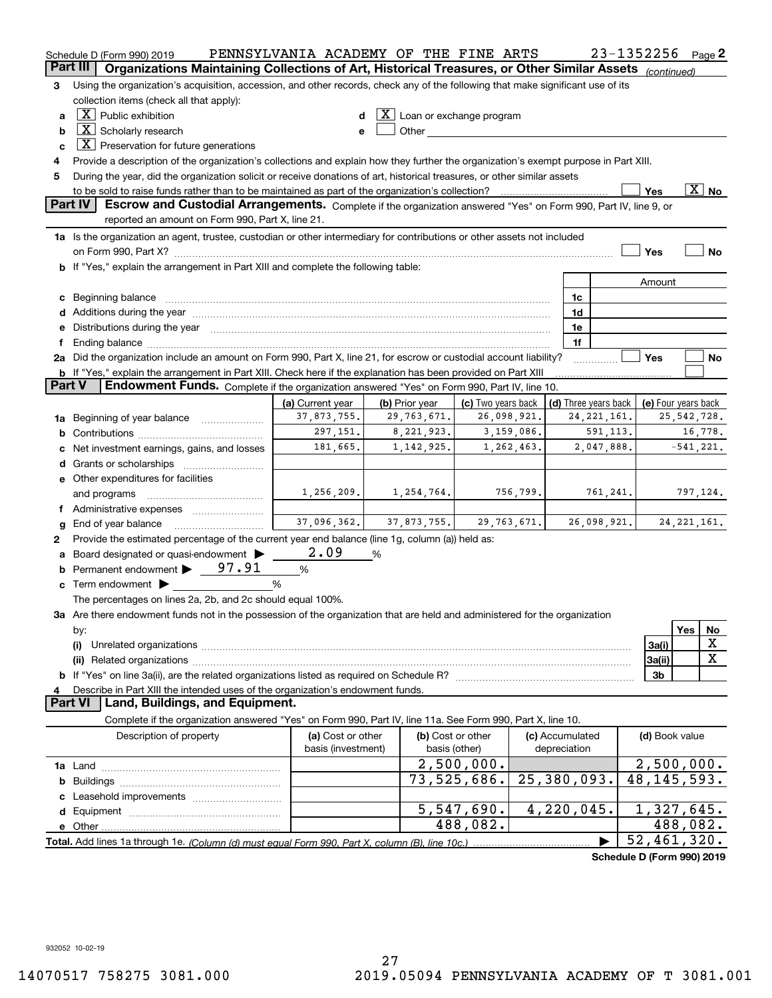|               | Schedule D (Form 990) 2019                                                                                                                                                                                                     | PENNSYLVANIA ACADEMY OF THE FINE ARTS |   |                |                                                                                                                                                                                                                               |               |                                 | 23-1352256                 |                     |     | Page 2                   |
|---------------|--------------------------------------------------------------------------------------------------------------------------------------------------------------------------------------------------------------------------------|---------------------------------------|---|----------------|-------------------------------------------------------------------------------------------------------------------------------------------------------------------------------------------------------------------------------|---------------|---------------------------------|----------------------------|---------------------|-----|--------------------------|
|               | Organizations Maintaining Collections of Art, Historical Treasures, or Other Similar Assets (continued)<br>Part III                                                                                                            |                                       |   |                |                                                                                                                                                                                                                               |               |                                 |                            |                     |     |                          |
| 3             | Using the organization's acquisition, accession, and other records, check any of the following that make significant use of its                                                                                                |                                       |   |                |                                                                                                                                                                                                                               |               |                                 |                            |                     |     |                          |
|               | collection items (check all that apply):                                                                                                                                                                                       |                                       |   |                |                                                                                                                                                                                                                               |               |                                 |                            |                     |     |                          |
| a             | $X$ Public exhibition                                                                                                                                                                                                          |                                       |   |                | $ \mathbf{X} $ Loan or exchange program                                                                                                                                                                                       |               |                                 |                            |                     |     |                          |
| b             | $\boxed{\text{X}}$ Scholarly research                                                                                                                                                                                          | e                                     |   |                | Other and the contract of the contract of the contract of the contract of the contract of the contract of the contract of the contract of the contract of the contract of the contract of the contract of the contract of the |               |                                 |                            |                     |     |                          |
| c             | $X$ Preservation for future generations                                                                                                                                                                                        |                                       |   |                |                                                                                                                                                                                                                               |               |                                 |                            |                     |     |                          |
| 4             | Provide a description of the organization's collections and explain how they further the organization's exempt purpose in Part XIII.                                                                                           |                                       |   |                |                                                                                                                                                                                                                               |               |                                 |                            |                     |     |                          |
| 5             | During the year, did the organization solicit or receive donations of art, historical treasures, or other similar assets                                                                                                       |                                       |   |                |                                                                                                                                                                                                                               |               |                                 |                            |                     |     |                          |
|               | to be sold to raise funds rather than to be maintained as part of the organization's collection?                                                                                                                               |                                       |   |                |                                                                                                                                                                                                                               |               |                                 |                            | Yes                 |     | $\overline{\text{X}}$ No |
|               | <b>Part IV</b><br>Escrow and Custodial Arrangements. Complete if the organization answered "Yes" on Form 990, Part IV, line 9, or                                                                                              |                                       |   |                |                                                                                                                                                                                                                               |               |                                 |                            |                     |     |                          |
|               | reported an amount on Form 990, Part X, line 21.                                                                                                                                                                               |                                       |   |                |                                                                                                                                                                                                                               |               |                                 |                            |                     |     |                          |
|               | 1a Is the organization an agent, trustee, custodian or other intermediary for contributions or other assets not included                                                                                                       |                                       |   |                |                                                                                                                                                                                                                               |               |                                 |                            |                     |     |                          |
|               | on Form 990, Part X? [11] matter and the contract of the contract of the contract of the contract of the contract of the contract of the contract of the contract of the contract of the contract of the contract of the contr |                                       |   |                |                                                                                                                                                                                                                               |               |                                 |                            | Yes                 |     | No                       |
|               | <b>b</b> If "Yes," explain the arrangement in Part XIII and complete the following table:                                                                                                                                      |                                       |   |                |                                                                                                                                                                                                                               |               |                                 |                            |                     |     |                          |
|               |                                                                                                                                                                                                                                |                                       |   |                |                                                                                                                                                                                                                               |               |                                 |                            | Amount              |     |                          |
|               | c Beginning balance measurements and the contract of the contract of the contract of the contract of the contract of the contract of the contract of the contract of the contract of the contract of the contract of the contr |                                       |   |                |                                                                                                                                                                                                                               |               | 1c                              |                            |                     |     |                          |
|               |                                                                                                                                                                                                                                |                                       |   |                |                                                                                                                                                                                                                               |               | 1d                              |                            |                     |     |                          |
|               | e Distributions during the year manufactured and an intervention of the control of the control of the control of the state of the control of the control of the control of the control of the control of the control of the co |                                       |   |                |                                                                                                                                                                                                                               |               | 1e<br>1f                        |                            |                     |     |                          |
|               | 2a Did the organization include an amount on Form 990, Part X, line 21, for escrow or custodial account liability?                                                                                                             |                                       |   |                |                                                                                                                                                                                                                               |               |                                 |                            | Yes                 |     | No                       |
|               | <b>b</b> If "Yes," explain the arrangement in Part XIII. Check here if the explanation has been provided on Part XIII                                                                                                          |                                       |   |                |                                                                                                                                                                                                                               |               |                                 |                            |                     |     |                          |
| <b>Part V</b> | Endowment Funds. Complete if the organization answered "Yes" on Form 990, Part IV, line 10.                                                                                                                                    |                                       |   |                |                                                                                                                                                                                                                               |               |                                 |                            |                     |     |                          |
|               |                                                                                                                                                                                                                                | (a) Current year                      |   | (b) Prior year | (c) Two years back                                                                                                                                                                                                            |               |                                 | (d) Three years back       | (e) Four years back |     |                          |
|               | 1a Beginning of year balance                                                                                                                                                                                                   | 37,873,755.                           |   | 29,763,671.    |                                                                                                                                                                                                                               | 26,098,921.   |                                 | 24, 221, 161.              |                     |     | 25,542,728.              |
|               |                                                                                                                                                                                                                                | 297, 151.                             |   | 8, 221, 923.   |                                                                                                                                                                                                                               | 3,159,086.    |                                 | 591, 113.                  |                     |     | 16,778.                  |
| c             | Net investment earnings, gains, and losses                                                                                                                                                                                     | 181,665.                              |   | 1,142,925.     |                                                                                                                                                                                                                               | 1,262,463.    |                                 | 2,047,888.                 |                     |     | $-541, 221.$             |
|               |                                                                                                                                                                                                                                |                                       |   |                |                                                                                                                                                                                                                               |               |                                 |                            |                     |     |                          |
|               | e Other expenditures for facilities                                                                                                                                                                                            |                                       |   |                |                                                                                                                                                                                                                               |               |                                 |                            |                     |     |                          |
|               | and programs                                                                                                                                                                                                                   | 1, 256, 209.                          |   | 1, 254, 764.   |                                                                                                                                                                                                                               | 756,799.      |                                 | 761,241.                   |                     |     | 797,124.                 |
|               | f Administrative expenses                                                                                                                                                                                                      |                                       |   |                |                                                                                                                                                                                                                               |               |                                 |                            |                     |     |                          |
| g             |                                                                                                                                                                                                                                | 37,096,362.                           |   | 37,873,755.    |                                                                                                                                                                                                                               | 29, 763, 671. |                                 | 26,098,921.                |                     |     | 24, 221, 161.            |
| 2             | Provide the estimated percentage of the current year end balance (line 1g, column (a)) held as:                                                                                                                                |                                       |   |                |                                                                                                                                                                                                                               |               |                                 |                            |                     |     |                          |
| а             | Board designated or quasi-endowment                                                                                                                                                                                            | 2.09                                  | % |                |                                                                                                                                                                                                                               |               |                                 |                            |                     |     |                          |
|               | <b>b</b> Permanent endowment $\triangleright$ 97.91                                                                                                                                                                            | %                                     |   |                |                                                                                                                                                                                                                               |               |                                 |                            |                     |     |                          |
|               | <b>c</b> Term endowment $\blacktriangleright$                                                                                                                                                                                  | %                                     |   |                |                                                                                                                                                                                                                               |               |                                 |                            |                     |     |                          |
|               | The percentages on lines 2a, 2b, and 2c should equal 100%.                                                                                                                                                                     |                                       |   |                |                                                                                                                                                                                                                               |               |                                 |                            |                     |     |                          |
|               | 3a Are there endowment funds not in the possession of the organization that are held and administered for the organization                                                                                                     |                                       |   |                |                                                                                                                                                                                                                               |               |                                 |                            |                     |     |                          |
|               | by:                                                                                                                                                                                                                            |                                       |   |                |                                                                                                                                                                                                                               |               |                                 |                            |                     | Yes | No                       |
|               | (i)                                                                                                                                                                                                                            |                                       |   |                |                                                                                                                                                                                                                               |               |                                 |                            | 3a(i)               |     | x                        |
|               |                                                                                                                                                                                                                                |                                       |   |                |                                                                                                                                                                                                                               |               |                                 |                            | 3a(ii)              |     | X                        |
|               |                                                                                                                                                                                                                                |                                       |   |                |                                                                                                                                                                                                                               |               |                                 |                            | 3b                  |     |                          |
| 4             | Describe in Part XIII the intended uses of the organization's endowment funds.                                                                                                                                                 |                                       |   |                |                                                                                                                                                                                                                               |               |                                 |                            |                     |     |                          |
|               | Land, Buildings, and Equipment.<br><b>Part VI</b>                                                                                                                                                                              |                                       |   |                |                                                                                                                                                                                                                               |               |                                 |                            |                     |     |                          |
|               | Complete if the organization answered "Yes" on Form 990, Part IV, line 11a. See Form 990, Part X, line 10.                                                                                                                     |                                       |   |                |                                                                                                                                                                                                                               |               |                                 |                            |                     |     |                          |
|               | Description of property                                                                                                                                                                                                        | (a) Cost or other                     |   |                | (b) Cost or other                                                                                                                                                                                                             |               | (c) Accumulated<br>depreciation |                            | (d) Book value      |     |                          |
|               |                                                                                                                                                                                                                                | basis (investment)                    |   |                | basis (other)<br>2,500,000.                                                                                                                                                                                                   |               |                                 |                            |                     |     |                          |
|               |                                                                                                                                                                                                                                |                                       |   |                |                                                                                                                                                                                                                               |               |                                 |                            |                     |     | 2,500,000.               |
| b             |                                                                                                                                                                                                                                |                                       |   |                | $\overline{73}$ , 525, 686.                                                                                                                                                                                                   | 25,380,093.   |                                 |                            | 48, 145, 593.       |     |                          |
|               |                                                                                                                                                                                                                                |                                       |   |                | 5,547,690.                                                                                                                                                                                                                    |               | 4,220,045.                      |                            | 1,327,645.          |     |                          |
|               |                                                                                                                                                                                                                                |                                       |   |                | 488,082.                                                                                                                                                                                                                      |               |                                 |                            |                     |     | 488,082.                 |
|               |                                                                                                                                                                                                                                |                                       |   |                |                                                                                                                                                                                                                               |               |                                 |                            | 52,461,320.         |     |                          |
|               |                                                                                                                                                                                                                                |                                       |   |                |                                                                                                                                                                                                                               |               |                                 | Schedule D (Form 990) 2019 |                     |     |                          |
|               |                                                                                                                                                                                                                                |                                       |   |                |                                                                                                                                                                                                                               |               |                                 |                            |                     |     |                          |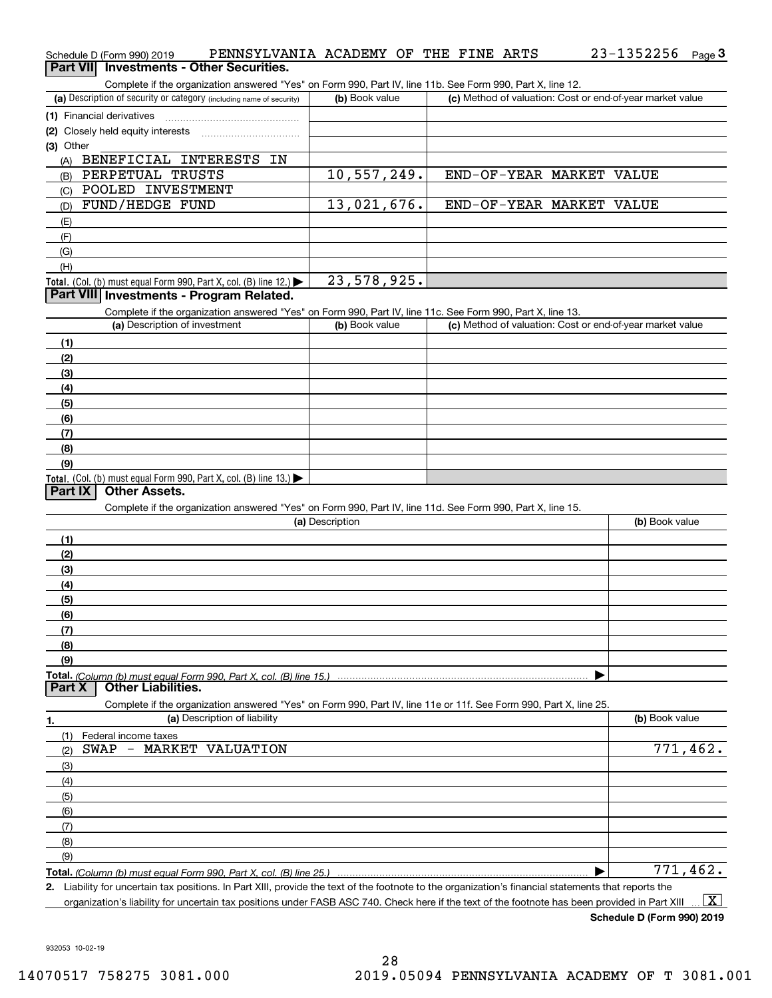| Schedule D (Form 990) 2019                                                                                                                              | PENNSYLVANIA ACADEMY OF THE FINE ARTS |                          | 23-1352256<br>Page $3$                                    |
|---------------------------------------------------------------------------------------------------------------------------------------------------------|---------------------------------------|--------------------------|-----------------------------------------------------------|
| Part VII Investments - Other Securities.                                                                                                                |                                       |                          |                                                           |
| Complete if the organization answered "Yes" on Form 990, Part IV, line 11b. See Form 990, Part X, line 12.                                              |                                       |                          |                                                           |
| (a) Description of security or category (including name of security)                                                                                    | (b) Book value                        |                          | (c) Method of valuation: Cost or end-of-year market value |
| (1) Financial derivatives                                                                                                                               |                                       |                          |                                                           |
| (2) Closely held equity interests                                                                                                                       |                                       |                          |                                                           |
| (3) Other                                                                                                                                               |                                       |                          |                                                           |
| BENEFICIAL INTERESTS<br>IN<br>(A)<br>PERPETUAL TRUSTS                                                                                                   | 10,557,249.                           | END-OF-YEAR MARKET VALUE |                                                           |
| (B)<br>POOLED INVESTMENT                                                                                                                                |                                       |                          |                                                           |
| (C)<br>FUND/HEDGE FUND                                                                                                                                  | 13,021,676.                           | END-OF-YEAR MARKET VALUE |                                                           |
| (D)                                                                                                                                                     |                                       |                          |                                                           |
| (E)<br>(F)                                                                                                                                              |                                       |                          |                                                           |
| (G)                                                                                                                                                     |                                       |                          |                                                           |
| (H)                                                                                                                                                     |                                       |                          |                                                           |
| Total. (Col. (b) must equal Form 990, Part X, col. (B) line 12.) $\blacktriangleright$                                                                  | 23,578,925.                           |                          |                                                           |
| Part VIII Investments - Program Related.                                                                                                                |                                       |                          |                                                           |
| Complete if the organization answered "Yes" on Form 990, Part IV, line 11c. See Form 990, Part X, line 13.                                              |                                       |                          |                                                           |
| (a) Description of investment                                                                                                                           | (b) Book value                        |                          | (c) Method of valuation: Cost or end-of-year market value |
| (1)                                                                                                                                                     |                                       |                          |                                                           |
| (2)                                                                                                                                                     |                                       |                          |                                                           |
| (3)                                                                                                                                                     |                                       |                          |                                                           |
| (4)                                                                                                                                                     |                                       |                          |                                                           |
| (5)                                                                                                                                                     |                                       |                          |                                                           |
| (6)                                                                                                                                                     |                                       |                          |                                                           |
| (7)                                                                                                                                                     |                                       |                          |                                                           |
| (8)                                                                                                                                                     |                                       |                          |                                                           |
| (9)                                                                                                                                                     |                                       |                          |                                                           |
| Total. (Col. (b) must equal Form 990, Part X, col. (B) line $13.$ )                                                                                     |                                       |                          |                                                           |
| <b>Other Assets.</b><br>Part IX                                                                                                                         |                                       |                          |                                                           |
| Complete if the organization answered "Yes" on Form 990, Part IV, line 11d. See Form 990, Part X, line 15.                                              |                                       |                          |                                                           |
|                                                                                                                                                         | (a) Description                       |                          | (b) Book value                                            |
| (1)                                                                                                                                                     |                                       |                          |                                                           |
| (2)                                                                                                                                                     |                                       |                          |                                                           |
| (3)                                                                                                                                                     |                                       |                          |                                                           |
| (4)                                                                                                                                                     |                                       |                          |                                                           |
| (5)<br>(6)                                                                                                                                              |                                       |                          |                                                           |
| (7)                                                                                                                                                     |                                       |                          |                                                           |
| (8)                                                                                                                                                     |                                       |                          |                                                           |
| (9)                                                                                                                                                     |                                       |                          |                                                           |
| Total. (Column (b) must equal Form 990. Part X, col. (B) line 15.)                                                                                      |                                       |                          |                                                           |
| <b>Other Liabilities.</b><br>Part X                                                                                                                     |                                       |                          |                                                           |
| Complete if the organization answered "Yes" on Form 990, Part IV, line 11e or 11f. See Form 990, Part X, line 25.                                       |                                       |                          |                                                           |
| (a) Description of liability<br>1.                                                                                                                      |                                       |                          | (b) Book value                                            |
| (1)<br>Federal income taxes                                                                                                                             |                                       |                          |                                                           |
| <b>SWAP</b><br>MARKET VALUATION<br>$\overline{\phantom{m}}$<br>(2)                                                                                      |                                       |                          | $\overline{771}$ , 462.                                   |
| (3)                                                                                                                                                     |                                       |                          |                                                           |
| (4)                                                                                                                                                     |                                       |                          |                                                           |
| (5)                                                                                                                                                     |                                       |                          |                                                           |
| (6)                                                                                                                                                     |                                       |                          |                                                           |
| (7)                                                                                                                                                     |                                       |                          |                                                           |
| (8)                                                                                                                                                     |                                       |                          |                                                           |
| (9)                                                                                                                                                     |                                       |                          |                                                           |
| Total. (Column (b) must equal Form 990. Part X, col. (B) line 25.)                                                                                      |                                       |                          | 771,462.                                                  |
| Liability for uncertain tax positions. In Part XIII, provide the text of the footnote to the organization's financial statements that reports the<br>2. |                                       |                          |                                                           |
| organization's liability for uncertain tax positions under FASB ASC 740. Check here if the text of the footnote has been provided in Part XIII          |                                       |                          | $\vert$ X $\vert$                                         |

**Schedule D (Form 990) 2019**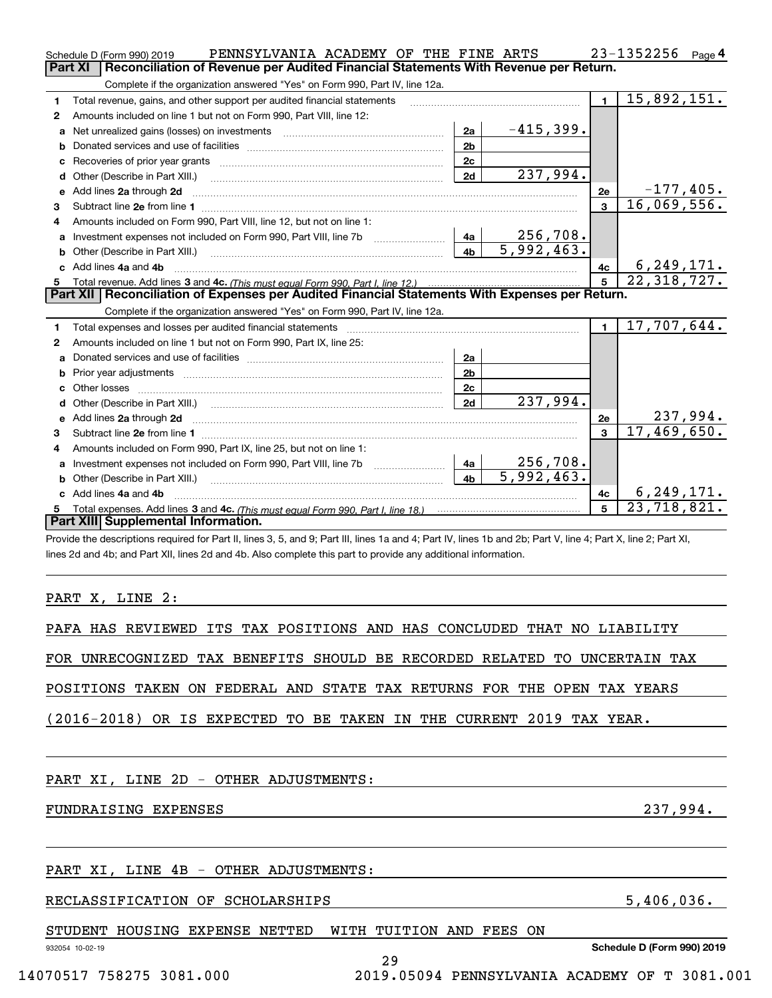|   | PENNSYLVANIA ACADEMY OF THE FINE ARTS<br>Schedule D (Form 990) 2019                                                    |                |                          |                | 23-1352256<br>Page $4$         |
|---|------------------------------------------------------------------------------------------------------------------------|----------------|--------------------------|----------------|--------------------------------|
|   | Reconciliation of Revenue per Audited Financial Statements With Revenue per Return.<br>Part XI                         |                |                          |                |                                |
|   | Complete if the organization answered "Yes" on Form 990, Part IV, line 12a.                                            |                |                          |                |                                |
| 1 | Total revenue, gains, and other support per audited financial statements                                               |                |                          | $\blacksquare$ | 15,892,151.                    |
| 2 | Amounts included on line 1 but not on Form 990, Part VIII, line 12:                                                    |                |                          |                |                                |
| a | Net unrealized gains (losses) on investments [11] matter contracts and the unrealized gains (losses) on investments    | 2a             | $-415,399.$              |                |                                |
| b |                                                                                                                        | 2 <sub>b</sub> |                          |                |                                |
|   |                                                                                                                        | 2c             |                          |                |                                |
| d | Other (Describe in Part XIII.)                                                                                         | 2d             | 237,994.                 |                |                                |
| е | Add lines 2a through 2d                                                                                                |                |                          | 2e             | $\frac{-177,405}{16,069,556}$  |
| 3 |                                                                                                                        |                |                          | $\overline{3}$ |                                |
| 4 | Amounts included on Form 990, Part VIII, line 12, but not on line 1:                                                   |                |                          |                |                                |
|   | Investment expenses not included on Form 990, Part VIII, line 7b [                                                     | 4a             | 256,708.                 |                |                                |
| b |                                                                                                                        | 4 <sub>b</sub> | $\overline{5,992,463}$ . |                |                                |
|   | c Add lines 4a and 4b                                                                                                  |                |                          | 4c             | $\frac{6,249,171}{22,318,727}$ |
|   |                                                                                                                        | 5              |                          |                |                                |
|   |                                                                                                                        |                |                          |                |                                |
|   | Part XII   Reconciliation of Expenses per Audited Financial Statements With Expenses per Return.                       |                |                          |                |                                |
|   | Complete if the organization answered "Yes" on Form 990, Part IV, line 12a.                                            |                |                          |                |                                |
| 1 | Total expenses and losses per audited financial statements                                                             |                |                          | $\blacksquare$ | $\overline{17,707,644}$ .      |
| 2 | Amounts included on line 1 but not on Form 990, Part IX, line 25:                                                      |                |                          |                |                                |
| a |                                                                                                                        | 2a             |                          |                |                                |
| b |                                                                                                                        | 2 <sub>b</sub> |                          |                |                                |
| c |                                                                                                                        | 2c             |                          |                |                                |
| d | Other (Describe in Part XIII.) (COLORGIAL CONSERVISTION) (CONSERVISTION)                                               | 2d             | $\overline{237,994}$ .   |                |                                |
| e | Add lines 2a through 2d <b>contained a contained a contained a contained a</b> contained a contained a contact the set |                |                          | 2e             | 237,994.                       |
| 3 |                                                                                                                        |                |                          | 3              | 17,469,650.                    |
| 4 | Amounts included on Form 990, Part IX, line 25, but not on line 1:                                                     |                |                          |                |                                |
| a |                                                                                                                        | – 4a ∣         | 256,708.                 |                |                                |
| b | Other (Describe in Part XIII.)                                                                                         | 4 <sub>b</sub> | 5,992,463.               |                |                                |
| c | Add lines 4a and 4b                                                                                                    |                |                          | 4 <sub>c</sub> | 6, 249, 171.                   |
|   | Part XIII Supplemental Information.                                                                                    |                |                          | 5              | 23,718,821.                    |

Provide the descriptions required for Part II, lines 3, 5, and 9; Part III, lines 1a and 4; Part IV, lines 1b and 2b; Part V, line 4; Part X, line 2; Part XI, lines 2d and 4b; and Part XII, lines 2d and 4b. Also complete this part to provide any additional information.

## PART X, LINE 2:

|  |  |  |  |  |  |  | PAFA HAS REVIEWED ITS TAX POSITIONS AND HAS CONCLUDED THAT NO LIABILITY   |  |
|--|--|--|--|--|--|--|---------------------------------------------------------------------------|--|
|  |  |  |  |  |  |  |                                                                           |  |
|  |  |  |  |  |  |  | FOR UNRECOGNIZED TAX BENEFITS SHOULD BE RECORDED RELATED TO UNCERTAIN TAX |  |
|  |  |  |  |  |  |  |                                                                           |  |
|  |  |  |  |  |  |  | POSITIONS TAKEN ON FEDERAL AND STATE TAX RETURNS FOR THE OPEN TAX YEARS   |  |
|  |  |  |  |  |  |  |                                                                           |  |
|  |  |  |  |  |  |  | (2016-2018) OR IS EXPECTED TO BE TAKEN IN THE CURRENT 2019 TAX YEAR.      |  |

|  |  |  |  |  |  | PART XI, LINE 2D - OTHER ADJUSTMENTS: |
|--|--|--|--|--|--|---------------------------------------|
|--|--|--|--|--|--|---------------------------------------|

## FUNDRAISING EXPENSES 237, 294.

## PART XI, LINE 4B - OTHER ADJUSTMENTS:

## RECLASSIFICATION OF SCHOLARSHIPS 5,406,036.

## STUDENT HOUSING EXPENSE NETTED WITH TUITION AND FEES ON

**Schedule D (Form 990) 2019**

| 14070517 758275 3081.00 |  |  |
|-------------------------|--|--|
|                         |  |  |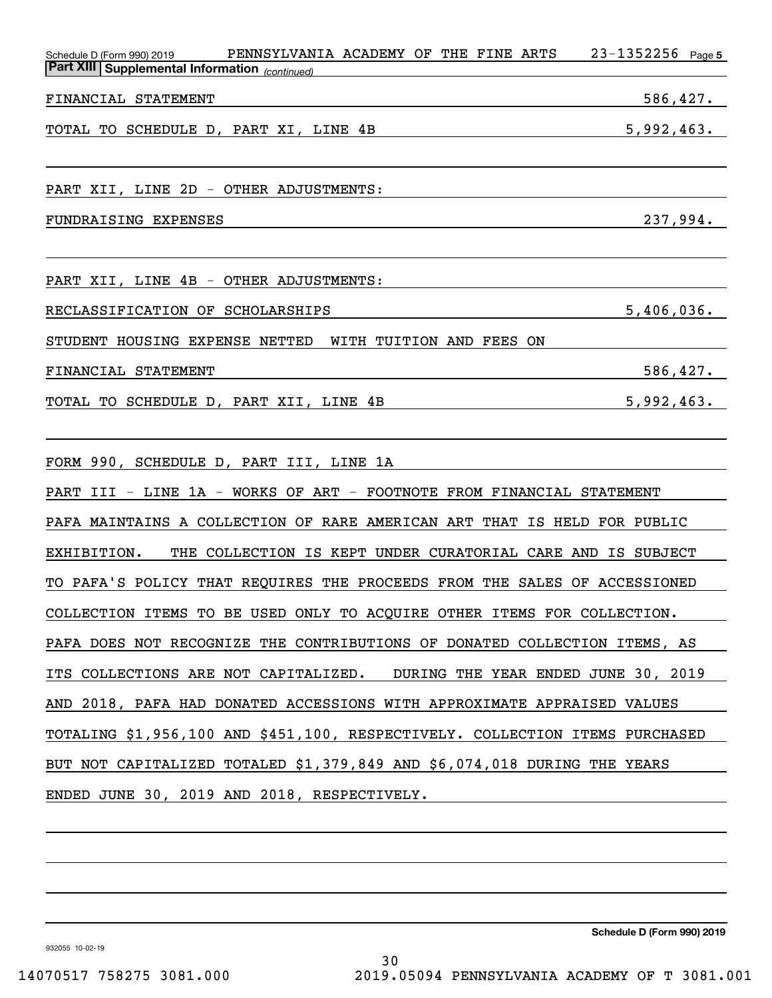| PENNSYLVANIA ACADEMY OF THE FINE ARTS<br>Schedule D (Form 990) 2019          | $23 - 1352256$ Page 5 |
|------------------------------------------------------------------------------|-----------------------|
| <b>Part XIII Supplemental Information</b> (continued)                        |                       |
| FINANCIAL STATEMENT                                                          | 586,427.              |
| TOTAL TO SCHEDULE D, PART XI, LINE 4B                                        | 5,992,463.            |
| PART XII, LINE 2D - OTHER ADJUSTMENTS:                                       |                       |
| FUNDRAISING EXPENSES                                                         | 237,994.              |
| PART XII, LINE 4B - OTHER ADJUSTMENTS:                                       |                       |
| RECLASSIFICATION OF SCHOLARSHIPS                                             | 5,406,036.            |
| STUDENT HOUSING EXPENSE NETTED<br>WITH TUITION AND FEES ON                   |                       |
| FINANCIAL STATEMENT                                                          | 586,427.              |
| TOTAL TO SCHEDULE D, PART XII, LINE 4B                                       | 5,992,463.            |
|                                                                              |                       |
| FORM 990, SCHEDULE D, PART III, LINE 1A                                      |                       |
| PART III - LINE 1A - WORKS OF ART - FOOTNOTE FROM FINANCIAL STATEMENT        |                       |
| PAFA MAINTAINS A COLLECTION OF RARE AMERICAN ART THAT IS HELD FOR PUBLIC     |                       |
| THE COLLECTION IS KEPT UNDER CURATORIAL CARE AND IS SUBJECT<br>EXHIBITION.   |                       |
| TO PAFA'S POLICY THAT REQUIRES THE PROCEEDS FROM THE SALES OF ACCESSIONED    |                       |
| COLLECTION ITEMS TO BE USED ONLY TO ACQUIRE OTHER ITEMS FOR COLLECTION.      |                       |
| PAFA DOES NOT RECOGNIZE THE CONTRIBUTIONS OF DONATED COLLECTION ITEMS, AS    |                       |
| ITS COLLECTIONS ARE NOT CAPITALIZED. DURING THE YEAR ENDED JUNE 30, 2019     |                       |
| AND 2018, PAFA HAD DONATED ACCESSIONS WITH APPROXIMATE APPRAISED VALUES      |                       |
| TOTALING \$1,956,100 AND \$451,100, RESPECTIVELY. COLLECTION ITEMS PURCHASED |                       |
| BUT NOT CAPITALIZED TOTALED \$1,379,849 AND \$6,074,018 DURING THE YEARS     |                       |
| ENDED JUNE 30, 2019 AND 2018, RESPECTIVELY.                                  |                       |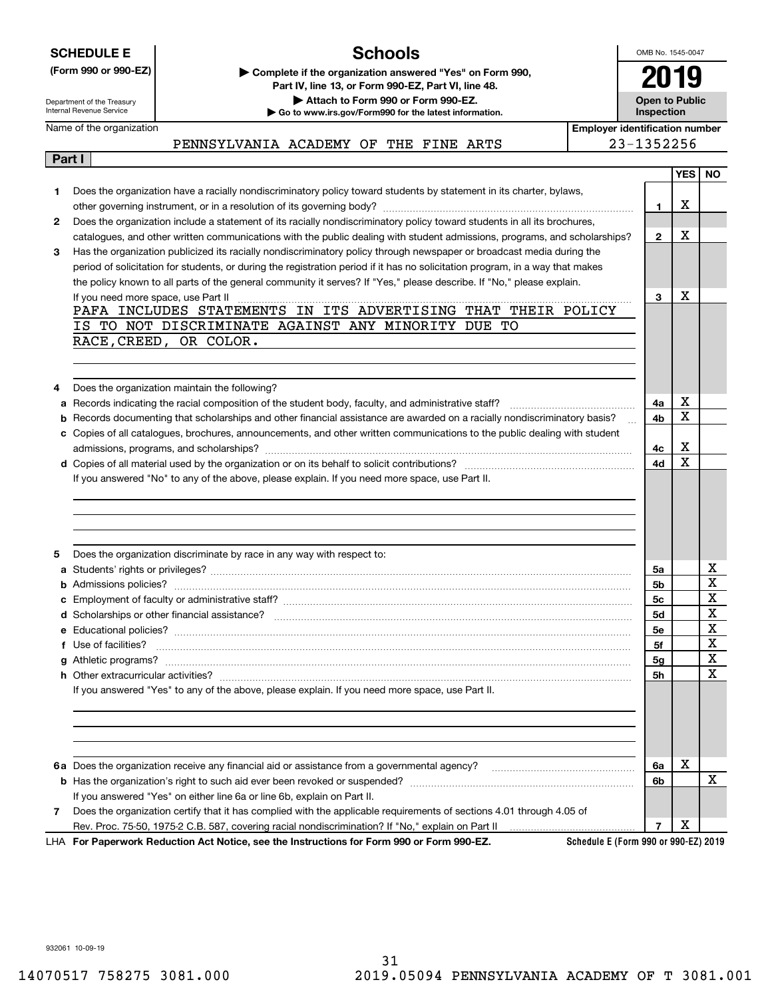|--|

## **Schools**

OMB No. 1545-0047 **2019**

**Open to Public**

|  |  | (LOLW AAN OL AAN-FT) |  |
|--|--|----------------------|--|
|  |  |                      |  |

Name of the organization

Department of the Treasury Internal Revenue Service

**(Form 990 or 990-EZ) | Complete if the organization answered "Yes" on Form 990, Part IV, line 13, or Form 990-EZ, Part VI, line 48. | Attach to Form 990 or Form 990-EZ.**

**| Go to www.irs.gov/Form990 for the latest information.**

**InspectionEmployer identification number**

**Part I**

PENNSYLVANIA ACADEMY OF THE FINE ARTS 23-1352256

|    |                                                                                                                                                                                                                                      |                | YES   NO |   |
|----|--------------------------------------------------------------------------------------------------------------------------------------------------------------------------------------------------------------------------------------|----------------|----------|---|
| 1. | Does the organization have a racially nondiscriminatory policy toward students by statement in its charter, bylaws,                                                                                                                  |                |          |   |
|    |                                                                                                                                                                                                                                      | 1              | x        |   |
| 2  | Does the organization include a statement of its racially nondiscriminatory policy toward students in all its brochures,                                                                                                             |                |          |   |
|    | catalogues, and other written communications with the public dealing with student admissions, programs, and scholarships?                                                                                                            | $\mathbf{2}$   | x        |   |
| 3  | Has the organization publicized its racially nondiscriminatory policy through newspaper or broadcast media during the                                                                                                                |                |          |   |
|    | period of solicitation for students, or during the registration period if it has no solicitation program, in a way that makes                                                                                                        |                |          |   |
|    | the policy known to all parts of the general community it serves? If "Yes," please describe. If "No," please explain.                                                                                                                |                |          |   |
|    | If you need more space, use Part II                                                                                                                                                                                                  | 3              | х        |   |
|    | PAFA INCLUDES STATEMENTS IN ITS ADVERTISING THAT THEIR POLICY                                                                                                                                                                        |                |          |   |
|    | IS TO NOT DISCRIMINATE AGAINST ANY MINORITY DUE TO                                                                                                                                                                                   |                |          |   |
|    | RACE, CREED, OR COLOR.                                                                                                                                                                                                               |                |          |   |
|    |                                                                                                                                                                                                                                      |                |          |   |
|    |                                                                                                                                                                                                                                      |                |          |   |
| 4  | Does the organization maintain the following?                                                                                                                                                                                        |                |          |   |
| a  | Records indicating the racial composition of the student body, faculty, and administrative staff?                                                                                                                                    | 4a             | х        |   |
| b  | Records documenting that scholarships and other financial assistance are awarded on a racially nondiscriminatory basis?                                                                                                              | 4b             | x        |   |
|    | c Copies of all catalogues, brochures, announcements, and other written communications to the public dealing with student                                                                                                            |                |          |   |
|    |                                                                                                                                                                                                                                      | 4c             | х        |   |
|    |                                                                                                                                                                                                                                      | 4d             | x        |   |
|    | If you answered "No" to any of the above, please explain. If you need more space, use Part II.                                                                                                                                       |                |          |   |
|    |                                                                                                                                                                                                                                      |                |          |   |
|    |                                                                                                                                                                                                                                      |                |          |   |
|    |                                                                                                                                                                                                                                      |                |          |   |
|    |                                                                                                                                                                                                                                      |                |          |   |
| 5  | Does the organization discriminate by race in any way with respect to:                                                                                                                                                               |                |          | х |
|    |                                                                                                                                                                                                                                      | 5a             |          | х |
| b  |                                                                                                                                                                                                                                      | 5b             |          | X |
| с  |                                                                                                                                                                                                                                      | 5c             |          | х |
|    |                                                                                                                                                                                                                                      | 5d             |          | х |
| е  |                                                                                                                                                                                                                                      | 5e             |          | х |
| f  | Use of facilities? <b>With the Constitution of the Constitution of the Constitution of the Constitution of the Constitution of the Constitution of the Constitution of the Constitution of the Constitution of the Constitution </b> | 5f             |          | х |
|    |                                                                                                                                                                                                                                      | 5 <sub>g</sub> |          | x |
|    |                                                                                                                                                                                                                                      | 5h             |          |   |
|    | If you answered "Yes" to any of the above, please explain. If you need more space, use Part II.                                                                                                                                      |                |          |   |
|    |                                                                                                                                                                                                                                      |                |          |   |
|    |                                                                                                                                                                                                                                      |                |          |   |
|    |                                                                                                                                                                                                                                      |                |          |   |
|    | 6a Does the organization receive any financial aid or assistance from a governmental agency?                                                                                                                                         | 6a             | x        |   |
|    |                                                                                                                                                                                                                                      | 6b             |          | х |
|    | If you answered "Yes" on either line 6a or line 6b, explain on Part II.                                                                                                                                                              |                |          |   |
| 7  | Does the organization certify that it has complied with the applicable requirements of sections 4.01 through 4.05 of                                                                                                                 |                |          |   |
|    | Rev. Proc. 75-50, 1975-2 C.B. 587, covering racial nondiscrimination? If "No," explain on Part II                                                                                                                                    | $\overline{7}$ | х        |   |
|    | Schedule E (Form 990 or 990-EZ) 2019<br>LHA For Paperwork Reduction Act Notice, see the Instructions for Form 990 or Form 990-EZ.                                                                                                    |                |          |   |
|    |                                                                                                                                                                                                                                      |                |          |   |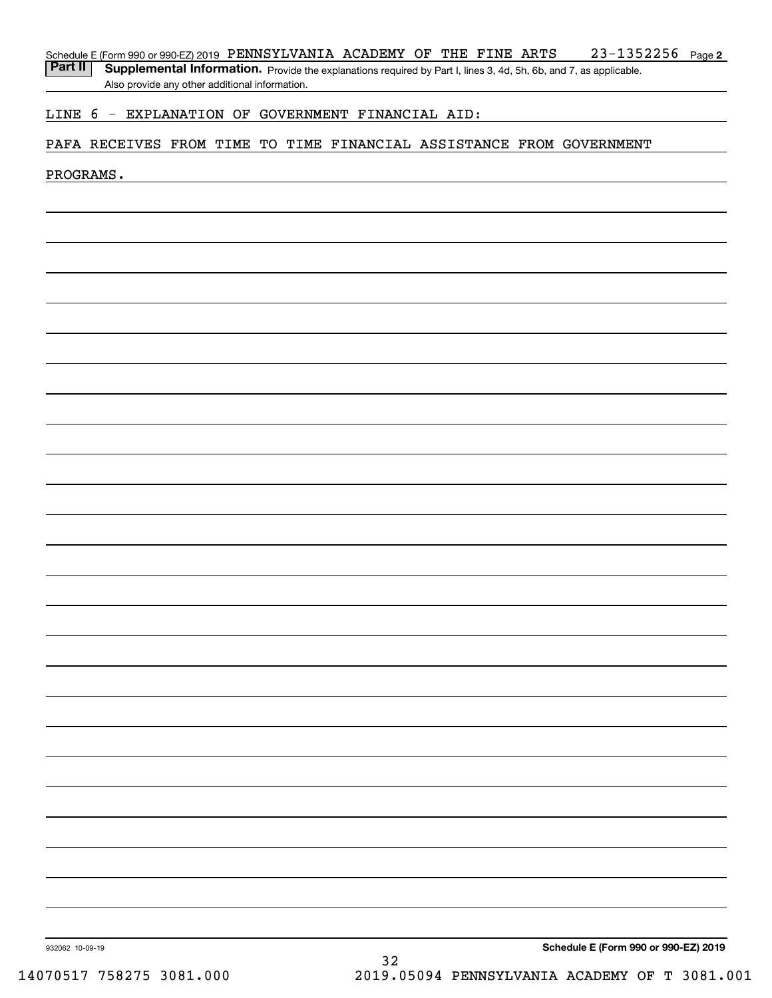Part II | Supplemental Information. Provide the explanations required by Part I, lines 3, 4d, 5h, 6b, and 7, as applicable. Also provide any other additional information.

## LINE 6 - EXPLANATION OF GOVERNMENT FINANCIAL AID:

## PAFA RECEIVES FROM TIME TO TIME FINANCIAL ASSISTANCE FROM GOVERNMENT

## PROGRAMS.

**Schedule E (Form 990 or 990-EZ) 2019**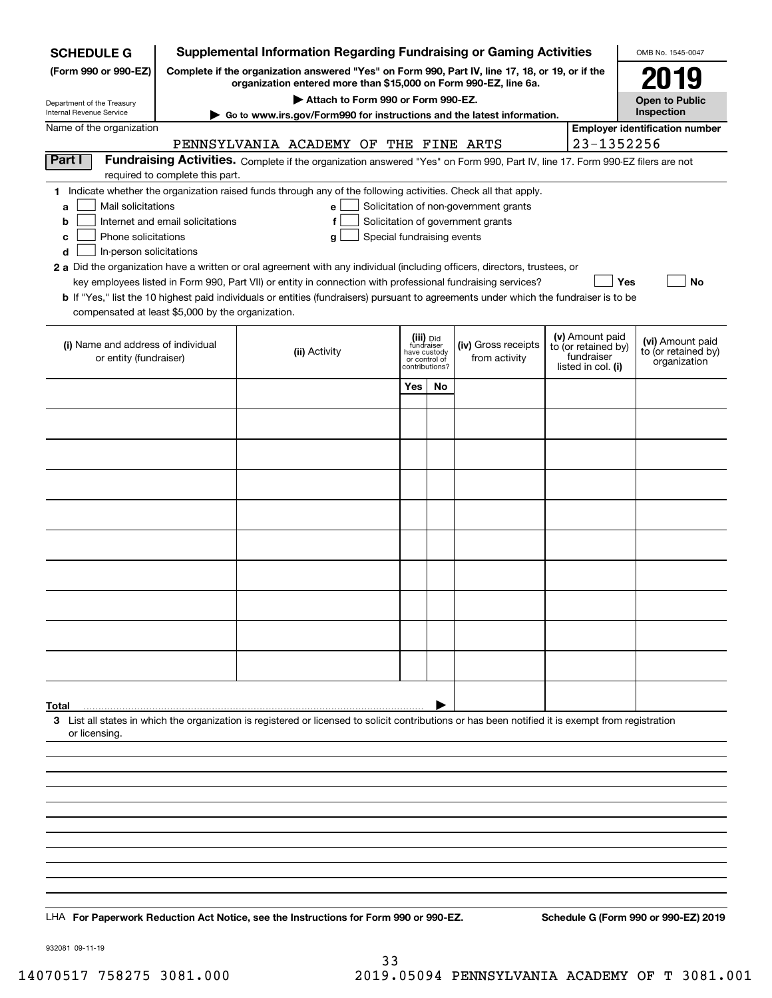| <b>Supplemental Information Regarding Fundraising or Gaming Activities</b><br><b>SCHEDULE G</b>                                                     |                                 |                                                                                                                                                                     |                                                                            |           |                                      |  |                                                         |                                                         |  |  |  |  |  |
|-----------------------------------------------------------------------------------------------------------------------------------------------------|---------------------------------|---------------------------------------------------------------------------------------------------------------------------------------------------------------------|----------------------------------------------------------------------------|-----------|--------------------------------------|--|---------------------------------------------------------|---------------------------------------------------------|--|--|--|--|--|
| (Form 990 or 990-EZ)                                                                                                                                |                                 | Complete if the organization answered "Yes" on Form 990, Part IV, line 17, 18, or 19, or if the<br>organization entered more than \$15,000 on Form 990-EZ, line 6a. |                                                                            |           |                                      |  |                                                         | 79                                                      |  |  |  |  |  |
| Department of the Treasury                                                                                                                          |                                 | Attach to Form 990 or Form 990-EZ.                                                                                                                                  |                                                                            |           |                                      |  |                                                         | <b>Open to Public</b>                                   |  |  |  |  |  |
| Internal Revenue Service                                                                                                                            |                                 | ► Go to www.irs.gov/Form990 for instructions and the latest information.                                                                                            |                                                                            |           |                                      |  |                                                         | Inspection                                              |  |  |  |  |  |
| Name of the organization                                                                                                                            |                                 | PENNSYLVANIA ACADEMY OF THE FINE ARTS                                                                                                                               |                                                                            |           |                                      |  | 23-1352256                                              | <b>Employer identification number</b>                   |  |  |  |  |  |
| Part I                                                                                                                                              | required to complete this part. | Fundraising Activities. Complete if the organization answered "Yes" on Form 990, Part IV, line 17. Form 990-EZ filers are not                                       |                                                                            |           |                                      |  |                                                         |                                                         |  |  |  |  |  |
|                                                                                                                                                     |                                 | 1 Indicate whether the organization raised funds through any of the following activities. Check all that apply.                                                     |                                                                            |           |                                      |  |                                                         |                                                         |  |  |  |  |  |
| Mail solicitations<br>Solicitation of non-government grants<br>e<br>a<br>Solicitation of government grants<br>Internet and email solicitations<br>f |                                 |                                                                                                                                                                     |                                                                            |           |                                      |  |                                                         |                                                         |  |  |  |  |  |
| b                                                                                                                                                   |                                 |                                                                                                                                                                     |                                                                            |           |                                      |  |                                                         |                                                         |  |  |  |  |  |
| Phone solicitations<br>с<br>d<br>In-person solicitations                                                                                            |                                 | Special fundraising events<br>g                                                                                                                                     |                                                                            |           |                                      |  |                                                         |                                                         |  |  |  |  |  |
|                                                                                                                                                     |                                 | 2 a Did the organization have a written or oral agreement with any individual (including officers, directors, trustees, or                                          |                                                                            |           |                                      |  |                                                         |                                                         |  |  |  |  |  |
|                                                                                                                                                     |                                 | key employees listed in Form 990, Part VII) or entity in connection with professional fundraising services?                                                         |                                                                            |           |                                      |  | Yes                                                     | No                                                      |  |  |  |  |  |
| compensated at least \$5,000 by the organization.                                                                                                   |                                 | <b>b</b> If "Yes," list the 10 highest paid individuals or entities (fundraisers) pursuant to agreements under which the fundraiser is to be                        |                                                                            |           |                                      |  |                                                         |                                                         |  |  |  |  |  |
|                                                                                                                                                     |                                 |                                                                                                                                                                     |                                                                            |           |                                      |  | (v) Amount paid                                         |                                                         |  |  |  |  |  |
| (i) Name and address of individual<br>or entity (fundraiser)                                                                                        |                                 | (ii) Activity                                                                                                                                                       | (iii) Did<br>fundraiser<br>have custody<br>or control of<br>contributions? |           | (iv) Gross receipts<br>from activity |  | to (or retained by)<br>fundraiser<br>listed in col. (i) | (vi) Amount paid<br>to (or retained by)<br>organization |  |  |  |  |  |
|                                                                                                                                                     |                                 |                                                                                                                                                                     | Yes                                                                        | <b>No</b> |                                      |  |                                                         |                                                         |  |  |  |  |  |
|                                                                                                                                                     |                                 |                                                                                                                                                                     |                                                                            |           |                                      |  |                                                         |                                                         |  |  |  |  |  |
|                                                                                                                                                     |                                 |                                                                                                                                                                     |                                                                            |           |                                      |  |                                                         |                                                         |  |  |  |  |  |
|                                                                                                                                                     |                                 |                                                                                                                                                                     |                                                                            |           |                                      |  |                                                         |                                                         |  |  |  |  |  |
|                                                                                                                                                     |                                 |                                                                                                                                                                     |                                                                            |           |                                      |  |                                                         |                                                         |  |  |  |  |  |
|                                                                                                                                                     |                                 |                                                                                                                                                                     |                                                                            |           |                                      |  |                                                         |                                                         |  |  |  |  |  |
|                                                                                                                                                     |                                 |                                                                                                                                                                     |                                                                            |           |                                      |  |                                                         |                                                         |  |  |  |  |  |
|                                                                                                                                                     |                                 |                                                                                                                                                                     |                                                                            |           |                                      |  |                                                         |                                                         |  |  |  |  |  |
|                                                                                                                                                     |                                 |                                                                                                                                                                     |                                                                            |           |                                      |  |                                                         |                                                         |  |  |  |  |  |
|                                                                                                                                                     |                                 |                                                                                                                                                                     |                                                                            |           |                                      |  |                                                         |                                                         |  |  |  |  |  |
|                                                                                                                                                     |                                 |                                                                                                                                                                     |                                                                            |           |                                      |  |                                                         |                                                         |  |  |  |  |  |
| Total                                                                                                                                               |                                 |                                                                                                                                                                     |                                                                            |           |                                      |  |                                                         |                                                         |  |  |  |  |  |
| or licensing.                                                                                                                                       |                                 | 3 List all states in which the organization is registered or licensed to solicit contributions or has been notified it is exempt from registration                  |                                                                            |           |                                      |  |                                                         |                                                         |  |  |  |  |  |
|                                                                                                                                                     |                                 |                                                                                                                                                                     |                                                                            |           |                                      |  |                                                         |                                                         |  |  |  |  |  |
|                                                                                                                                                     |                                 |                                                                                                                                                                     |                                                                            |           |                                      |  |                                                         |                                                         |  |  |  |  |  |
|                                                                                                                                                     |                                 |                                                                                                                                                                     |                                                                            |           |                                      |  |                                                         |                                                         |  |  |  |  |  |
|                                                                                                                                                     |                                 |                                                                                                                                                                     |                                                                            |           |                                      |  |                                                         |                                                         |  |  |  |  |  |
|                                                                                                                                                     |                                 |                                                                                                                                                                     |                                                                            |           |                                      |  |                                                         |                                                         |  |  |  |  |  |
|                                                                                                                                                     |                                 |                                                                                                                                                                     |                                                                            |           |                                      |  |                                                         |                                                         |  |  |  |  |  |
|                                                                                                                                                     |                                 | LHA For Paperwork Reduction Act Notice, see the Instructions for Form 990 or 990-EZ.                                                                                |                                                                            |           |                                      |  |                                                         | Schedule G (Form 990 or 990-EZ) 2019                    |  |  |  |  |  |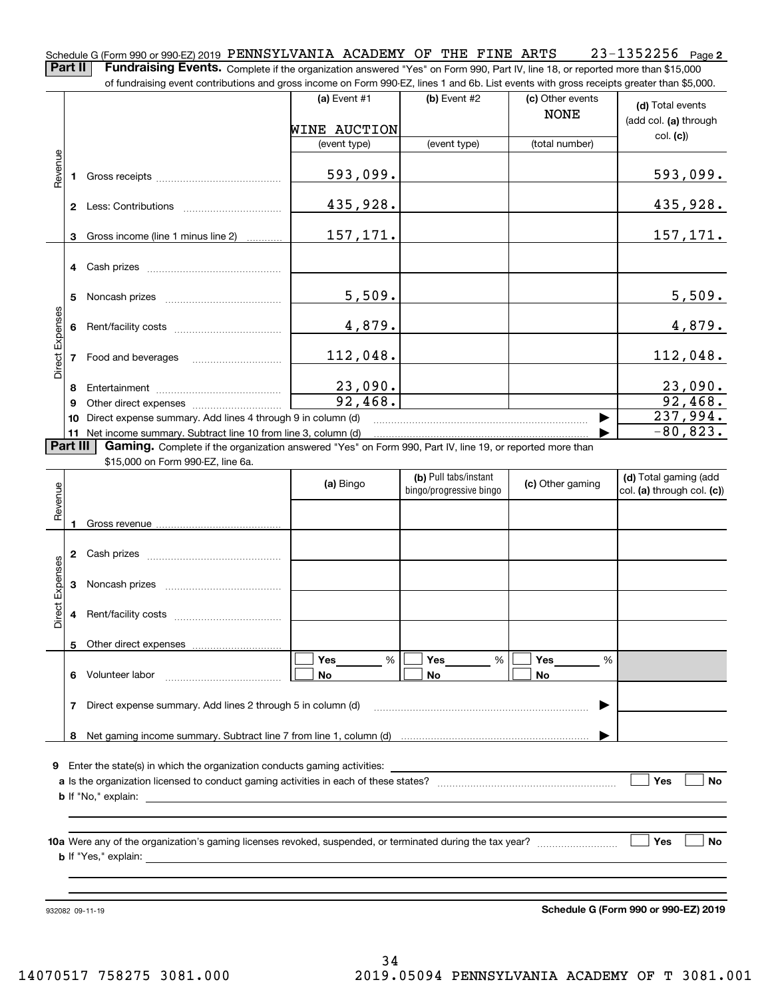**2** Schedule G (Form 990 or 990-EZ) 2019 PENNSYLVANIA ACADEMY OF THE FINE ARTS  $\qquad \ \ \, 23-1352256$  Page **Part II** | Fundraising Events. Complete if the organization answered "Yes" on Form 990, Part IV, line 18, or reported more than \$15,000

of fundraising event contributions and gross income on Form 990-EZ, lines 1 and 6b. List events with gross receipts greater than \$5,000.

|                 |          | 01 lunuraising event continuutions and gross income on Form 990-EZ, illies T and OD. Elst events with gross receipts greater than \$0,000. |                    |                         |                                 |                                           |
|-----------------|----------|--------------------------------------------------------------------------------------------------------------------------------------------|--------------------|-------------------------|---------------------------------|-------------------------------------------|
|                 |          |                                                                                                                                            | (a) Event $#1$     | (b) Event $#2$          | (c) Other events<br><b>NONE</b> | (d) Total events<br>(add col. (a) through |
|                 |          |                                                                                                                                            | WINE AUCTION       |                         |                                 |                                           |
|                 |          |                                                                                                                                            | (event type)       | (event type)            | (total number)                  | col. (c)                                  |
| Revenue         |          |                                                                                                                                            |                    |                         |                                 |                                           |
|                 |          |                                                                                                                                            | 593,099.           |                         |                                 | 593,099.                                  |
|                 |          |                                                                                                                                            |                    |                         |                                 |                                           |
|                 |          |                                                                                                                                            | 435,928.           |                         |                                 | 435,928.                                  |
|                 |          |                                                                                                                                            |                    |                         |                                 |                                           |
|                 | 3        | Gross income (line 1 minus line 2)                                                                                                         | 157,171.           |                         |                                 | 157,171.                                  |
|                 |          |                                                                                                                                            |                    |                         |                                 |                                           |
|                 |          | 4 Cash prizes                                                                                                                              |                    |                         |                                 |                                           |
|                 |          |                                                                                                                                            |                    |                         |                                 |                                           |
|                 |          |                                                                                                                                            | 5,509.             |                         |                                 | 5,509.                                    |
|                 |          |                                                                                                                                            |                    |                         |                                 |                                           |
|                 |          |                                                                                                                                            | 4,879.             |                         |                                 | 4,879.                                    |
| Direct Expenses |          |                                                                                                                                            |                    |                         |                                 |                                           |
|                 |          | 7 Food and beverages                                                                                                                       | 112,048.           |                         |                                 | 112,048.                                  |
|                 |          |                                                                                                                                            |                    |                         |                                 |                                           |
|                 | 8        |                                                                                                                                            | 23,090.<br>92,468. |                         |                                 | $\frac{23,090}{92,468}$                   |
|                 | 9        |                                                                                                                                            |                    |                         |                                 | 237,994.                                  |
|                 |          | 10 Direct expense summary. Add lines 4 through 9 in column (d)<br>11 Net income summary. Subtract line 10 from line 3, column (d)          |                    |                         |                                 | $-80, 823.$                               |
|                 | Part III | Gaming. Complete if the organization answered "Yes" on Form 990, Part IV, line 19, or reported more than                                   |                    |                         |                                 |                                           |
|                 |          | \$15,000 on Form 990-EZ, line 6a.                                                                                                          |                    |                         |                                 |                                           |
|                 |          |                                                                                                                                            |                    | (b) Pull tabs/instant   |                                 | (d) Total gaming (add                     |
| Revenue         |          |                                                                                                                                            | (a) Bingo          | bingo/progressive bingo | (c) Other gaming                | col. (a) through col. (c))                |
|                 |          |                                                                                                                                            |                    |                         |                                 |                                           |
|                 | 1        |                                                                                                                                            |                    |                         |                                 |                                           |
|                 |          |                                                                                                                                            |                    |                         |                                 |                                           |
|                 |          |                                                                                                                                            |                    |                         |                                 |                                           |
|                 |          |                                                                                                                                            |                    |                         |                                 |                                           |
|                 |          |                                                                                                                                            |                    |                         |                                 |                                           |
| Direct Expenses |          |                                                                                                                                            |                    |                         |                                 |                                           |
|                 |          |                                                                                                                                            |                    |                         |                                 |                                           |
|                 |          |                                                                                                                                            |                    |                         |                                 |                                           |
|                 |          | 5 Other direct expenses                                                                                                                    |                    |                         |                                 |                                           |
|                 |          |                                                                                                                                            | Yes<br>%           | Yes<br>%                | Yes<br>%                        |                                           |
|                 | 6        | Volunteer labor                                                                                                                            | No                 | No                      | No                              |                                           |
|                 |          | Direct expense summary. Add lines 2 through 5 in column (d)                                                                                |                    |                         |                                 |                                           |
|                 | 7        |                                                                                                                                            |                    |                         |                                 |                                           |
|                 | 8        |                                                                                                                                            |                    |                         |                                 |                                           |
|                 |          |                                                                                                                                            |                    |                         |                                 |                                           |
|                 |          | 9 Enter the state(s) in which the organization conducts gaming activities:                                                                 |                    |                         |                                 |                                           |
|                 |          |                                                                                                                                            |                    |                         |                                 | Yes<br><b>No</b>                          |
|                 |          | <b>b</b> If "No," explain:<br><u> 1989 - Johann Stein, mars an deutscher Stein († 1989)</u>                                                |                    |                         |                                 |                                           |
|                 |          |                                                                                                                                            |                    |                         |                                 |                                           |
|                 |          |                                                                                                                                            |                    |                         |                                 |                                           |
|                 |          |                                                                                                                                            |                    |                         |                                 | Yes<br>No                                 |
|                 |          |                                                                                                                                            |                    |                         |                                 |                                           |
|                 |          |                                                                                                                                            |                    |                         |                                 |                                           |
|                 |          |                                                                                                                                            |                    |                         |                                 |                                           |
|                 |          |                                                                                                                                            |                    |                         |                                 |                                           |

932082 09-11-19

**Schedule G (Form 990 or 990-EZ) 2019**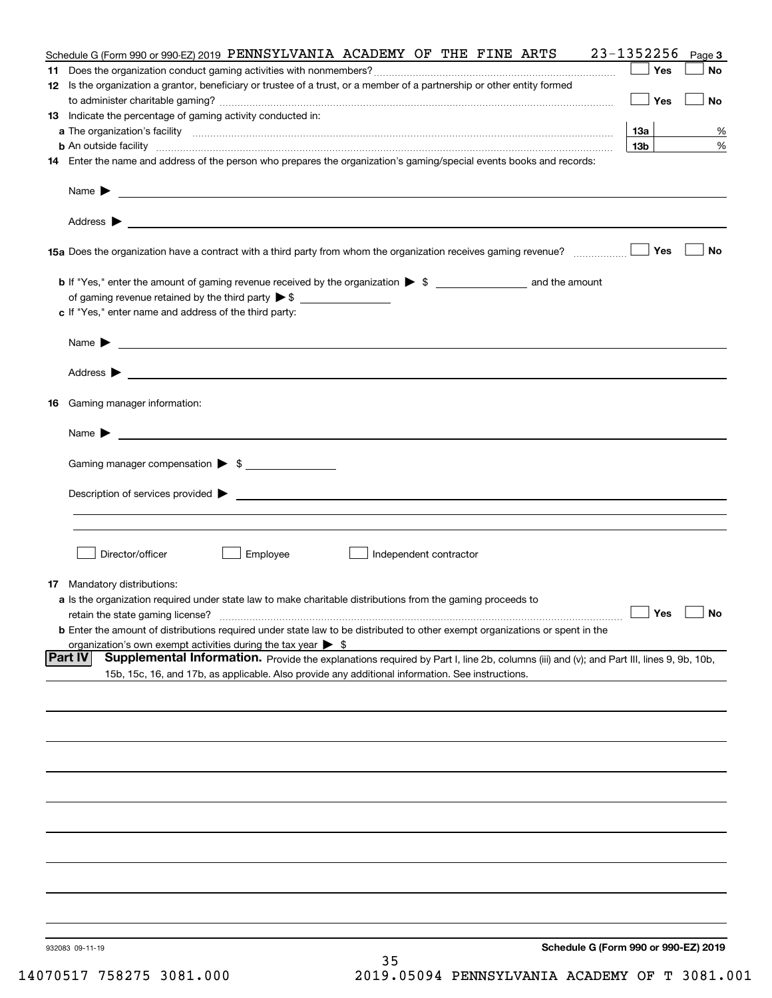| Schedule G (Form 990 or 990-EZ) 2019 PENNSYLVANIA ACADEMY OF THE FINE ARTS                                                                                                                                                                                            |                                      | 23-1352256        | Page 3                      |
|-----------------------------------------------------------------------------------------------------------------------------------------------------------------------------------------------------------------------------------------------------------------------|--------------------------------------|-------------------|-----------------------------|
|                                                                                                                                                                                                                                                                       |                                      | Yes               | No                          |
| 12 Is the organization a grantor, beneficiary or trustee of a trust, or a member of a partnership or other entity formed                                                                                                                                              |                                      |                   |                             |
|                                                                                                                                                                                                                                                                       |                                      | Yes               | No                          |
| 13 Indicate the percentage of gaming activity conducted in:                                                                                                                                                                                                           |                                      |                   |                             |
|                                                                                                                                                                                                                                                                       |                                      | 13а               | %                           |
| <b>b</b> An outside facility <b>contract and the contract of the contract of the contract of the contract of the contract of the contract of the contract of the contract of the contract of the contract of the contract of the cont</b>                             |                                      | 13 <sub>b</sub>   | %                           |
| 14 Enter the name and address of the person who prepares the organization's gaming/special events books and records:                                                                                                                                                  |                                      |                   |                             |
|                                                                                                                                                                                                                                                                       |                                      |                   |                             |
| Name $\blacktriangleright$<br><u>and the state of the state of the state of the state of the state of the state of the state of the state of the state of the state of the state of the state of the state of the state of the state of the state of the state</u>    |                                      |                   |                             |
|                                                                                                                                                                                                                                                                       |                                      |                   |                             |
|                                                                                                                                                                                                                                                                       |                                      |                   |                             |
|                                                                                                                                                                                                                                                                       |                                      | Yes               | No                          |
|                                                                                                                                                                                                                                                                       |                                      |                   |                             |
|                                                                                                                                                                                                                                                                       |                                      |                   |                             |
|                                                                                                                                                                                                                                                                       |                                      |                   |                             |
| c If "Yes," enter name and address of the third party:                                                                                                                                                                                                                |                                      |                   |                             |
|                                                                                                                                                                                                                                                                       |                                      |                   |                             |
| <u> 1980 - Johann Barbara, martin amerikan pendadaran pendadaran pendadaran pendadaran personal dan pendadaran pe</u><br>Name $\blacktriangleright$                                                                                                                   |                                      |                   |                             |
|                                                                                                                                                                                                                                                                       |                                      |                   |                             |
| Address $\blacktriangleright$<br><u>state and the state of the state of the state of the state of the state of the state of the state of the state of the state of the state of the state of the state of the state of the state of the state of the state of the</u> |                                      |                   |                             |
|                                                                                                                                                                                                                                                                       |                                      |                   |                             |
| Gaming manager information:<br>16                                                                                                                                                                                                                                     |                                      |                   |                             |
|                                                                                                                                                                                                                                                                       |                                      |                   |                             |
| Name $\blacktriangleright$                                                                                                                                                                                                                                            |                                      |                   |                             |
| Gaming manager compensation > \$                                                                                                                                                                                                                                      |                                      |                   |                             |
|                                                                                                                                                                                                                                                                       |                                      |                   |                             |
| $\blacksquare$ Description of services provided $\blacktriangleright$                                                                                                                                                                                                 |                                      |                   |                             |
|                                                                                                                                                                                                                                                                       |                                      |                   |                             |
|                                                                                                                                                                                                                                                                       |                                      |                   |                             |
|                                                                                                                                                                                                                                                                       |                                      |                   |                             |
| Director/officer<br>Employee<br>Independent contractor                                                                                                                                                                                                                |                                      |                   |                             |
|                                                                                                                                                                                                                                                                       |                                      |                   |                             |
| <b>17</b> Mandatory distributions:                                                                                                                                                                                                                                    |                                      |                   |                             |
| a Is the organization required under state law to make charitable distributions from the gaming proceeds to                                                                                                                                                           |                                      | $\Box$ Yes $\Box$ | $\overline{\phantom{a}}$ No |
| retain the state gaming license?<br><b>b</b> Enter the amount of distributions required under state law to be distributed to other exempt organizations or spent in the                                                                                               |                                      |                   |                             |
| organization's own exempt activities during the tax year $\triangleright$ \$                                                                                                                                                                                          |                                      |                   |                             |
| <b>Part IV</b><br>Supplemental Information. Provide the explanations required by Part I, line 2b, columns (iii) and (v); and Part III, lines 9, 9b, 10b,                                                                                                              |                                      |                   |                             |
| 15b, 15c, 16, and 17b, as applicable. Also provide any additional information. See instructions.                                                                                                                                                                      |                                      |                   |                             |
|                                                                                                                                                                                                                                                                       |                                      |                   |                             |
|                                                                                                                                                                                                                                                                       |                                      |                   |                             |
|                                                                                                                                                                                                                                                                       |                                      |                   |                             |
|                                                                                                                                                                                                                                                                       |                                      |                   |                             |
|                                                                                                                                                                                                                                                                       |                                      |                   |                             |
|                                                                                                                                                                                                                                                                       |                                      |                   |                             |
|                                                                                                                                                                                                                                                                       |                                      |                   |                             |
|                                                                                                                                                                                                                                                                       |                                      |                   |                             |
|                                                                                                                                                                                                                                                                       |                                      |                   |                             |
|                                                                                                                                                                                                                                                                       |                                      |                   |                             |
|                                                                                                                                                                                                                                                                       |                                      |                   |                             |
|                                                                                                                                                                                                                                                                       |                                      |                   |                             |
|                                                                                                                                                                                                                                                                       |                                      |                   |                             |
|                                                                                                                                                                                                                                                                       |                                      |                   |                             |
|                                                                                                                                                                                                                                                                       |                                      |                   |                             |
|                                                                                                                                                                                                                                                                       |                                      |                   |                             |
| 932083 09-11-19<br>35                                                                                                                                                                                                                                                 | Schedule G (Form 990 or 990-EZ) 2019 |                   |                             |
|                                                                                                                                                                                                                                                                       |                                      |                   |                             |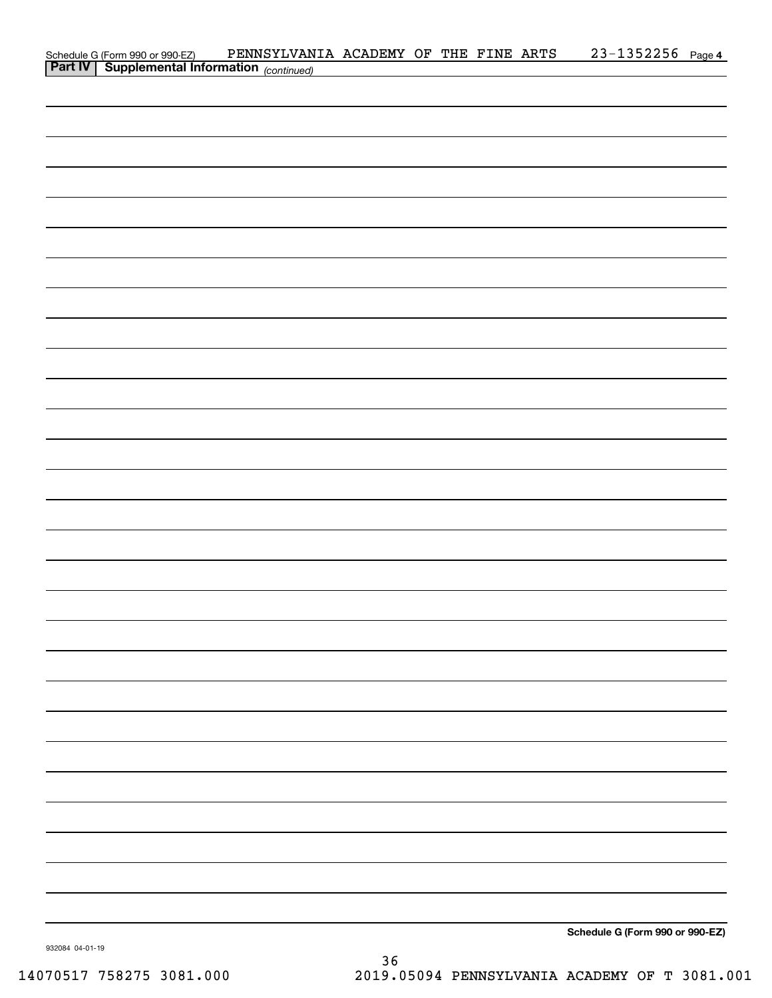|                                                                                            | PENNSYLVANIA ACADEMY OF THE FINE ARTS |  |  | $23 - 1352256$ Page 4           |  |
|--------------------------------------------------------------------------------------------|---------------------------------------|--|--|---------------------------------|--|
| Schedule G (Form 990 or 990-EZ) PENNSYLVAN<br>Part IV Supplemental Information (continued) |                                       |  |  |                                 |  |
|                                                                                            |                                       |  |  |                                 |  |
|                                                                                            |                                       |  |  |                                 |  |
|                                                                                            |                                       |  |  |                                 |  |
|                                                                                            |                                       |  |  |                                 |  |
|                                                                                            |                                       |  |  |                                 |  |
|                                                                                            |                                       |  |  |                                 |  |
|                                                                                            |                                       |  |  |                                 |  |
|                                                                                            |                                       |  |  |                                 |  |
|                                                                                            |                                       |  |  |                                 |  |
|                                                                                            |                                       |  |  |                                 |  |
|                                                                                            |                                       |  |  |                                 |  |
|                                                                                            |                                       |  |  |                                 |  |
|                                                                                            |                                       |  |  |                                 |  |
|                                                                                            |                                       |  |  |                                 |  |
|                                                                                            |                                       |  |  |                                 |  |
|                                                                                            |                                       |  |  |                                 |  |
|                                                                                            |                                       |  |  |                                 |  |
|                                                                                            |                                       |  |  |                                 |  |
|                                                                                            |                                       |  |  |                                 |  |
|                                                                                            |                                       |  |  |                                 |  |
|                                                                                            |                                       |  |  |                                 |  |
|                                                                                            |                                       |  |  |                                 |  |
|                                                                                            |                                       |  |  |                                 |  |
|                                                                                            |                                       |  |  |                                 |  |
|                                                                                            |                                       |  |  |                                 |  |
|                                                                                            |                                       |  |  |                                 |  |
|                                                                                            |                                       |  |  |                                 |  |
|                                                                                            |                                       |  |  |                                 |  |
|                                                                                            |                                       |  |  |                                 |  |
|                                                                                            |                                       |  |  |                                 |  |
|                                                                                            |                                       |  |  |                                 |  |
|                                                                                            |                                       |  |  |                                 |  |
|                                                                                            |                                       |  |  |                                 |  |
|                                                                                            |                                       |  |  |                                 |  |
|                                                                                            |                                       |  |  |                                 |  |
|                                                                                            |                                       |  |  |                                 |  |
|                                                                                            |                                       |  |  |                                 |  |
|                                                                                            |                                       |  |  |                                 |  |
|                                                                                            |                                       |  |  |                                 |  |
|                                                                                            |                                       |  |  |                                 |  |
|                                                                                            |                                       |  |  |                                 |  |
|                                                                                            |                                       |  |  |                                 |  |
|                                                                                            |                                       |  |  |                                 |  |
|                                                                                            |                                       |  |  |                                 |  |
|                                                                                            |                                       |  |  |                                 |  |
|                                                                                            |                                       |  |  |                                 |  |
|                                                                                            |                                       |  |  |                                 |  |
|                                                                                            |                                       |  |  |                                 |  |
|                                                                                            |                                       |  |  |                                 |  |
|                                                                                            |                                       |  |  |                                 |  |
|                                                                                            |                                       |  |  |                                 |  |
|                                                                                            |                                       |  |  |                                 |  |
|                                                                                            |                                       |  |  |                                 |  |
|                                                                                            |                                       |  |  |                                 |  |
|                                                                                            |                                       |  |  |                                 |  |
|                                                                                            |                                       |  |  |                                 |  |
|                                                                                            |                                       |  |  | Schedule G (Form 990 or 990-EZ) |  |

932084 04-01-19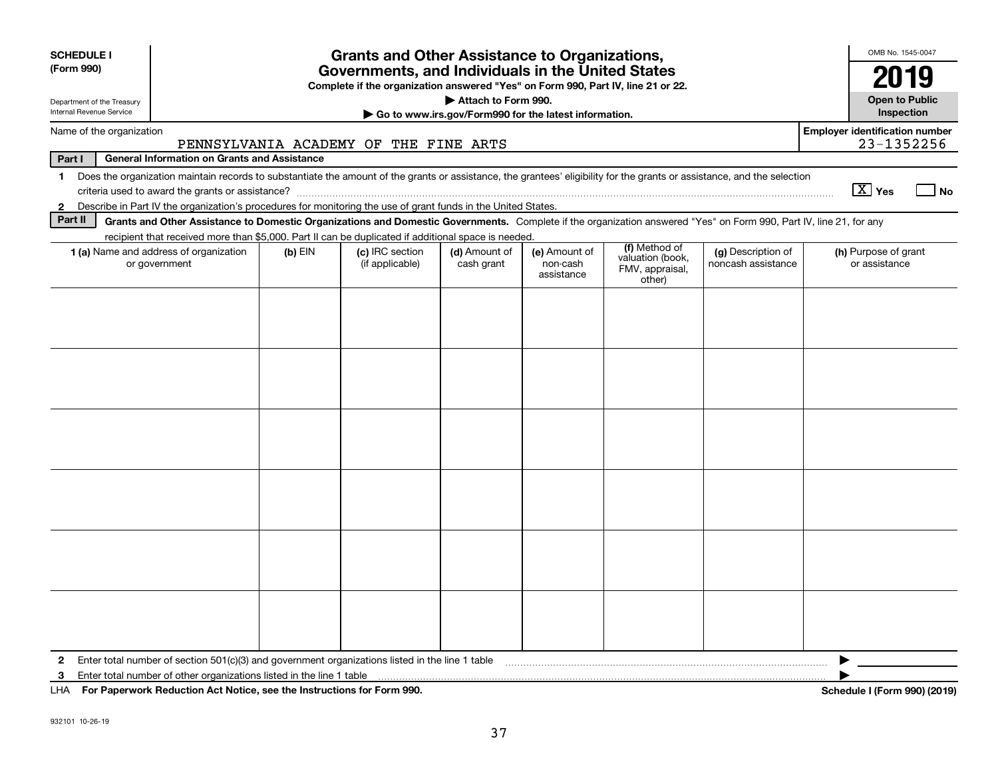| <b>SCHEDULE I</b><br>(Form 990)<br>Department of the Treasury<br>Internal Revenue Service | <b>Grants and Other Assistance to Organizations,</b><br>Governments, and Individuals in the United States<br>Complete if the organization answered "Yes" on Form 990, Part IV, line 21 or 22.<br>Attach to Form 990.<br>Go to www.irs.gov/Form990 for the latest information. |  |                                       |  |            |        |  |                                                     |  |  |  |  |
|-------------------------------------------------------------------------------------------|-------------------------------------------------------------------------------------------------------------------------------------------------------------------------------------------------------------------------------------------------------------------------------|--|---------------------------------------|--|------------|--------|--|-----------------------------------------------------|--|--|--|--|
| Name of the organization                                                                  |                                                                                                                                                                                                                                                                               |  |                                       |  |            |        |  | Inspection<br><b>Employer identification number</b> |  |  |  |  |
|                                                                                           |                                                                                                                                                                                                                                                                               |  | PENNSYLVANIA ACADEMY OF THE FINE ARTS |  |            |        |  | 23-1352256                                          |  |  |  |  |
| Part I                                                                                    | <b>General Information on Grants and Assistance</b>                                                                                                                                                                                                                           |  |                                       |  |            |        |  |                                                     |  |  |  |  |
| 1.                                                                                        | Does the organization maintain records to substantiate the amount of the grants or assistance, the grantees' eligibility for the grants or assistance, and the selection                                                                                                      |  |                                       |  |            |        |  | $\boxed{\text{X}}$ Yes<br>l No                      |  |  |  |  |
| $\mathbf{2}$                                                                              | Describe in Part IV the organization's procedures for monitoring the use of grant funds in the United States.                                                                                                                                                                 |  |                                       |  |            |        |  |                                                     |  |  |  |  |
| Part II                                                                                   | Grants and Other Assistance to Domestic Organizations and Domestic Governments. Complete if the organization answered "Yes" on Form 990, Part IV, line 21, for any<br>recipient that received more than \$5,000. Part II can be duplicated if additional space is needed.     |  |                                       |  |            |        |  |                                                     |  |  |  |  |
| 1 (a) Name and address of organization<br>or government                                   | (h) Purpose of grant<br>noncash assistance<br>or assistance                                                                                                                                                                                                                   |  |                                       |  |            |        |  |                                                     |  |  |  |  |
|                                                                                           |                                                                                                                                                                                                                                                                               |  |                                       |  | assistance | other) |  |                                                     |  |  |  |  |
|                                                                                           |                                                                                                                                                                                                                                                                               |  |                                       |  |            |        |  |                                                     |  |  |  |  |
|                                                                                           |                                                                                                                                                                                                                                                                               |  |                                       |  |            |        |  |                                                     |  |  |  |  |
|                                                                                           |                                                                                                                                                                                                                                                                               |  |                                       |  |            |        |  |                                                     |  |  |  |  |
|                                                                                           |                                                                                                                                                                                                                                                                               |  |                                       |  |            |        |  |                                                     |  |  |  |  |
|                                                                                           |                                                                                                                                                                                                                                                                               |  |                                       |  |            |        |  |                                                     |  |  |  |  |
|                                                                                           |                                                                                                                                                                                                                                                                               |  |                                       |  |            |        |  |                                                     |  |  |  |  |
|                                                                                           |                                                                                                                                                                                                                                                                               |  |                                       |  |            |        |  |                                                     |  |  |  |  |
|                                                                                           |                                                                                                                                                                                                                                                                               |  |                                       |  |            |        |  |                                                     |  |  |  |  |
|                                                                                           |                                                                                                                                                                                                                                                                               |  |                                       |  |            |        |  |                                                     |  |  |  |  |
|                                                                                           |                                                                                                                                                                                                                                                                               |  |                                       |  |            |        |  |                                                     |  |  |  |  |
|                                                                                           |                                                                                                                                                                                                                                                                               |  |                                       |  |            |        |  |                                                     |  |  |  |  |
|                                                                                           |                                                                                                                                                                                                                                                                               |  |                                       |  |            |        |  |                                                     |  |  |  |  |
|                                                                                           |                                                                                                                                                                                                                                                                               |  |                                       |  |            |        |  |                                                     |  |  |  |  |
|                                                                                           |                                                                                                                                                                                                                                                                               |  |                                       |  |            |        |  |                                                     |  |  |  |  |
|                                                                                           |                                                                                                                                                                                                                                                                               |  |                                       |  |            |        |  |                                                     |  |  |  |  |
|                                                                                           |                                                                                                                                                                                                                                                                               |  |                                       |  |            |        |  |                                                     |  |  |  |  |
|                                                                                           |                                                                                                                                                                                                                                                                               |  |                                       |  |            |        |  |                                                     |  |  |  |  |
|                                                                                           |                                                                                                                                                                                                                                                                               |  |                                       |  |            |        |  |                                                     |  |  |  |  |
|                                                                                           |                                                                                                                                                                                                                                                                               |  |                                       |  |            |        |  |                                                     |  |  |  |  |
|                                                                                           |                                                                                                                                                                                                                                                                               |  |                                       |  |            |        |  |                                                     |  |  |  |  |
| $\mathbf{2}$                                                                              | Enter total number of section $501(c)(3)$ and government organizations listed in the line 1 table                                                                                                                                                                             |  |                                       |  |            |        |  |                                                     |  |  |  |  |
| 3                                                                                         | Enter total number of other organizations listed in the line 1 table                                                                                                                                                                                                          |  |                                       |  |            |        |  |                                                     |  |  |  |  |
| LHA For Paperwork Reduction Act Notice, see the Instructions for Form 990.                |                                                                                                                                                                                                                                                                               |  |                                       |  |            |        |  | Schedule I (Form 990) (2019)                        |  |  |  |  |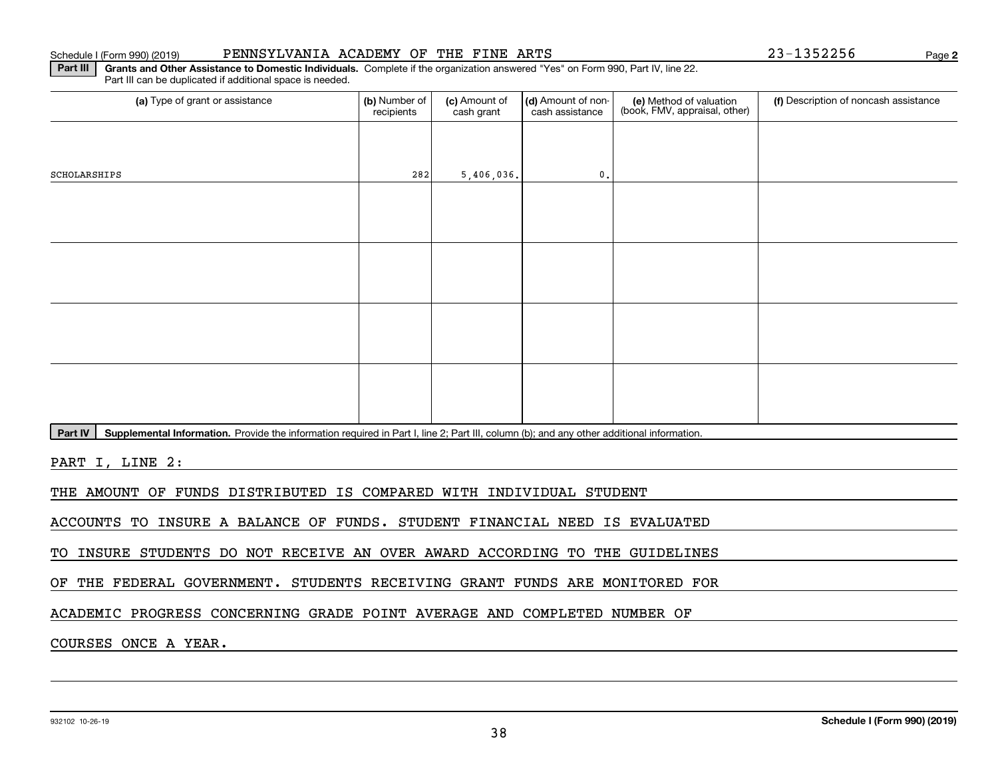### Schedule I (Form 990) (2019) Page PENNSYLVANIA ACADEMY OF THE FINE ARTS 23-1352256

**2**

**Part III** | Grants and Other Assistance to Domestic Individuals. Complete if the organization answered "Yes" on Form 990, Part IV, line 22. Part III can be duplicated if additional space is needed.

| (a) Type of grant or assistance | (b) Number of<br>recipients | (c) Amount of<br>cash grant | (d) Amount of non-<br>cash assistance | (e) Method of valuation<br>(book, FMV, appraisal, other) | (f) Description of noncash assistance |
|---------------------------------|-----------------------------|-----------------------------|---------------------------------------|----------------------------------------------------------|---------------------------------------|
|                                 |                             |                             |                                       |                                                          |                                       |
| SCHOLARSHIPS                    | 282                         | 5,406,036.                  | $\mathbf{0}$ .                        |                                                          |                                       |
|                                 |                             |                             |                                       |                                                          |                                       |
|                                 |                             |                             |                                       |                                                          |                                       |
|                                 |                             |                             |                                       |                                                          |                                       |
|                                 |                             |                             |                                       |                                                          |                                       |
|                                 |                             |                             |                                       |                                                          |                                       |
|                                 |                             |                             |                                       |                                                          |                                       |
|                                 |                             |                             |                                       |                                                          |                                       |
|                                 |                             |                             |                                       |                                                          |                                       |

Part IV | Supplemental Information. Provide the information required in Part I, line 2; Part III, column (b); and any other additional information.

PART I, LINE 2:

THE AMOUNT OF FUNDS DISTRIBUTED IS COMPARED WITH INDIVIDUAL STUDENT

ACCOUNTS TO INSURE A BALANCE OF FUNDS. STUDENT FINANCIAL NEED IS EVALUATED

TO INSURE STUDENTS DO NOT RECEIVE AN OVER AWARD ACCORDING TO THE GUIDELINES

OF THE FEDERAL GOVERNMENT. STUDENTS RECEIVING GRANT FUNDS ARE MONITORED FOR

ACADEMIC PROGRESS CONCERNING GRADE POINT AVERAGE AND COMPLETED NUMBER OF

COURSES ONCE A YEAR.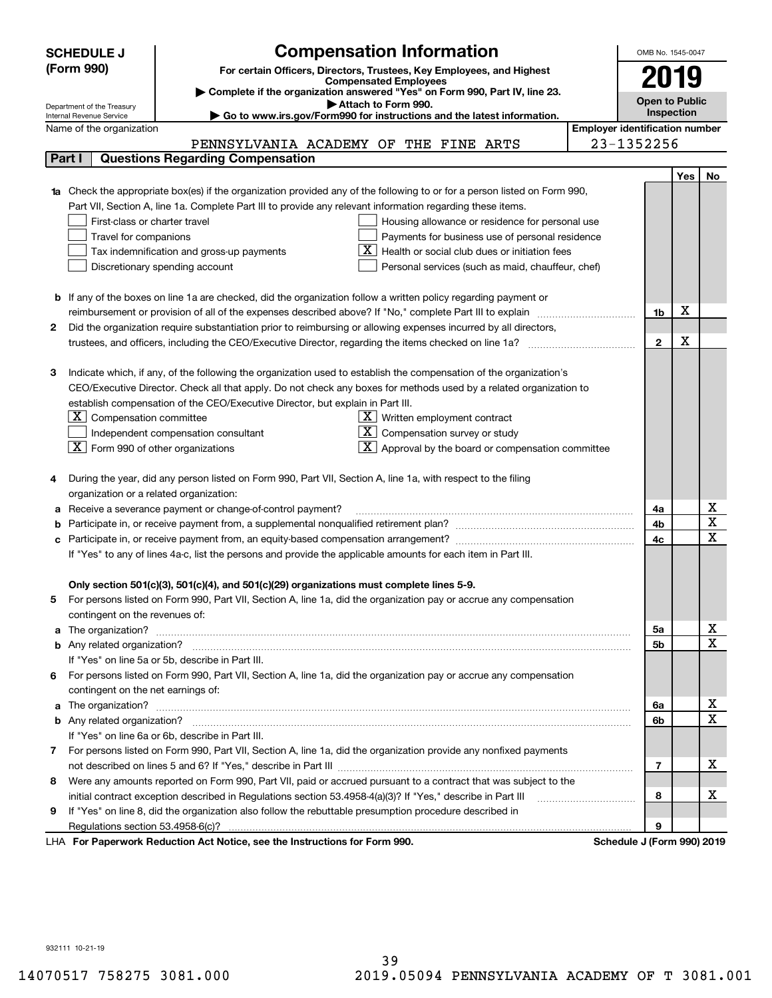| <b>Compensation Information</b><br>OMB No. 1545-0047<br><b>SCHEDULE J</b> |                                                                                                                                                                                                                              |                                                                                                                                  |                                       |                       |            |                                     |  |  |
|---------------------------------------------------------------------------|------------------------------------------------------------------------------------------------------------------------------------------------------------------------------------------------------------------------------|----------------------------------------------------------------------------------------------------------------------------------|---------------------------------------|-----------------------|------------|-------------------------------------|--|--|
|                                                                           | (Form 990)                                                                                                                                                                                                                   | For certain Officers, Directors, Trustees, Key Employees, and Highest                                                            |                                       |                       |            |                                     |  |  |
|                                                                           |                                                                                                                                                                                                                              | <b>Compensated Employees</b>                                                                                                     |                                       |                       | 2019       |                                     |  |  |
|                                                                           | Department of the Treasury                                                                                                                                                                                                   | Complete if the organization answered "Yes" on Form 990, Part IV, line 23.<br>Attach to Form 990.                                |                                       | <b>Open to Public</b> |            |                                     |  |  |
|                                                                           | Internal Revenue Service                                                                                                                                                                                                     | Go to www.irs.gov/Form990 for instructions and the latest information.                                                           |                                       |                       | Inspection |                                     |  |  |
|                                                                           | Name of the organization                                                                                                                                                                                                     |                                                                                                                                  | <b>Employer identification number</b> |                       |            |                                     |  |  |
|                                                                           |                                                                                                                                                                                                                              | PENNSYLVANIA ACADEMY OF THE FINE ARTS                                                                                            |                                       | 23-1352256            |            |                                     |  |  |
|                                                                           | Part I                                                                                                                                                                                                                       | <b>Questions Regarding Compensation</b>                                                                                          |                                       |                       |            |                                     |  |  |
|                                                                           |                                                                                                                                                                                                                              |                                                                                                                                  |                                       |                       | <b>Yes</b> | No                                  |  |  |
|                                                                           |                                                                                                                                                                                                                              | <b>1a</b> Check the appropriate box(es) if the organization provided any of the following to or for a person listed on Form 990, |                                       |                       |            |                                     |  |  |
|                                                                           |                                                                                                                                                                                                                              | Part VII, Section A, line 1a. Complete Part III to provide any relevant information regarding these items.                       |                                       |                       |            |                                     |  |  |
|                                                                           | First-class or charter travel                                                                                                                                                                                                | Housing allowance or residence for personal use                                                                                  |                                       |                       |            |                                     |  |  |
|                                                                           | Travel for companions                                                                                                                                                                                                        | Payments for business use of personal residence                                                                                  |                                       |                       |            |                                     |  |  |
|                                                                           |                                                                                                                                                                                                                              | Health or social club dues or initiation fees<br>Tax indemnification and gross-up payments                                       |                                       |                       |            |                                     |  |  |
|                                                                           |                                                                                                                                                                                                                              | Discretionary spending account<br>Personal services (such as maid, chauffeur, chef)                                              |                                       |                       |            |                                     |  |  |
|                                                                           |                                                                                                                                                                                                                              |                                                                                                                                  |                                       |                       |            |                                     |  |  |
|                                                                           | <b>b</b> If any of the boxes on line 1a are checked, did the organization follow a written policy regarding payment or                                                                                                       |                                                                                                                                  |                                       |                       |            |                                     |  |  |
| 2                                                                         | reimbursement or provision of all of the expenses described above? If "No," complete Part III to explain<br>Did the organization require substantiation prior to reimbursing or allowing expenses incurred by all directors, |                                                                                                                                  |                                       |                       |            |                                     |  |  |
|                                                                           |                                                                                                                                                                                                                              |                                                                                                                                  | $\mathbf{2}$                          | X                     |            |                                     |  |  |
|                                                                           |                                                                                                                                                                                                                              |                                                                                                                                  |                                       |                       |            |                                     |  |  |
| з                                                                         |                                                                                                                                                                                                                              | Indicate which, if any, of the following the organization used to establish the compensation of the organization's               |                                       |                       |            |                                     |  |  |
|                                                                           |                                                                                                                                                                                                                              | CEO/Executive Director. Check all that apply. Do not check any boxes for methods used by a related organization to               |                                       |                       |            |                                     |  |  |
|                                                                           |                                                                                                                                                                                                                              | establish compensation of the CEO/Executive Director, but explain in Part III.                                                   |                                       |                       |            |                                     |  |  |
|                                                                           | $ \mathbf{X} $ Compensation committee                                                                                                                                                                                        | $X$ Written employment contract                                                                                                  |                                       |                       |            |                                     |  |  |
|                                                                           |                                                                                                                                                                                                                              | Compensation survey or study<br>Independent compensation consultant                                                              |                                       |                       |            |                                     |  |  |
|                                                                           | $\boxed{\textbf{X}}$ Form 990 of other organizations                                                                                                                                                                         | Approval by the board or compensation committee                                                                                  |                                       |                       |            |                                     |  |  |
|                                                                           |                                                                                                                                                                                                                              |                                                                                                                                  |                                       |                       |            |                                     |  |  |
|                                                                           |                                                                                                                                                                                                                              | During the year, did any person listed on Form 990, Part VII, Section A, line 1a, with respect to the filing                     |                                       |                       |            |                                     |  |  |
|                                                                           | organization or a related organization:                                                                                                                                                                                      |                                                                                                                                  |                                       |                       |            |                                     |  |  |
|                                                                           |                                                                                                                                                                                                                              | Receive a severance payment or change-of-control payment?                                                                        |                                       | 4a                    |            | x                                   |  |  |
|                                                                           |                                                                                                                                                                                                                              |                                                                                                                                  |                                       | 4b                    |            | $\overline{\text{x}}$               |  |  |
|                                                                           |                                                                                                                                                                                                                              |                                                                                                                                  |                                       | 4c                    |            | $\overline{\text{x}}$               |  |  |
|                                                                           |                                                                                                                                                                                                                              | If "Yes" to any of lines 4a-c, list the persons and provide the applicable amounts for each item in Part III.                    |                                       |                       |            |                                     |  |  |
|                                                                           |                                                                                                                                                                                                                              |                                                                                                                                  |                                       |                       |            |                                     |  |  |
|                                                                           |                                                                                                                                                                                                                              | Only section 501(c)(3), 501(c)(4), and 501(c)(29) organizations must complete lines 5-9.                                         |                                       |                       |            |                                     |  |  |
| 5.                                                                        |                                                                                                                                                                                                                              | For persons listed on Form 990, Part VII, Section A, line 1a, did the organization pay or accrue any compensation                |                                       |                       |            |                                     |  |  |
|                                                                           | contingent on the revenues of:                                                                                                                                                                                               |                                                                                                                                  |                                       |                       |            |                                     |  |  |
|                                                                           |                                                                                                                                                                                                                              | a The organization? <b>Manual Community Community</b> Community Community Community Community Community Community Community      |                                       | 5a                    |            | <u>x</u><br>$\overline{\mathbf{x}}$ |  |  |
|                                                                           |                                                                                                                                                                                                                              |                                                                                                                                  |                                       | 5b                    |            |                                     |  |  |
|                                                                           |                                                                                                                                                                                                                              | If "Yes" on line 5a or 5b, describe in Part III.                                                                                 |                                       |                       |            |                                     |  |  |
| 6.                                                                        |                                                                                                                                                                                                                              | For persons listed on Form 990, Part VII, Section A, line 1a, did the organization pay or accrue any compensation                |                                       |                       |            |                                     |  |  |
|                                                                           | contingent on the net earnings of:                                                                                                                                                                                           |                                                                                                                                  |                                       |                       |            |                                     |  |  |
|                                                                           |                                                                                                                                                                                                                              |                                                                                                                                  |                                       | 6a                    |            | <u>x</u><br>$\overline{\mathbf{x}}$ |  |  |
|                                                                           |                                                                                                                                                                                                                              | If "Yes" on line 6a or 6b, describe in Part III.                                                                                 |                                       | 6b                    |            |                                     |  |  |
|                                                                           |                                                                                                                                                                                                                              | 7 For persons listed on Form 990, Part VII, Section A, line 1a, did the organization provide any nonfixed payments               |                                       |                       |            |                                     |  |  |
|                                                                           |                                                                                                                                                                                                                              |                                                                                                                                  |                                       | $\overline{7}$        |            | х                                   |  |  |
| 8                                                                         |                                                                                                                                                                                                                              | Were any amounts reported on Form 990, Part VII, paid or accrued pursuant to a contract that was subject to the                  |                                       |                       |            |                                     |  |  |
|                                                                           |                                                                                                                                                                                                                              |                                                                                                                                  |                                       | 8                     |            | х                                   |  |  |
| 9                                                                         |                                                                                                                                                                                                                              | If "Yes" on line 8, did the organization also follow the rebuttable presumption procedure described in                           |                                       |                       |            |                                     |  |  |
|                                                                           |                                                                                                                                                                                                                              |                                                                                                                                  |                                       | 9                     |            |                                     |  |  |
|                                                                           |                                                                                                                                                                                                                              | uli Dedication Ast Notice, and the Instructions for Form 000                                                                     |                                       | $\overline{10}$       |            |                                     |  |  |

LHA For Paperwork Reduction Act Notice, see the Instructions for Form 990. Schedule J (Form 990) 2019

932111 10-21-19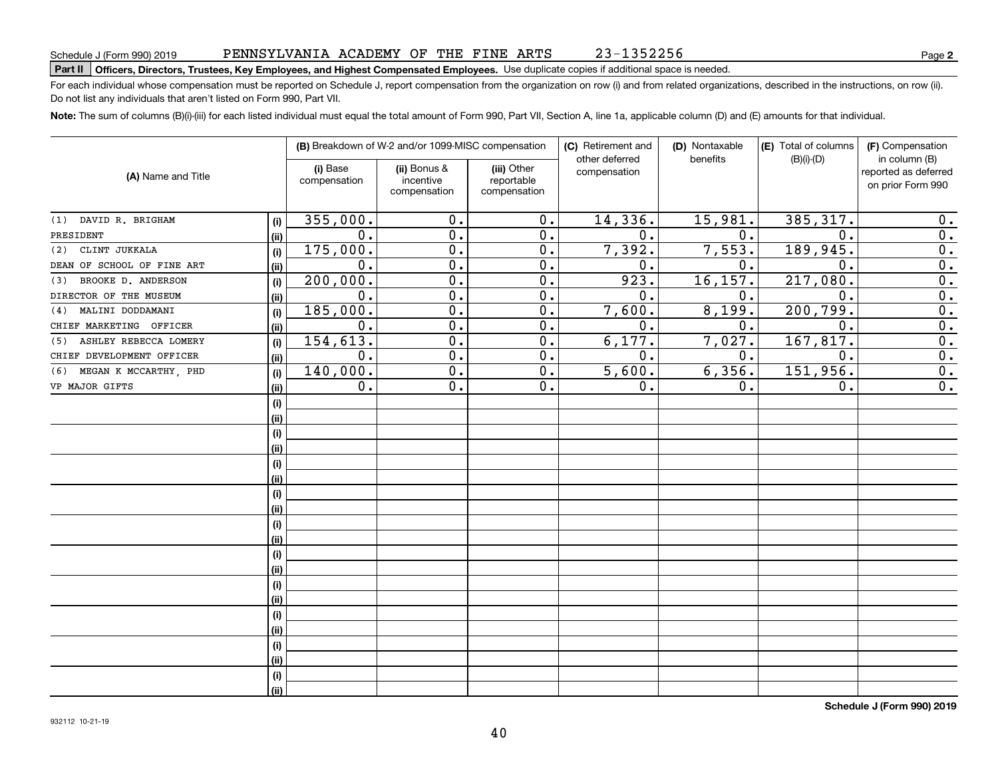#### PENNSYLVANIA ACADEMY OF THE FINE ARTS 23-1352256

# **Part II Officers, Directors, Trustees, Key Employees, and Highest Compensated Employees.**  Schedule J (Form 990) 2019 Page Use duplicate copies if additional space is needed.

For each individual whose compensation must be reported on Schedule J, report compensation from the organization on row (i) and from related organizations, described in the instructions, on row (ii). Do not list any individuals that aren't listed on Form 990, Part VII.

**Note:**  The sum of columns (B)(i)-(iii) for each listed individual must equal the total amount of Form 990, Part VII, Section A, line 1a, applicable column (D) and (E) amounts for that individual.

|                              |       |                          | (B) Breakdown of W-2 and/or 1099-MISC compensation |                                           | (C) Retirement and<br>other deferred | (D) Nontaxable<br>benefits | (E) Total of columns | (F) Compensation<br>in column (B)         |  |  |
|------------------------------|-------|--------------------------|----------------------------------------------------|-------------------------------------------|--------------------------------------|----------------------------|----------------------|-------------------------------------------|--|--|
| (A) Name and Title           |       | (i) Base<br>compensation | (ii) Bonus &<br>incentive<br>compensation          | (iii) Other<br>reportable<br>compensation | compensation                         |                            | $(B)(i)-(D)$         | reported as deferred<br>on prior Form 990 |  |  |
| (1) DAVID R. BRIGHAM         | (i)   | 355,000.                 | 0.                                                 | $\mathbf 0$ .                             | 14,336.                              | 15,981.                    | 385, 317.            | 0.                                        |  |  |
| PRESIDENT                    | (ii)  | $\mathbf 0$ .            | 0.                                                 | $\mathbf 0$ .                             | 0.                                   | 0.                         | $\mathbf 0$ .        | $\overline{0}$ .                          |  |  |
| CLINT JUKKALA<br>(2)         | (i)   | 175,000.                 | 0.                                                 | $0$ .                                     | 7,392.                               | 7,553.                     | 189,945.             | 0.                                        |  |  |
| DEAN OF SCHOOL OF FINE ART   | (ii)  | $\overline{0}$ .         | $\overline{0}$ .                                   | $\overline{0}$ .                          | 0.                                   | 0.                         | $\mathbf 0$ .        | $\overline{0}$ .                          |  |  |
| BROOKE D. ANDERSON<br>(3)    | (i)   | 200,000.                 | $\overline{0}$ .                                   | $\overline{0}$ .                          | 923.                                 | 16, 157.                   | 217,080.             | $\overline{\mathbf{0}}$ .                 |  |  |
| DIRECTOR OF THE MUSEUM       | (ii)  | $\overline{0}$ .         | $\overline{0}$ .                                   | $\overline{0}$ .                          | 0.                                   | 0.                         | $\overline{0}$ .     | $\overline{\mathbf{0}}$ .                 |  |  |
| MALINI DODDAMANI<br>(4)      | (i)   | 185,000.                 | $\overline{0}$ .                                   | $\overline{0}$ .                          | 7,600.                               | 8,199.                     | 200, 799.            | $\overline{0}$ .                          |  |  |
| CHIEF MARKETING OFFICER      | (ii)  | 0.                       | 0.                                                 | 0.                                        | $\overline{0}$ .                     | 0.                         | $\mathbf 0$ .        | $\overline{0}$ .                          |  |  |
| ASHLEY REBECCA LOMERY<br>(5) | (i)   | 154, 613.                | 0.                                                 | 0.                                        | 6,177.                               | 7,027.                     | 167,817.             | 0.                                        |  |  |
| CHIEF DEVELOPMENT OFFICER    | (ii)  | 0.                       | 0.                                                 | 0.                                        | 0.                                   | 0.                         | 0.                   | $\overline{0}$ .                          |  |  |
| MEGAN K MCCARTHY, PHD<br>(6) | (i)   | 140,000.                 | $\overline{0}$ .                                   | $\overline{0}$ .                          | 5,600.                               | 6,356.                     | 151,956.             | $\overline{0}$ .                          |  |  |
| VP MAJOR GIFTS               | (ii)  | 0.                       | $\overline{0}$ .                                   | 0.                                        | 0.                                   | 0.                         | $\mathbf 0$ .        | 0.                                        |  |  |
|                              | (i)   |                          |                                                    |                                           |                                      |                            |                      |                                           |  |  |
|                              | (ii)  |                          |                                                    |                                           |                                      |                            |                      |                                           |  |  |
|                              | (i)   |                          |                                                    |                                           |                                      |                            |                      |                                           |  |  |
|                              | (ii)  |                          |                                                    |                                           |                                      |                            |                      |                                           |  |  |
|                              | (i)   |                          |                                                    |                                           |                                      |                            |                      |                                           |  |  |
|                              | (ii)  |                          |                                                    |                                           |                                      |                            |                      |                                           |  |  |
|                              | (i)   |                          |                                                    |                                           |                                      |                            |                      |                                           |  |  |
|                              | (ii)  |                          |                                                    |                                           |                                      |                            |                      |                                           |  |  |
|                              | (i)   |                          |                                                    |                                           |                                      |                            |                      |                                           |  |  |
|                              | (ii)  |                          |                                                    |                                           |                                      |                            |                      |                                           |  |  |
|                              | (i)   |                          |                                                    |                                           |                                      |                            |                      |                                           |  |  |
|                              | (ii)  |                          |                                                    |                                           |                                      |                            |                      |                                           |  |  |
|                              | (i)   |                          |                                                    |                                           |                                      |                            |                      |                                           |  |  |
|                              | (ii)  |                          |                                                    |                                           |                                      |                            |                      |                                           |  |  |
|                              | (i)   |                          |                                                    |                                           |                                      |                            |                      |                                           |  |  |
|                              | (ii)  |                          |                                                    |                                           |                                      |                            |                      |                                           |  |  |
|                              | (i)   |                          |                                                    |                                           |                                      |                            |                      |                                           |  |  |
|                              | (ii)  |                          |                                                    |                                           |                                      |                            |                      |                                           |  |  |
|                              | (i)   |                          |                                                    |                                           |                                      |                            |                      |                                           |  |  |
|                              | (iii) |                          |                                                    |                                           |                                      |                            |                      |                                           |  |  |

**Schedule J (Form 990) 2019**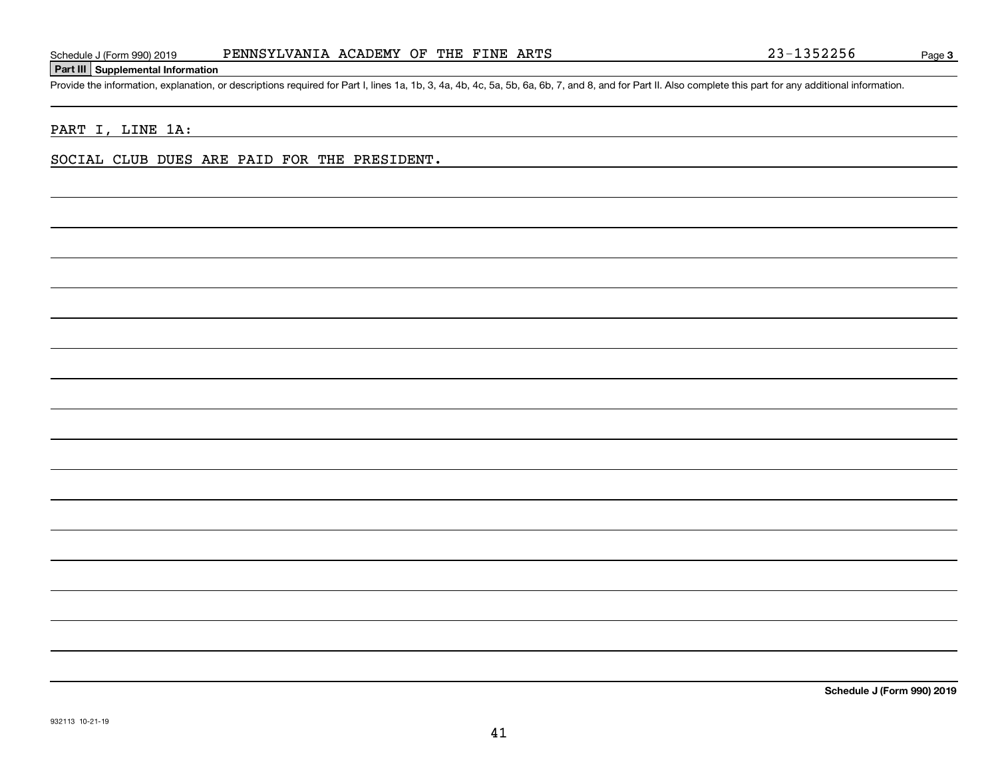## **Part III Supplemental Information**

Schedule J (Form 990) 2019 PENNSYLVANIA ACADEMY OF THE FINE ARTS 23-1352256<br>Part III Supplemental Information<br>Provide the information, explanation, or descriptions required for Part I, lines 1a, 1b, 3, 4a, 4b, 4c, 5a, 5b,

PART I, LINE 1A:

SOCIAL CLUB DUES ARE PAID FOR THE PRESIDENT.

**Schedule J (Form 990) 2019**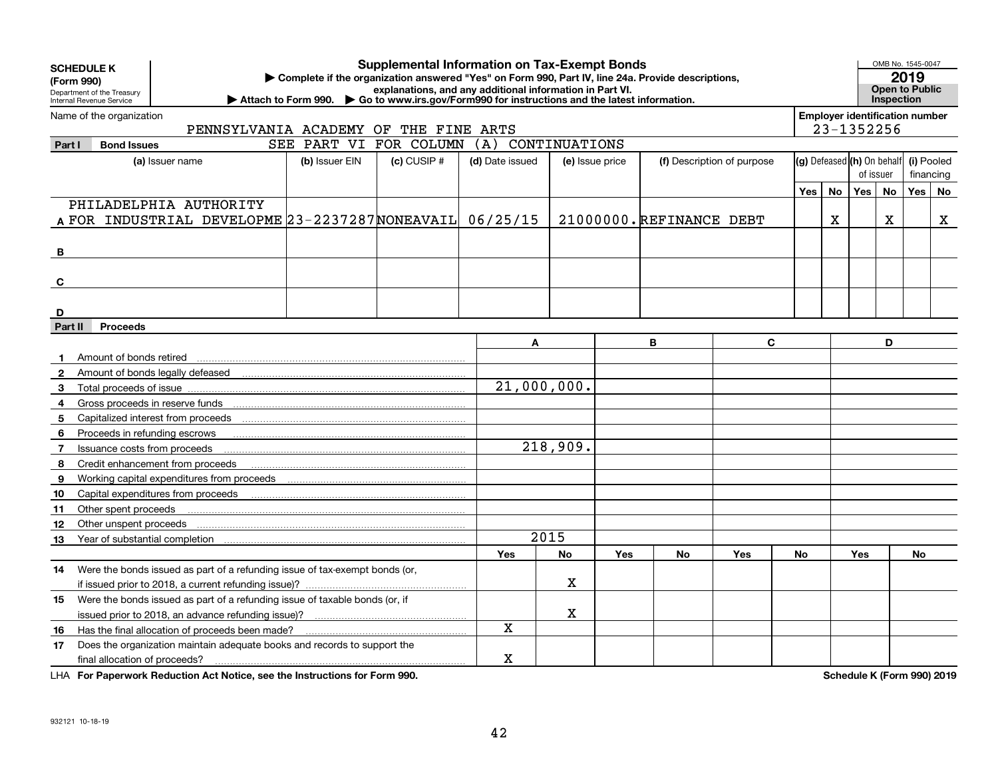| <b>Supplemental Information on Tax-Exempt Bonds</b><br><b>SCHEDULE K</b><br>Complete if the organization answered "Yes" on Form 990, Part IV, line 24a. Provide descriptions,<br>(Form 990)<br>explanations, and any additional information in Part VI.<br>Department of the Treasury<br>Attach to Form 990. $\triangleright$ Go to www.irs.gov/Form 990 for instructions and the latest information.<br>Internal Revenue Service<br><b>Employer identification number</b><br>Name of the organization |                               |                                                                             |                |                 |             |                                                                  |     |                          |              |                            |             |            |           | OMB No. 1545-0047<br>2019<br><b>Open to Public</b><br><b>Inspection</b> |             |
|--------------------------------------------------------------------------------------------------------------------------------------------------------------------------------------------------------------------------------------------------------------------------------------------------------------------------------------------------------------------------------------------------------------------------------------------------------------------------------------------------------|-------------------------------|-----------------------------------------------------------------------------|----------------|-----------------|-------------|------------------------------------------------------------------|-----|--------------------------|--------------|----------------------------|-------------|------------|-----------|-------------------------------------------------------------------------|-------------|
|                                                                                                                                                                                                                                                                                                                                                                                                                                                                                                        |                               | PENNSYLVANIA ACADEMY OF THE FINE ARTS                                       |                |                 |             |                                                                  |     |                          |              |                            |             | 23-1352256 |           |                                                                         |             |
| Part I                                                                                                                                                                                                                                                                                                                                                                                                                                                                                                 | <b>Bond Issues</b>            |                                                                             | SEE PART VI    | FOR COLUMN      | (A)         | CONTINUATIONS                                                    |     |                          |              |                            |             |            |           |                                                                         |             |
|                                                                                                                                                                                                                                                                                                                                                                                                                                                                                                        |                               | (a) Issuer name                                                             | (b) Issuer EIN | $(c)$ CUSIP $#$ |             | (d) Date issued<br>(e) Issue price<br>(f) Description of purpose |     |                          |              | (g) Defeased (h) On behalf |             |            |           | (i) Pooled                                                              |             |
|                                                                                                                                                                                                                                                                                                                                                                                                                                                                                                        |                               |                                                                             |                |                 |             |                                                                  |     |                          |              |                            |             | of issuer  |           | financing                                                               |             |
|                                                                                                                                                                                                                                                                                                                                                                                                                                                                                                        |                               |                                                                             |                |                 |             |                                                                  |     |                          |              | Yes                        | <b>No</b>   | Yes I      | <b>No</b> | Yes                                                                     | No          |
|                                                                                                                                                                                                                                                                                                                                                                                                                                                                                                        |                               | PHILADELPHIA AUTHORITY                                                      |                |                 |             |                                                                  |     |                          |              |                            |             |            |           |                                                                         |             |
|                                                                                                                                                                                                                                                                                                                                                                                                                                                                                                        |                               | A FOR INDUSTRIAL DEVELOPME 23-2237287 NONEAVAIL 06/25/15                    |                |                 |             |                                                                  |     | 21000000. REFINANCE DEBT |              |                            | $\mathbf X$ |            | X         |                                                                         | $\mathbf X$ |
| в                                                                                                                                                                                                                                                                                                                                                                                                                                                                                                      |                               |                                                                             |                |                 |             |                                                                  |     |                          |              |                            |             |            |           |                                                                         |             |
| C                                                                                                                                                                                                                                                                                                                                                                                                                                                                                                      |                               |                                                                             |                |                 |             |                                                                  |     |                          |              |                            |             |            |           |                                                                         |             |
| D                                                                                                                                                                                                                                                                                                                                                                                                                                                                                                      |                               |                                                                             |                |                 |             |                                                                  |     |                          |              |                            |             |            |           |                                                                         |             |
| Part II                                                                                                                                                                                                                                                                                                                                                                                                                                                                                                | <b>Proceeds</b>               |                                                                             |                |                 |             |                                                                  |     |                          |              |                            |             |            |           |                                                                         |             |
|                                                                                                                                                                                                                                                                                                                                                                                                                                                                                                        |                               |                                                                             |                |                 | A           |                                                                  |     | B                        | $\mathbf{C}$ |                            |             |            | D         |                                                                         |             |
|                                                                                                                                                                                                                                                                                                                                                                                                                                                                                                        | Amount of bonds retired       |                                                                             |                |                 |             |                                                                  |     |                          |              |                            |             |            |           |                                                                         |             |
| 2                                                                                                                                                                                                                                                                                                                                                                                                                                                                                                      |                               |                                                                             |                |                 |             |                                                                  |     |                          |              |                            |             |            |           |                                                                         |             |
| 3                                                                                                                                                                                                                                                                                                                                                                                                                                                                                                      |                               |                                                                             |                |                 |             | 21,000,000.                                                      |     |                          |              |                            |             |            |           |                                                                         |             |
| 4                                                                                                                                                                                                                                                                                                                                                                                                                                                                                                      |                               |                                                                             |                |                 |             |                                                                  |     |                          |              |                            |             |            |           |                                                                         |             |
| 5                                                                                                                                                                                                                                                                                                                                                                                                                                                                                                      |                               | Capitalized interest from proceeds                                          |                |                 |             |                                                                  |     |                          |              |                            |             |            |           |                                                                         |             |
| 6                                                                                                                                                                                                                                                                                                                                                                                                                                                                                                      | Proceeds in refunding escrows |                                                                             |                |                 |             |                                                                  |     |                          |              |                            |             |            |           |                                                                         |             |
| 7                                                                                                                                                                                                                                                                                                                                                                                                                                                                                                      | Issuance costs from proceeds  |                                                                             |                |                 |             | 218,909.                                                         |     |                          |              |                            |             |            |           |                                                                         |             |
| 8                                                                                                                                                                                                                                                                                                                                                                                                                                                                                                      |                               | Credit enhancement from proceeds                                            |                |                 |             |                                                                  |     |                          |              |                            |             |            |           |                                                                         |             |
| 9                                                                                                                                                                                                                                                                                                                                                                                                                                                                                                      |                               |                                                                             |                |                 |             |                                                                  |     |                          |              |                            |             |            |           |                                                                         |             |
| 10                                                                                                                                                                                                                                                                                                                                                                                                                                                                                                     |                               |                                                                             |                |                 |             |                                                                  |     |                          |              |                            |             |            |           |                                                                         |             |
| 11                                                                                                                                                                                                                                                                                                                                                                                                                                                                                                     | Other spent proceeds          |                                                                             |                |                 |             |                                                                  |     |                          |              |                            |             |            |           |                                                                         |             |
| 12                                                                                                                                                                                                                                                                                                                                                                                                                                                                                                     | Other unspent proceeds        |                                                                             |                |                 |             |                                                                  |     |                          |              |                            |             |            |           |                                                                         |             |
| 13                                                                                                                                                                                                                                                                                                                                                                                                                                                                                                     |                               |                                                                             |                |                 |             | 2015                                                             |     |                          |              |                            |             |            |           |                                                                         |             |
|                                                                                                                                                                                                                                                                                                                                                                                                                                                                                                        |                               |                                                                             |                |                 | Yes         | <b>No</b>                                                        | Yes | No                       | Yes          | No                         |             | <b>Yes</b> |           | No                                                                      |             |
| 14                                                                                                                                                                                                                                                                                                                                                                                                                                                                                                     |                               | Were the bonds issued as part of a refunding issue of tax-exempt bonds (or, |                |                 |             |                                                                  |     |                          |              |                            |             |            |           |                                                                         |             |
|                                                                                                                                                                                                                                                                                                                                                                                                                                                                                                        |                               |                                                                             |                |                 | x           |                                                                  |     |                          |              |                            |             |            |           |                                                                         |             |
| 15                                                                                                                                                                                                                                                                                                                                                                                                                                                                                                     |                               | Were the bonds issued as part of a refunding issue of taxable bonds (or, if |                |                 |             |                                                                  |     |                          |              |                            |             |            |           |                                                                         |             |
|                                                                                                                                                                                                                                                                                                                                                                                                                                                                                                        |                               |                                                                             |                |                 |             | x                                                                |     |                          |              |                            |             |            |           |                                                                         |             |
| 16                                                                                                                                                                                                                                                                                                                                                                                                                                                                                                     |                               | Has the final allocation of proceeds been made?                             |                |                 | X           |                                                                  |     |                          |              |                            |             |            |           |                                                                         |             |
| 17                                                                                                                                                                                                                                                                                                                                                                                                                                                                                                     |                               | Does the organization maintain adequate books and records to support the    |                |                 |             |                                                                  |     |                          |              |                            |             |            |           |                                                                         |             |
|                                                                                                                                                                                                                                                                                                                                                                                                                                                                                                        | final allocation of proceeds? |                                                                             |                |                 | $\mathbf X$ |                                                                  |     |                          |              |                            |             |            |           |                                                                         |             |

**For Paperwork Reduction Act Notice, see the Instructions for Form 990. Schedule K (Form 990) 2019** LHA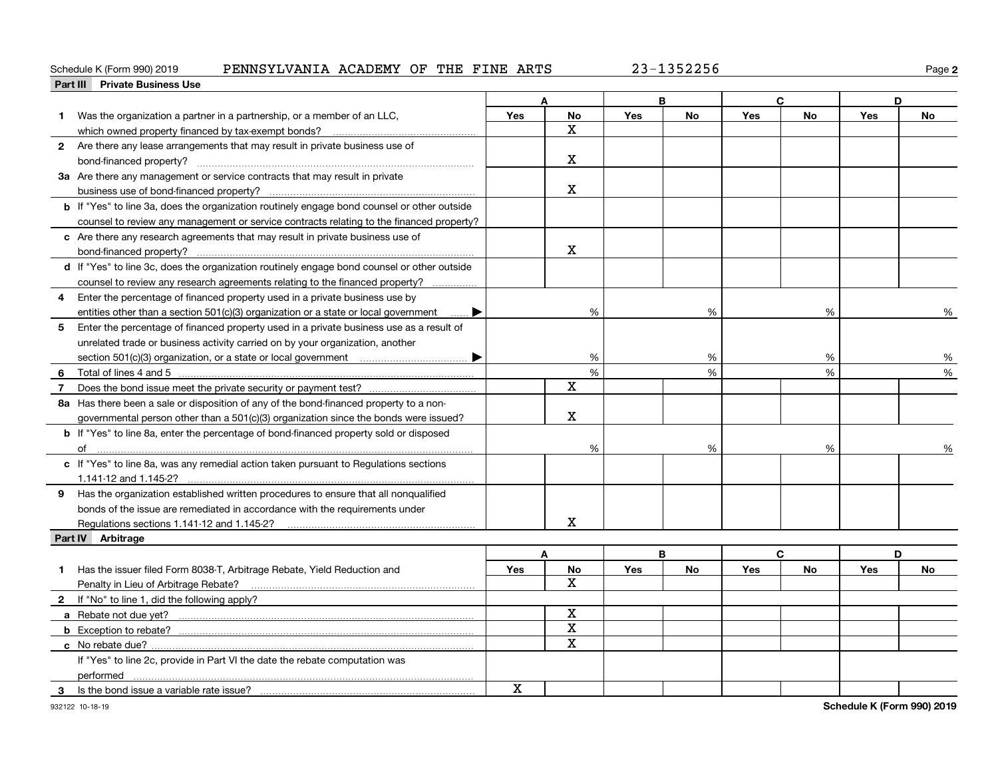### Schedule K (Form 990) 2019 PENNSYLVANIA ACADEMY OF THE FINE ARTS 23-1352256 Page

**2**

|   | Part III Private Business Use                                                                      |     |              |            |           |            |             |            |           |
|---|----------------------------------------------------------------------------------------------------|-----|--------------|------------|-----------|------------|-------------|------------|-----------|
|   |                                                                                                    |     |              |            | B         |            | $\mathbf c$ |            | D         |
| 1 | Was the organization a partner in a partnership, or a member of an LLC,                            | Yes | <b>No</b>    | Yes        | <b>No</b> | Yes        | <b>No</b>   | <b>Yes</b> | <b>No</b> |
|   | which owned property financed by tax-exempt bonds?                                                 |     | $\mathbf X$  |            |           |            |             |            |           |
|   | 2 Are there any lease arrangements that may result in private business use of                      |     |              |            |           |            |             |            |           |
|   |                                                                                                    |     | $\mathbf X$  |            |           |            |             |            |           |
|   | 3a Are there any management or service contracts that may result in private                        |     |              |            |           |            |             |            |           |
|   |                                                                                                    |     | X            |            |           |            |             |            |           |
|   | <b>b</b> If "Yes" to line 3a, does the organization routinely engage bond counsel or other outside |     |              |            |           |            |             |            |           |
|   | counsel to review any management or service contracts relating to the financed property?           |     |              |            |           |            |             |            |           |
|   | c Are there any research agreements that may result in private business use of                     |     |              |            |           |            |             |            |           |
|   |                                                                                                    |     | X            |            |           |            |             |            |           |
|   | d If "Yes" to line 3c, does the organization routinely engage bond counsel or other outside        |     |              |            |           |            |             |            |           |
|   | counsel to review any research agreements relating to the financed property?                       |     |              |            |           |            |             |            |           |
| 4 | Enter the percentage of financed property used in a private business use by                        |     |              |            |           |            |             |            |           |
|   | entities other than a section 501(c)(3) organization or a state or local government<br>▶           |     | %            |            | %         |            | %           |            | %         |
| 5 | Enter the percentage of financed property used in a private business use as a result of            |     |              |            |           |            |             |            |           |
|   | unrelated trade or business activity carried on by your organization, another                      |     |              |            |           |            |             |            |           |
|   | ▶                                                                                                  |     | %            |            | %         |            | %           |            | %         |
| 6 | Total of lines 4 and 5                                                                             |     | %            |            | %         |            | %           |            | %         |
| 7 |                                                                                                    |     | $\mathbf X$  |            |           |            |             |            |           |
|   | 8a Has there been a sale or disposition of any of the bond-financed property to a non-             |     |              |            |           |            |             |            |           |
|   | governmental person other than a 501(c)(3) organization since the bonds were issued?               |     | х            |            |           |            |             |            |           |
|   | <b>b</b> If "Yes" to line 8a, enter the percentage of bond-financed property sold or disposed      |     |              |            |           |            |             |            |           |
|   |                                                                                                    |     | %            |            | %         |            | %           |            | ℅         |
|   | c If "Yes" to line 8a, was any remedial action taken pursuant to Regulations sections              |     |              |            |           |            |             |            |           |
|   | 1.141-12 and 1.145-2?                                                                              |     |              |            |           |            |             |            |           |
|   |                                                                                                    |     |              |            |           |            |             |            |           |
|   | 9 Has the organization established written procedures to ensure that all nonqualified              |     |              |            |           |            |             |            |           |
|   | bonds of the issue are remediated in accordance with the requirements under                        |     | $\mathbf X$  |            |           |            |             |            |           |
|   | Regulations sections 1.141-12 and 1.145-2?                                                         |     |              |            |           |            |             |            |           |
|   | Part IV Arbitrage                                                                                  |     |              |            | B         |            | C           |            | D         |
|   |                                                                                                    |     | A<br>No      | <b>Yes</b> | No        | <b>Yes</b> |             |            |           |
| 1 | Has the issuer filed Form 8038-T, Arbitrage Rebate, Yield Reduction and                            | Yes | X            |            |           |            | No          | <b>Yes</b> | No        |
|   | Penalty in Lieu of Arbitrage Rebate?                                                               |     |              |            |           |            |             |            |           |
|   | 2 If "No" to line 1, did the following apply?                                                      |     | $\mathbf x$  |            |           |            |             |            |           |
|   |                                                                                                    |     | $\mathbf X$  |            |           |            |             |            |           |
|   |                                                                                                    |     | $\mathbf{x}$ |            |           |            |             |            |           |
|   | c No rebate due?                                                                                   |     |              |            |           |            |             |            |           |
|   | If "Yes" to line 2c, provide in Part VI the date the rebate computation was                        |     |              |            |           |            |             |            |           |
|   |                                                                                                    |     |              |            |           |            |             |            |           |
| 3 | Is the bond issue a variable rate issue?                                                           | X   |              |            |           |            |             |            |           |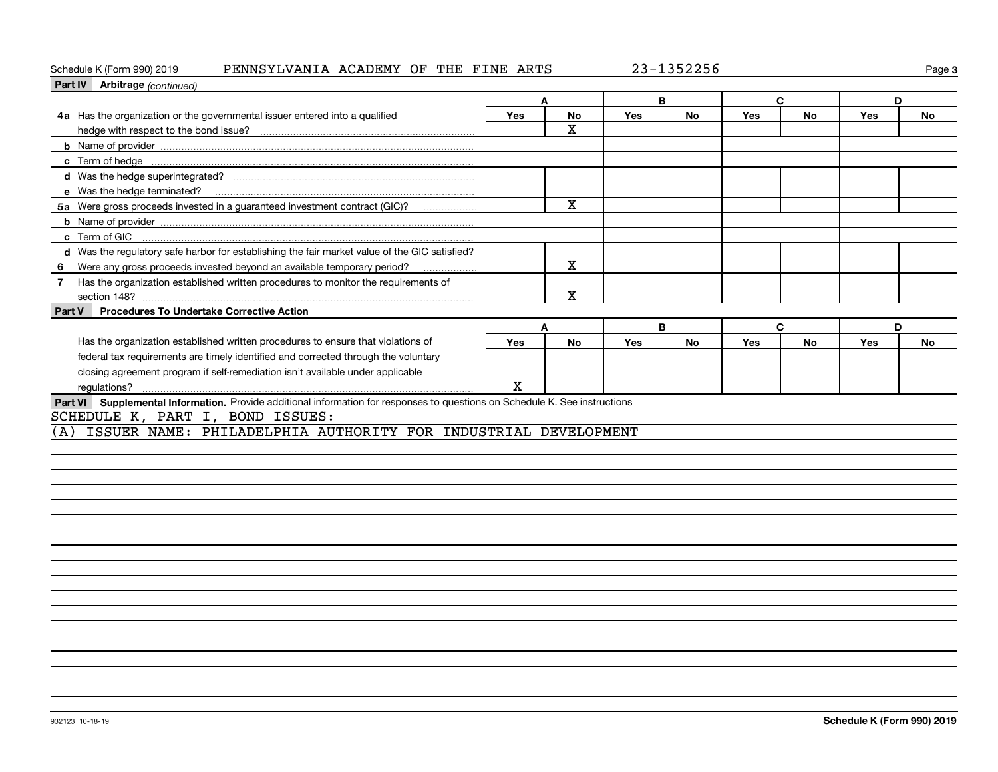### Schedule K (Form 990) 2019 PENNSYLVANIA ACADEMY OF THE FINE ARTS 23-1352256 Page

**3**

| Part IV Arbitrage (continued)                                                                                               |     |                         |            |           |              |           |            |    |
|-----------------------------------------------------------------------------------------------------------------------------|-----|-------------------------|------------|-----------|--------------|-----------|------------|----|
|                                                                                                                             |     |                         |            | B         | $\mathbf{C}$ |           | D          |    |
| 4a Has the organization or the governmental issuer entered into a qualified                                                 | Yes | <b>No</b>               | Yes        | <b>No</b> | Yes          | <b>No</b> | Yes        | No |
|                                                                                                                             |     | $\overline{\mathbf{x}}$ |            |           |              |           |            |    |
|                                                                                                                             |     |                         |            |           |              |           |            |    |
|                                                                                                                             |     |                         |            |           |              |           |            |    |
|                                                                                                                             |     |                         |            |           |              |           |            |    |
| e Was the hedge terminated?                                                                                                 |     |                         |            |           |              |           |            |    |
| 5a Were gross proceeds invested in a guaranteed investment contract (GIC)?                                                  |     | $\mathbf{x}$            |            |           |              |           |            |    |
|                                                                                                                             |     |                         |            |           |              |           |            |    |
| c Term of GIC                                                                                                               |     |                         |            |           |              |           |            |    |
| d Was the regulatory safe harbor for establishing the fair market value of the GIC satisfied?                               |     |                         |            |           |              |           |            |    |
| Were any gross proceeds invested beyond an available temporary period?<br>6                                                 |     | X                       |            |           |              |           |            |    |
| Has the organization established written procedures to monitor the requirements of<br>$7^{\circ}$                           |     |                         |            |           |              |           |            |    |
|                                                                                                                             |     | $\mathbf X$             |            |           |              |           |            |    |
| Part V Procedures To Undertake Corrective Action                                                                            |     |                         |            |           |              |           |            |    |
|                                                                                                                             |     | A                       |            | B         | $\mathbf{C}$ |           | D          |    |
| Has the organization established written procedures to ensure that violations of                                            | Yes | No                      | <b>Yes</b> | <b>No</b> | <b>Yes</b>   | No        | <b>Yes</b> | No |
| federal tax requirements are timely identified and corrected through the voluntary                                          |     |                         |            |           |              |           |            |    |
| closing agreement program if self-remediation isn't available under applicable                                              |     |                         |            |           |              |           |            |    |
| regulations?                                                                                                                | X   |                         |            |           |              |           |            |    |
| Part VI Supplemental Information. Provide additional information for responses to questions on Schedule K. See instructions |     |                         |            |           |              |           |            |    |
| SCHEDULE K, PART I, BOND ISSUES:                                                                                            |     |                         |            |           |              |           |            |    |
| ISSUER NAME: PHILADELPHIA AUTHORITY FOR INDUSTRIAL DEVELOPMENT                                                              |     |                         |            |           |              |           |            |    |
|                                                                                                                             |     |                         |            |           |              |           |            |    |
|                                                                                                                             |     |                         |            |           |              |           |            |    |
|                                                                                                                             |     |                         |            |           |              |           |            |    |
|                                                                                                                             |     |                         |            |           |              |           |            |    |
|                                                                                                                             |     |                         |            |           |              |           |            |    |
|                                                                                                                             |     |                         |            |           |              |           |            |    |
|                                                                                                                             |     |                         |            |           |              |           |            |    |
|                                                                                                                             |     |                         |            |           |              |           |            |    |
|                                                                                                                             |     |                         |            |           |              |           |            |    |
|                                                                                                                             |     |                         |            |           |              |           |            |    |
|                                                                                                                             |     |                         |            |           |              |           |            |    |
|                                                                                                                             |     |                         |            |           |              |           |            |    |
|                                                                                                                             |     |                         |            |           |              |           |            |    |
|                                                                                                                             |     |                         |            |           |              |           |            |    |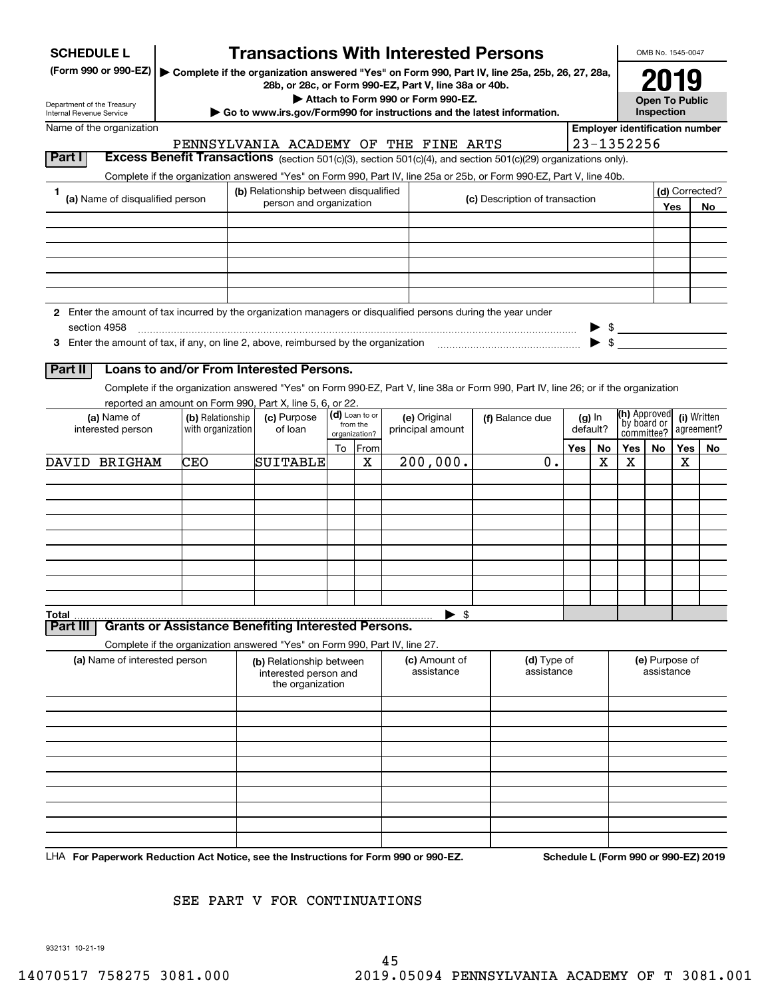| <b>SCHEDULE L</b>                                                                                             |                                        |                  | <b>Transactions With Interested Persons</b>                                             |               |                            |                  |                                    |                                                                                                                                    |     |                      |                                                     | OMB No. 1545-0047            |          |                                      |
|---------------------------------------------------------------------------------------------------------------|----------------------------------------|------------------|-----------------------------------------------------------------------------------------|---------------|----------------------------|------------------|------------------------------------|------------------------------------------------------------------------------------------------------------------------------------|-----|----------------------|-----------------------------------------------------|------------------------------|----------|--------------------------------------|
| (Form 990 or 990-EZ)                                                                                          |                                        |                  | 28b, or 28c, or Form 990-EZ, Part V, line 38a or 40b.                                   |               |                            |                  |                                    | Complete if the organization answered "Yes" on Form 990, Part IV, line 25a, 25b, 26, 27, 28a,                                      |     |                      |                                                     |                              |          |                                      |
| Department of the Treasury                                                                                    |                                        |                  |                                                                                         |               |                            |                  | Attach to Form 990 or Form 990-EZ. |                                                                                                                                    |     |                      |                                                     | <b>Open To Public</b>        |          |                                      |
| Internal Revenue Service                                                                                      |                                        |                  | $\triangleright$ Go to www.irs.gov/Form990 for instructions and the latest information. |               |                            |                  |                                    |                                                                                                                                    |     |                      |                                                     | Inspection                   |          |                                      |
| Name of the organization                                                                                      |                                        |                  | PENNSYLVANIA ACADEMY OF THE FINE ARTS                                                   |               |                            |                  |                                    |                                                                                                                                    |     |                      | <b>Employer identification number</b><br>23-1352256 |                              |          |                                      |
| Part I                                                                                                        |                                        |                  |                                                                                         |               |                            |                  |                                    | Excess Benefit Transactions (section 501(c)(3), section 501(c)(4), and section 501(c)(29) organizations only).                     |     |                      |                                                     |                              |          |                                      |
|                                                                                                               |                                        |                  |                                                                                         |               |                            |                  |                                    | Complete if the organization answered "Yes" on Form 990, Part IV, line 25a or 25b, or Form 990-EZ, Part V, line 40b.               |     |                      |                                                     |                              |          |                                      |
| 1.                                                                                                            |                                        |                  | (b) Relationship between disqualified                                                   |               |                            |                  |                                    |                                                                                                                                    |     |                      |                                                     |                              |          | (d) Corrected?                       |
| (a) Name of disqualified person                                                                               |                                        |                  | person and organization                                                                 |               |                            |                  |                                    | (c) Description of transaction                                                                                                     |     |                      |                                                     |                              | Yes      | No.                                  |
|                                                                                                               |                                        |                  |                                                                                         |               |                            |                  |                                    |                                                                                                                                    |     |                      |                                                     |                              |          |                                      |
|                                                                                                               |                                        |                  |                                                                                         |               |                            |                  |                                    |                                                                                                                                    |     |                      |                                                     |                              |          |                                      |
|                                                                                                               |                                        |                  |                                                                                         |               |                            |                  |                                    |                                                                                                                                    |     |                      |                                                     |                              |          |                                      |
|                                                                                                               |                                        |                  |                                                                                         |               |                            |                  |                                    |                                                                                                                                    |     |                      |                                                     |                              |          |                                      |
|                                                                                                               |                                        |                  |                                                                                         |               |                            |                  |                                    |                                                                                                                                    |     |                      |                                                     |                              |          |                                      |
| 2 Enter the amount of tax incurred by the organization managers or disqualified persons during the year under |                                        |                  |                                                                                         |               |                            |                  |                                    |                                                                                                                                    |     |                      |                                                     |                              |          |                                      |
| section 4958                                                                                                  |                                        |                  |                                                                                         |               |                            |                  |                                    |                                                                                                                                    |     |                      |                                                     |                              |          |                                      |
|                                                                                                               |                                        |                  |                                                                                         |               |                            |                  |                                    |                                                                                                                                    |     |                      |                                                     |                              |          |                                      |
| Part II                                                                                                       |                                        |                  | Loans to and/or From Interested Persons.                                                |               |                            |                  |                                    |                                                                                                                                    |     |                      |                                                     |                              |          |                                      |
|                                                                                                               |                                        |                  |                                                                                         |               |                            |                  |                                    | Complete if the organization answered "Yes" on Form 990-EZ, Part V, line 38a or Form 990, Part IV, line 26; or if the organization |     |                      |                                                     |                              |          |                                      |
|                                                                                                               |                                        |                  | reported an amount on Form 990, Part X, line 5, 6, or 22.                               |               |                            |                  |                                    |                                                                                                                                    |     |                      |                                                     |                              |          |                                      |
| (a) Name of                                                                                                   |                                        | (b) Relationship | (c) Purpose                                                                             |               | (d) Loan to or<br>from the |                  | (e) Original                       | (f) Balance due                                                                                                                    |     | $(g)$ In<br>default? |                                                     | (h) Approved<br>by board or  |          | (i) Written                          |
|                                                                                                               | with organization<br>interested person |                  | of loan                                                                                 | organization? |                            | principal amount |                                    |                                                                                                                                    |     |                      | committee?                                          |                              |          | agreement?                           |
| DAVID BRIGHAM                                                                                                 |                                        |                  | SUITABLE                                                                                | To From<br>x  |                            |                  | 200,000.                           | 0.                                                                                                                                 | Yes | No<br>x              | Yes<br>х                                            | No                           | Yes<br>X | No                                   |
|                                                                                                               | CEO                                    |                  |                                                                                         |               |                            |                  |                                    |                                                                                                                                    |     |                      |                                                     |                              |          |                                      |
|                                                                                                               |                                        |                  |                                                                                         |               |                            |                  |                                    |                                                                                                                                    |     |                      |                                                     |                              |          |                                      |
|                                                                                                               |                                        |                  |                                                                                         |               |                            |                  |                                    |                                                                                                                                    |     |                      |                                                     |                              |          |                                      |
|                                                                                                               |                                        |                  |                                                                                         |               |                            |                  |                                    |                                                                                                                                    |     |                      |                                                     |                              |          |                                      |
|                                                                                                               |                                        |                  |                                                                                         |               |                            |                  |                                    |                                                                                                                                    |     |                      |                                                     |                              |          |                                      |
|                                                                                                               |                                        |                  |                                                                                         |               |                            |                  |                                    |                                                                                                                                    |     |                      |                                                     |                              |          |                                      |
|                                                                                                               |                                        |                  |                                                                                         |               |                            |                  |                                    |                                                                                                                                    |     |                      |                                                     |                              |          |                                      |
|                                                                                                               |                                        |                  |                                                                                         |               |                            |                  |                                    |                                                                                                                                    |     |                      |                                                     |                              |          |                                      |
| Total                                                                                                         |                                        |                  |                                                                                         |               |                            |                  | \$                                 |                                                                                                                                    |     |                      |                                                     |                              |          |                                      |
| Part II                                                                                                       |                                        |                  | <b>Grants or Assistance Benefiting Interested Persons.</b>                              |               |                            |                  |                                    |                                                                                                                                    |     |                      |                                                     |                              |          |                                      |
|                                                                                                               |                                        |                  | Complete if the organization answered "Yes" on Form 990, Part IV, line 27.              |               |                            |                  |                                    |                                                                                                                                    |     |                      |                                                     |                              |          |                                      |
| (a) Name of interested person                                                                                 |                                        |                  | (b) Relationship between<br>interested person and<br>the organization                   |               |                            |                  | (c) Amount of<br>assistance        | (d) Type of<br>assistance                                                                                                          |     |                      |                                                     | (e) Purpose of<br>assistance |          |                                      |
|                                                                                                               |                                        |                  |                                                                                         |               |                            |                  |                                    |                                                                                                                                    |     |                      |                                                     |                              |          |                                      |
|                                                                                                               |                                        |                  |                                                                                         |               |                            |                  |                                    |                                                                                                                                    |     |                      |                                                     |                              |          |                                      |
|                                                                                                               |                                        |                  |                                                                                         |               |                            |                  |                                    |                                                                                                                                    |     |                      |                                                     |                              |          |                                      |
|                                                                                                               |                                        |                  |                                                                                         |               |                            |                  |                                    |                                                                                                                                    |     |                      |                                                     |                              |          |                                      |
|                                                                                                               |                                        |                  |                                                                                         |               |                            |                  |                                    |                                                                                                                                    |     |                      |                                                     |                              |          |                                      |
|                                                                                                               |                                        |                  |                                                                                         |               |                            |                  |                                    |                                                                                                                                    |     |                      |                                                     |                              |          |                                      |
|                                                                                                               |                                        |                  |                                                                                         |               |                            |                  |                                    |                                                                                                                                    |     |                      |                                                     |                              |          |                                      |
|                                                                                                               |                                        |                  |                                                                                         |               |                            |                  |                                    |                                                                                                                                    |     |                      |                                                     |                              |          |                                      |
|                                                                                                               |                                        |                  |                                                                                         |               |                            |                  |                                    |                                                                                                                                    |     |                      |                                                     |                              |          |                                      |
| LHA For Paperwork Reduction Act Notice, see the Instructions for Form 990 or 990-EZ.                          |                                        |                  |                                                                                         |               |                            |                  |                                    |                                                                                                                                    |     |                      |                                                     |                              |          | Schedule L (Form 990 or 990-EZ) 2019 |

SEE PART V FOR CONTINUATIONS

932131 10-21-19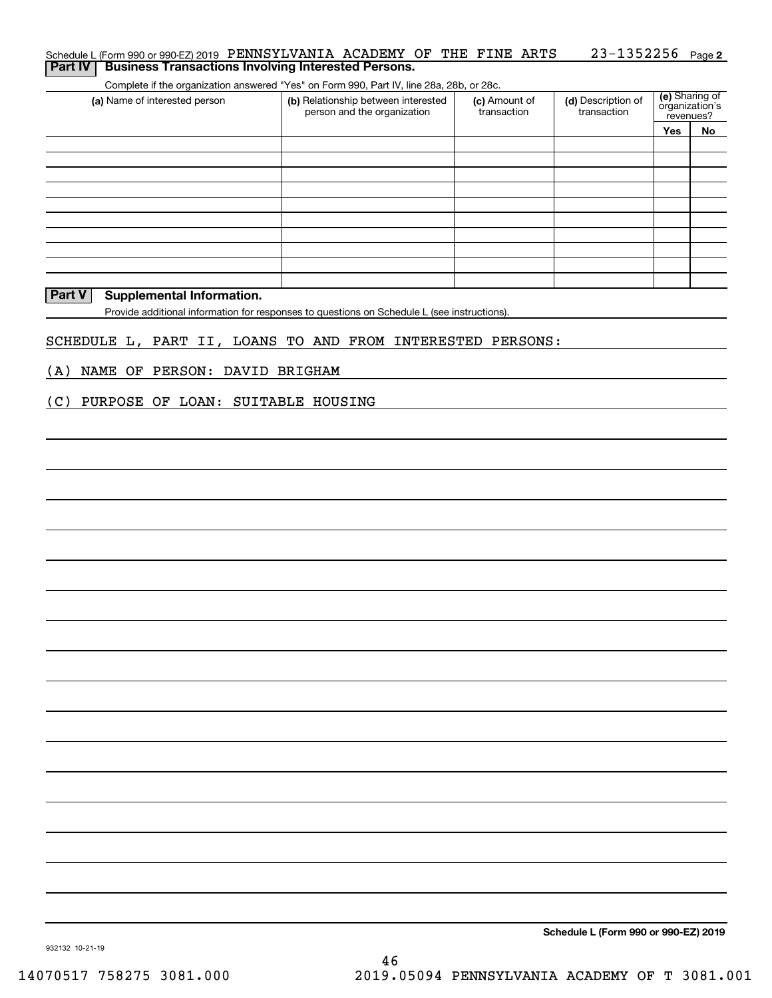| Schedule L (Form 990 or 990-EZ) 2019 PENNSYLVANIA ACADEMY OF THE FINE ARTS |  |  |  | $23 - 1352256$ Page 2 |  |
|----------------------------------------------------------------------------|--|--|--|-----------------------|--|
| <b>Part IV   Business Transactions Involving Interested Persons.</b>       |  |  |  |                       |  |

Complete if the organization answered "Yes" on Form 990, Part IV, line 28a, 28b, or 28c.

| $\frac{1}{2}$ complete in the origin measure anomalour node on non-node, nature, inno Edu, Edu, or Edu.<br>(a) Name of interested person | (b) Relationship between interested<br>person and the organization | (c) Amount of<br>transaction | (d) Description of<br>transaction | (e) Sharing of<br>organization's<br>revenues? |    |
|------------------------------------------------------------------------------------------------------------------------------------------|--------------------------------------------------------------------|------------------------------|-----------------------------------|-----------------------------------------------|----|
|                                                                                                                                          |                                                                    |                              |                                   | <b>Yes</b>                                    | No |
|                                                                                                                                          |                                                                    |                              |                                   |                                               |    |
|                                                                                                                                          |                                                                    |                              |                                   |                                               |    |
|                                                                                                                                          |                                                                    |                              |                                   |                                               |    |
|                                                                                                                                          |                                                                    |                              |                                   |                                               |    |
|                                                                                                                                          |                                                                    |                              |                                   |                                               |    |
|                                                                                                                                          |                                                                    |                              |                                   |                                               |    |
|                                                                                                                                          |                                                                    |                              |                                   |                                               |    |
|                                                                                                                                          |                                                                    |                              |                                   |                                               |    |
|                                                                                                                                          |                                                                    |                              |                                   |                                               |    |
| .                                                                                                                                        |                                                                    |                              |                                   |                                               |    |

**Part V** Supplemental Information.

Provide additional information for responses to questions on Schedule L (see instructions).

SCHEDULE L, PART II, LOANS TO AND FROM INTERESTED PERSONS:

(A) NAME OF PERSON: DAVID BRIGHAM

(C) PURPOSE OF LOAN: SUITABLE HOUSING

**Schedule L (Form 990 or 990-EZ) 2019**

932132 10-21-19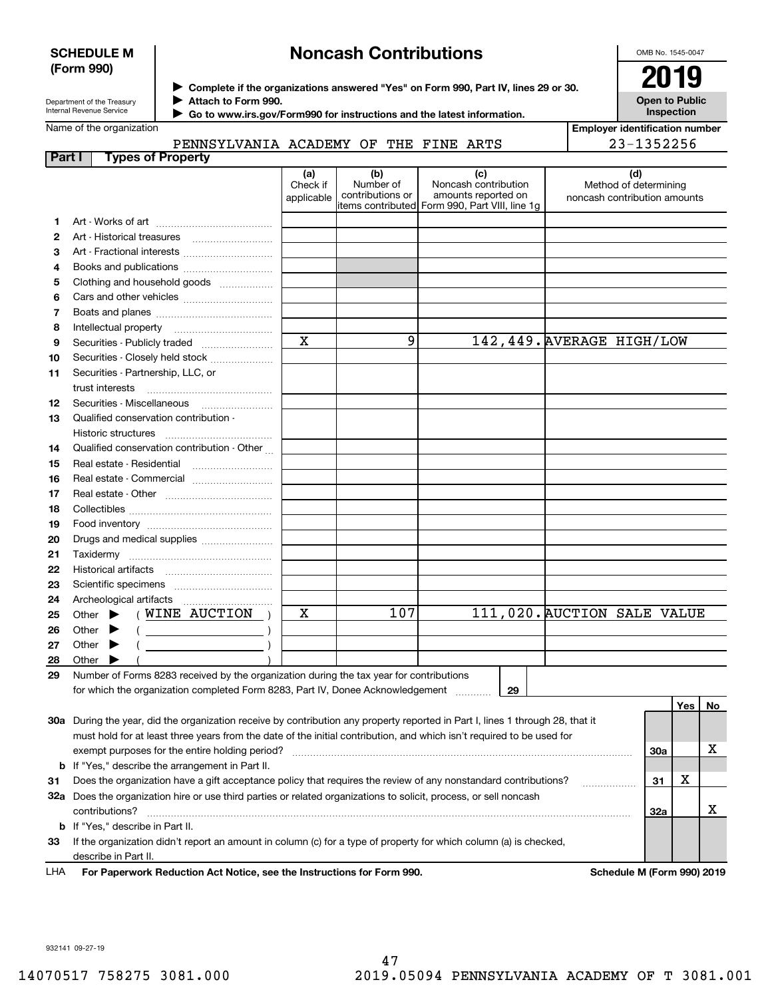## **SCHEDULE M (Form 990)**

## **Noncash Contributions**

OMB No. 1545-0047

| Department of the Treasury |
|----------------------------|
| Internal Revenue Service   |

**Complete if the organizations answered "Yes" on Form 990, Part IV, lines 29 or 30.** <sup>J</sup>**2019 Attach to Form 990.** J

**Open to Public Inspection**

**Employer identification number**

23-1352256

|  | Name of the organization |  |
|--|--------------------------|--|

J

 **Go to www.irs.gov/Form990 for instructions and the latest information.**

## PENNSYLVANIA ACADEMY OF THE FINE ARTS

| Part I | <b>Types of Property</b>                                                                                                                                                                                                                                                                                                                                                                                                                     |                               |                                      |                                                                                                      |                                                              |     |     |    |
|--------|----------------------------------------------------------------------------------------------------------------------------------------------------------------------------------------------------------------------------------------------------------------------------------------------------------------------------------------------------------------------------------------------------------------------------------------------|-------------------------------|--------------------------------------|------------------------------------------------------------------------------------------------------|--------------------------------------------------------------|-----|-----|----|
|        |                                                                                                                                                                                                                                                                                                                                                                                                                                              | (a)<br>Check if<br>applicable | (b)<br>Number of<br>contributions or | (c)<br>Noncash contribution<br>amounts reported on<br>items contributed Form 990, Part VIII, line 1g | (d)<br>Method of determining<br>noncash contribution amounts |     |     |    |
| 1.     |                                                                                                                                                                                                                                                                                                                                                                                                                                              |                               |                                      |                                                                                                      |                                                              |     |     |    |
| 2      |                                                                                                                                                                                                                                                                                                                                                                                                                                              |                               |                                      |                                                                                                      |                                                              |     |     |    |
| з      | Art - Fractional interests                                                                                                                                                                                                                                                                                                                                                                                                                   |                               |                                      |                                                                                                      |                                                              |     |     |    |
| 4      |                                                                                                                                                                                                                                                                                                                                                                                                                                              |                               |                                      |                                                                                                      |                                                              |     |     |    |
| 5      | Clothing and household goods                                                                                                                                                                                                                                                                                                                                                                                                                 |                               |                                      |                                                                                                      |                                                              |     |     |    |
| 6      |                                                                                                                                                                                                                                                                                                                                                                                                                                              |                               |                                      |                                                                                                      |                                                              |     |     |    |
| 7      |                                                                                                                                                                                                                                                                                                                                                                                                                                              |                               |                                      |                                                                                                      |                                                              |     |     |    |
| 8      | Intellectual property                                                                                                                                                                                                                                                                                                                                                                                                                        |                               |                                      |                                                                                                      |                                                              |     |     |    |
| 9      |                                                                                                                                                                                                                                                                                                                                                                                                                                              | $\mathbf x$                   | 9                                    |                                                                                                      | 142,449. AVERAGE HIGH/LOW                                    |     |     |    |
| 10     | Securities - Closely held stock                                                                                                                                                                                                                                                                                                                                                                                                              |                               |                                      |                                                                                                      |                                                              |     |     |    |
| 11     | Securities - Partnership, LLC, or<br>trust interests                                                                                                                                                                                                                                                                                                                                                                                         |                               |                                      |                                                                                                      |                                                              |     |     |    |
| 12     |                                                                                                                                                                                                                                                                                                                                                                                                                                              |                               |                                      |                                                                                                      |                                                              |     |     |    |
| 13     | Qualified conservation contribution -<br>Historic structures                                                                                                                                                                                                                                                                                                                                                                                 |                               |                                      |                                                                                                      |                                                              |     |     |    |
| 14     | Qualified conservation contribution - Other                                                                                                                                                                                                                                                                                                                                                                                                  |                               |                                      |                                                                                                      |                                                              |     |     |    |
| 15     | Real estate - Residential                                                                                                                                                                                                                                                                                                                                                                                                                    |                               |                                      |                                                                                                      |                                                              |     |     |    |
| 16     | Real estate - Commercial                                                                                                                                                                                                                                                                                                                                                                                                                     |                               |                                      |                                                                                                      |                                                              |     |     |    |
| 17     |                                                                                                                                                                                                                                                                                                                                                                                                                                              |                               |                                      |                                                                                                      |                                                              |     |     |    |
| 18     |                                                                                                                                                                                                                                                                                                                                                                                                                                              |                               |                                      |                                                                                                      |                                                              |     |     |    |
| 19     |                                                                                                                                                                                                                                                                                                                                                                                                                                              |                               |                                      |                                                                                                      |                                                              |     |     |    |
| 20     | Drugs and medical supplies                                                                                                                                                                                                                                                                                                                                                                                                                   |                               |                                      |                                                                                                      |                                                              |     |     |    |
| 21     |                                                                                                                                                                                                                                                                                                                                                                                                                                              |                               |                                      |                                                                                                      |                                                              |     |     |    |
| 22     |                                                                                                                                                                                                                                                                                                                                                                                                                                              |                               |                                      |                                                                                                      |                                                              |     |     |    |
| 23     |                                                                                                                                                                                                                                                                                                                                                                                                                                              |                               |                                      |                                                                                                      |                                                              |     |     |    |
| 24     |                                                                                                                                                                                                                                                                                                                                                                                                                                              |                               |                                      |                                                                                                      |                                                              |     |     |    |
| 25     | (WINE AUCTION)<br>Other $\blacktriangleright$                                                                                                                                                                                                                                                                                                                                                                                                | x                             | 107                                  |                                                                                                      | 111,020. AUCTION SALE VALUE                                  |     |     |    |
| 26     | Other $\blacktriangleright$<br>$\left(\begin{array}{ccc}\n\frac{1}{2} & \frac{1}{2} & \frac{1}{2} & \frac{1}{2} & \frac{1}{2} & \frac{1}{2} & \frac{1}{2} & \frac{1}{2} & \frac{1}{2} & \frac{1}{2} & \frac{1}{2} & \frac{1}{2} & \frac{1}{2} & \frac{1}{2} & \frac{1}{2} & \frac{1}{2} & \frac{1}{2} & \frac{1}{2} & \frac{1}{2} & \frac{1}{2} & \frac{1}{2} & \frac{1}{2} & \frac{1}{2} & \frac{1}{2} & \frac{1}{2} & \frac{1}{2} & \frac$ |                               |                                      |                                                                                                      |                                                              |     |     |    |
| 27     | Other $\blacktriangleright$                                                                                                                                                                                                                                                                                                                                                                                                                  |                               |                                      |                                                                                                      |                                                              |     |     |    |
| 28     | Other $\blacktriangleright$                                                                                                                                                                                                                                                                                                                                                                                                                  |                               |                                      |                                                                                                      |                                                              |     |     |    |
| 29     | Number of Forms 8283 received by the organization during the tax year for contributions                                                                                                                                                                                                                                                                                                                                                      |                               |                                      |                                                                                                      |                                                              |     |     |    |
|        | for which the organization completed Form 8283, Part IV, Donee Acknowledgement                                                                                                                                                                                                                                                                                                                                                               |                               |                                      | 29                                                                                                   |                                                              |     |     |    |
|        |                                                                                                                                                                                                                                                                                                                                                                                                                                              |                               |                                      |                                                                                                      |                                                              |     | Yes | No |
|        | 30a During the year, did the organization receive by contribution any property reported in Part I, lines 1 through 28, that it                                                                                                                                                                                                                                                                                                               |                               |                                      |                                                                                                      |                                                              |     |     |    |
|        | must hold for at least three years from the date of the initial contribution, and which isn't required to be used for                                                                                                                                                                                                                                                                                                                        |                               |                                      |                                                                                                      |                                                              |     |     |    |
|        |                                                                                                                                                                                                                                                                                                                                                                                                                                              |                               |                                      |                                                                                                      |                                                              | 30a |     | x  |
|        | <b>b</b> If "Yes," describe the arrangement in Part II.                                                                                                                                                                                                                                                                                                                                                                                      |                               |                                      |                                                                                                      |                                                              |     |     |    |
| 31     | Does the organization have a gift acceptance policy that requires the review of any nonstandard contributions?                                                                                                                                                                                                                                                                                                                               |                               |                                      |                                                                                                      | .                                                            | 31  | X   |    |
|        | 32a Does the organization hire or use third parties or related organizations to solicit, process, or sell noncash                                                                                                                                                                                                                                                                                                                            |                               |                                      |                                                                                                      |                                                              |     |     |    |

**33**If the organization didn't report an amount in column (c) for a type of property for which column (a) is checked, **b**If "Yes," describe in Part II. describe in Part II.

contributions? ~~~~~~~~~~~~~~~~~~~~~~~~~~~~~~~~~~~~~~~~~~~~~~~~~~~~~~

**For Paperwork Reduction Act Notice, see the Instructions for Form 990. Schedule M (Form 990) 2019** LHA

**32a**

X

932141 09-27-19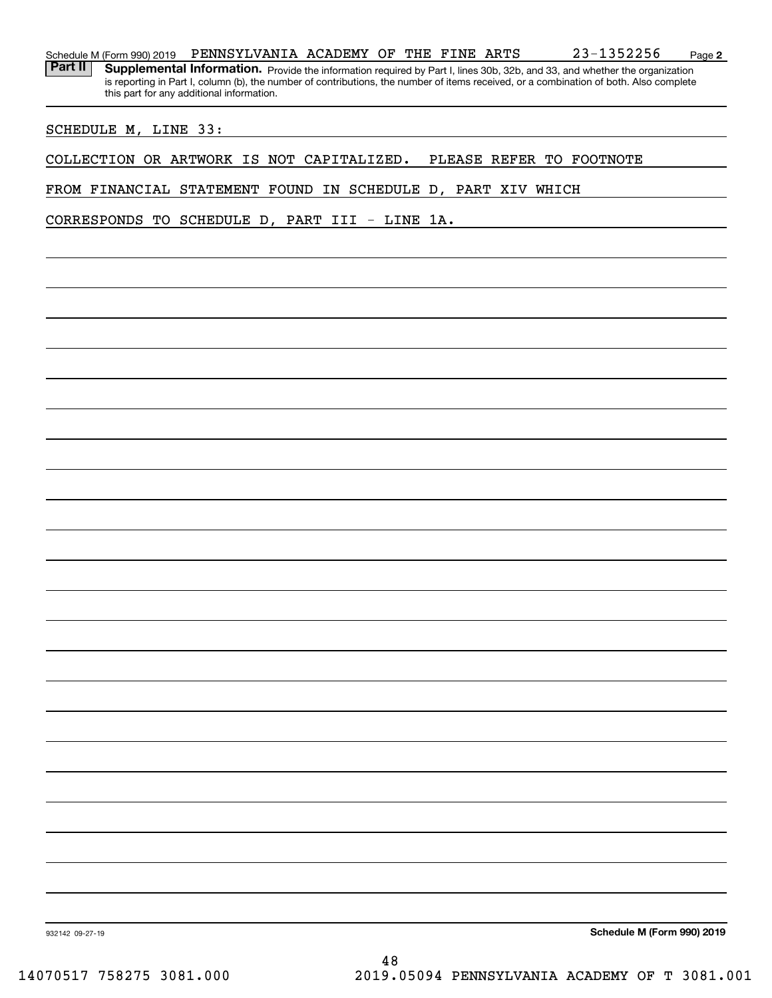| 23-1352256<br>PENNSYLVANIA ACADEMY OF THE FINE ARTS<br>Schedule M (Form 990) 2019<br>Page 2<br><b>Part II</b><br>Supplemental Information. Provide the information required by Part I, lines 30b, 32b, and 33, and whether the organization |
|---------------------------------------------------------------------------------------------------------------------------------------------------------------------------------------------------------------------------------------------|
| is reporting in Part I, column (b), the number of contributions, the number of items received, or a combination of both. Also complete<br>this part for any additional information.                                                         |
| SCHEDULE M, LINE 33:                                                                                                                                                                                                                        |
| COLLECTION OR ARTWORK IS NOT CAPITALIZED.<br>PLEASE REFER TO FOOTNOTE                                                                                                                                                                       |
| FROM FINANCIAL STATEMENT FOUND IN SCHEDULE D, PART XIV WHICH                                                                                                                                                                                |
| CORRESPONDS TO SCHEDULE D, PART III - LINE 1A.                                                                                                                                                                                              |
|                                                                                                                                                                                                                                             |
|                                                                                                                                                                                                                                             |
|                                                                                                                                                                                                                                             |
|                                                                                                                                                                                                                                             |
|                                                                                                                                                                                                                                             |
|                                                                                                                                                                                                                                             |
|                                                                                                                                                                                                                                             |
|                                                                                                                                                                                                                                             |
|                                                                                                                                                                                                                                             |
|                                                                                                                                                                                                                                             |
|                                                                                                                                                                                                                                             |
|                                                                                                                                                                                                                                             |
|                                                                                                                                                                                                                                             |
|                                                                                                                                                                                                                                             |
|                                                                                                                                                                                                                                             |
|                                                                                                                                                                                                                                             |
|                                                                                                                                                                                                                                             |
|                                                                                                                                                                                                                                             |
|                                                                                                                                                                                                                                             |
|                                                                                                                                                                                                                                             |
|                                                                                                                                                                                                                                             |
|                                                                                                                                                                                                                                             |
|                                                                                                                                                                                                                                             |

**Schedule M (Form 990) 2019**

932142 09-27-19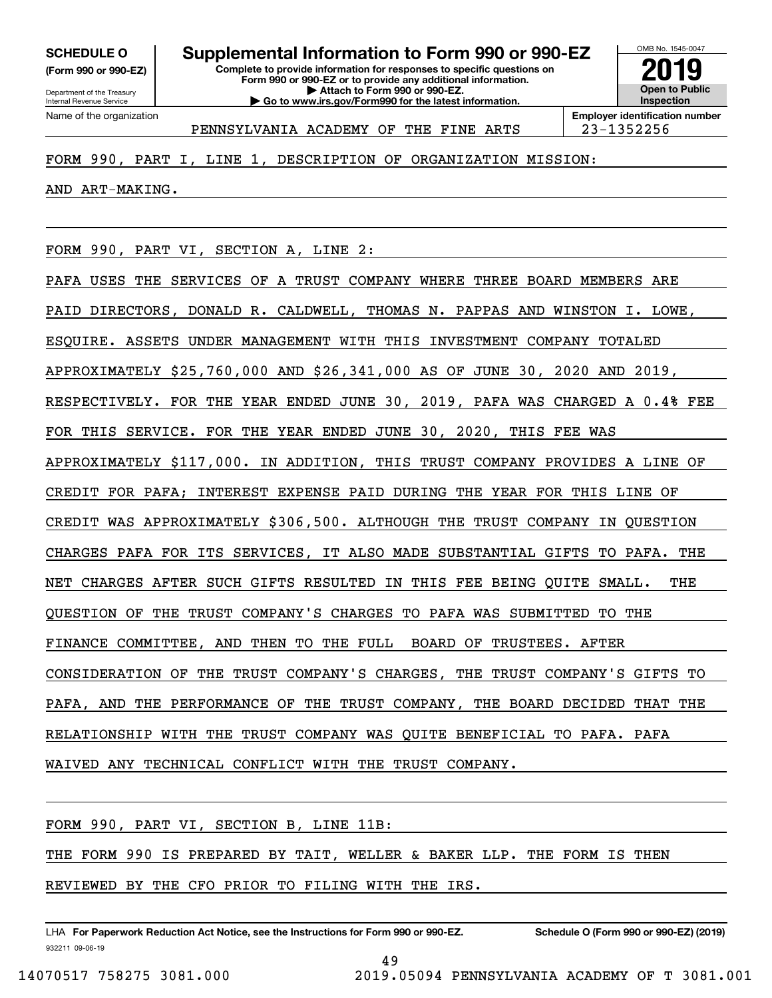**(Form 990 or 990-EZ)**

Department of the Treasury Internal Revenue Service Name of the organization

**Complete to provide information for responses to specific questions on Form 990 or 990-EZ or to provide any additional information. | Attach to Form 990 or 990-EZ. | Go to www.irs.gov/Form990 for the latest information. SCHEDULE O Supplemental Information to Form 990 or 990-EZ**



PENNSYLVANIA ACADEMY OF THE FINE ARTS | 23-1352256

## FORM 990, PART I, LINE 1, DESCRIPTION OF ORGANIZATION MISSION:

AND ART-MAKING.

FORM 990, PART VI, SECTION A, LINE 2:

PAFA USES THE SERVICES OF A TRUST COMPANY WHERE THREE BOARD MEMBERS ARE PAID DIRECTORS, DONALD R. CALDWELL, THOMAS N. PAPPAS AND WINSTON I. LOWE, ESQUIRE. ASSETS UNDER MANAGEMENT WITH THIS INVESTMENT COMPANY TOTALED APPROXIMATELY \$25,760,000 AND \$26,341,000 AS OF JUNE 30, 2020 AND 2019, RESPECTIVELY. FOR THE YEAR ENDED JUNE 30, 2019, PAFA WAS CHARGED A 0.4% FEE FOR THIS SERVICE. FOR THE YEAR ENDED JUNE 30, 2020, THIS FEE WAS APPROXIMATELY \$117,000. IN ADDITION, THIS TRUST COMPANY PROVIDES A LINE OF CREDIT FOR PAFA; INTEREST EXPENSE PAID DURING THE YEAR FOR THIS LINE OF CREDIT WAS APPROXIMATELY \$306,500. ALTHOUGH THE TRUST COMPANY IN QUESTION CHARGES PAFA FOR ITS SERVICES, IT ALSO MADE SUBSTANTIAL GIFTS TO PAFA. THE NET CHARGES AFTER SUCH GIFTS RESULTED IN THIS FEE BEING QUITE SMALL. THE QUESTION OF THE TRUST COMPANY'S CHARGES TO PAFA WAS SUBMITTED TO THE FINANCE COMMITTEE, AND THEN TO THE FULL BOARD OF TRUSTEES. AFTER CONSIDERATION OF THE TRUST COMPANY'S CHARGES, THE TRUST COMPANY'S GIFTS TO PAFA, AND THE PERFORMANCE OF THE TRUST COMPANY, THE BOARD DECIDED THAT THE RELATIONSHIP WITH THE TRUST COMPANY WAS QUITE BENEFICIAL TO PAFA. PAFA WAIVED ANY TECHNICAL CONFLICT WITH THE TRUST COMPANY.

| THE FORM 990 IS PREPARED BY TAIT, WELLER & BAKER LLP. THE FORM IS THEN<br>REVIEWED BY THE CFO PRIOR TO FILING WITH THE IRS. |  | FORM 990, PART VI, SECTION B, LINE 11B: |  |  |  |
|-----------------------------------------------------------------------------------------------------------------------------|--|-----------------------------------------|--|--|--|
|                                                                                                                             |  |                                         |  |  |  |
|                                                                                                                             |  |                                         |  |  |  |

932211 09-06-19 LHA For Paperwork Reduction Act Notice, see the Instructions for Form 990 or 990-EZ. Schedule O (Form 990 or 990-EZ) (2019)

49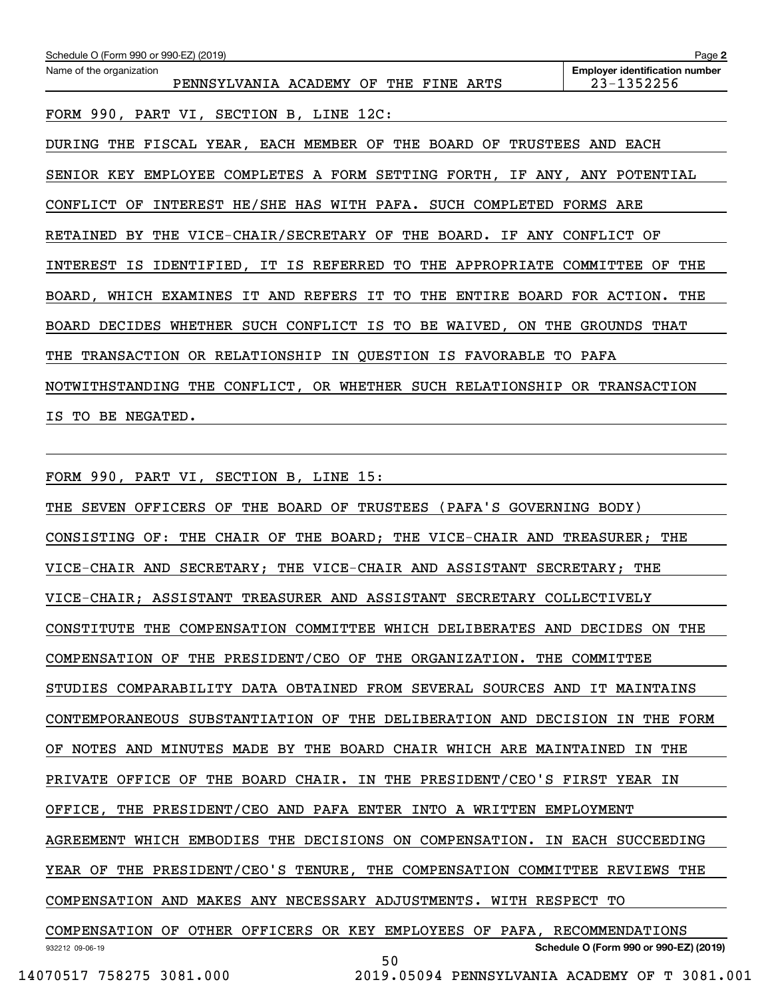| Schedule O (Form 990 or 990-EZ) (2019)                                             | Page 2                                              |
|------------------------------------------------------------------------------------|-----------------------------------------------------|
| Name of the organization<br>PENNSYLVANIA ACADEMY OF<br>THE FINE ARTS               | <b>Employer identification number</b><br>23-1352256 |
|                                                                                    |                                                     |
| FORM 990, PART VI, SECTION B, LINE 12C:                                            |                                                     |
| DURING THE FISCAL YEAR, EACH MEMBER OF THE BOARD OF TRUSTEES AND                   | EACH                                                |
| SENIOR KEY EMPLOYEE COMPLETES A FORM SETTING FORTH, IF ANY, ANY POTENTIAL          |                                                     |
| INTEREST HE/SHE HAS WITH PAFA. SUCH COMPLETED<br>CONFLICT OF                       | <b>FORMS ARE</b>                                    |
| RETAINED BY THE VICE-CHAIR/SECRETARY OF THE BOARD. IF ANY CONFLICT OF              |                                                     |
| INTEREST IS IDENTIFIED, IT IS REFERRED TO THE APPROPRIATE COMMITTEE                | THE<br>OF                                           |
| IT AND REFERS IT TO THE ENTIRE BOARD FOR ACTION.<br>BOARD, WHICH EXAMINES          | THE                                                 |
| WHETHER SUCH CONFLICT IS TO BE WAIVED, ON THE GROUNDS THAT<br><b>BOARD DECIDES</b> |                                                     |
| TRANSACTION OR RELATIONSHIP IN QUESTION IS FAVORABLE TO<br>THE                     | PAFA                                                |
| THE CONFLICT, OR WHETHER SUCH RELATIONSHIP OR TRANSACTION<br>NOTWITHSTANDING       |                                                     |
| BE NEGATED.<br>ΙS<br>TO.                                                           |                                                     |

FORM 990, PART VI, SECTION B, LINE 15:

THE SEVEN OFFICERS OF THE BOARD OF TRUSTEES (PAFA'S GOVERNING BODY) CONSISTING OF: THE CHAIR OF THE BOARD; THE VICE-CHAIR AND TREASURER; THE VICE-CHAIR AND SECRETARY; THE VICE-CHAIR AND ASSISTANT SECRETARY; THE VICE-CHAIR; ASSISTANT TREASURER AND ASSISTANT SECRETARY COLLECTIVELY CONSTITUTE THE COMPENSATION COMMITTEE WHICH DELIBERATES AND DECIDES ON THE COMPENSATION OF THE PRESIDENT/CEO OF THE ORGANIZATION. THE COMMITTEE STUDIES COMPARABILITY DATA OBTAINED FROM SEVERAL SOURCES AND IT MAINTAINS CONTEMPORANEOUS SUBSTANTIATION OF THE DELIBERATION AND DECISION IN THE FORM OF NOTES AND MINUTES MADE BY THE BOARD CHAIR WHICH ARE MAINTAINED IN THE PRIVATE OFFICE OF THE BOARD CHAIR. IN THE PRESIDENT/CEO'S FIRST YEAR IN OFFICE, THE PRESIDENT/CEO AND PAFA ENTER INTO A WRITTEN EMPLOYMENT AGREEMENT WHICH EMBODIES THE DECISIONS ON COMPENSATION. IN EACH SUCCEEDING YEAR OF THE PRESIDENT/CEO'S TENURE, THE COMPENSATION COMMITTEE REVIEWS THE COMPENSATION AND MAKES ANY NECESSARY ADJUSTMENTS. WITH RESPECT TO COMPENSATION OF OTHER OFFICERS OR KEY EMPLOYEES OF PAFA, RECOMMENDATIONS

932212 09-06-19

50

14070517 758275 3081.000 2019.05094 PENNSYLVANIA ACADEMY OF T 3081.001

**Schedule O (Form 990 or 990-EZ) (2019)**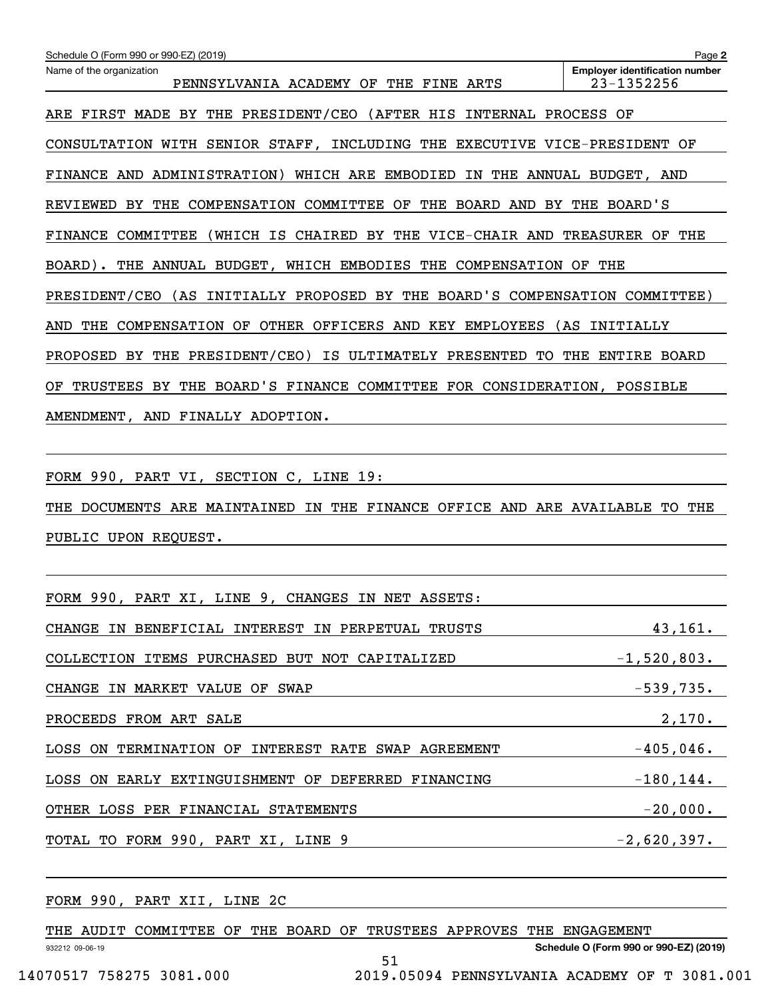| Schedule O (Form 990 or 990-EZ) (2019)                                        | Page 2                                              |
|-------------------------------------------------------------------------------|-----------------------------------------------------|
| Name of the organization<br>PENNSYLVANIA ACADEMY OF THE FINE ARTS             | <b>Employer identification number</b><br>23-1352256 |
| ARE FIRST MADE BY THE PRESIDENT/CEO (AFTER HIS INTERNAL PROCESS OF            |                                                     |
| CONSULTATION WITH SENIOR STAFF,<br>INCLUDING THE EXECUTIVE VICE-PRESIDENT OF  |                                                     |
| FINANCE AND ADMINISTRATION)<br>WHICH ARE EMBODIED IN THE ANNUAL BUDGET, AND   |                                                     |
| REVIEWED BY THE COMPENSATION COMMITTEE OF THE BOARD AND BY THE BOARD'S        |                                                     |
| FINANCE COMMITTEE<br>(WHICH IS CHAIRED BY THE VICE-CHAIR AND TREASURER OF THE |                                                     |
| BOARD). THE ANNUAL BUDGET, WHICH EMBODIES THE COMPENSATION OF                 | THE                                                 |
| PRESIDENT/CEO (AS INITIALLY PROPOSED BY THE BOARD'S COMPENSATION COMMITTEE)   |                                                     |
| THE COMPENSATION OF OTHER OFFICERS AND KEY EMPLOYEES (AS INITIALLY<br>AND     |                                                     |
| PROPOSED BY THE PRESIDENT/CEO)<br>IS ULTIMATELY PRESENTED TO THE ENTIRE BOARD |                                                     |
| TRUSTEES BY THE BOARD'S FINANCE COMMITTEE FOR CONSIDERATION, POSSIBLE<br>OF   |                                                     |
| AMENDMENT, AND FINALLY ADOPTION.                                              |                                                     |
|                                                                               |                                                     |
| FORM 990, PART VI, SECTION C, LINE 19:                                        |                                                     |
| THE DOCUMENTS ARE MAINTAINED IN THE FINANCE OFFICE AND ARE AVAILABLE TO THE   |                                                     |
| PUBLIC UPON REQUEST.                                                          |                                                     |
|                                                                               |                                                     |
| FORM 990, PART XI, LINE 9, CHANGES IN NET ASSETS:                             |                                                     |
| CHANGE IN BENEFICIAL INTEREST IN PERPETUAL TRUSTS                             | 43,161.                                             |
| COLLECTION ITEMS PURCHASED BUT NOT CAPITALIZED                                | $-1,520,803.$                                       |

TOTAL TO FORM 990, PART XI, LINE 9  $-2,620,397$ .

FORM 990, PART XII, LINE 2C

932212 09-06-19 **Schedule O (Form 990 or 990-EZ) (2019)** THE AUDIT COMMITTEE OF THE BOARD OF TRUSTEES APPROVES THE ENGAGEMENT 51

CHANGE IN MARKET VALUE OF SWAP  $-539,735$ .

PROCEEDS FROM ART SALE 2,170.

LOSS ON TERMINATION OF INTEREST RATE SWAP AGREEMENT -405,046.

LOSS ON EARLY EXTINGUISHMENT OF DEFERRED FINANCING  $-180,144$ .

OTHER LOSS PER FINANCIAL STATEMENTS FOR THE SAME AND THE RESOLUTION OF A 20,000.

14070517 758275 3081.000 2019.05094 PENNSYLVANIA ACADEMY OF T 3081.001